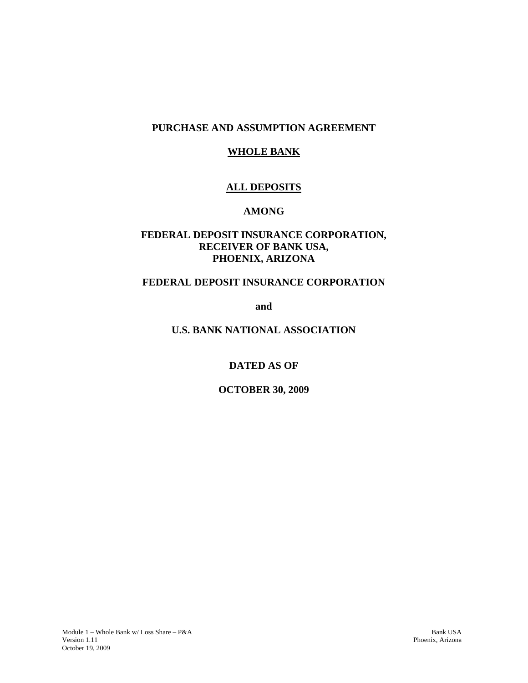#### **PURCHASE AND ASSUMPTION AGREEMENT**

#### **WHOLE BANK**

# **WHOLE BANK<br>ALL DEPOSITS**

#### **AMONG**

#### **FEDERAL DEPOSIT INSURANCE CORPORATION, RECEIVER OF BANK USA, PHOENIX, ARIZONA**

#### **FEDERAL DEPOSIT INSURANCE CORPORATION**

**and** 

#### **U.S. BANK NATIONAL ASSOCIATION**

**DATED AS OF** 

**OCTOBER 30, 2009**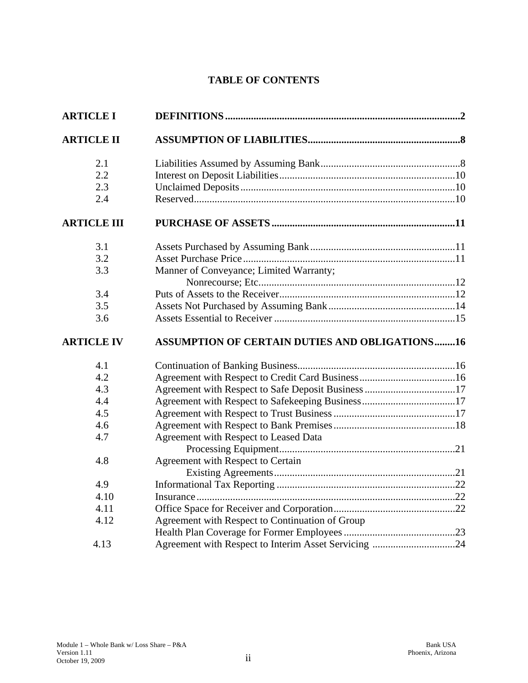# **TABLE OF CONTENTS**

| <b>TABLE OF CONTENTS</b> |                                                       |  |  |  |
|--------------------------|-------------------------------------------------------|--|--|--|
| <b>ARTICLE I</b>         |                                                       |  |  |  |
| <b>ARTICLE II</b>        |                                                       |  |  |  |
| 2.1                      |                                                       |  |  |  |
| 2.2                      |                                                       |  |  |  |
| 2.3                      |                                                       |  |  |  |
| 2.4                      |                                                       |  |  |  |
| <b>ARTICLE III</b>       |                                                       |  |  |  |
| 3.1                      |                                                       |  |  |  |
| 3.2                      |                                                       |  |  |  |
| 3.3                      | Manner of Conveyance; Limited Warranty;               |  |  |  |
|                          |                                                       |  |  |  |
| 3.4                      |                                                       |  |  |  |
| 3.5                      |                                                       |  |  |  |
| 3.6                      |                                                       |  |  |  |
| <b>ARTICLE IV</b>        | <b>ASSUMPTION OF CERTAIN DUTIES AND OBLIGATIONS16</b> |  |  |  |
| 4.1                      |                                                       |  |  |  |
| 4.2                      |                                                       |  |  |  |
| 4.3                      |                                                       |  |  |  |
| 4.4                      |                                                       |  |  |  |
| 4.5                      |                                                       |  |  |  |
| 4.6                      |                                                       |  |  |  |
| 4.7                      | Agreement with Respect to Leased Data                 |  |  |  |
|                          |                                                       |  |  |  |
| 4.8                      | <b>Agreement with Respect to Certain</b>              |  |  |  |
|                          |                                                       |  |  |  |
| 4.9                      |                                                       |  |  |  |
| 4.10                     |                                                       |  |  |  |
| 4.11                     |                                                       |  |  |  |
| 4.12                     | Agreement with Respect to Continuation of Group       |  |  |  |
|                          |                                                       |  |  |  |
| 4.13                     | Agreement with Respect to Interim Asset Servicing 24  |  |  |  |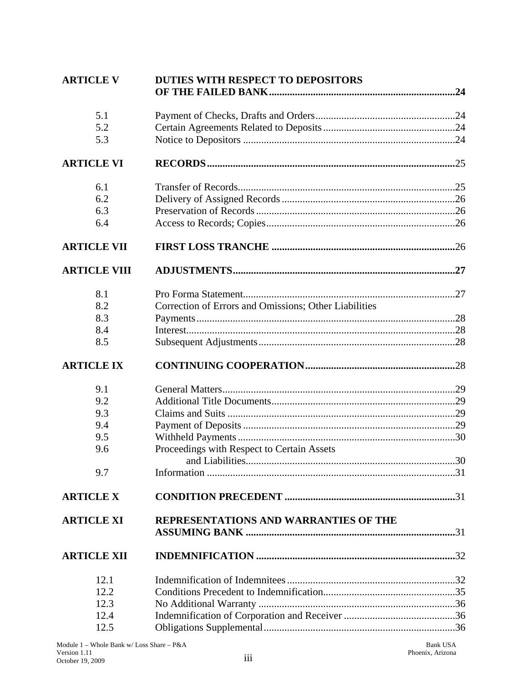| <b>ARTICLE V</b>    | DUTIES WITH RESPECT TO DEPOSITORS                     |  |
|---------------------|-------------------------------------------------------|--|
|                     |                                                       |  |
| 5.1                 |                                                       |  |
| 5.2                 |                                                       |  |
| 5.3                 |                                                       |  |
| <b>ARTICLE VI</b>   |                                                       |  |
| 6.1                 |                                                       |  |
| 6.2                 |                                                       |  |
| 6.3                 |                                                       |  |
| 6.4                 |                                                       |  |
| <b>ARTICLE VII</b>  |                                                       |  |
| <b>ARTICLE VIII</b> |                                                       |  |
| 8.1                 |                                                       |  |
| 8.2                 | Correction of Errors and Omissions; Other Liabilities |  |
| 8.3                 |                                                       |  |
| 8.4                 |                                                       |  |
| 8.5                 |                                                       |  |
| <b>ARTICLE IX</b>   |                                                       |  |
| 9.1                 |                                                       |  |
| 9.2                 |                                                       |  |
| 9.3                 |                                                       |  |
| 9.4                 |                                                       |  |
| 9.5                 |                                                       |  |
| 9.6                 | Proceedings with Respect to Certain Assets            |  |
|                     |                                                       |  |
| 9.7                 |                                                       |  |
| <b>ARTICLE X</b>    |                                                       |  |
| <b>ARTICLE XI</b>   | REPRESENTATIONS AND WARRANTIES OF THE                 |  |
| <b>ARTICLE XII</b>  |                                                       |  |
| 12.1                |                                                       |  |
| 12.2                |                                                       |  |
| 12.3                |                                                       |  |
| 12.4                |                                                       |  |
| 12.5                |                                                       |  |
|                     |                                                       |  |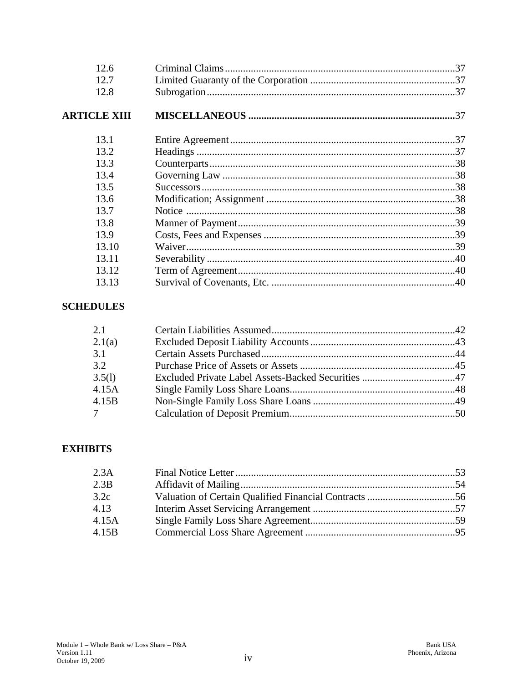| 12.6                |  |
|---------------------|--|
| 12.7                |  |
| 12.8                |  |
| <b>ARTICLE XIII</b> |  |
| 13.1                |  |
| 13.2                |  |
| 13.3                |  |
| 13.4                |  |
| 13.5                |  |
| 13.6                |  |
| 13.7                |  |
| 13.8                |  |
| 13.9                |  |
| 13.10               |  |
| 13.11               |  |
| 13.12               |  |
| 13.13               |  |

# **SCHEDULES**

| 2.1    |  |
|--------|--|
| 2.1(a) |  |
| 3.1    |  |
| 3.2    |  |
| 3.5(l) |  |
| 4.15A  |  |
| 4.15B  |  |
| 7      |  |

# **EXHIBITS**

| 2.3A  |  |
|-------|--|
| 2.3B  |  |
| 3.2c  |  |
| 4.13  |  |
| 4.15A |  |
| 4.15B |  |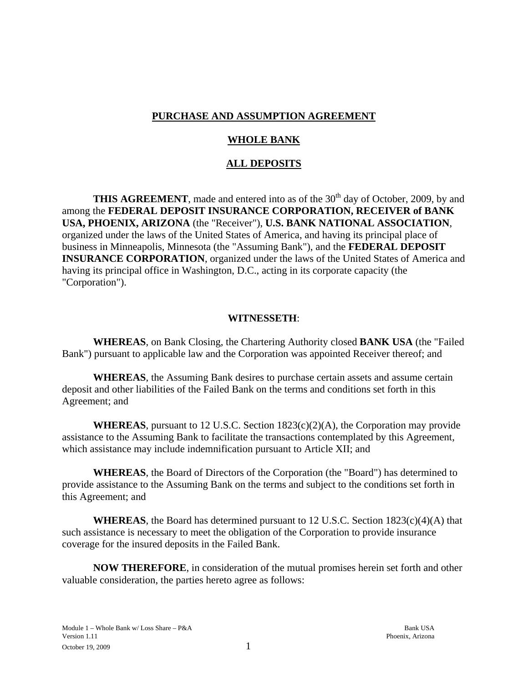# **PURCHASE AND ASSUMPTION AGREEMENT**

# **WHOLE BANK**

# **ALL DEPOSITS**

**THIS AGREEMENT**, made and entered into as of the 30<sup>th</sup> day of October, 2009, by and among the **FEDERAL DEPOSIT INSURANCE CORPORATION, RECEIVER of BANK USA, PHOENIX, ARIZONA** (the "Receiver"), **U.S. BANK NATIONAL ASSOCIATION**, organized under the laws of the United States of America, and having its principal place of business in Minneapolis, Minnesota (the "Assuming Bank"), and the **FEDERAL DEPOSIT INSURANCE CORPORATION**, organized under the laws of the United States of America and having its principal office in Washington, D.C., acting in its corporate capacity (the "Corporation").

#### **WITNESSETH**:

**WHEREAS**, on Bank Closing, the Chartering Authority closed **BANK USA** (the "Failed Bank") pursuant to applicable law and the Corporation was appointed Receiver thereof; and

**WHEREAS**, the Assuming Bank desires to purchase certain assets and assume certain deposit and other liabilities of the Failed Bank on the terms and conditions set forth in this Agreement; and

**WHEREAS**, pursuant to 12 U.S.C. Section 1823(c)(2)(A), the Corporation may provide assistance to the Assuming Bank to facilitate the transactions contemplated by this Agreement, which assistance may include indemnification pursuant to Article XII; and

**WHEREAS**, the Board of Directors of the Corporation (the "Board") has determined to provide assistance to the Assuming Bank on the terms and subject to the conditions set forth in this Agreement; and

**WHEREAS**, the Board has determined pursuant to 12 U.S.C. Section 1823(c)(4)(A) that such assistance is necessary to meet the obligation of the Corporation to provide insurance coverage for the insured deposits in the Failed Bank.

 **NOW THEREFORE**, in consideration of the mutual promises herein set forth and other valuable consideration, the parties hereto agree as follows: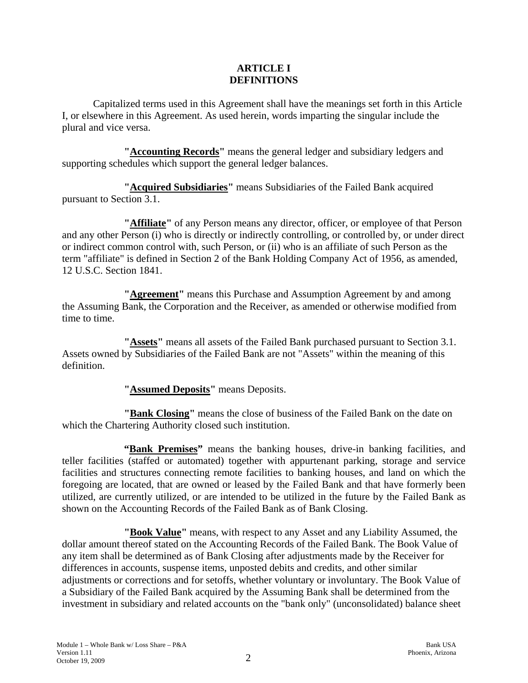#### <span id="page-5-0"></span>  **DEFINITIONSARTICLE I**

Capitalized terms used in this Agreement shall have the meanings set forth in this Article I, or elsewhere in this Agreement. As used herein, words imparting the singular include the plural and vice versa.

**"Accounting Records"** means the general ledger and subsidiary ledgers and supporting schedules which support the general ledger balances.

**"Acquired Subsidiaries"** means Subsidiaries of the Failed Bank acquired pursuant to Section 3.1.

**"Affiliate"** of any Person means any director, officer, or employee of that Person and any other Person (i) who is directly or indirectly controlling, or controlled by, or under direct or indirect common control with, such Person, or (ii) who is an affiliate of such Person as the term "affiliate" is defined in Section 2 of the Bank Holding Company Act of 1956, as amended, 12 U.S.C. Section 1841.

**"Agreement"** means this Purchase and Assumption Agreement by and among the Assuming Bank, the Corporation and the Receiver, as amended or otherwise modified from time to time.

**"Assets"** means all assets of the Failed Bank purchased pursuant to Section 3.1. Assets owned by Subsidiaries of the Failed Bank are not "Assets" within the meaning of this definition.

**"Assumed Deposits"** means Deposits.

**"Bank Closing"** means the close of business of the Failed Bank on the date on which the Chartering Authority closed such institution.

**"Bank Premises"** means the banking houses, drive-in banking facilities, and teller facilities (staffed or automated) together with appurtenant parking, storage and service facilities and structures connecting remote facilities to banking houses, and land on which the foregoing are located, that are owned or leased by the Failed Bank and that have formerly been utilized, are currently utilized, or are intended to be utilized in the future by the Failed Bank as shown on the Accounting Records of the Failed Bank as of Bank Closing.

**"Book Value"** means, with respect to any Asset and any Liability Assumed, the dollar amount thereof stated on the Accounting Records of the Failed Bank. The Book Value of any item shall be determined as of Bank Closing after adjustments made by the Receiver for differences in accounts, suspense items, unposted debits and credits, and other similar adjustments or corrections and for setoffs, whether voluntary or involuntary. The Book Value of a Subsidiary of the Failed Bank acquired by the Assuming Bank shall be determined from the investment in subsidiary and related accounts on the "bank only" (unconsolidated) balance sheet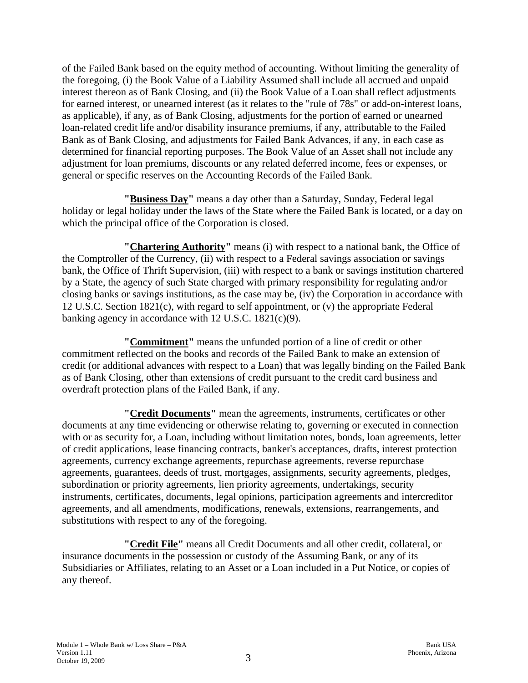<span id="page-6-0"></span>of the Failed Bank based on the equity method of accounting. Without limiting the generality of the foregoing, (i) the Book Value of a Liability Assumed shall include all accrued and unpaid interest thereon as of Bank Closing, and (ii) the Book Value of a Loan shall reflect adjustments for earned interest, or unearned interest (as it relates to the "rule of 78s" or add-on-interest loans, as applicable), if any, as of Bank Closing, adjustments for the portion of earned or unearned loan-related credit life and/or disability insurance premiums, if any, attributable to the Failed Bank as of Bank Closing, and adjustments for Failed Bank Advances, if any, in each case as determined for financial reporting purposes. The Book Value of an Asset shall not include any adjustment for loan premiums, discounts or any related deferred income, fees or expenses, or general or specific reserves on the Accounting Records of the Failed Bank.

**"Business Day"** means a day other than a Saturday, Sunday, Federal legal holiday or legal holiday under the laws of the State where the Failed Bank is located, or a day on which the principal office of the Corporation is closed.

**"Chartering Authority"** means (i) with respect to a national bank, the Office of the Comptroller of the Currency, (ii) with respect to a Federal savings association or savings bank, the Office of Thrift Supervision, (iii) with respect to a bank or savings institution chartered by a State, the agency of such State charged with primary responsibility for regulating and/or closing banks or savings institutions, as the case may be, (iv) the Corporation in accordance with 12 U.S.C. Section 1821(c), with regard to self appointment, or (v) the appropriate Federal banking agency in accordance with 12 U.S.C. 1821(c)(9).

**"Commitment"** means the unfunded portion of a line of credit or other commitment reflected on the books and records of the Failed Bank to make an extension of credit (or additional advances with respect to a Loan) that was legally binding on the Failed Bank as of Bank Closing, other than extensions of credit pursuant to the credit card business and overdraft protection plans of the Failed Bank, if any.

**"Credit Documents"** mean the agreements, instruments, certificates or other documents at any time evidencing or otherwise relating to, governing or executed in connection with or as security for, a Loan, including without limitation notes, bonds, loan agreements, letter of credit applications, lease financing contracts, banker's acceptances, drafts, interest protection agreements, currency exchange agreements, repurchase agreements, reverse repurchase agreements, guarantees, deeds of trust, mortgages, assignments, security agreements, pledges, subordination or priority agreements, lien priority agreements, undertakings, security instruments, certificates, documents, legal opinions, participation agreements and intercreditor agreements, and all amendments, modifications, renewals, extensions, rearrangements, and substitutions with respect to any of the foregoing.

**"Credit File"** means all Credit Documents and all other credit, collateral, or insurance documents in the possession or custody of the Assuming Bank, or any of its Subsidiaries or Affiliates, relating to an Asset or a Loan included in a Put Notice, or copies of any thereof.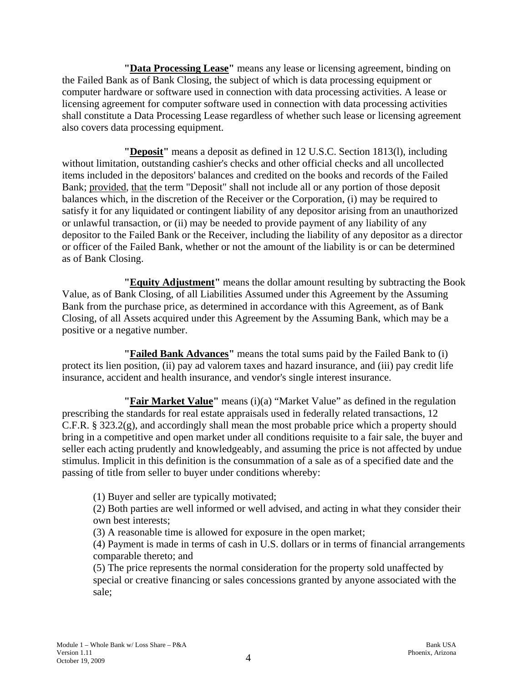<span id="page-7-0"></span> **"Data Processing Lease"** means any lease or licensing agreement, binding on the Failed Bank as of Bank Closing, the subject of which is data processing equipment or computer hardware or software used in connection with data processing activities. A lease or licensing agreement for computer software used in connection with data processing activities shall constitute a Data Processing Lease regardless of whether such lease or licensing agreement also covers data processing equipment.

**"Deposit"** means a deposit as defined in 12 U.S.C. Section 1813(l), including without limitation, outstanding cashier's checks and other official checks and all uncollected items included in the depositors' balances and credited on the books and records of the Failed Bank; provided, that the term "Deposit" shall not include all or any portion of those deposit balances which, in the discretion of the Receiver or the Corporation, (i) may be required to satisfy it for any liquidated or contingent liability of any depositor arising from an unauthorized or unlawful transaction, or (ii) may be needed to provide payment of any liability of any depositor to the Failed Bank or the Receiver, including the liability of any depositor as a director or officer of the Failed Bank, whether or not the amount of the liability is or can be determined as of Bank Closing.

**"Equity Adjustment"** means the dollar amount resulting by subtracting the Book Value, as of Bank Closing, of all Liabilities Assumed under this Agreement by the Assuming Bank from the purchase price, as determined in accordance with this Agreement, as of Bank Closing, of all Assets acquired under this Agreement by the Assuming Bank, which may be a positive or a negative number.

**"Failed Bank Advances"** means the total sums paid by the Failed Bank to (i) protect its lien position, (ii) pay ad valorem taxes and hazard insurance, and (iii) pay credit life insurance, accident and health insurance, and vendor's single interest insurance.

**"Fair Market Value"** means (i)(a) "Market Value" as defined in the regulation prescribing the standards for real estate appraisals used in federally related transactions, 12 C.F.R. § 323.2(g), and accordingly shall mean the most probable price which a property should bring in a competitive and open market under all conditions requisite to a fair sale, the buyer and seller each acting prudently and knowledgeably, and assuming the price is not affected by undue stimulus. Implicit in this definition is the consummation of a sale as of a specified date and the passing of title from seller to buyer under conditions whereby:

(1) Buyer and seller are typically motivated;

(2) Both parties are well informed or well advised, and acting in what they consider their own best interests;

(3) A reasonable time is allowed for exposure in the open market;

(4) Payment is made in terms of cash in U.S. dollars or in terms of financial arrangements comparable thereto; and

(5) The price represents the normal consideration for the property sold unaffected by special or creative financing or sales concessions granted by anyone associated with the sale;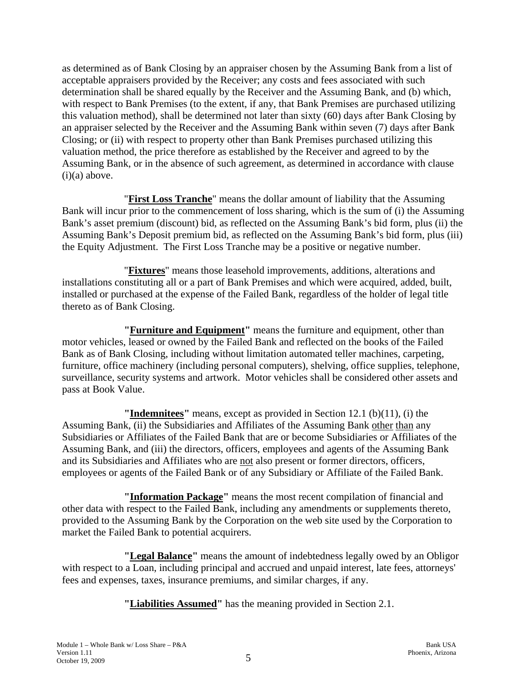as determined as of Bank Closing by an appraiser chosen by the Assuming Bank from a list of acceptable appraisers provided by the Receiver; any costs and fees associated with such determination shall be shared equally by the Receiver and the Assuming Bank, and (b) which, with respect to Bank Premises (to the extent, if any, that Bank Premises are purchased utilizing this valuation method), shall be determined not later than sixty (60) days after Bank Closing by an appraiser selected by the Receiver and the Assuming Bank within seven (7) days after Bank Closing; or (ii) with respect to property other than Bank Premises purchased utilizing this valuation method, the price therefore as established by the Receiver and agreed to by the Assuming Bank, or in the absence of such agreement, as determined in accordance with clause  $(i)(a)$  above.

"**First Loss Tranche**" means the dollar amount of liability that the Assuming Bank will incur prior to the commencement of loss sharing, which is the sum of (i) the Assuming Bank's asset premium (discount) bid, as reflected on the Assuming Bank's bid form, plus (ii) the Assuming Bank's Deposit premium bid, as reflected on the Assuming Bank's bid form, plus (iii) the Equity Adjustment. The First Loss Tranche may be a positive or negative number.

"**Fixtures**" means those leasehold improvements, additions, alterations and installations constituting all or a part of Bank Premises and which were acquired, added, built, installed or purchased at the expense of the Failed Bank, regardless of the holder of legal title thereto as of Bank Closing.

**"Furniture and Equipment"** means the furniture and equipment, other than motor vehicles, leased or owned by the Failed Bank and reflected on the books of the Failed Bank as of Bank Closing, including without limitation automated teller machines, carpeting, furniture, office machinery (including personal computers), shelving, office supplies, telephone, surveillance, security systems and artwork. Motor vehicles shall be considered other assets and pass at Book Value.

**"Indemnitees"** means, except as provided in Section 12.1 (b)(11), (i) the Assuming Bank, (ii) the Subsidiaries and Affiliates of the Assuming Bank other than any Subsidiaries or Affiliates of the Failed Bank that are or become Subsidiaries or Affiliates of the Assuming Bank, and (iii) the directors, officers, employees and agents of the Assuming Bank and its Subsidiaries and Affiliates who are not also present or former directors, officers, employees or agents of the Failed Bank or of any Subsidiary or Affiliate of the Failed Bank.

**"Information Package"** means the most recent compilation of financial and other data with respect to the Failed Bank, including any amendments or supplements thereto, provided to the Assuming Bank by the Corporation on the web site used by the Corporation to market the Failed Bank to potential acquirers.

**"Legal Balance"** means the amount of indebtedness legally owed by an Obligor with respect to a Loan, including principal and accrued and unpaid interest, late fees, attorneys' fees and expenses, taxes, insurance premiums, and similar charges, if any.

**"Liabilities Assumed"** has the meaning provided in Section 2.1.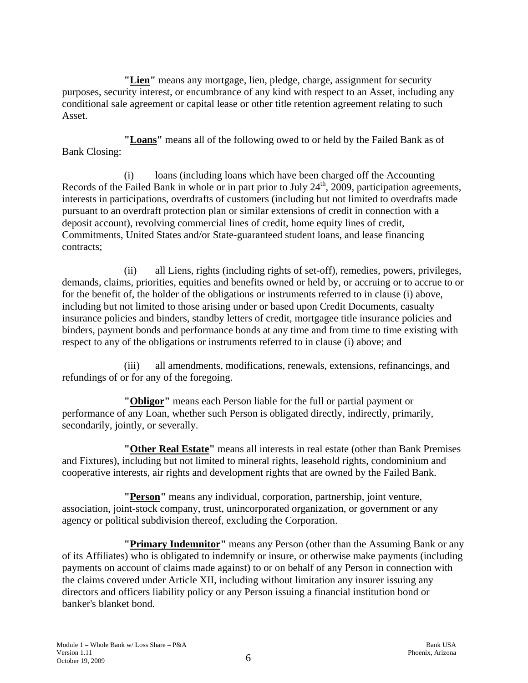**"Lien"** means any mortgage, lien, pledge, charge, assignment for security purposes, security interest, or encumbrance of any kind with respect to an Asset, including any conditional sale agreement or capital lease or other title retention agreement relating to such Asset.

**"Loans"** means all of the following owed to or held by the Failed Bank as of Bank Closing:

(i) loans (including loans which have been charged off the Accounting Records of the Failed Bank in whole or in part prior to July  $24<sup>th</sup>$ , 2009, participation agreements, interests in participations, overdrafts of customers (including but not limited to overdrafts made pursuant to an overdraft protection plan or similar extensions of credit in connection with a deposit account), revolving commercial lines of credit, home equity lines of credit, Commitments, United States and/or State-guaranteed student loans, and lease financing contracts;

(ii) all Liens, rights (including rights of set-off), remedies, powers, privileges, demands, claims, priorities, equities and benefits owned or held by, or accruing or to accrue to or for the benefit of, the holder of the obligations or instruments referred to in clause (i) above, including but not limited to those arising under or based upon Credit Documents, casualty insurance policies and binders, standby letters of credit, mortgagee title insurance policies and binders, payment bonds and performance bonds at any time and from time to time existing with respect to any of the obligations or instruments referred to in clause (i) above; and

(iii) all amendments, modifications, renewals, extensions, refinancings, and refundings of or for any of the foregoing.

**"Obligor"** means each Person liable for the full or partial payment or performance of any Loan, whether such Person is obligated directly, indirectly, primarily, secondarily, jointly, or severally.

**"Other Real Estate"** means all interests in real estate (other than Bank Premises and Fixtures), including but not limited to mineral rights, leasehold rights, condominium and cooperative interests, air rights and development rights that are owned by the Failed Bank.

**"Person"** means any individual, corporation, partnership, joint venture, association, joint-stock company, trust, unincorporated organization, or government or any agency or political subdivision thereof, excluding the Corporation.

**"Primary Indemnitor"** means any Person (other than the Assuming Bank or any of its Affiliates) who is obligated to indemnify or insure, or otherwise make payments (including payments on account of claims made against) to or on behalf of any Person in connection with the claims covered under Article XII, including without limitation any insurer issuing any directors and officers liability policy or any Person issuing a financial institution bond or banker's blanket bond.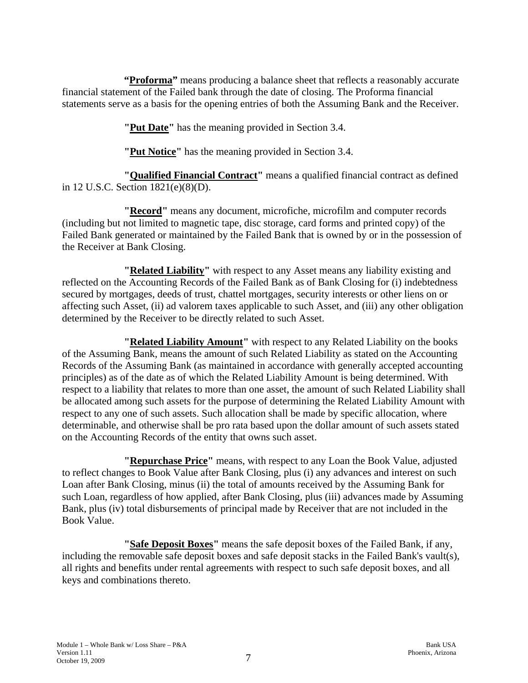**"Proforma"** means producing a balance sheet that reflects a reasonably accurate financial statement of the Failed bank through the date of closing. The Proforma financial statements serve as a basis for the opening entries of both the Assuming Bank and the Receiver.

**"Put Date"** has the meaning provided in Section 3.4.

**"Put Notice"** has the meaning provided in Section 3.4.

**"Qualified Financial Contract"** means a qualified financial contract as defined in 12 U.S.C. Section 1821(e)(8)(D).

**"Record"** means any document, microfiche, microfilm and computer records (including but not limited to magnetic tape, disc storage, card forms and printed copy) of the Failed Bank generated or maintained by the Failed Bank that is owned by or in the possession of the Receiver at Bank Closing.

**"Related Liability"** with respect to any Asset means any liability existing and reflected on the Accounting Records of the Failed Bank as of Bank Closing for (i) indebtedness secured by mortgages, deeds of trust, chattel mortgages, security interests or other liens on or affecting such Asset, (ii) ad valorem taxes applicable to such Asset, and (iii) any other obligation determined by the Receiver to be directly related to such Asset.

**"Related Liability Amount"** with respect to any Related Liability on the books of the Assuming Bank, means the amount of such Related Liability as stated on the Accounting Records of the Assuming Bank (as maintained in accordance with generally accepted accounting principles) as of the date as of which the Related Liability Amount is being determined. With respect to a liability that relates to more than one asset, the amount of such Related Liability shall be allocated among such assets for the purpose of determining the Related Liability Amount with respect to any one of such assets. Such allocation shall be made by specific allocation, where determinable, and otherwise shall be pro rata based upon the dollar amount of such assets stated on the Accounting Records of the entity that owns such asset.

 **"Repurchase Price"** means, with respect to any Loan the Book Value, adjusted to reflect changes to Book Value after Bank Closing, plus (i) any advances and interest on such Loan after Bank Closing, minus (ii) the total of amounts received by the Assuming Bank for such Loan, regardless of how applied, after Bank Closing, plus (iii) advances made by Assuming Bank, plus (iv) total disbursements of principal made by Receiver that are not included in the Book Value.

**"Safe Deposit Boxes"** means the safe deposit boxes of the Failed Bank, if any, including the removable safe deposit boxes and safe deposit stacks in the Failed Bank's vault(s), all rights and benefits under rental agreements with respect to such safe deposit boxes, and all keys and combinations thereto.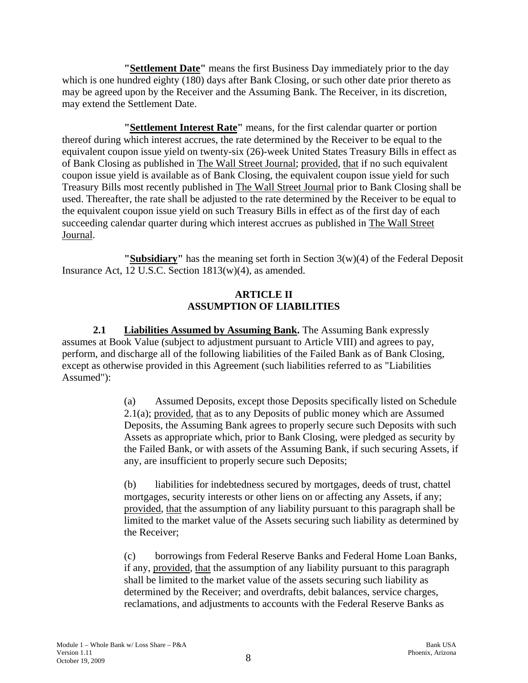**"Settlement Date"** means the first Business Day immediately prior to the day which is one hundred eighty (180) days after Bank Closing, or such other date prior thereto as may be agreed upon by the Receiver and the Assuming Bank. The Receiver, in its discretion, may extend the Settlement Date.

**"Settlement Interest Rate"** means, for the first calendar quarter or portion thereof during which interest accrues, the rate determined by the Receiver to be equal to the equivalent coupon issue yield on twenty-six (26)-week United States Treasury Bills in effect as of Bank Closing as published in The Wall Street Journal; provided, that if no such equivalent coupon issue yield is available as of Bank Closing, the equivalent coupon issue yield for such Treasury Bills most recently published in The Wall Street Journal prior to Bank Closing shall be used. Thereafter, the rate shall be adjusted to the rate determined by the Receiver to be equal to the equivalent coupon issue yield on such Treasury Bills in effect as of the first day of each succeeding calendar quarter during which interest accrues as published in The Wall Street Journal.

**"Subsidiary"** has the meaning set forth in Section 3(w)(4) of the Federal Deposit Insurance Act, 12 U.S.C. Section 1813(w)(4), as amended.

# **ARTICLE II ASSUMPTION OF LIABILITIES**

 **2.1 Liabilities Assumed by Assuming Bank.** The Assuming Bank expressly assumes at Book Value (subject to adjustment pursuant to Article VIII) and agrees to pay, perform, and discharge all of the following liabilities of the Failed Bank as of Bank Closing, except as otherwise provided in this Agreement (such liabilities referred to as "Liabilities Assumed"):

> (a) Assumed Deposits, except those Deposits specifically listed on Schedule 2.1(a); provided, that as to any Deposits of public money which are Assumed Deposits, the Assuming Bank agrees to properly secure such Deposits with such Assets as appropriate which, prior to Bank Closing, were pledged as security by the Failed Bank, or with assets of the Assuming Bank, if such securing Assets, if any, are insufficient to properly secure such Deposits;

> (b) liabilities for indebtedness secured by mortgages, deeds of trust, chattel mortgages, security interests or other liens on or affecting any Assets, if any; provided, that the assumption of any liability pursuant to this paragraph shall be limited to the market value of the Assets securing such liability as determined by the Receiver;

> (c) borrowings from Federal Reserve Banks and Federal Home Loan Banks, if any, provided, that the assumption of any liability pursuant to this paragraph shall be limited to the market value of the assets securing such liability as determined by the Receiver; and overdrafts, debit balances, service charges, reclamations, and adjustments to accounts with the Federal Reserve Banks as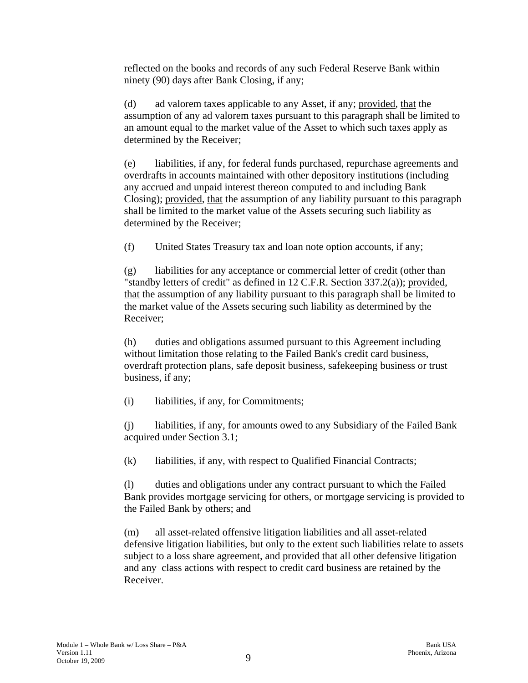reflected on the books and records of any such Federal Reserve Bank within ninety (90) days after Bank Closing, if any;

(d) ad valorem taxes applicable to any Asset, if any; provided, that the assumption of any ad valorem taxes pursuant to this paragraph shall be limited to an amount equal to the market value of the Asset to which such taxes apply as determined by the Receiver;

(e) liabilities, if any, for federal funds purchased, repurchase agreements and overdrafts in accounts maintained with other depository institutions (including any accrued and unpaid interest thereon computed to and including Bank Closing); provided, that the assumption of any liability pursuant to this paragraph shall be limited to the market value of the Assets securing such liability as determined by the Receiver;

(f) United States Treasury tax and loan note option accounts, if any;

(g) liabilities for any acceptance or commercial letter of credit (other than "standby letters of credit" as defined in 12 C.F.R. Section 337.2(a)); provided, that the assumption of any liability pursuant to this paragraph shall be limited to the market value of the Assets securing such liability as determined by the Receiver;

(h) duties and obligations assumed pursuant to this Agreement including without limitation those relating to the Failed Bank's credit card business, overdraft protection plans, safe deposit business, safekeeping business or trust business, if any;

(i) liabilities, if any, for Commitments;

(j) liabilities, if any, for amounts owed to any Subsidiary of the Failed Bank acquired under Section 3.1;

(k) liabilities, if any, with respect to Qualified Financial Contracts;

(l) duties and obligations under any contract pursuant to which the Failed Bank provides mortgage servicing for others, or mortgage servicing is provided to the Failed Bank by others; and

(m) all asset-related offensive litigation liabilities and all asset-related defensive litigation liabilities, but only to the extent such liabilities relate to assets subject to a loss share agreement, and provided that all other defensive litigation and any class actions with respect to credit card business are retained by the Receiver.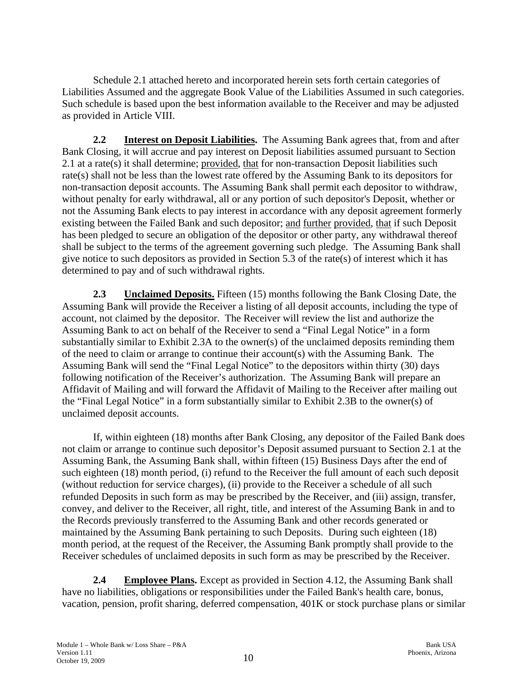Schedule 2.1 attached hereto and incorporated herein sets forth certain categories of Liabilities Assumed and the aggregate Book Value of the Liabilities Assumed in such categories. Such schedule is based upon the best information available to the Receiver and may be adjusted as provided in Article VIII.

**2.2 Interest on Deposit Liabilities.** The Assuming Bank agrees that, from and after Bank Closing, it will accrue and pay interest on Deposit liabilities assumed pursuant to Section 2.1 at a rate(s) it shall determine; provided, that for non-transaction Deposit liabilities such rate(s) shall not be less than the lowest rate offered by the Assuming Bank to its depositors for non-transaction deposit accounts. The Assuming Bank shall permit each depositor to withdraw, without penalty for early withdrawal, all or any portion of such depositor's Deposit, whether or not the Assuming Bank elects to pay interest in accordance with any deposit agreement formerly existing between the Failed Bank and such depositor; and further provided, that if such Deposit has been pledged to secure an obligation of the depositor or other party, any withdrawal thereof shall be subject to the terms of the agreement governing such pledge. The Assuming Bank shall give notice to such depositors as provided in Section 5.3 of the rate(s) of interest which it has determined to pay and of such withdrawal rights.

**2.3 Unclaimed Deposits.** Fifteen (15) months following the Bank Closing Date, the Assuming Bank will provide the Receiver a listing of all deposit accounts, including the type of account, not claimed by the depositor. The Receiver will review the list and authorize the Assuming Bank to act on behalf of the Receiver to send a "Final Legal Notice" in a form substantially similar to Exhibit 2.3A to the owner(s) of the unclaimed deposits reminding them of the need to claim or arrange to continue their account(s) with the Assuming Bank. The Assuming Bank will send the "Final Legal Notice" to the depositors within thirty (30) days following notification of the Receiver's authorization. The Assuming Bank will prepare an Affidavit of Mailing and will forward the Affidavit of Mailing to the Receiver after mailing out the "Final Legal Notice" in a form substantially similar to Exhibit 2.3B to the owner(s) of unclaimed deposit accounts.

If, within eighteen (18) months after Bank Closing, any depositor of the Failed Bank does not claim or arrange to continue such depositor's Deposit assumed pursuant to Section 2.1 at the Assuming Bank, the Assuming Bank shall, within fifteen (15) Business Days after the end of such eighteen (18) month period, (i) refund to the Receiver the full amount of each such deposit (without reduction for service charges), (ii) provide to the Receiver a schedule of all such refunded Deposits in such form as may be prescribed by the Receiver, and (iii) assign, transfer, convey, and deliver to the Receiver, all right, title, and interest of the Assuming Bank in and to the Records previously transferred to the Assuming Bank and other records generated or maintained by the Assuming Bank pertaining to such Deposits. During such eighteen (18) month period, at the request of the Receiver, the Assuming Bank promptly shall provide to the Receiver schedules of unclaimed deposits in such form as may be prescribed by the Receiver.

**2.4 Employee Plans.** Except as provided in Section 4.12, the Assuming Bank shall have no liabilities, obligations or responsibilities under the Failed Bank's health care, bonus, vacation, pension, profit sharing, deferred compensation, 401K or stock purchase plans or similar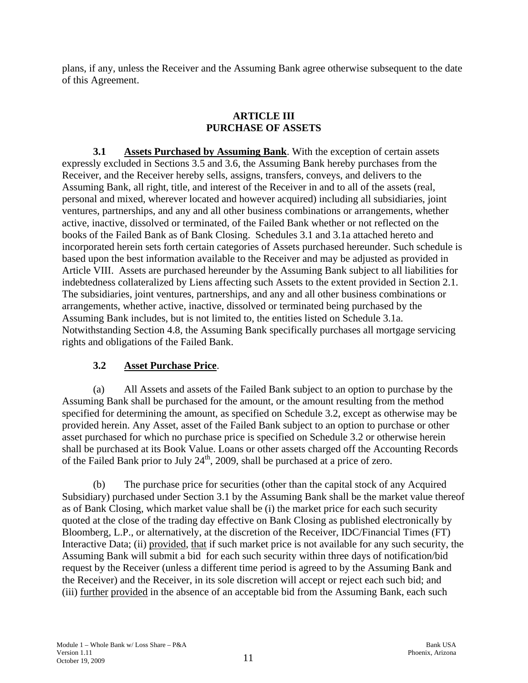plans, if any, unless the Receiver and the Assuming Bank agree otherwise subsequent to the date of this Agreement.

# **ARTICLE III PURCHASE OF ASSETS**

Assuming Bank includes, but is not limited to, the entities listed on Schedule 3.1a.  **3.1 Assets Purchased by Assuming Bank**. With the exception of certain assets expressly excluded in Sections 3.5 and 3.6, the Assuming Bank hereby purchases from the Receiver, and the Receiver hereby sells, assigns, transfers, conveys, and delivers to the Assuming Bank, all right, title, and interest of the Receiver in and to all of the assets (real, personal and mixed, wherever located and however acquired) including all subsidiaries, joint ventures, partnerships, and any and all other business combinations or arrangements, whether active, inactive, dissolved or terminated, of the Failed Bank whether or not reflected on the books of the Failed Bank as of Bank Closing. Schedules 3.1 and 3.1a attached hereto and incorporated herein sets forth certain categories of Assets purchased hereunder. Such schedule is based upon the best information available to the Receiver and may be adjusted as provided in Article VIII. Assets are purchased hereunder by the Assuming Bank subject to all liabilities for indebtedness collateralized by Liens affecting such Assets to the extent provided in Section 2.1. The subsidiaries, joint ventures, partnerships, and any and all other business combinations or arrangements, whether active, inactive, dissolved or terminated being purchased by the Notwithstanding Section 4.8, the Assuming Bank specifically purchases all mortgage servicing rights and obligations of the Failed Bank.

#### **3.2 Asset Purchase Price**.

(a) All Assets and assets of the Failed Bank subject to an option to purchase by the Assuming Bank shall be purchased for the amount, or the amount resulting from the method specified for determining the amount, as specified on Schedule 3.2, except as otherwise may be provided herein. Any Asset, asset of the Failed Bank subject to an option to purchase or other asset purchased for which no purchase price is specified on Schedule 3.2 or otherwise herein shall be purchased at its Book Value. Loans or other assets charged off the Accounting Records of the Failed Bank prior to July  $24<sup>th</sup>$ , 2009, shall be purchased at a price of zero.

(b) The purchase price for securities (other than the capital stock of any Acquired Subsidiary) purchased under Section 3.1 by the Assuming Bank shall be the market value thereof as of Bank Closing, which market value shall be (i) the market price for each such security quoted at the close of the trading day effective on Bank Closing as published electronically by Bloomberg, L.P., or alternatively, at the discretion of the Receiver, IDC/Financial Times (FT) Interactive Data; (ii) provided, that if such market price is not available for any such security, the Assuming Bank will submit a bid for each such security within three days of notification/bid request by the Receiver (unless a different time period is agreed to by the Assuming Bank and the Receiver) and the Receiver, in its sole discretion will accept or reject each such bid; and (iii) further provided in the absence of an acceptable bid from the Assuming Bank, each such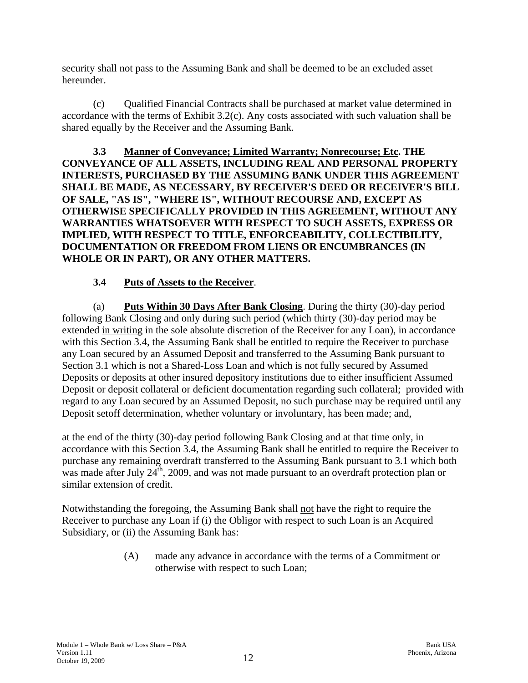security shall not pass to the Assuming Bank and shall be deemed to be an excluded asset hereunder.

(c) Qualified Financial Contracts shall be purchased at market value determined in accordance with the terms of Exhibit 3.2(c). Any costs associated with such valuation shall be shared equally by the Receiver and the Assuming Bank.

**3.3 Manner of Conveyance; Limited Warranty; Nonrecourse; Etc. THE CONVEYANCE OF ALL ASSETS, INCLUDING REAL AND PERSONAL PROPERTY INTERESTS, PURCHASED BY THE ASSUMING BANK UNDER THIS AGREEMENT SHALL BE MADE, AS NECESSARY, BY RECEIVER'S DEED OR RECEIVER'S BILL OF SALE, "AS IS", "WHERE IS", WITHOUT RECOURSE AND, EXCEPT AS OTHERWISE SPECIFICALLY PROVIDED IN THIS AGREEMENT, WITHOUT ANY WARRANTIES WHATSOEVER WITH RESPECT TO SUCH ASSETS, EXPRESS OR IMPLIED, WITH RESPECT TO TITLE, ENFORCEABILITY, COLLECTIBILITY, DOCUMENTATION OR FREEDOM FROM LIENS OR ENCUMBRANCES (IN WHOLE OR IN PART), OR ANY OTHER MATTERS.** 

#### $3.4$ Puts of Assets to the Receiver.

(a) **Puts Within 30 Days After Bank Closing**. During the thirty (30)-day period following Bank Closing and only during such period (which thirty (30)-day period may be extended in writing in the sole absolute discretion of the Receiver for any Loan), in accordance with this Section 3.4, the Assuming Bank shall be entitled to require the Receiver to purchase any Loan secured by an Assumed Deposit and transferred to the Assuming Bank pursuant to Section 3.1 which is not a Shared-Loss Loan and which is not fully secured by Assumed Deposits or deposits at other insured depository institutions due to either insufficient Assumed Deposit or deposit collateral or deficient documentation regarding such collateral; provided with regard to any Loan secured by an Assumed Deposit, no such purchase may be required until any Deposit setoff determination, whether voluntary or involuntary, has been made; and,

at the end of the thirty (30)-day period following Bank Closing and at that time only, in accordance with this Section 3.4, the Assuming Bank shall be entitled to require the Receiver to purchase any remaining overdraft transferred to the Assuming Bank pursuant to 3.1 which both was made after July  $24^{\text{th}}$ , 2009, and was not made pursuant to an overdraft protection plan or similar extension of credit.

Notwithstanding the foregoing, the Assuming Bank shall not have the right to require the Receiver to purchase any Loan if (i) the Obligor with respect to such Loan is an Acquired Subsidiary, or (ii) the Assuming Bank has:

> (A) made any advance in accordance with the terms of a Commitment or otherwise with respect to such Loan;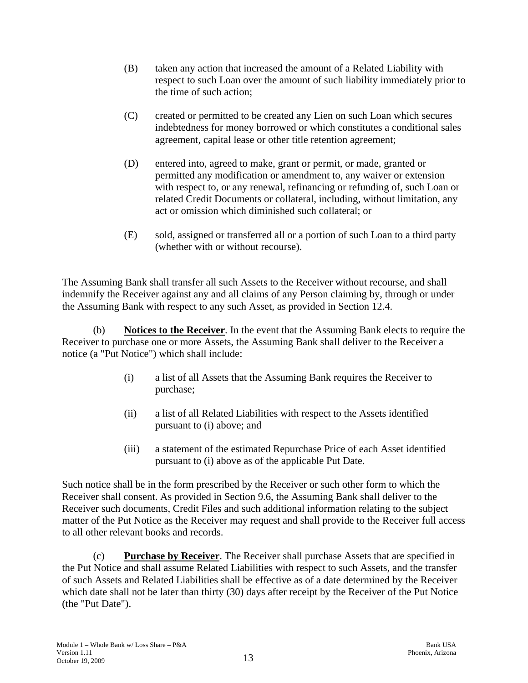- (B) taken any action that increased the amount of a Related Liability with respect to such Loan over the amount of such liability immediately prior to the time of such action;
- (C) created or permitted to be created any Lien on such Loan which secures indebtedness for money borrowed or which constitutes a conditional sales agreement, capital lease or other title retention agreement;
- (D) entered into, agreed to make, grant or permit, or made, granted or permitted any modification or amendment to, any waiver or extension with respect to, or any renewal, refinancing or refunding of, such Loan or related Credit Documents or collateral, including, without limitation, any act or omission which diminished such collateral; or
- (E) sold, assigned or transferred all or a portion of such Loan to a third party (whether with or without recourse).

The Assuming Bank shall transfer all such Assets to the Receiver without recourse, and shall indemnify the Receiver against any and all claims of any Person claiming by, through or under the Assuming Bank with respect to any such Asset, as provided in Section 12.4.

(b) **Notices to the Receiver**. In the event that the Assuming Bank elects to require the Receiver to purchase one or more Assets, the Assuming Bank shall deliver to the Receiver a notice (a "Put Notice") which shall include:

- $(i)$ a list of all Assets that the Assuming Bank requires the Receiver to purchase;
- $(ii)$ a list of all Related Liabilities with respect to the Assets identified pursuant to (i) above; and
- (iii) a statement of the estimated Repurchase Price of each Asset identified pursuant to (i) above as of the applicable Put Date.

Such notice shall be in the form prescribed by the Receiver or such other form to which the Receiver shall consent. As provided in Section 9.6, the Assuming Bank shall deliver to the Receiver such documents, Credit Files and such additional information relating to the subject matter of the Put Notice as the Receiver may request and shall provide to the Receiver full access to all other relevant books and records.

(c) **Purchase by Receiver**. The Receiver shall purchase Assets that are specified in the Put Notice and shall assume Related Liabilities with respect to such Assets, and the transfer of such Assets and Related Liabilities shall be effective as of a date determined by the Receiver which date shall not be later than thirty (30) days after receipt by the Receiver of the Put Notice (the "Put Date").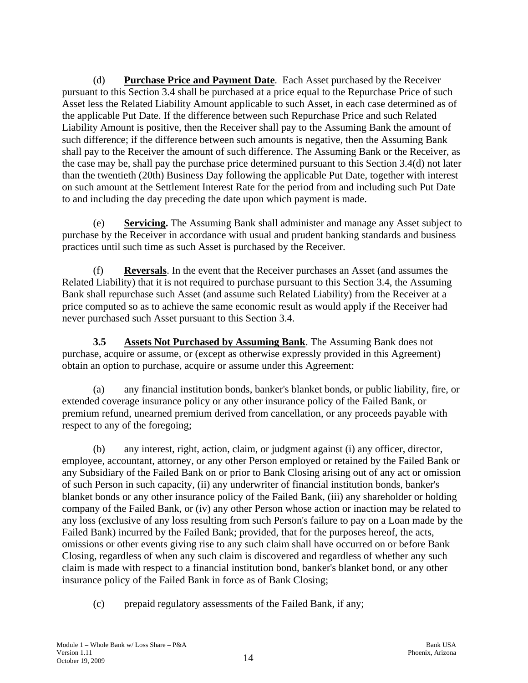(d) **Purchase Price and Payment Date**. Each Asset purchased by the Receiver pursuant to this Section 3.4 shall be purchased at a price equal to the Repurchase Price of such Asset less the Related Liability Amount applicable to such Asset, in each case determined as of the applicable Put Date. If the difference between such Repurchase Price and such Related Liability Amount is positive, then the Receiver shall pay to the Assuming Bank the amount of such difference; if the difference between such amounts is negative, then the Assuming Bank shall pay to the Receiver the amount of such difference. The Assuming Bank or the Receiver, as the case may be, shall pay the purchase price determined pursuant to this Section 3.4(d) not later than the twentieth (20th) Business Day following the applicable Put Date, together with interest on such amount at the Settlement Interest Rate for the period from and including such Put Date to and including the day preceding the date upon which payment is made.

(e) **Servicing.** The Assuming Bank shall administer and manage any Asset subject to purchase by the Receiver in accordance with usual and prudent banking standards and business practices until such time as such Asset is purchased by the Receiver.

(f) **Reversals**. In the event that the Receiver purchases an Asset (and assumes the Related Liability) that it is not required to purchase pursuant to this Section 3.4, the Assuming Bank shall repurchase such Asset (and assume such Related Liability) from the Receiver at a price computed so as to achieve the same economic result as would apply if the Receiver had never purchased such Asset pursuant to this Section 3.4.

**3.5 Assets Not Purchased by Assuming Bank**. The Assuming Bank does not purchase, acquire or assume, or (except as otherwise expressly provided in this Agreement) obtain an option to purchase, acquire or assume under this Agreement:

(a) any financial institution bonds, banker's blanket bonds, or public liability, fire, or extended coverage insurance policy or any other insurance policy of the Failed Bank, or premium refund, unearned premium derived from cancellation, or any proceeds payable with respect to any of the foregoing;

(b) any interest, right, action, claim, or judgment against (i) any officer, director, employee, accountant, attorney, or any other Person employed or retained by the Failed Bank or any Subsidiary of the Failed Bank on or prior to Bank Closing arising out of any act or omission of such Person in such capacity, (ii) any underwriter of financial institution bonds, banker's blanket bonds or any other insurance policy of the Failed Bank, (iii) any shareholder or holding company of the Failed Bank, or (iv) any other Person whose action or inaction may be related to any loss (exclusive of any loss resulting from such Person's failure to pay on a Loan made by the Failed Bank) incurred by the Failed Bank; provided, that for the purposes hereof, the acts, omissions or other events giving rise to any such claim shall have occurred on or before Bank Closing, regardless of when any such claim is discovered and regardless of whether any such claim is made with respect to a financial institution bond, banker's blanket bond, or any other insurance policy of the Failed Bank in force as of Bank Closing;

(c) prepaid regulatory assessments of the Failed Bank, if any;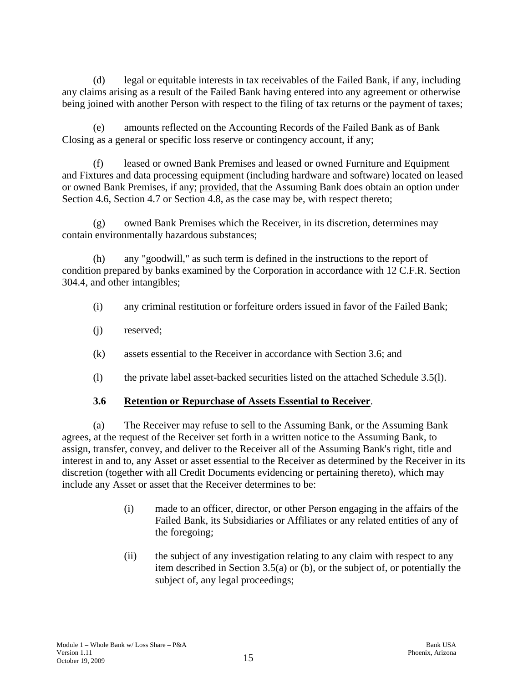(d) legal or equitable interests in tax receivables of the Failed Bank, if any, including any claims arising as a result of the Failed Bank having entered into any agreement or otherwise being joined with another Person with respect to the filing of tax returns or the payment of taxes;

(e) amounts reflected on the Accounting Records of the Failed Bank as of Bank Closing as a general or specific loss reserve or contingency account, if any;

(f) leased or owned Bank Premises and leased or owned Furniture and Equipment and Fixtures and data processing equipment (including hardware and software) located on leased or owned Bank Premises, if any; provided, that the Assuming Bank does obtain an option under Section 4.6, Section 4.7 or Section 4.8, as the case may be, with respect thereto;

(g) owned Bank Premises which the Receiver, in its discretion, determines may contain environmentally hazardous substances;

(h) any "goodwill," as such term is defined in the instructions to the report of condition prepared by banks examined by the Corporation in accordance with 12 C.F.R. Section 304.4, and other intangibles;

- (i) any criminal restitution or forfeiture orders issued in favor of the Failed Bank;
- (j) reserved;
- (k) assets essential to the Receiver in accordance with Section 3.6; and
- (l) the private label asset-backed securities listed on the attached Schedule 3.5(l).

#### **3.6 Retention or Repurchase of Assets Essential to Receiver**.

(a) The Receiver may refuse to sell to the Assuming Bank, or the Assuming Bank agrees, at the request of the Receiver set forth in a written notice to the Assuming Bank, to assign, transfer, convey, and deliver to the Receiver all of the Assuming Bank's right, title and interest in and to, any Asset or asset essential to the Receiver as determined by the Receiver in its discretion (together with all Credit Documents evidencing or pertaining thereto), which may include any Asset or asset that the Receiver determines to be:

- (i) made to an officer, director, or other Person engaging in the affairs of the Failed Bank, its Subsidiaries or Affiliates or any related entities of any of the foregoing;
- (ii) the subject of any investigation relating to any claim with respect to any item described in Section 3.5(a) or (b), or the subject of, or potentially the subject of, any legal proceedings;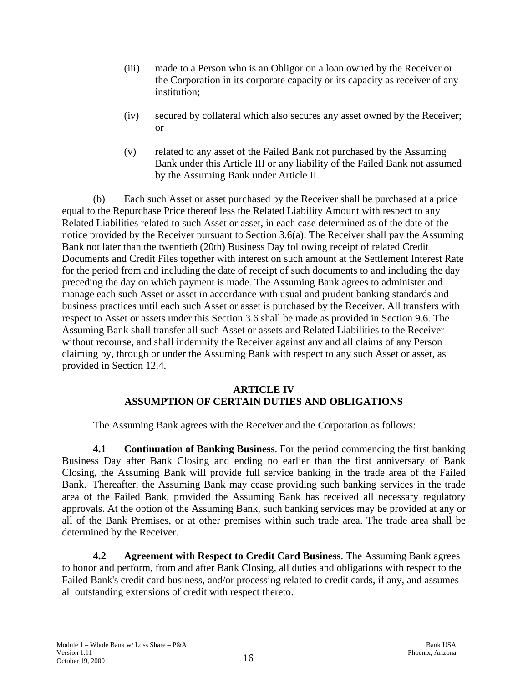- (iii) made to a Person who is an Obligor on a loan owned by the Receiver or the Corporation in its corporate capacity or its capacity as receiver of any institution;
- (iv) secured by collateral which also secures any asset owned by the Receiver; or
- $(v)$ related to any asset of the Failed Bank not purchased by the Assuming Bank under this Article III or any liability of the Failed Bank not assumed by the Assuming Bank under Article II.

(b) Each such Asset or asset purchased by the Receiver shall be purchased at a price equal to the Repurchase Price thereof less the Related Liability Amount with respect to any Related Liabilities related to such Asset or asset, in each case determined as of the date of the notice provided by the Receiver pursuant to Section 3.6(a). The Receiver shall pay the Assuming Bank not later than the twentieth (20th) Business Day following receipt of related Credit Documents and Credit Files together with interest on such amount at the Settlement Interest Rate for the period from and including the date of receipt of such documents to and including the day preceding the day on which payment is made. The Assuming Bank agrees to administer and manage each such Asset or asset in accordance with usual and prudent banking standards and business practices until each such Asset or asset is purchased by the Receiver. All transfers with respect to Asset or assets under this Section 3.6 shall be made as provided in Section 9.6. The Assuming Bank shall transfer all such Asset or assets and Related Liabilities to the Receiver without recourse, and shall indemnify the Receiver against any and all claims of any Person claiming by, through or under the Assuming Bank with respect to any such Asset or asset, as provided in Section 12.4.

# **ASSUMPTION OF CERTAIN DUTIES AND OBLIGATIONS ARTICLE IV**

The Assuming Bank agrees with the Receiver and the Corporation as follows:

**4.1 Continuation of Banking Business**. For the period commencing the first banking Business Day after Bank Closing and ending no earlier than the first anniversary of Bank Closing, the Assuming Bank will provide full service banking in the trade area of the Failed Bank. Thereafter, the Assuming Bank may cease providing such banking services in the trade area of the Failed Bank, provided the Assuming Bank has received all necessary regulatory approvals. At the option of the Assuming Bank, such banking services may be provided at any or all of the Bank Premises, or at other premises within such trade area. The trade area shall be determined by the Receiver.

**4.2 Agreement with Respect to Credit Card Business**. The Assuming Bank agrees to honor and perform, from and after Bank Closing, all duties and obligations with respect to the Failed Bank's credit card business, and/or processing related to credit cards, if any, and assumes all outstanding extensions of credit with respect thereto.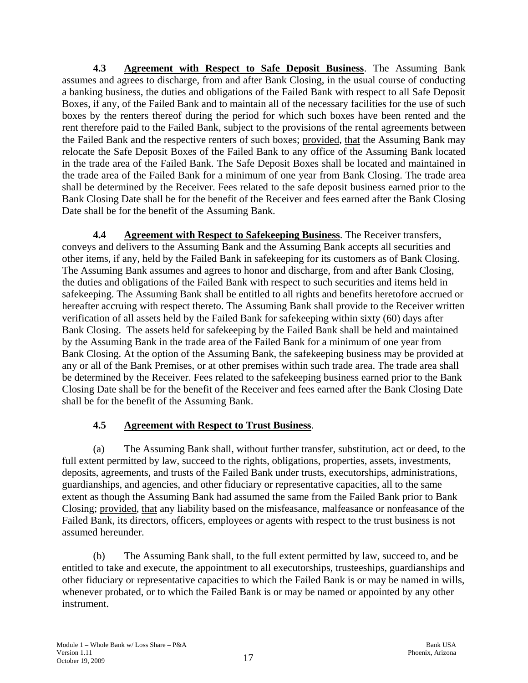**4.3 Agreement with Respect to Safe Deposit Business**. The Assuming Bank assumes and agrees to discharge, from and after Bank Closing, in the usual course of conducting a banking business, the duties and obligations of the Failed Bank with respect to all Safe Deposit Boxes, if any, of the Failed Bank and to maintain all of the necessary facilities for the use of such boxes by the renters thereof during the period for which such boxes have been rented and the rent therefore paid to the Failed Bank, subject to the provisions of the rental agreements between the Failed Bank and the respective renters of such boxes; provided, that the Assuming Bank may relocate the Safe Deposit Boxes of the Failed Bank to any office of the Assuming Bank located in the trade area of the Failed Bank. The Safe Deposit Boxes shall be located and maintained in the trade area of the Failed Bank for a minimum of one year from Bank Closing. The trade area shall be determined by the Receiver. Fees related to the safe deposit business earned prior to the Bank Closing Date shall be for the benefit of the Receiver and fees earned after the Bank Closing Date shall be for the benefit of the Assuming Bank.

**4.4 Agreement with Respect to Safekeeping Business**. The Receiver transfers, conveys and delivers to the Assuming Bank and the Assuming Bank accepts all securities and other items, if any, held by the Failed Bank in safekeeping for its customers as of Bank Closing. The Assuming Bank assumes and agrees to honor and discharge, from and after Bank Closing, the duties and obligations of the Failed Bank with respect to such securities and items held in safekeeping. The Assuming Bank shall be entitled to all rights and benefits heretofore accrued or hereafter accruing with respect thereto. The Assuming Bank shall provide to the Receiver written verification of all assets held by the Failed Bank for safekeeping within sixty (60) days after Bank Closing. The assets held for safekeeping by the Failed Bank shall be held and maintained by the Assuming Bank in the trade area of the Failed Bank for a minimum of one year from Bank Closing. At the option of the Assuming Bank, the safekeeping business may be provided at any or all of the Bank Premises, or at other premises within such trade area. The trade area shall be determined by the Receiver. Fees related to the safekeeping business earned prior to the Bank Closing Date shall be for the benefit of the Receiver and fees earned after the Bank Closing Date shall be for the benefit of the Assuming Bank.

# **4.5 Agreement with Respect to Trust Business**.

(a) The Assuming Bank shall, without further transfer, substitution, act or deed, to the full extent permitted by law, succeed to the rights, obligations, properties, assets, investments, deposits, agreements, and trusts of the Failed Bank under trusts, executorships, administrations, guardianships, and agencies, and other fiduciary or representative capacities, all to the same extent as though the Assuming Bank had assumed the same from the Failed Bank prior to Bank Closing; provided, that any liability based on the misfeasance, malfeasance or nonfeasance of the Failed Bank, its directors, officers, employees or agents with respect to the trust business is not assumed hereunder.

(b) The Assuming Bank shall, to the full extent permitted by law, succeed to, and be entitled to take and execute, the appointment to all executorships, trusteeships, guardianships and other fiduciary or representative capacities to which the Failed Bank is or may be named in wills, whenever probated, or to which the Failed Bank is or may be named or appointed by any other instrument.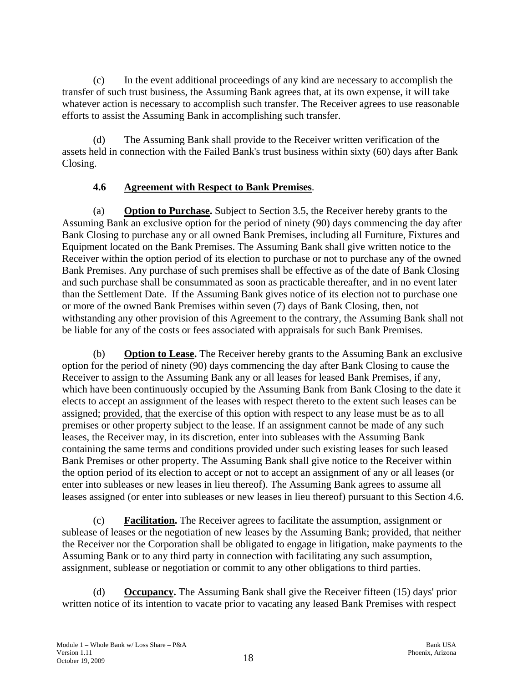(c) In the event additional proceedings of any kind are necessary to accomplish the transfer of such trust business, the Assuming Bank agrees that, at its own expense, it will take whatever action is necessary to accomplish such transfer. The Receiver agrees to use reasonable efforts to assist the Assuming Bank in accomplishing such transfer.

(d) The Assuming Bank shall provide to the Receiver written verification of the assets held in connection with the Failed Bank's trust business within sixty (60) days after Bank Closing.

# **4.6 Agreement with Respect to Bank Premises**.

(a) **Option to Purchase.** Subject to Section 3.5, the Receiver hereby grants to the Assuming Bank an exclusive option for the period of ninety (90) days commencing the day after Bank Closing to purchase any or all owned Bank Premises, including all Furniture, Fixtures and Equipment located on the Bank Premises. The Assuming Bank shall give written notice to the Receiver within the option period of its election to purchase or not to purchase any of the owned Bank Premises. Any purchase of such premises shall be effective as of the date of Bank Closing and such purchase shall be consummated as soon as practicable thereafter, and in no event later than the Settlement Date. If the Assuming Bank gives notice of its election not to purchase one or more of the owned Bank Premises within seven (7) days of Bank Closing, then, not withstanding any other provision of this Agreement to the contrary, the Assuming Bank shall not be liable for any of the costs or fees associated with appraisals for such Bank Premises.

(b) **Option to Lease.** The Receiver hereby grants to the Assuming Bank an exclusive option for the period of ninety (90) days commencing the day after Bank Closing to cause the Receiver to assign to the Assuming Bank any or all leases for leased Bank Premises, if any, which have been continuously occupied by the Assuming Bank from Bank Closing to the date it elects to accept an assignment of the leases with respect thereto to the extent such leases can be assigned; provided, that the exercise of this option with respect to any lease must be as to all premises or other property subject to the lease. If an assignment cannot be made of any such leases, the Receiver may, in its discretion, enter into subleases with the Assuming Bank containing the same terms and conditions provided under such existing leases for such leased Bank Premises or other property. The Assuming Bank shall give notice to the Receiver within the option period of its election to accept or not to accept an assignment of any or all leases (or enter into subleases or new leases in lieu thereof). The Assuming Bank agrees to assume all leases assigned (or enter into subleases or new leases in lieu thereof) pursuant to this Section 4.6.

(c) **Facilitation.** The Receiver agrees to facilitate the assumption, assignment or sublease of leases or the negotiation of new leases by the Assuming Bank; provided, that neither the Receiver nor the Corporation shall be obligated to engage in litigation, make payments to the Assuming Bank or to any third party in connection with facilitating any such assumption, assignment, sublease or negotiation or commit to any other obligations to third parties.

(d) **Occupancy.** The Assuming Bank shall give the Receiver fifteen (15) days' prior written notice of its intention to vacate prior to vacating any leased Bank Premises with respect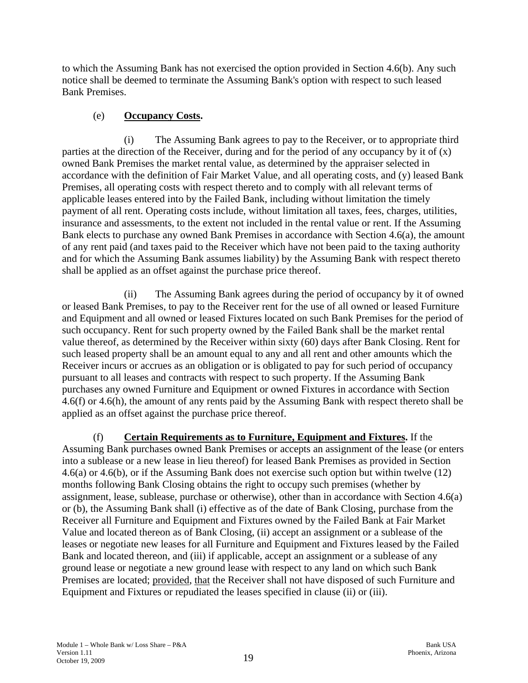to which the Assuming Bank has not exercised the option provided in Section 4.6(b). Any such notice shall be deemed to terminate the Assuming Bank's option with respect to such leased Bank Premises.

# (e) **Occupancy Costs.**

(i) The Assuming Bank agrees to pay to the Receiver, or to appropriate third parties at the direction of the Receiver, during and for the period of any occupancy by it of (x) owned Bank Premises the market rental value, as determined by the appraiser selected in accordance with the definition of Fair Market Value, and all operating costs, and (y) leased Bank Premises, all operating costs with respect thereto and to comply with all relevant terms of applicable leases entered into by the Failed Bank, including without limitation the timely payment of all rent. Operating costs include, without limitation all taxes, fees, charges, utilities, insurance and assessments, to the extent not included in the rental value or rent. If the Assuming Bank elects to purchase any owned Bank Premises in accordance with Section 4.6(a), the amount of any rent paid (and taxes paid to the Receiver which have not been paid to the taxing authority and for which the Assuming Bank assumes liability) by the Assuming Bank with respect thereto shall be applied as an offset against the purchase price thereof.

(ii) The Assuming Bank agrees during the period of occupancy by it of owned or leased Bank Premises, to pay to the Receiver rent for the use of all owned or leased Furniture and Equipment and all owned or leased Fixtures located on such Bank Premises for the period of such occupancy. Rent for such property owned by the Failed Bank shall be the market rental value thereof, as determined by the Receiver within sixty (60) days after Bank Closing. Rent for such leased property shall be an amount equal to any and all rent and other amounts which the Receiver incurs or accrues as an obligation or is obligated to pay for such period of occupancy pursuant to all leases and contracts with respect to such property. If the Assuming Bank purchases any owned Furniture and Equipment or owned Fixtures in accordance with Section 4.6(f) or 4.6(h), the amount of any rents paid by the Assuming Bank with respect thereto shall be applied as an offset against the purchase price thereof.

(f) **Certain Requirements as to Furniture, Equipment and Fixtures.** If the Assuming Bank purchases owned Bank Premises or accepts an assignment of the lease (or enters into a sublease or a new lease in lieu thereof) for leased Bank Premises as provided in Section 4.6(a) or 4.6(b), or if the Assuming Bank does not exercise such option but within twelve (12) months following Bank Closing obtains the right to occupy such premises (whether by assignment, lease, sublease, purchase or otherwise), other than in accordance with Section 4.6(a) or (b), the Assuming Bank shall (i) effective as of the date of Bank Closing, purchase from the Receiver all Furniture and Equipment and Fixtures owned by the Failed Bank at Fair Market Value and located thereon as of Bank Closing, (ii) accept an assignment or a sublease of the leases or negotiate new leases for all Furniture and Equipment and Fixtures leased by the Failed Bank and located thereon, and (iii) if applicable, accept an assignment or a sublease of any ground lease or negotiate a new ground lease with respect to any land on which such Bank Premises are located; provided, that the Receiver shall not have disposed of such Furniture and Equipment and Fixtures or repudiated the leases specified in clause (ii) or (iii).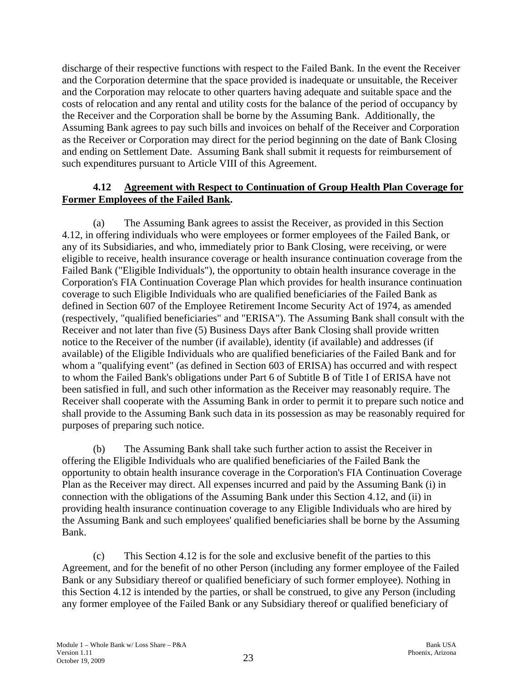discharge of their respective functions with respect to the Failed Bank. In the event the Receiver and the Corporation determine that the space provided is inadequate or unsuitable, the Receiver and the Corporation may relocate to other quarters having adequate and suitable space and the costs of relocation and any rental and utility costs for the balance of the period of occupancy by the Receiver and the Corporation shall be borne by the Assuming Bank. Additionally, the Assuming Bank agrees to pay such bills and invoices on behalf of the Receiver and Corporation as the Receiver or Corporation may direct for the period beginning on the date of Bank Closing and ending on Settlement Date. Assuming Bank shall submit it requests for reimbursement of such expenditures pursuant to Article VIII of this Agreement.

# **4.12 Agreement with Respect to Continuation of Group Health Plan Coverage for Former Employees of the Failed Bank.**

(a) The Assuming Bank agrees to assist the Receiver, as provided in this Section 4.12, in offering individuals who were employees or former employees of the Failed Bank, or any of its Subsidiaries, and who, immediately prior to Bank Closing, were receiving, or were eligible to receive, health insurance coverage or health insurance continuation coverage from the Failed Bank ("Eligible Individuals"), the opportunity to obtain health insurance coverage in the Corporation's FIA Continuation Coverage Plan which provides for health insurance continuation coverage to such Eligible Individuals who are qualified beneficiaries of the Failed Bank as defined in Section 607 of the Employee Retirement Income Security Act of 1974, as amended (respectively, "qualified beneficiaries" and "ERISA"). The Assuming Bank shall consult with the Receiver and not later than five (5) Business Days after Bank Closing shall provide written notice to the Receiver of the number (if available), identity (if available) and addresses (if available) of the Eligible Individuals who are qualified beneficiaries of the Failed Bank and for whom a "qualifying event" (as defined in Section 603 of ERISA) has occurred and with respect to whom the Failed Bank's obligations under Part 6 of Subtitle B of Title I of ERISA have not been satisfied in full, and such other information as the Receiver may reasonably require. The Receiver shall cooperate with the Assuming Bank in order to permit it to prepare such notice and shall provide to the Assuming Bank such data in its possession as may be reasonably required for purposes of preparing such notice.

(b) The Assuming Bank shall take such further action to assist the Receiver in offering the Eligible Individuals who are qualified beneficiaries of the Failed Bank the opportunity to obtain health insurance coverage in the Corporation's FIA Continuation Coverage Plan as the Receiver may direct. All expenses incurred and paid by the Assuming Bank (i) in connection with the obligations of the Assuming Bank under this Section 4.12, and (ii) in providing health insurance continuation coverage to any Eligible Individuals who are hired by the Assuming Bank and such employees' qualified beneficiaries shall be borne by the Assuming Bank.

(c) This Section 4.12 is for the sole and exclusive benefit of the parties to this Agreement, and for the benefit of no other Person (including any former employee of the Failed Bank or any Subsidiary thereof or qualified beneficiary of such former employee). Nothing in this Section 4.12 is intended by the parties, or shall be construed, to give any Person (including any former employee of the Failed Bank or any Subsidiary thereof or qualified beneficiary of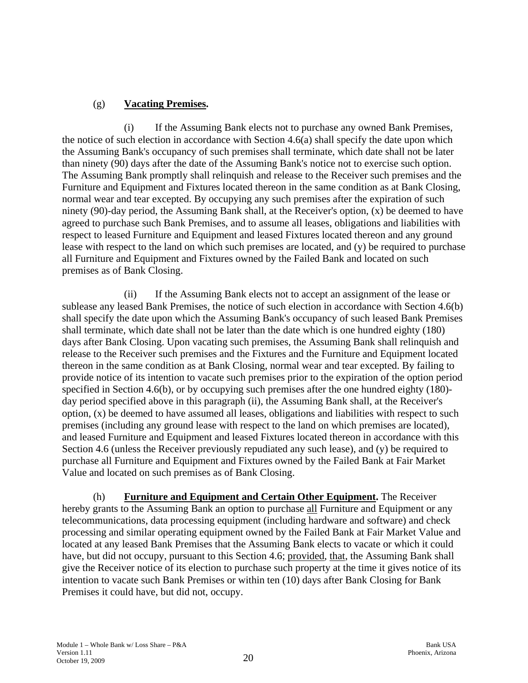# (g) **Vacating Premises.**

(i) If the Assuming Bank elects not to purchase any owned Bank Premises, the notice of such election in accordance with Section 4.6(a) shall specify the date upon which the Assuming Bank's occupancy of such premises shall terminate, which date shall not be later than ninety (90) days after the date of the Assuming Bank's notice not to exercise such option. The Assuming Bank promptly shall relinquish and release to the Receiver such premises and the Furniture and Equipment and Fixtures located thereon in the same condition as at Bank Closing, normal wear and tear excepted. By occupying any such premises after the expiration of such ninety (90)-day period, the Assuming Bank shall, at the Receiver's option, (x) be deemed to have agreed to purchase such Bank Premises, and to assume all leases, obligations and liabilities with respect to leased Furniture and Equipment and leased Fixtures located thereon and any ground lease with respect to the land on which such premises are located, and (y) be required to purchase all Furniture and Equipment and Fixtures owned by the Failed Bank and located on such premises as of Bank Closing.

(ii) If the Assuming Bank elects not to accept an assignment of the lease or sublease any leased Bank Premises, the notice of such election in accordance with Section 4.6(b) shall specify the date upon which the Assuming Bank's occupancy of such leased Bank Premises shall terminate, which date shall not be later than the date which is one hundred eighty (180) days after Bank Closing. Upon vacating such premises, the Assuming Bank shall relinquish and release to the Receiver such premises and the Fixtures and the Furniture and Equipment located thereon in the same condition as at Bank Closing, normal wear and tear excepted. By failing to provide notice of its intention to vacate such premises prior to the expiration of the option period specified in Section 4.6(b), or by occupying such premises after the one hundred eighty (180) day period specified above in this paragraph (ii), the Assuming Bank shall, at the Receiver's option, (x) be deemed to have assumed all leases, obligations and liabilities with respect to such premises (including any ground lease with respect to the land on which premises are located), and leased Furniture and Equipment and leased Fixtures located thereon in accordance with this Section 4.6 (unless the Receiver previously repudiated any such lease), and (y) be required to purchase all Furniture and Equipment and Fixtures owned by the Failed Bank at Fair Market Value and located on such premises as of Bank Closing.

(h) **Furniture and Equipment and Certain Other Equipment.** The Receiver hereby grants to the Assuming Bank an option to purchase all Furniture and Equipment or any telecommunications, data processing equipment (including hardware and software) and check processing and similar operating equipment owned by the Failed Bank at Fair Market Value and located at any leased Bank Premises that the Assuming Bank elects to vacate or which it could have, but did not occupy, pursuant to this Section 4.6; provided, that, the Assuming Bank shall give the Receiver notice of its election to purchase such property at the time it gives notice of its intention to vacate such Bank Premises or within ten (10) days after Bank Closing for Bank Premises it could have, but did not, occupy.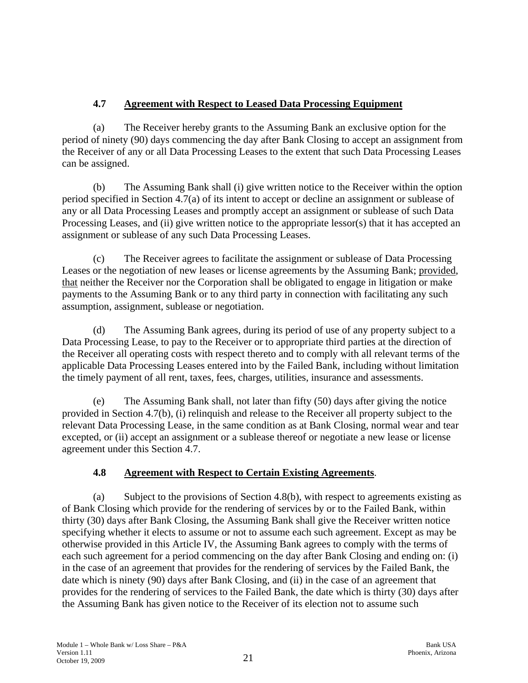# **4.7 Agreement with Respect to Leased Data Processing Equipment**

(a) The Receiver hereby grants to the Assuming Bank an exclusive option for the period of ninety (90) days commencing the day after Bank Closing to accept an assignment from the Receiver of any or all Data Processing Leases to the extent that such Data Processing Leases can be assigned.

(b) The Assuming Bank shall (i) give written notice to the Receiver within the option period specified in Section 4.7(a) of its intent to accept or decline an assignment or sublease of any or all Data Processing Leases and promptly accept an assignment or sublease of such Data Processing Leases, and (ii) give written notice to the appropriate lessor(s) that it has accepted an assignment or sublease of any such Data Processing Leases.

(c) The Receiver agrees to facilitate the assignment or sublease of Data Processing Leases or the negotiation of new leases or license agreements by the Assuming Bank; provided, that neither the Receiver nor the Corporation shall be obligated to engage in litigation or make payments to the Assuming Bank or to any third party in connection with facilitating any such assumption, assignment, sublease or negotiation.

(d) The Assuming Bank agrees, during its period of use of any property subject to a Data Processing Lease, to pay to the Receiver or to appropriate third parties at the direction of the Receiver all operating costs with respect thereto and to comply with all relevant terms of the applicable Data Processing Leases entered into by the Failed Bank, including without limitation the timely payment of all rent, taxes, fees, charges, utilities, insurance and assessments.

(e) The Assuming Bank shall, not later than fifty (50) days after giving the notice provided in Section 4.7(b), (i) relinquish and release to the Receiver all property subject to the relevant Data Processing Lease, in the same condition as at Bank Closing, normal wear and tear excepted, or (ii) accept an assignment or a sublease thereof or negotiate a new lease or license agreement under this Section 4.7.

# **4.8 Agreement with Respect to Certain Existing Agreements**.

(a) Subject to the provisions of Section 4.8(b), with respect to agreements existing as of Bank Closing which provide for the rendering of services by or to the Failed Bank, within thirty (30) days after Bank Closing, the Assuming Bank shall give the Receiver written notice specifying whether it elects to assume or not to assume each such agreement. Except as may be otherwise provided in this Article IV, the Assuming Bank agrees to comply with the terms of each such agreement for a period commencing on the day after Bank Closing and ending on: (i) in the case of an agreement that provides for the rendering of services by the Failed Bank, the date which is ninety (90) days after Bank Closing, and (ii) in the case of an agreement that provides for the rendering of services to the Failed Bank, the date which is thirty (30) days after the Assuming Bank has given notice to the Receiver of its election not to assume such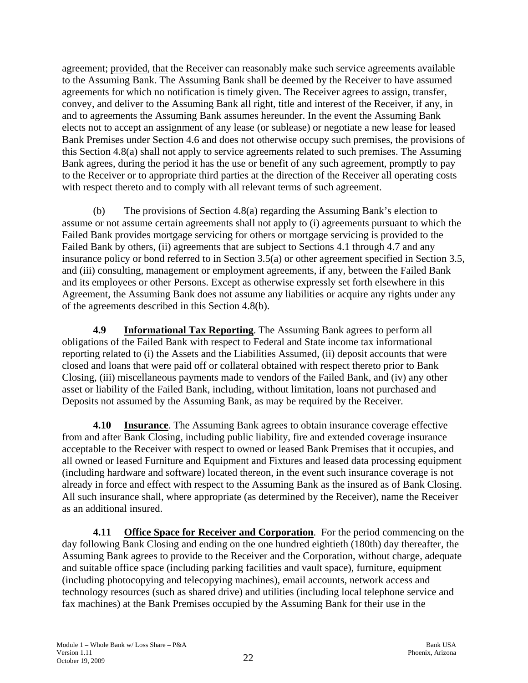agreement; provided, that the Receiver can reasonably make such service agreements available to the Assuming Bank. The Assuming Bank shall be deemed by the Receiver to have assumed agreements for which no notification is timely given. The Receiver agrees to assign, transfer, convey, and deliver to the Assuming Bank all right, title and interest of the Receiver, if any, in and to agreements the Assuming Bank assumes hereunder. In the event the Assuming Bank elects not to accept an assignment of any lease (or sublease) or negotiate a new lease for leased Bank Premises under Section 4.6 and does not otherwise occupy such premises, the provisions of this Section 4.8(a) shall not apply to service agreements related to such premises. The Assuming Bank agrees, during the period it has the use or benefit of any such agreement, promptly to pay to the Receiver or to appropriate third parties at the direction of the Receiver all operating costs with respect thereto and to comply with all relevant terms of such agreement.

(b) The provisions of Section 4.8(a) regarding the Assuming Bank's election to assume or not assume certain agreements shall not apply to (i) agreements pursuant to which the Failed Bank provides mortgage servicing for others or mortgage servicing is provided to the Failed Bank by others, (ii) agreements that are subject to Sections 4.1 through 4.7 and any insurance policy or bond referred to in Section 3.5(a) or other agreement specified in Section 3.5, and (iii) consulting, management or employment agreements, if any, between the Failed Bank and its employees or other Persons. Except as otherwise expressly set forth elsewhere in this Agreement, the Assuming Bank does not assume any liabilities or acquire any rights under any of the agreements described in this Section 4.8(b).

**4.9** Informational Tax Reporting. The Assuming Bank agrees to perform all obligations of the Failed Bank with respect to Federal and State income tax informational reporting related to (i) the Assets and the Liabilities Assumed, (ii) deposit accounts that were closed and loans that were paid off or collateral obtained with respect thereto prior to Bank Closing, (iii) miscellaneous payments made to vendors of the Failed Bank, and (iv) any other asset or liability of the Failed Bank, including, without limitation, loans not purchased and Deposits not assumed by the Assuming Bank, as may be required by the Receiver.

**4.10 Insurance**. The Assuming Bank agrees to obtain insurance coverage effective from and after Bank Closing, including public liability, fire and extended coverage insurance acceptable to the Receiver with respect to owned or leased Bank Premises that it occupies, and all owned or leased Furniture and Equipment and Fixtures and leased data processing equipment (including hardware and software) located thereon, in the event such insurance coverage is not already in force and effect with respect to the Assuming Bank as the insured as of Bank Closing. All such insurance shall, where appropriate (as determined by the Receiver), name the Receiver as an additional insured.

**4.11 Office Space for Receiver and Corporation**. For the period commencing on the day following Bank Closing and ending on the one hundred eightieth (180th) day thereafter, the Assuming Bank agrees to provide to the Receiver and the Corporation, without charge, adequate and suitable office space (including parking facilities and vault space), furniture, equipment (including photocopying and telecopying machines), email accounts, network access and technology resources (such as shared drive) and utilities (including local telephone service and fax machines) at the Bank Premises occupied by the Assuming Bank for their use in the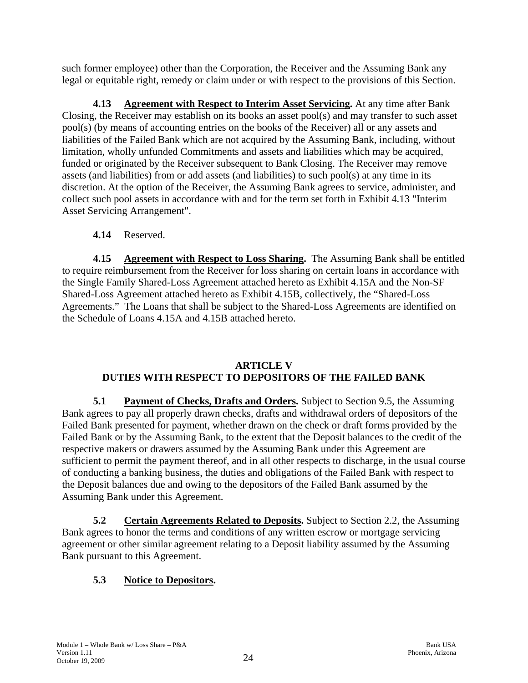such former employee) other than the Corporation, the Receiver and the Assuming Bank any legal or equitable right, remedy or claim under or with respect to the provisions of this Section.

**4.13** Agreement with Respect to Interim Asset Servicing. At any time after Bank Closing, the Receiver may establish on its books an asset pool(s) and may transfer to such asset pool(s) (by means of accounting entries on the books of the Receiver) all or any assets and liabilities of the Failed Bank which are not acquired by the Assuming Bank, including, without limitation, wholly unfunded Commitments and assets and liabilities which may be acquired, funded or originated by the Receiver subsequent to Bank Closing. The Receiver may remove assets (and liabilities) from or add assets (and liabilities) to such pool(s) at any time in its discretion. At the option of the Receiver, the Assuming Bank agrees to service, administer, and collect such pool assets in accordance with and for the term set forth in Exhibit 4.13 "Interim Asset Servicing Arrangement".

# **4.14** Reserved.

**4.15 Agreement with Respect to Loss Sharing.** The Assuming Bank shall be entitled to require reimbursement from the Receiver for loss sharing on certain loans in accordance with the Single Family Shared-Loss Agreement attached hereto as Exhibit 4.15A and the Non-SF Shared-Loss Agreement attached hereto as Exhibit 4.15B, collectively, the "Shared-Loss Agreements." The Loans that shall be subject to the Shared-Loss Agreements are identified on the Schedule of Loans 4.15A and 4.15B attached hereto.

# **ARTICLE V DUTIES WITH RESPECT TO DEPOSITORS OF THE FAILED BANK**

**5.1 Payment of Checks, Drafts and Orders.** Subject to Section 9.5, the Assuming Bank agrees to pay all properly drawn checks, drafts and withdrawal orders of depositors of the Failed Bank presented for payment, whether drawn on the check or draft forms provided by the Failed Bank or by the Assuming Bank, to the extent that the Deposit balances to the credit of the respective makers or drawers assumed by the Assuming Bank under this Agreement are sufficient to permit the payment thereof, and in all other respects to discharge, in the usual course of conducting a banking business, the duties and obligations of the Failed Bank with respect to the Deposit balances due and owing to the depositors of the Failed Bank assumed by the Assuming Bank under this Agreement.

**5.2 Certain Agreements Related to Deposits.** Subject to Section 2.2, the Assuming Bank agrees to honor the terms and conditions of any written escrow or mortgage servicing agreement or other similar agreement relating to a Deposit liability assumed by the Assuming Bank pursuant to this Agreement.

# **5.3 Notice to Depositors.**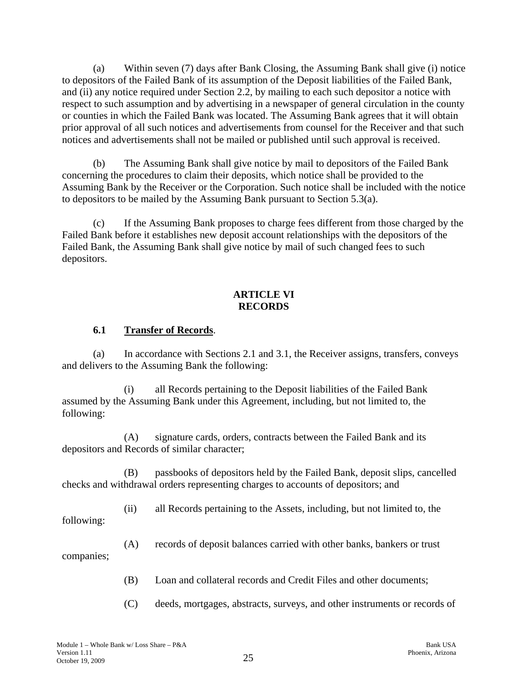(a) Within seven (7) days after Bank Closing, the Assuming Bank shall give (i) notice to depositors of the Failed Bank of its assumption of the Deposit liabilities of the Failed Bank, and (ii) any notice required under Section 2.2, by mailing to each such depositor a notice with respect to such assumption and by advertising in a newspaper of general circulation in the county or counties in which the Failed Bank was located. The Assuming Bank agrees that it will obtain prior approval of all such notices and advertisements from counsel for the Receiver and that such notices and advertisements shall not be mailed or published until such approval is received.

(b) The Assuming Bank shall give notice by mail to depositors of the Failed Bank concerning the procedures to claim their deposits, which notice shall be provided to the Assuming Bank by the Receiver or the Corporation. Such notice shall be included with the notice to depositors to be mailed by the Assuming Bank pursuant to Section 5.3(a).

(c) If the Assuming Bank proposes to charge fees different from those charged by the Failed Bank before it establishes new deposit account relationships with the depositors of the Failed Bank, the Assuming Bank shall give notice by mail of such changed fees to such depositors.

# **ARTICLE VI RECORDS**

# **6.1 Transfer of Records**.

(a) In accordance with Sections 2.1 and 3.1, the Receiver assigns, transfers, conveys and delivers to the Assuming Bank the following:

(i) all Records pertaining to the Deposit liabilities of the Failed Bank assumed by the Assuming Bank under this Agreement, including, but not limited to, the following:

(A) signature cards, orders, contracts between the Failed Bank and its depositors and Records of similar character;

(B) passbooks of depositors held by the Failed Bank, deposit slips, cancelled checks and withdrawal orders representing charges to accounts of depositors; and

following: (ii) all Records pertaining to the Assets, including, but not limited to, the

companies; (A) records of deposit balances carried with other banks, bankers or trust

(B) Loan and collateral records and Credit Files and other documents;

(C) deeds, mortgages, abstracts, surveys, and other instruments or records of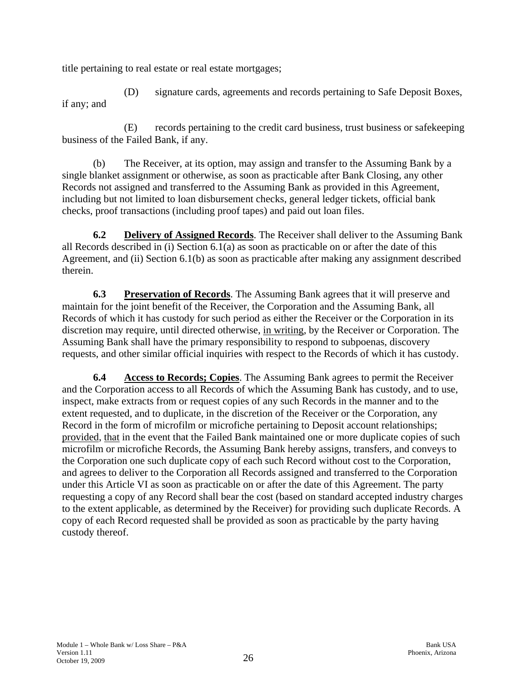title pertaining to real estate or real estate mortgages;

(D) signature cards, agreements and records pertaining to Safe Deposit Boxes, if any; and

(E) records pertaining to the credit card business, trust business or safekeeping business of the Failed Bank, if any.

(b) The Receiver, at its option, may assign and transfer to the Assuming Bank by a single blanket assignment or otherwise, as soon as practicable after Bank Closing, any other Records not assigned and transferred to the Assuming Bank as provided in this Agreement, including but not limited to loan disbursement checks, general ledger tickets, official bank checks, proof transactions (including proof tapes) and paid out loan files.

**6.2 Delivery of Assigned Records**. The Receiver shall deliver to the Assuming Bank all Records described in (i) Section 6.1(a) as soon as practicable on or after the date of this Agreement, and (ii) Section 6.1(b) as soon as practicable after making any assignment described therein.

**6.3 Preservation of Records**. The Assuming Bank agrees that it will preserve and maintain for the joint benefit of the Receiver, the Corporation and the Assuming Bank, all Records of which it has custody for such period as either the Receiver or the Corporation in its discretion may require, until directed otherwise, in writing, by the Receiver or Corporation. The Assuming Bank shall have the primary responsibility to respond to subpoenas, discovery requests, and other similar official inquiries with respect to the Records of which it has custody.

**6.4** Access to Records; Copies. The Assuming Bank agrees to permit the Receiver and the Corporation access to all Records of which the Assuming Bank has custody, and to use, inspect, make extracts from or request copies of any such Records in the manner and to the extent requested, and to duplicate, in the discretion of the Receiver or the Corporation, any Record in the form of microfilm or microfiche pertaining to Deposit account relationships; provided, that in the event that the Failed Bank maintained one or more duplicate copies of such microfilm or microfiche Records, the Assuming Bank hereby assigns, transfers, and conveys to the Corporation one such duplicate copy of each such Record without cost to the Corporation, and agrees to deliver to the Corporation all Records assigned and transferred to the Corporation under this Article VI as soon as practicable on or after the date of this Agreement. The party requesting a copy of any Record shall bear the cost (based on standard accepted industry charges to the extent applicable, as determined by the Receiver) for providing such duplicate Records. A copy of each Record requested shall be provided as soon as practicable by the party having custody thereof.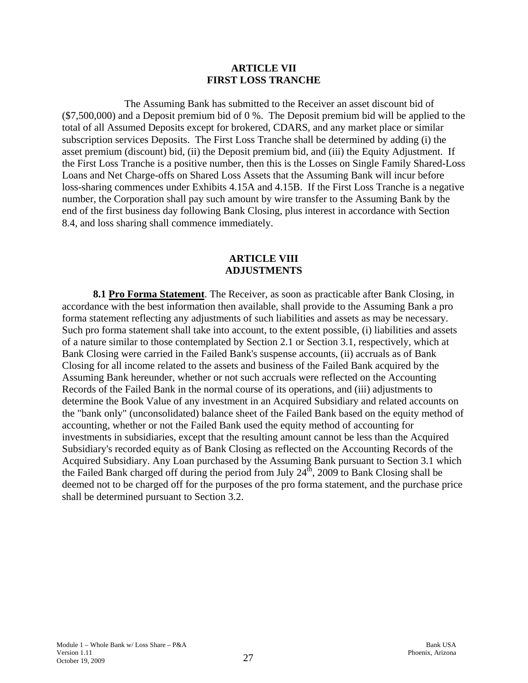#### **ARTICLE VII FIRST LOSS TRANCHE**

 The Assuming Bank has submitted to the Receiver an asset discount bid of (\$7,500,000) and a Deposit premium bid of 0 %. The Deposit premium bid will be applied to the total of all Assumed Deposits except for brokered, CDARS, and any market place or similar subscription services Deposits. The First Loss Tranche shall be determined by adding (i) the asset premium (discount) bid, (ii) the Deposit premium bid, and (iii) the Equity Adjustment. If the First Loss Tranche is a positive number, then this is the Losses on Single Family Shared-Loss Loans and Net Charge-offs on Shared Loss Assets that the Assuming Bank will incur before loss-sharing commences under Exhibits 4.15A and 4.15B. If the First Loss Tranche is a negative number, the Corporation shall pay such amount by wire transfer to the Assuming Bank by the end of the first business day following Bank Closing, plus interest in accordance with Section 8.4, and loss sharing shall commence immediately.

#### **ARTICLE VIII ADJUSTMENTS**

**8.1 Pro Forma Statement**. The Receiver, as soon as practicable after Bank Closing, in accordance with the best information then available, shall provide to the Assuming Bank a pro forma statement reflecting any adjustments of such liabilities and assets as may be necessary. Such pro forma statement shall take into account, to the extent possible, (i) liabilities and assets of a nature similar to those contemplated by Section 2.1 or Section 3.1, respectively, which at Bank Closing were carried in the Failed Bank's suspense accounts, (ii) accruals as of Bank Closing for all income related to the assets and business of the Failed Bank acquired by the Assuming Bank hereunder, whether or not such accruals were reflected on the Accounting Records of the Failed Bank in the normal course of its operations, and (iii) adjustments to determine the Book Value of any investment in an Acquired Subsidiary and related accounts on the "bank only" (unconsolidated) balance sheet of the Failed Bank based on the equity method of accounting, whether or not the Failed Bank used the equity method of accounting for investments in subsidiaries, except that the resulting amount cannot be less than the Acquired Subsidiary's recorded equity as of Bank Closing as reflected on the Accounting Records of the Acquired Subsidiary. Any Loan purchased by the Assuming Bank pursuant to Section 3.1 which the Failed Bank charged off during the period from July  $24^{\text{th}}$ , 2009 to Bank Closing shall be deemed not to be charged off for the purposes of the pro forma statement, and the purchase price shall be determined pursuant to Section 3.2.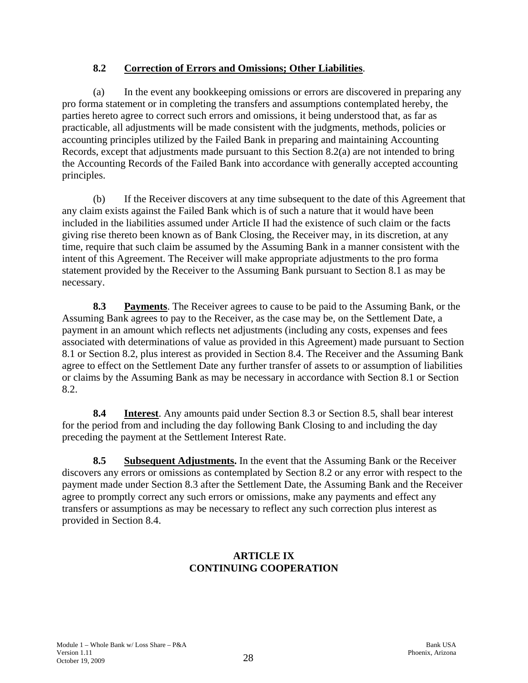# **8.2 Correction of Errors and Omissions; Other Liabilities**.

(a) In the event any bookkeeping omissions or errors are discovered in preparing any pro forma statement or in completing the transfers and assumptions contemplated hereby, the parties hereto agree to correct such errors and omissions, it being understood that, as far as practicable, all adjustments will be made consistent with the judgments, methods, policies or accounting principles utilized by the Failed Bank in preparing and maintaining Accounting Records, except that adjustments made pursuant to this Section 8.2(a) are not intended to bring the Accounting Records of the Failed Bank into accordance with generally accepted accounting principles.

(b) If the Receiver discovers at any time subsequent to the date of this Agreement that any claim exists against the Failed Bank which is of such a nature that it would have been included in the liabilities assumed under Article II had the existence of such claim or the facts giving rise thereto been known as of Bank Closing, the Receiver may, in its discretion, at any time, require that such claim be assumed by the Assuming Bank in a manner consistent with the intent of this Agreement. The Receiver will make appropriate adjustments to the pro forma statement provided by the Receiver to the Assuming Bank pursuant to Section 8.1 as may be necessary.

**8.3 Payments**. The Receiver agrees to cause to be paid to the Assuming Bank, or the Assuming Bank agrees to pay to the Receiver, as the case may be, on the Settlement Date, a payment in an amount which reflects net adjustments (including any costs, expenses and fees associated with determinations of value as provided in this Agreement) made pursuant to Section 8.1 or Section 8.2, plus interest as provided in Section 8.4. The Receiver and the Assuming Bank agree to effect on the Settlement Date any further transfer of assets to or assumption of liabilities or claims by the Assuming Bank as may be necessary in accordance with Section 8.1 or Section 8.2.

**8.4 Interest**. Any amounts paid under Section 8.3 or Section 8.5, shall bear interest for the period from and including the day following Bank Closing to and including the day preceding the payment at the Settlement Interest Rate.

**8.5 Subsequent Adjustments.** In the event that the Assuming Bank or the Receiver discovers any errors or omissions as contemplated by Section 8.2 or any error with respect to the payment made under Section 8.3 after the Settlement Date, the Assuming Bank and the Receiver agree to promptly correct any such errors or omissions, make any payments and effect any transfers or assumptions as may be necessary to reflect any such correction plus interest as provided in Section 8.4.

# **ARTICLE IX CONTINUING COOPERATION**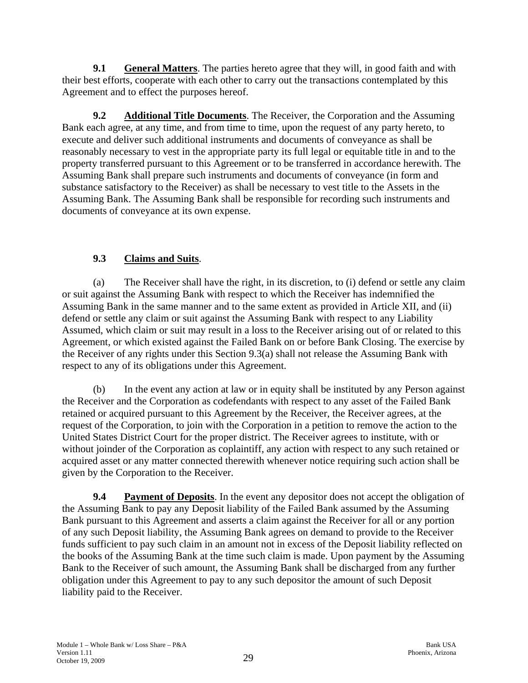**9.1** General Matters. The parties hereto agree that they will, in good faith and with their best efforts, cooperate with each other to carry out the transactions contemplated by this Agreement and to effect the purposes hereof.

**9.2 Additional Title Documents**. The Receiver, the Corporation and the Assuming Bank each agree, at any time, and from time to time, upon the request of any party hereto, to execute and deliver such additional instruments and documents of conveyance as shall be reasonably necessary to vest in the appropriate party its full legal or equitable title in and to the property transferred pursuant to this Agreement or to be transferred in accordance herewith. The Assuming Bank shall prepare such instruments and documents of conveyance (in form and substance satisfactory to the Receiver) as shall be necessary to vest title to the Assets in the Assuming Bank. The Assuming Bank shall be responsible for recording such instruments and documents of conveyance at its own expense.

# **9.3 Claims and Suits**.

(a) The Receiver shall have the right, in its discretion, to (i) defend or settle any claim or suit against the Assuming Bank with respect to which the Receiver has indemnified the Assuming Bank in the same manner and to the same extent as provided in Article XII, and (ii) defend or settle any claim or suit against the Assuming Bank with respect to any Liability Assumed, which claim or suit may result in a loss to the Receiver arising out of or related to this Agreement, or which existed against the Failed Bank on or before Bank Closing. The exercise by the Receiver of any rights under this Section 9.3(a) shall not release the Assuming Bank with respect to any of its obligations under this Agreement.

(b) In the event any action at law or in equity shall be instituted by any Person against the Receiver and the Corporation as codefendants with respect to any asset of the Failed Bank retained or acquired pursuant to this Agreement by the Receiver, the Receiver agrees, at the request of the Corporation, to join with the Corporation in a petition to remove the action to the United States District Court for the proper district. The Receiver agrees to institute, with or without joinder of the Corporation as coplaintiff, any action with respect to any such retained or acquired asset or any matter connected therewith whenever notice requiring such action shall be given by the Corporation to the Receiver.

**9.4** Payment of Deposits. In the event any depositor does not accept the obligation of the Assuming Bank to pay any Deposit liability of the Failed Bank assumed by the Assuming Bank pursuant to this Agreement and asserts a claim against the Receiver for all or any portion of any such Deposit liability, the Assuming Bank agrees on demand to provide to the Receiver funds sufficient to pay such claim in an amount not in excess of the Deposit liability reflected on the books of the Assuming Bank at the time such claim is made. Upon payment by the Assuming Bank to the Receiver of such amount, the Assuming Bank shall be discharged from any further obligation under this Agreement to pay to any such depositor the amount of such Deposit liability paid to the Receiver.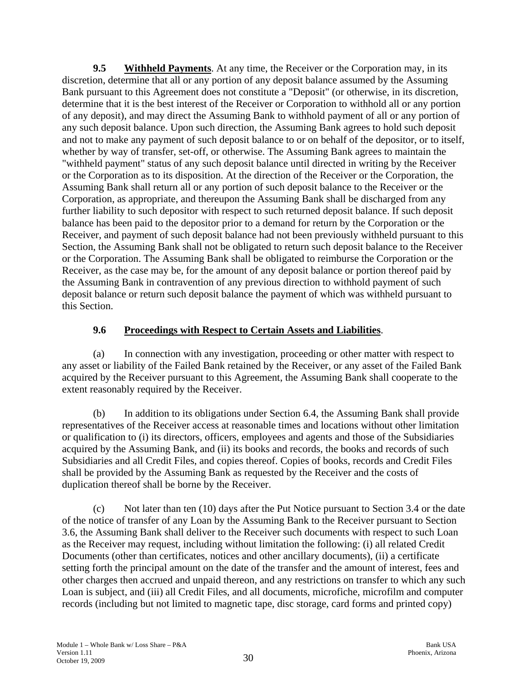**9.5 Withheld Payments**. At any time, the Receiver or the Corporation may, in its discretion, determine that all or any portion of any deposit balance assumed by the Assuming Bank pursuant to this Agreement does not constitute a "Deposit" (or otherwise, in its discretion, determine that it is the best interest of the Receiver or Corporation to withhold all or any portion of any deposit), and may direct the Assuming Bank to withhold payment of all or any portion of any such deposit balance. Upon such direction, the Assuming Bank agrees to hold such deposit and not to make any payment of such deposit balance to or on behalf of the depositor, or to itself, whether by way of transfer, set-off, or otherwise. The Assuming Bank agrees to maintain the "withheld payment" status of any such deposit balance until directed in writing by the Receiver or the Corporation as to its disposition. At the direction of the Receiver or the Corporation, the Assuming Bank shall return all or any portion of such deposit balance to the Receiver or the Corporation, as appropriate, and thereupon the Assuming Bank shall be discharged from any further liability to such depositor with respect to such returned deposit balance. If such deposit balance has been paid to the depositor prior to a demand for return by the Corporation or the Receiver, and payment of such deposit balance had not been previously withheld pursuant to this Section, the Assuming Bank shall not be obligated to return such deposit balance to the Receiver or the Corporation. The Assuming Bank shall be obligated to reimburse the Corporation or the Receiver, as the case may be, for the amount of any deposit balance or portion thereof paid by the Assuming Bank in contravention of any previous direction to withhold payment of such deposit balance or return such deposit balance the payment of which was withheld pursuant to this Section.

# **9.6 Proceedings with Respect to Certain Assets and Liabilities**.

(a) In connection with any investigation, proceeding or other matter with respect to any asset or liability of the Failed Bank retained by the Receiver, or any asset of the Failed Bank acquired by the Receiver pursuant to this Agreement, the Assuming Bank shall cooperate to the extent reasonably required by the Receiver.

(b) In addition to its obligations under Section 6.4, the Assuming Bank shall provide representatives of the Receiver access at reasonable times and locations without other limitation or qualification to (i) its directors, officers, employees and agents and those of the Subsidiaries acquired by the Assuming Bank, and (ii) its books and records, the books and records of such Subsidiaries and all Credit Files, and copies thereof. Copies of books, records and Credit Files shall be provided by the Assuming Bank as requested by the Receiver and the costs of duplication thereof shall be borne by the Receiver.

(c) Not later than ten (10) days after the Put Notice pursuant to Section 3.4 or the date of the notice of transfer of any Loan by the Assuming Bank to the Receiver pursuant to Section 3.6, the Assuming Bank shall deliver to the Receiver such documents with respect to such Loan as the Receiver may request, including without limitation the following: (i) all related Credit Documents (other than certificates, notices and other ancillary documents), (ii) a certificate setting forth the principal amount on the date of the transfer and the amount of interest, fees and other charges then accrued and unpaid thereon, and any restrictions on transfer to which any such Loan is subject, and (iii) all Credit Files, and all documents, microfiche, microfilm and computer records (including but not limited to magnetic tape, disc storage, card forms and printed copy)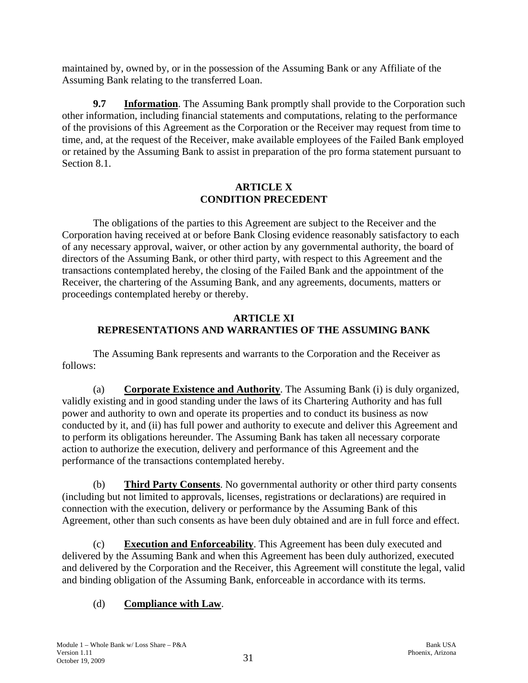maintained by, owned by, or in the possession of the Assuming Bank or any Affiliate of the Assuming Bank relating to the transferred Loan.

**9.7** Information. The Assuming Bank promptly shall provide to the Corporation such other information, including financial statements and computations, relating to the performance of the provisions of this Agreement as the Corporation or the Receiver may request from time to time, and, at the request of the Receiver, make available employees of the Failed Bank employed or retained by the Assuming Bank to assist in preparation of the pro forma statement pursuant to Section 8.1.

# **CONDITION PRECEDENT ARTICLE X**

The obligations of the parties to this Agreement are subject to the Receiver and the Corporation having received at or before Bank Closing evidence reasonably satisfactory to each of any necessary approval, waiver, or other action by any governmental authority, the board of directors of the Assuming Bank, or other third party, with respect to this Agreement and the transactions contemplated hereby, the closing of the Failed Bank and the appointment of the Receiver, the chartering of the Assuming Bank, and any agreements, documents, matters or proceedings contemplated hereby or thereby.

# **ARTICLE XI REPRESENTATIONS AND WARRANTIES OF THE ASSUMING BANK**

The Assuming Bank represents and warrants to the Corporation and the Receiver as follows:

(a) **Corporate Existence and Authority**. The Assuming Bank (i) is duly organized, validly existing and in good standing under the laws of its Chartering Authority and has full power and authority to own and operate its properties and to conduct its business as now conducted by it, and (ii) has full power and authority to execute and deliver this Agreement and to perform its obligations hereunder. The Assuming Bank has taken all necessary corporate action to authorize the execution, delivery and performance of this Agreement and the performance of the transactions contemplated hereby.

(b) **Third Party Consents**. No governmental authority or other third party consents (including but not limited to approvals, licenses, registrations or declarations) are required in connection with the execution, delivery or performance by the Assuming Bank of this Agreement, other than such consents as have been duly obtained and are in full force and effect.

(c) **Execution and Enforceability**. This Agreement has been duly executed and delivered by the Assuming Bank and when this Agreement has been duly authorized, executed and delivered by the Corporation and the Receiver, this Agreement will constitute the legal, valid and binding obligation of the Assuming Bank, enforceable in accordance with its terms.

# (d) **Compliance with Law**.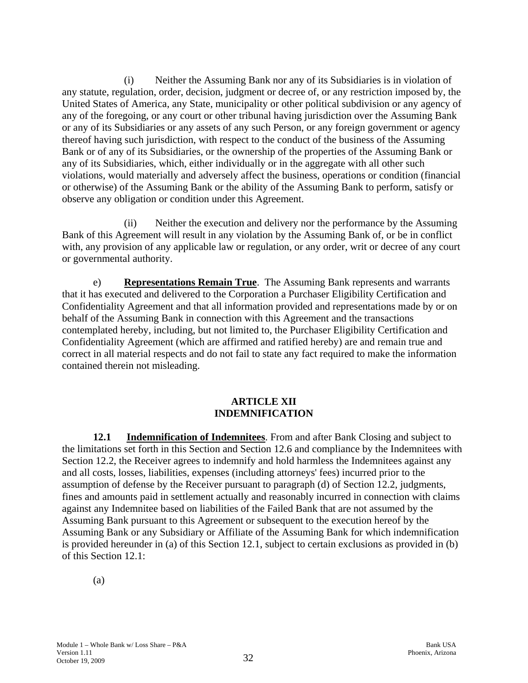(i) Neither the Assuming Bank nor any of its Subsidiaries is in violation of any statute, regulation, order, decision, judgment or decree of, or any restriction imposed by, the United States of America, any State, municipality or other political subdivision or any agency of any of the foregoing, or any court or other tribunal having jurisdiction over the Assuming Bank or any of its Subsidiaries or any assets of any such Person, or any foreign government or agency thereof having such jurisdiction, with respect to the conduct of the business of the Assuming Bank or of any of its Subsidiaries, or the ownership of the properties of the Assuming Bank or any of its Subsidiaries, which, either individually or in the aggregate with all other such violations, would materially and adversely affect the business, operations or condition (financial or otherwise) of the Assuming Bank or the ability of the Assuming Bank to perform, satisfy or observe any obligation or condition under this Agreement.

(ii) Neither the execution and delivery nor the performance by the Assuming Bank of this Agreement will result in any violation by the Assuming Bank of, or be in conflict with, any provision of any applicable law or regulation, or any order, writ or decree of any court or governmental authority.

e) **Representations Remain True**. The Assuming Bank represents and warrants that it has executed and delivered to the Corporation a Purchaser Eligibility Certification and Confidentiality Agreement and that all information provided and representations made by or on behalf of the Assuming Bank in connection with this Agreement and the transactions contemplated hereby, including, but not limited to, the Purchaser Eligibility Certification and Confidentiality Agreement (which are affirmed and ratified hereby) are and remain true and correct in all material respects and do not fail to state any fact required to make the information contained therein not misleading.

#### **ARTICLE XII INDEMNIFICATION**

**12.1** Indemnification of Indemnitees. From and after Bank Closing and subject to the limitations set forth in this Section and Section 12.6 and compliance by the Indemnitees with Section 12.2, the Receiver agrees to indemnify and hold harmless the Indemnitees against any and all costs, losses, liabilities, expenses (including attorneys' fees) incurred prior to the assumption of defense by the Receiver pursuant to paragraph (d) of Section 12.2, judgments, fines and amounts paid in settlement actually and reasonably incurred in connection with claims against any Indemnitee based on liabilities of the Failed Bank that are not assumed by the Assuming Bank pursuant to this Agreement or subsequent to the execution hereof by the Assuming Bank or any Subsidiary or Affiliate of the Assuming Bank for which indemnification is provided hereunder in (a) of this Section 12.1, subject to certain exclusions as provided in (b) of this Section 12.1:

(a)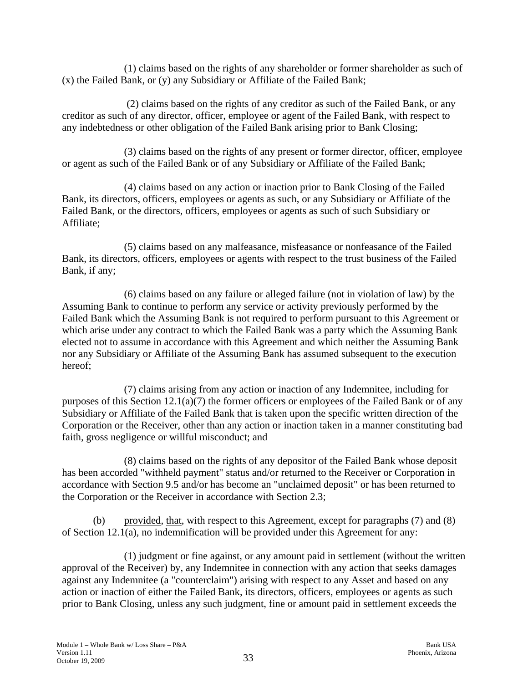(1) claims based on the rights of any shareholder or former shareholder as such of (x) the Failed Bank, or (y) any Subsidiary or Affiliate of the Failed Bank;

(2) claims based on the rights of any creditor as such of the Failed Bank, or any creditor as such of any director, officer, employee or agent of the Failed Bank, with respect to any indebtedness or other obligation of the Failed Bank arising prior to Bank Closing;

(3) claims based on the rights of any present or former director, officer, employee or agent as such of the Failed Bank or of any Subsidiary or Affiliate of the Failed Bank;

(4) claims based on any action or inaction prior to Bank Closing of the Failed Bank, its directors, officers, employees or agents as such, or any Subsidiary or Affiliate of the Failed Bank, or the directors, officers, employees or agents as such of such Subsidiary or Affiliate;

(5) claims based on any malfeasance, misfeasance or nonfeasance of the Failed Bank, its directors, officers, employees or agents with respect to the trust business of the Failed Bank, if any;

(6) claims based on any failure or alleged failure (not in violation of law) by the Assuming Bank to continue to perform any service or activity previously performed by the Failed Bank which the Assuming Bank is not required to perform pursuant to this Agreement or which arise under any contract to which the Failed Bank was a party which the Assuming Bank elected not to assume in accordance with this Agreement and which neither the Assuming Bank nor any Subsidiary or Affiliate of the Assuming Bank has assumed subsequent to the execution hereof;

(7) claims arising from any action or inaction of any Indemnitee, including for purposes of this Section 12.1(a)(7) the former officers or employees of the Failed Bank or of any Subsidiary or Affiliate of the Failed Bank that is taken upon the specific written direction of the Corporation or the Receiver, other than any action or inaction taken in a manner constituting bad faith, gross negligence or willful misconduct; and

(8) claims based on the rights of any depositor of the Failed Bank whose deposit has been accorded "withheld payment" status and/or returned to the Receiver or Corporation in accordance with Section 9.5 and/or has become an "unclaimed deposit" or has been returned to the Corporation or the Receiver in accordance with Section 2.3;

(b) provided, that, with respect to this Agreement, except for paragraphs (7) and (8) of Section 12.1(a), no indemnification will be provided under this Agreement for any:

(1) judgment or fine against, or any amount paid in settlement (without the written approval of the Receiver) by, any Indemnitee in connection with any action that seeks damages against any Indemnitee (a "counterclaim") arising with respect to any Asset and based on any action or inaction of either the Failed Bank, its directors, officers, employees or agents as such prior to Bank Closing, unless any such judgment, fine or amount paid in settlement exceeds the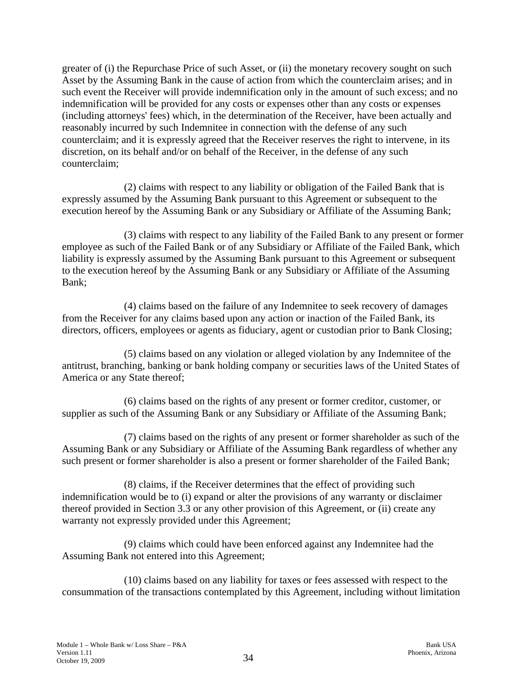greater of (i) the Repurchase Price of such Asset, or (ii) the monetary recovery sought on such Asset by the Assuming Bank in the cause of action from which the counterclaim arises; and in such event the Receiver will provide indemnification only in the amount of such excess; and no indemnification will be provided for any costs or expenses other than any costs or expenses (including attorneys' fees) which, in the determination of the Receiver, have been actually and reasonably incurred by such Indemnitee in connection with the defense of any such counterclaim; and it is expressly agreed that the Receiver reserves the right to intervene, in its discretion, on its behalf and/or on behalf of the Receiver, in the defense of any such counterclaim;

(2) claims with respect to any liability or obligation of the Failed Bank that is expressly assumed by the Assuming Bank pursuant to this Agreement or subsequent to the execution hereof by the Assuming Bank or any Subsidiary or Affiliate of the Assuming Bank;

(3) claims with respect to any liability of the Failed Bank to any present or former employee as such of the Failed Bank or of any Subsidiary or Affiliate of the Failed Bank, which liability is expressly assumed by the Assuming Bank pursuant to this Agreement or subsequent to the execution hereof by the Assuming Bank or any Subsidiary or Affiliate of the Assuming Bank;

(4) claims based on the failure of any Indemnitee to seek recovery of damages from the Receiver for any claims based upon any action or inaction of the Failed Bank, its directors, officers, employees or agents as fiduciary, agent or custodian prior to Bank Closing;

(5) claims based on any violation or alleged violation by any Indemnitee of the antitrust, branching, banking or bank holding company or securities laws of the United States of America or any State thereof;

(6) claims based on the rights of any present or former creditor, customer, or supplier as such of the Assuming Bank or any Subsidiary or Affiliate of the Assuming Bank;

(7) claims based on the rights of any present or former shareholder as such of the Assuming Bank or any Subsidiary or Affiliate of the Assuming Bank regardless of whether any such present or former shareholder is also a present or former shareholder of the Failed Bank;

(8) claims, if the Receiver determines that the effect of providing such indemnification would be to (i) expand or alter the provisions of any warranty or disclaimer thereof provided in Section 3.3 or any other provision of this Agreement, or (ii) create any warranty not expressly provided under this Agreement;

(9) claims which could have been enforced against any Indemnitee had the Assuming Bank not entered into this Agreement;

(10) claims based on any liability for taxes or fees assessed with respect to the consummation of the transactions contemplated by this Agreement, including without limitation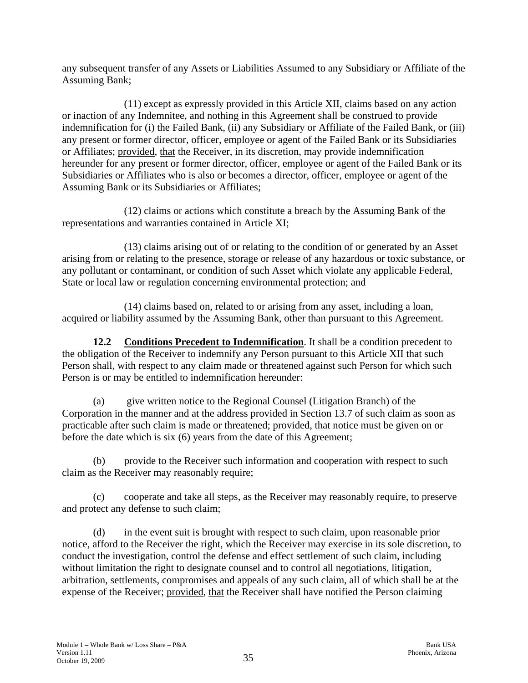any subsequent transfer of any Assets or Liabilities Assumed to any Subsidiary or Affiliate of the Assuming Bank;

(11) except as expressly provided in this Article XII, claims based on any action or inaction of any Indemnitee, and nothing in this Agreement shall be construed to provide indemnification for (i) the Failed Bank, (ii) any Subsidiary or Affiliate of the Failed Bank, or (iii) any present or former director, officer, employee or agent of the Failed Bank or its Subsidiaries or Affiliates; provided, that the Receiver, in its discretion, may provide indemnification hereunder for any present or former director, officer, employee or agent of the Failed Bank or its Subsidiaries or Affiliates who is also or becomes a director, officer, employee or agent of the Assuming Bank or its Subsidiaries or Affiliates;

(12) claims or actions which constitute a breach by the Assuming Bank of the representations and warranties contained in Article XI;

(13) claims arising out of or relating to the condition of or generated by an Asset arising from or relating to the presence, storage or release of any hazardous or toxic substance, or any pollutant or contaminant, or condition of such Asset which violate any applicable Federal, State or local law or regulation concerning environmental protection; and

(14) claims based on, related to or arising from any asset, including a loan, acquired or liability assumed by the Assuming Bank, other than pursuant to this Agreement.

**12.2 Conditions Precedent to Indemnification**. It shall be a condition precedent to the obligation of the Receiver to indemnify any Person pursuant to this Article XII that such Person shall, with respect to any claim made or threatened against such Person for which such Person is or may be entitled to indemnification hereunder:

(a) give written notice to the Regional Counsel (Litigation Branch) of the Corporation in the manner and at the address provided in Section 13.7 of such claim as soon as practicable after such claim is made or threatened; provided, that notice must be given on or before the date which is six (6) years from the date of this Agreement;

(b) provide to the Receiver such information and cooperation with respect to such claim as the Receiver may reasonably require;

(c) cooperate and take all steps, as the Receiver may reasonably require, to preserve and protect any defense to such claim;

(d) in the event suit is brought with respect to such claim, upon reasonable prior notice, afford to the Receiver the right, which the Receiver may exercise in its sole discretion, to conduct the investigation, control the defense and effect settlement of such claim, including without limitation the right to designate counsel and to control all negotiations, litigation, arbitration, settlements, compromises and appeals of any such claim, all of which shall be at the expense of the Receiver; provided, that the Receiver shall have notified the Person claiming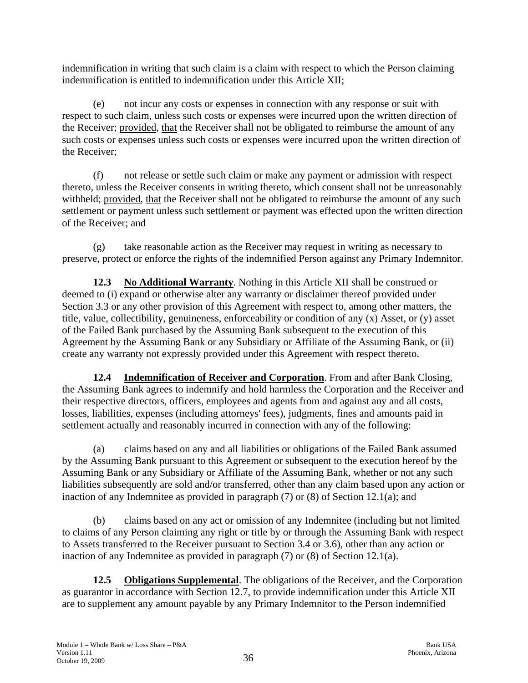indemnification in writing that such claim is a claim with respect to which the Person claiming indemnification is entitled to indemnification under this Article XII;

(e) not incur any costs or expenses in connection with any response or suit with respect to such claim, unless such costs or expenses were incurred upon the written direction of the Receiver; provided, that the Receiver shall not be obligated to reimburse the amount of any such costs or expenses unless such costs or expenses were incurred upon the written direction of the Receiver;

(f) not release or settle such claim or make any payment or admission with respect thereto, unless the Receiver consents in writing thereto, which consent shall not be unreasonably withheld; provided, that the Receiver shall not be obligated to reimburse the amount of any such settlement or payment unless such settlement or payment was effected upon the written direction of the Receiver; and

(g) take reasonable action as the Receiver may request in writing as necessary to preserve, protect or enforce the rights of the indemnified Person against any Primary Indemnitor.

**12.3 No Additional Warranty**. Nothing in this Article XII shall be construed or deemed to (i) expand or otherwise alter any warranty or disclaimer thereof provided under Section 3.3 or any other provision of this Agreement with respect to, among other matters, the title, value, collectibility, genuineness, enforceability or condition of any (x) Asset, or (y) asset of the Failed Bank purchased by the Assuming Bank subsequent to the execution of this Agreement by the Assuming Bank or any Subsidiary or Affiliate of the Assuming Bank, or (ii) create any warranty not expressly provided under this Agreement with respect thereto.

**12.4 Indemnification of Receiver and Corporation**. From and after Bank Closing, the Assuming Bank agrees to indemnify and hold harmless the Corporation and the Receiver and their respective directors, officers, employees and agents from and against any and all costs, losses, liabilities, expenses (including attorneys' fees), judgments, fines and amounts paid in settlement actually and reasonably incurred in connection with any of the following:

(a) claims based on any and all liabilities or obligations of the Failed Bank assumed by the Assuming Bank pursuant to this Agreement or subsequent to the execution hereof by the Assuming Bank or any Subsidiary or Affiliate of the Assuming Bank, whether or not any such liabilities subsequently are sold and/or transferred, other than any claim based upon any action or inaction of any Indemnitee as provided in paragraph (7) or (8) of Section 12.1(a); and

(b) claims based on any act or omission of any Indemnitee (including but not limited to claims of any Person claiming any right or title by or through the Assuming Bank with respect to Assets transferred to the Receiver pursuant to Section 3.4 or 3.6), other than any action or inaction of any Indemnitee as provided in paragraph (7) or (8) of Section 12.1(a).

**12.5 Obligations Supplemental**. The obligations of the Receiver, and the Corporation as guarantor in accordance with Section 12.7, to provide indemnification under this Article XII are to supplement any amount payable by any Primary Indemnitor to the Person indemnified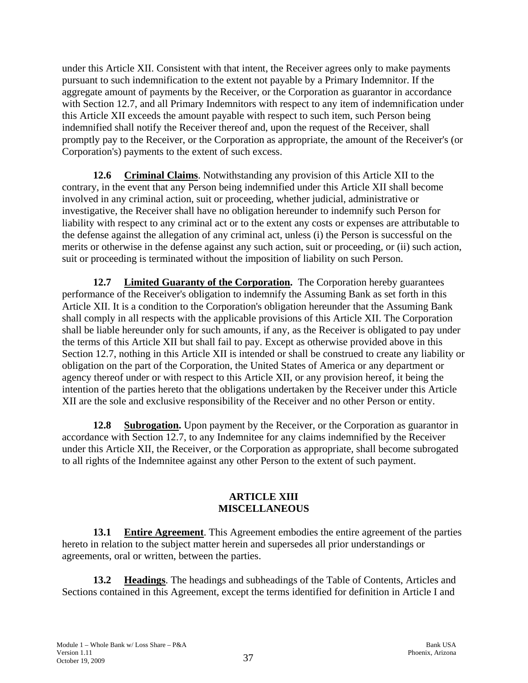under this Article XII. Consistent with that intent, the Receiver agrees only to make payments pursuant to such indemnification to the extent not payable by a Primary Indemnitor. If the aggregate amount of payments by the Receiver, or the Corporation as guarantor in accordance with Section 12.7, and all Primary Indemnitors with respect to any item of indemnification under this Article XII exceeds the amount payable with respect to such item, such Person being indemnified shall notify the Receiver thereof and, upon the request of the Receiver, shall promptly pay to the Receiver, or the Corporation as appropriate, the amount of the Receiver's (or Corporation's) payments to the extent of such excess.

**12.6 Criminal Claims**. Notwithstanding any provision of this Article XII to the contrary, in the event that any Person being indemnified under this Article XII shall become involved in any criminal action, suit or proceeding, whether judicial, administrative or investigative, the Receiver shall have no obligation hereunder to indemnify such Person for liability with respect to any criminal act or to the extent any costs or expenses are attributable to the defense against the allegation of any criminal act, unless (i) the Person is successful on the merits or otherwise in the defense against any such action, suit or proceeding, or (ii) such action, suit or proceeding is terminated without the imposition of liability on such Person.

**12.7 Limited Guaranty of the Corporation.** The Corporation hereby guarantees performance of the Receiver's obligation to indemnify the Assuming Bank as set forth in this Article XII. It is a condition to the Corporation's obligation hereunder that the Assuming Bank shall comply in all respects with the applicable provisions of this Article XII. The Corporation shall be liable hereunder only for such amounts, if any, as the Receiver is obligated to pay under the terms of this Article XII but shall fail to pay. Except as otherwise provided above in this Section 12.7, nothing in this Article XII is intended or shall be construed to create any liability or obligation on the part of the Corporation, the United States of America or any department or agency thereof under or with respect to this Article XII, or any provision hereof, it being the intention of the parties hereto that the obligations undertaken by the Receiver under this Article XII are the sole and exclusive responsibility of the Receiver and no other Person or entity.

**12.8 Subrogation.** Upon payment by the Receiver, or the Corporation as guarantor in accordance with Section 12.7, to any Indemnitee for any claims indemnified by the Receiver under this Article XII, the Receiver, or the Corporation as appropriate, shall become subrogated to all rights of the Indemnitee against any other Person to the extent of such payment.

#### **ARTICLE XIII MISCELLANEOUS**

**13.1 Entire Agreement**. This Agreement embodies the entire agreement of the parties hereto in relation to the subject matter herein and supersedes all prior understandings or agreements, oral or written, between the parties.

**13.2 Headings**. The headings and subheadings of the Table of Contents, Articles and Sections contained in this Agreement, except the terms identified for definition in Article I and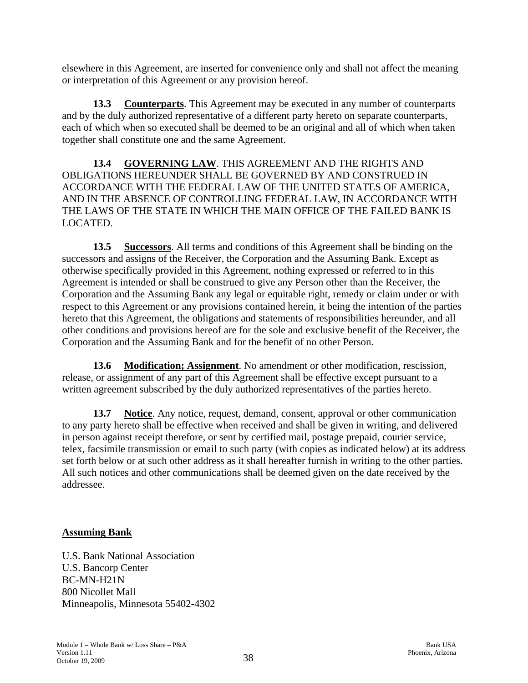elsewhere in this Agreement, are inserted for convenience only and shall not affect the meaning or interpretation of this Agreement or any provision hereof.

**13.3 Counterparts**. This Agreement may be executed in any number of counterparts and by the duly authorized representative of a different party hereto on separate counterparts, each of which when so executed shall be deemed to be an original and all of which when taken together shall constitute one and the same Agreement.

**13.4 GOVERNING LAW**. THIS AGREEMENT AND THE RIGHTS AND OBLIGATIONS HEREUNDER SHALL BE GOVERNED BY AND CONSTRUED IN ACCORDANCE WITH THE FEDERAL LAW OF THE UNITED STATES OF AMERICA, AND IN THE ABSENCE OF CONTROLLING FEDERAL LAW, IN ACCORDANCE WITH THE LAWS OF THE STATE IN WHICH THE MAIN OFFICE OF THE FAILED BANK IS LOCATED.

 **13.5 Successors**. All terms and conditions of this Agreement shall be binding on the successors and assigns of the Receiver, the Corporation and the Assuming Bank. Except as otherwise specifically provided in this Agreement, nothing expressed or referred to in this Agreement is intended or shall be construed to give any Person other than the Receiver, the Corporation and the Assuming Bank any legal or equitable right, remedy or claim under or with respect to this Agreement or any provisions contained herein, it being the intention of the parties hereto that this Agreement, the obligations and statements of responsibilities hereunder, and all other conditions and provisions hereof are for the sole and exclusive benefit of the Receiver, the Corporation and the Assuming Bank and for the benefit of no other Person.

**13.6 Modification; Assignment**. No amendment or other modification, rescission, release, or assignment of any part of this Agreement shall be effective except pursuant to a written agreement subscribed by the duly authorized representatives of the parties hereto.

**13.7 Notice**. Any notice, request, demand, consent, approval or other communication to any party hereto shall be effective when received and shall be given in writing, and delivered in person against receipt therefore, or sent by certified mail, postage prepaid, courier service, telex, facsimile transmission or email to such party (with copies as indicated below) at its address set forth below or at such other address as it shall hereafter furnish in writing to the other parties. All such notices and other communications shall be deemed given on the date received by the addressee.

# **Assuming Bank**

U.S. Bank National Association U.S. Bancorp Center BC-MN-H21N 800 Nicollet Mall Minneapolis, Minnesota 55402-4302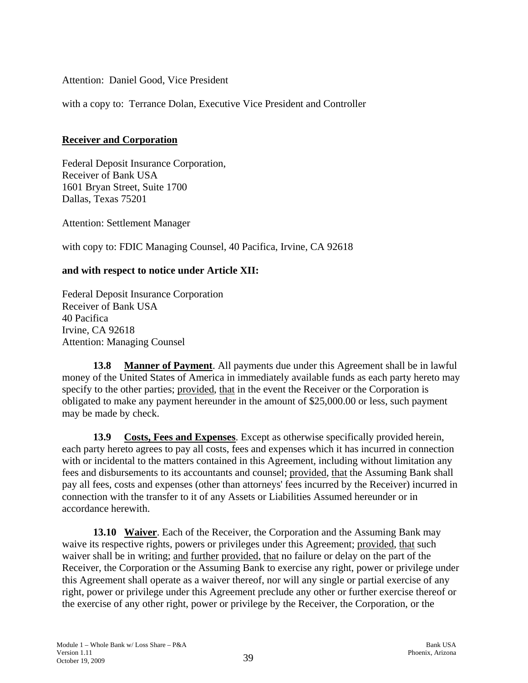Attention: Daniel Good, Vice President

with a copy to: Terrance Dolan, Executive Vice President and Controller

# **Receiver and Corporation**

Federal Deposit Insurance Corporation, Receiver of Bank USA 1601 Bryan Street, Suite 1700 Dallas, Texas 75201

Attention: Settlement Manager

with copy to: FDIC Managing Counsel, 40 Pacifica, Irvine, CA 92618

# **and with respect to notice under Article XII:**

Federal Deposit Insurance Corporation Receiver of Bank USA 40 Pacifica Irvine, CA 92618 Attention: Managing Counsel

**13.8 Manner of Payment**. All payments due under this Agreement shall be in lawful money of the United States of America in immediately available funds as each party hereto may specify to the other parties; provided, that in the event the Receiver or the Corporation is obligated to make any payment hereunder in the amount of \$25,000.00 or less, such payment may be made by check.

**13.9 Costs, Fees and Expenses**. Except as otherwise specifically provided herein, each party hereto agrees to pay all costs, fees and expenses which it has incurred in connection with or incidental to the matters contained in this Agreement, including without limitation any fees and disbursements to its accountants and counsel; provided, that the Assuming Bank shall pay all fees, costs and expenses (other than attorneys' fees incurred by the Receiver) incurred in connection with the transfer to it of any Assets or Liabilities Assumed hereunder or in accordance herewith.

**13.10 Waiver**. Each of the Receiver, the Corporation and the Assuming Bank may waive its respective rights, powers or privileges under this Agreement; provided, that such waiver shall be in writing; and further provided, that no failure or delay on the part of the Receiver, the Corporation or the Assuming Bank to exercise any right, power or privilege under this Agreement shall operate as a waiver thereof, nor will any single or partial exercise of any right, power or privilege under this Agreement preclude any other or further exercise thereof or the exercise of any other right, power or privilege by the Receiver, the Corporation, or the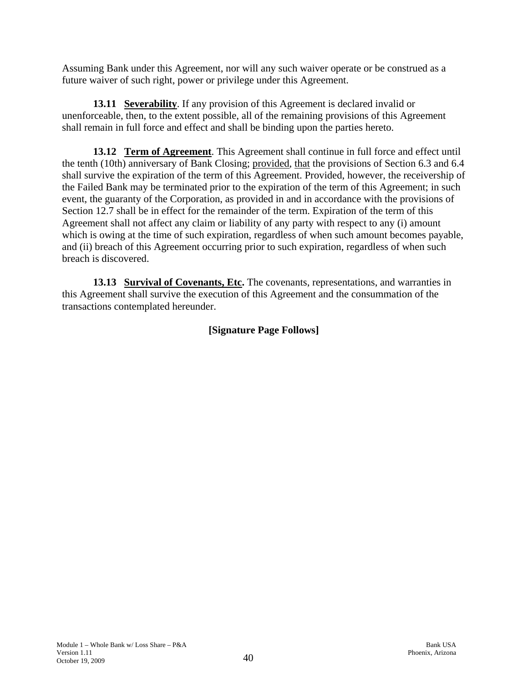Assuming Bank under this Agreement, nor will any such waiver operate or be construed as a future waiver of such right, power or privilege under this Agreement.

**13.11 Severability**. If any provision of this Agreement is declared invalid or unenforceable, then, to the extent possible, all of the remaining provisions of this Agreement shall remain in full force and effect and shall be binding upon the parties hereto.

**13.12 Term of Agreement**. This Agreement shall continue in full force and effect until the tenth (10th) anniversary of Bank Closing; provided, that the provisions of Section 6.3 and 6.4 shall survive the expiration of the term of this Agreement. Provided, however, the receivership of the Failed Bank may be terminated prior to the expiration of the term of this Agreement; in such event, the guaranty of the Corporation, as provided in and in accordance with the provisions of Section 12.7 shall be in effect for the remainder of the term. Expiration of the term of this Agreement shall not affect any claim or liability of any party with respect to any (i) amount which is owing at the time of such expiration, regardless of when such amount becomes payable, and (ii) breach of this Agreement occurring prior to such expiration, regardless of when such breach is discovered.

**13.13 Survival of Covenants, Etc.** The covenants, representations, and warranties in this Agreement shall survive the execution of this Agreement and the consummation of the transactions contemplated hereunder.

# **[Signature Page Follows]**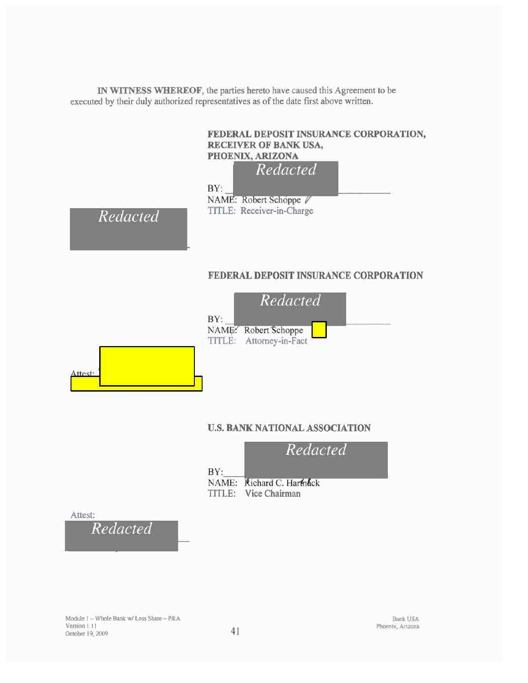IN WITNESS WHEREOF, the parties hereto have caused this Agreement to be executed by their duly authorized representatives as of the date first above written.



Redacted  $BY:$ NAME: Richard C. Hartnack

TITLE: Vice Chairman

Attest:

Redacted

Module 1 - Whole Bank w/ Loss Share - P&A Version 1.11 October 19, 2009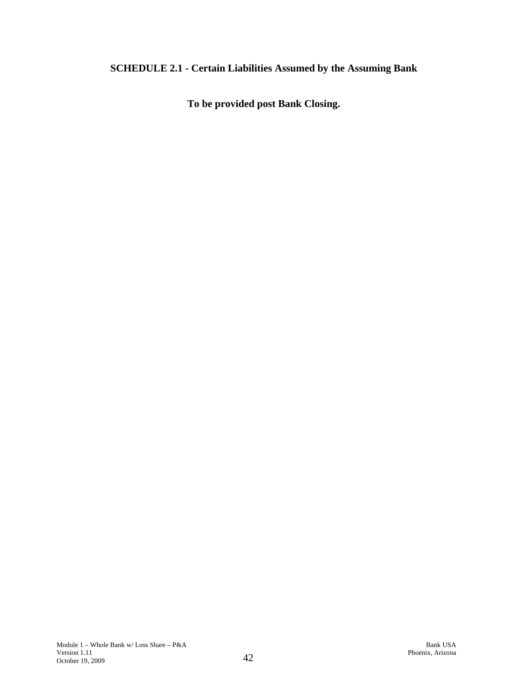# **SCHEDULE 2.1 - Certain Liabilities Assumed by the Assuming Bank**

**To be provided post Bank Closing.**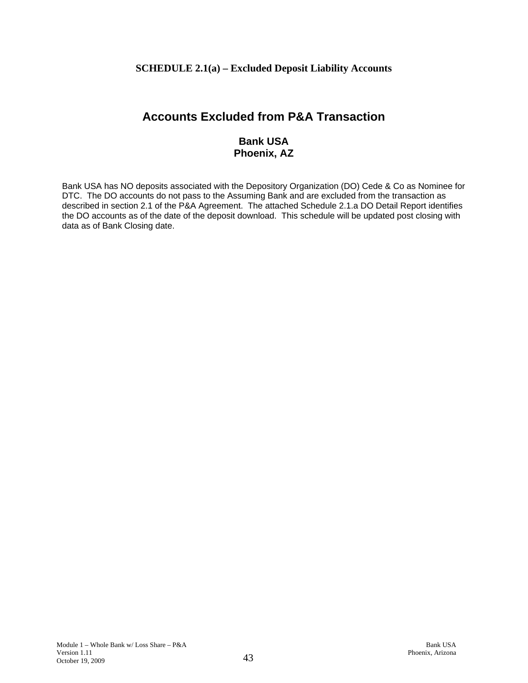#### **SCHEDULE 2.1(a) – Excluded Deposit Liability Accounts**

# **Accounts Excluded from P&A Transaction**

# **Bank USA Phoenix, AZ**

Bank USA has NO deposits associated with the Depository Organization (DO) Cede & Co as Nominee for DTC. The DO accounts do not pass to the Assuming Bank and are excluded from the transaction as described in section 2.1 of the P&A Agreement. The attached Schedule 2.1.a DO Detail Report identifies the DO accounts as of the date of the deposit download. This schedule will be updated post closing with data as of Bank Closing date.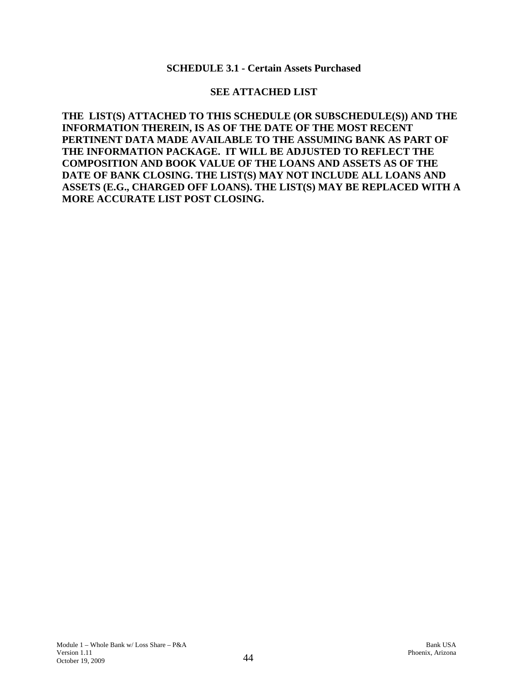#### **SCHEDULE 3.1 - Certain Assets Purchased**

#### **SEE ATTACHED LIST**

THE LIST(S) ATTACHED TO THIS SCHEDULE (OR SUBSCHEDULE(S)) AND THE **INFORMATION THEREIN, IS AS OF THE DATE OF THE MOST RECENT PERTINENT DATA MADE AVAILABLE TO THE ASSUMING BANK AS PART OF THE INFORMATION PACKAGE. IT WILL BE ADJUSTED TO REFLECT THE COMPOSITION AND BOOK VALUE OF THE LOANS AND ASSETS AS OF THE DATE OF BANK CLOSING. THE LIST(S) MAY NOT INCLUDE ALL LOANS AND ASSETS (E.G., CHARGED OFF LOANS). THE LIST(S) MAY BE REPLACED WITH A MORE ACCURATE LIST POST CLOSING.**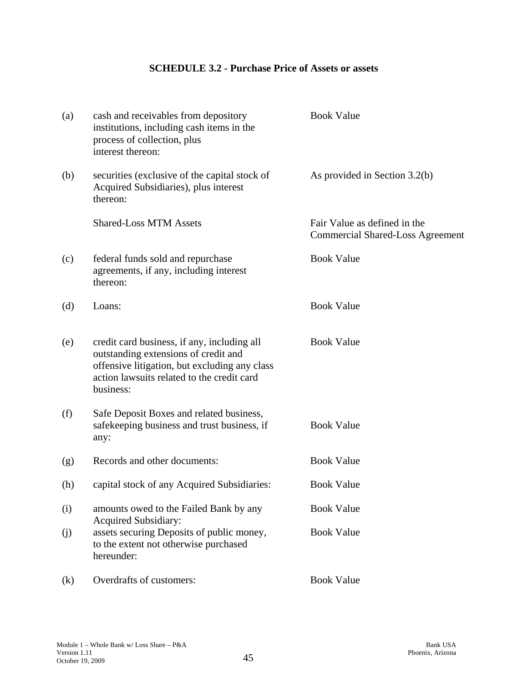# **SCHEDULE 3.2 - Purchase Price of Assets or assets**

| (a) | cash and receivables from depository<br>institutions, including cash items in the<br>process of collection, plus<br>interest thereon:                                                           | <b>Book Value</b>                                                       |
|-----|-------------------------------------------------------------------------------------------------------------------------------------------------------------------------------------------------|-------------------------------------------------------------------------|
| (b) | securities (exclusive of the capital stock of<br>Acquired Subsidiaries), plus interest<br>thereon:                                                                                              | As provided in Section 3.2(b)                                           |
|     | <b>Shared-Loss MTM Assets</b>                                                                                                                                                                   | Fair Value as defined in the<br><b>Commercial Shared-Loss Agreement</b> |
| (c) | federal funds sold and repurchase<br>agreements, if any, including interest<br>thereon:                                                                                                         | <b>Book Value</b>                                                       |
| (d) | Loans:                                                                                                                                                                                          | <b>Book Value</b>                                                       |
| (e) | credit card business, if any, including all<br>outstanding extensions of credit and<br>offensive litigation, but excluding any class<br>action lawsuits related to the credit card<br>business: | <b>Book Value</b>                                                       |
| (f) | Safe Deposit Boxes and related business,<br>safekeeping business and trust business, if<br>any:                                                                                                 | <b>Book Value</b>                                                       |
| (g) | Records and other documents:                                                                                                                                                                    | <b>Book Value</b>                                                       |
| (h) | capital stock of any Acquired Subsidiaries:                                                                                                                                                     | <b>Book Value</b>                                                       |
| (i) | amounts owed to the Failed Bank by any<br><b>Acquired Subsidiary:</b>                                                                                                                           | <b>Book Value</b>                                                       |
| (j) | assets securing Deposits of public money,<br>to the extent not otherwise purchased<br>hereunder:                                                                                                | <b>Book Value</b>                                                       |
| (k) | Overdrafts of customers:                                                                                                                                                                        | <b>Book Value</b>                                                       |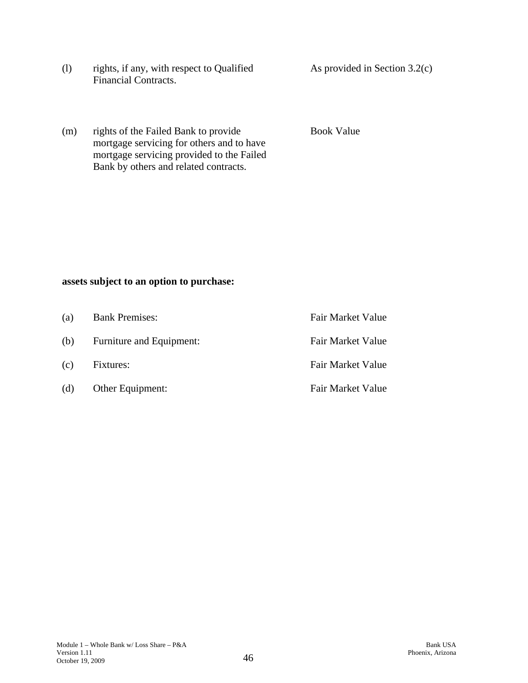(1) rights, if any, with respect to Qualified  $\qquad \qquad$  As provided in Section 3.2(c) Financial Contracts.

 $(m)$ rights of the Failed Bank to provide Book Value mortgage servicing for others and to have mortgage servicing provided to the Failed Bank by others and related contracts.

# **assets subject to an option to purchase:**

| (a) | <b>Bank Premises:</b>    | Fair Market Value |
|-----|--------------------------|-------------------|
| (b) | Furniture and Equipment: | Fair Market Value |
| (c) | Fixtures:                | Fair Market Value |
| (d) | Other Equipment:         | Fair Market Value |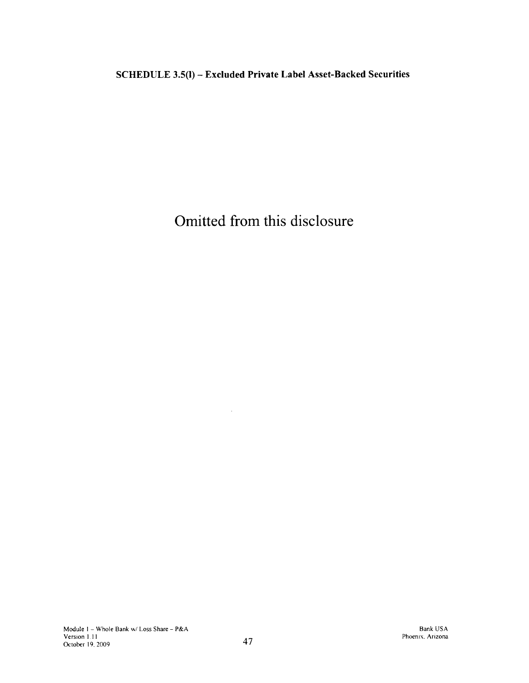SCHEDULE 3.5(1) - Excluded Private Label Asset-Backed Securities

Omitted from this disclosure

 $\mathcal{L}^{\mathcal{L}}$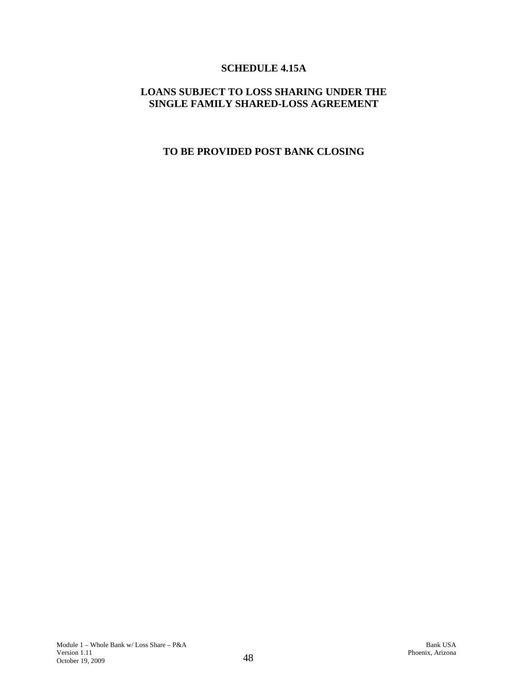# **SCHEDULE 4.15A**

## **LOANS SUBJECT TO LOSS SHARING UNDER THE SINGLE FAMILY SHARED-LOSS AGREEMENT**

#### **TO BE PROVIDED POST BANK CLOSING**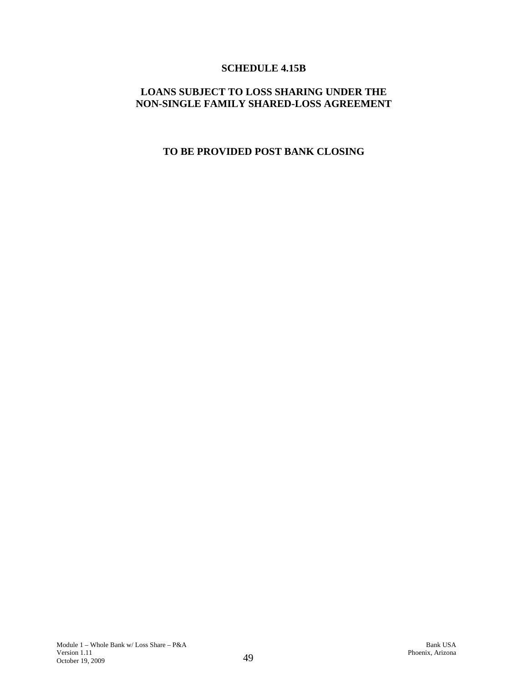# **SCHEDULE 4.15B**

# **LOANS SUBJECT TO LOSS SHARING UNDER THE NON-SINGLE FAMILY SHARED-LOSS AGREEMENT**

## **TO BE PROVIDED POST BANK CLOSING**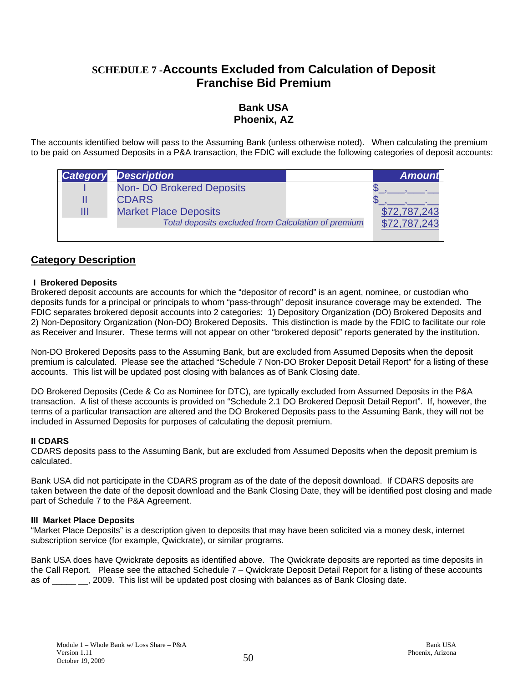# **SCHEDULE 7 -Accounts Excluded from Calculation of Deposit Franchise Bid Premium**

# **Bank USA Phoenix, AZ**

The accounts identified below will pass to the Assuming Bank (unless otherwise noted). When calculating the premium to be paid on Assumed Deposits in a P&A transaction, the FDIC will exclude the following categories of deposit accounts:

| <b>Category</b> | <b>Description</b>                                  | <b>Amount</b> |
|-----------------|-----------------------------------------------------|---------------|
|                 | <b>Non-DO Brokered Deposits</b>                     |               |
|                 | <b>CDARS</b>                                        |               |
| Ш               | <b>Market Place Deposits</b>                        | \$72,787,243  |
|                 | Total deposits excluded from Calculation of premium | \$72,787,243  |
|                 |                                                     |               |

# **Category Description**

#### **I Brokered Deposits**

Brokered deposit accounts are accounts for which the "depositor of record" is an agent, nominee, or custodian who deposits funds for a principal or principals to whom "pass-through" deposit insurance coverage may be extended. The FDIC separates brokered deposit accounts into 2 categories: 1) Depository Organization (DO) Brokered Deposits and 2) Non-Depository Organization (Non-DO) Brokered Deposits. This distinction is made by the FDIC to facilitate our role as Receiver and Insurer. These terms will not appear on other "brokered deposit" reports generated by the institution.

Non-DO Brokered Deposits pass to the Assuming Bank, but are excluded from Assumed Deposits when the deposit premium is calculated. Please see the attached "Schedule 7 Non-DO Broker Deposit Detail Report" for a listing of these accounts. This list will be updated post closing with balances as of Bank Closing date.

DO Brokered Deposits (Cede & Co as Nominee for DTC), are typically excluded from Assumed Deposits in the P&A transaction. A list of these accounts is provided on "Schedule 2.1 DO Brokered Deposit Detail Report". If, however, the terms of a particular transaction are altered and the DO Brokered Deposits pass to the Assuming Bank, they will not be included in Assumed Deposits for purposes of calculating the deposit premium.

#### **II CDARS**

CDARS deposits pass to the Assuming Bank, but are excluded from Assumed Deposits when the deposit premium is calculated.

Bank USA did not participate in the CDARS program as of the date of the deposit download. If CDARS deposits are taken between the date of the deposit download and the Bank Closing Date, they will be identified post closing and made part of Schedule 7 to the P&A Agreement.

#### **III Market Place Deposits**

"Market Place Deposits" is a description given to deposits that may have been solicited via a money desk, internet subscription service (for example, Qwickrate), or similar programs.

Bank USA does have Qwickrate deposits as identified above. The Qwickrate deposits are reported as time deposits in the Call Report. Please see the attached Schedule 7 – Qwickrate Deposit Detail Report for a listing of these accounts as of  $\qquad \qquad$  . 2009. This list will be updated post closing with balances as of Bank Closing date.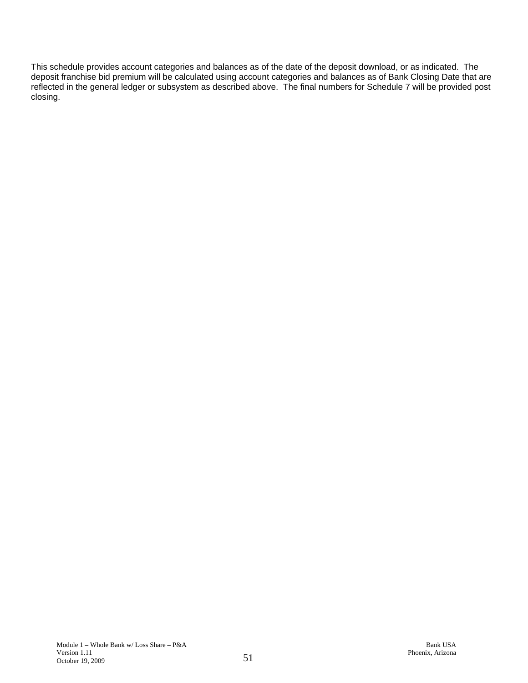This schedule provides account categories and balances as of the date of the deposit download, or as indicated. The deposit franchise bid premium will be calculated using account categories and balances as of Bank Closing Date that are reflected in the general ledger or subsystem as described above. The final numbers for Schedule 7 will be provided post closing.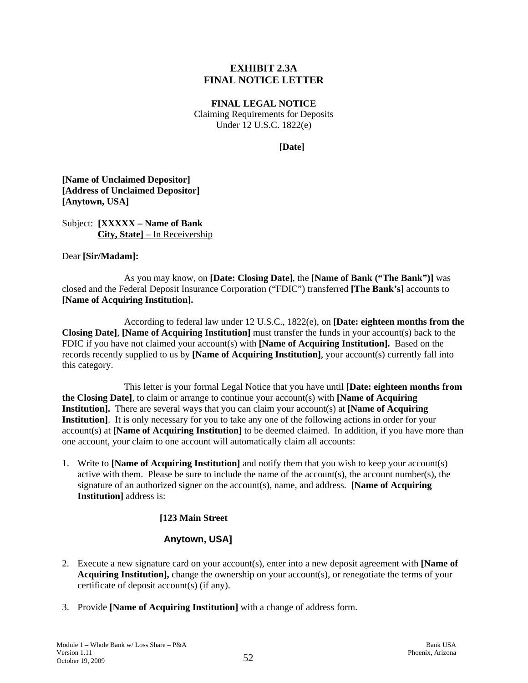#### **EXHIBIT 2.3A FINAL NOTICE LETTER**

#### **FINAL LEGAL NOTICE**

Claiming Requirements for Deposits Under 12 U.S.C. 1822(e)

**[Date]** 

**[Name of Unclaimed Depositor] [Address of Unclaimed Depositor] [Anytown, USA]** 

Subject: **[XXXXX – Name of Bank City, State]** – In Receivership

Dear **[Sir/Madam]:** 

As you may know, on **[Date: Closing Date]**, the **[Name of Bank ("The Bank")]** was closed and the Federal Deposit Insurance Corporation ("FDIC") transferred **[The Bank's]** accounts to **[Name of Acquiring Institution].** 

According to federal law under 12 U.S.C., 1822(e), on **[Date: eighteen months from the Closing Date]**, **[Name of Acquiring Institution]** must transfer the funds in your account(s) back to the FDIC if you have not claimed your account(s) with **[Name of Acquiring Institution].** Based on the records recently supplied to us by **[Name of Acquiring Institution]**, your account(s) currently fall into this category.

This letter is your formal Legal Notice that you have until **[Date: eighteen months from the Closing Date]**, to claim or arrange to continue your account(s) with **[Name of Acquiring Institution].** There are several ways that you can claim your account(s) at **[Name of Acquiring Institution]**. It is only necessary for you to take any one of the following actions in order for your account(s) at **[Name of Acquiring Institution]** to be deemed claimed. In addition, if you have more than one account, your claim to one account will automatically claim all accounts:

 1.Write to **[Name of Acquiring Institution]** and notify them that you wish to keep your account(s) active with them. Please be sure to include the name of the account(s), the account number(s), the signature of an authorized signer on the account(s), name, and address. **[Name of Acquiring Institution]** address is:

#### **[123 Main Street**

# **Anytown, USA]**

- 2.Execute a new signature card on your account(s), enter into a new deposit agreement with **[Name of Acquiring Institution],** change the ownership on your account(s), or renegotiate the terms of your certificate of deposit account(s) (if any).
- 3. Provide [Name of Acquiring Institution] with a change of address form.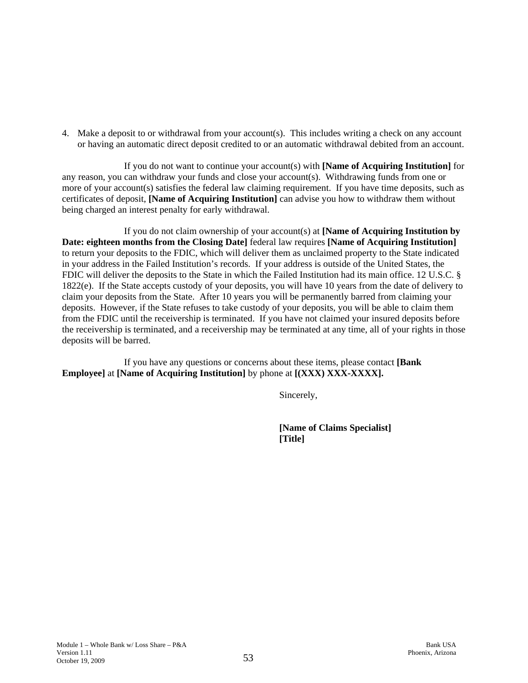4. Make a deposit to or withdrawal from your account(s). This includes writing a check on any account or having an automatic direct deposit credited to or an automatic withdrawal debited from an account.

If you do not want to continue your account(s) with **[Name of Acquiring Institution]** for any reason, you can withdraw your funds and close your account(s). Withdrawing funds from one or more of your account(s) satisfies the federal law claiming requirement. If you have time deposits, such as certificates of deposit, **[Name of Acquiring Institution]** can advise you how to withdraw them without being charged an interest penalty for early withdrawal.

If you do not claim ownership of your account(s) at **[Name of Acquiring Institution by Date: eighteen months from the Closing Date]** federal law requires **[Name of Acquiring Institution]**  to return your deposits to the FDIC, which will deliver them as unclaimed property to the State indicated in your address in the Failed Institution's records. If your address is outside of the United States, the FDIC will deliver the deposits to the State in which the Failed Institution had its main office. 12 U.S.C. § 1822(e). If the State accepts custody of your deposits, you will have 10 years from the date of delivery to claim your deposits from the State. After 10 years you will be permanently barred from claiming your deposits. However, if the State refuses to take custody of your deposits, you will be able to claim them from the FDIC until the receivership is terminated. If you have not claimed your insured deposits before the receivership is terminated, and a receivership may be terminated at any time, all of your rights in those deposits will be barred.

If you have any questions or concerns about these items, please contact **[Bank Employee]** at **[Name of Acquiring Institution]** by phone at **[(XXX) XXX-XXXX].** 

Sincerely,

**[Name of Claims Specialist] [Title]**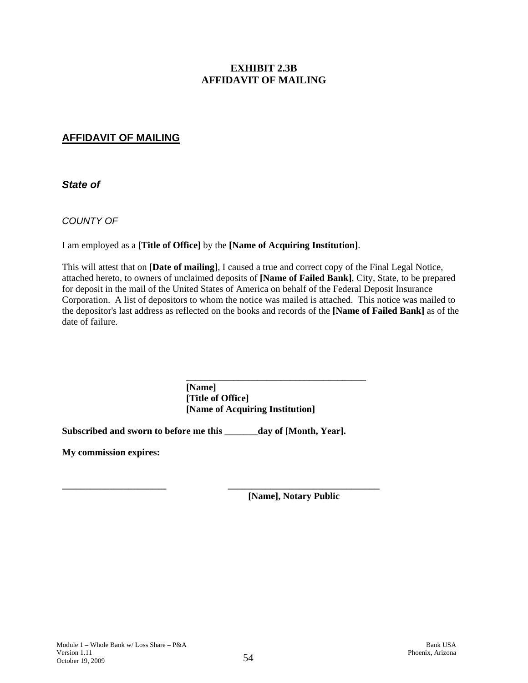# **EXHIBIT 2.3B AFFIDAVIT OF MAILING**

# **AFFIDAVIT OF MAILING**

*State of* 

*COUNTY OF* 

I am employed as a **[Title of Office]** by the **[Name of Acquiring Institution]**.

This will attest that on **[Date of mailing]**, I caused a true and correct copy of the Final Legal Notice, attached hereto, to owners of unclaimed deposits of **[Name of Failed Bank]**, City, State, to be prepared for deposit in the mail of the United States of America on behalf of the Federal Deposit Insurance Corporation. A list of depositors to whom the notice was mailed is attached. This notice was mailed to the depositor's last address as reflected on the books and records of the **[Name of Failed Bank]** as of the date of failure.

 $\overline{\phantom{a}}$  ,  $\overline{\phantom{a}}$  ,  $\overline{\phantom{a}}$  ,  $\overline{\phantom{a}}$  ,  $\overline{\phantom{a}}$  ,  $\overline{\phantom{a}}$  ,  $\overline{\phantom{a}}$  ,  $\overline{\phantom{a}}$  ,  $\overline{\phantom{a}}$  ,  $\overline{\phantom{a}}$  ,  $\overline{\phantom{a}}$  ,  $\overline{\phantom{a}}$  ,  $\overline{\phantom{a}}$  ,  $\overline{\phantom{a}}$  ,  $\overline{\phantom{a}}$  ,  $\overline{\phantom{a}}$ **[Name] [Title of Office] [Name of Acquiring Institution]** 

**Subscribed and sworn to before me this \_\_\_\_\_\_\_day of [Month, Year].** 

**My commission expires:** 

**\_\_\_\_\_\_\_\_\_\_\_\_\_\_\_\_\_\_\_\_\_\_ \_\_\_\_\_\_\_\_\_\_\_\_\_\_\_\_\_\_\_\_\_\_\_\_\_\_\_\_\_\_\_\_ [Name], Notary Public**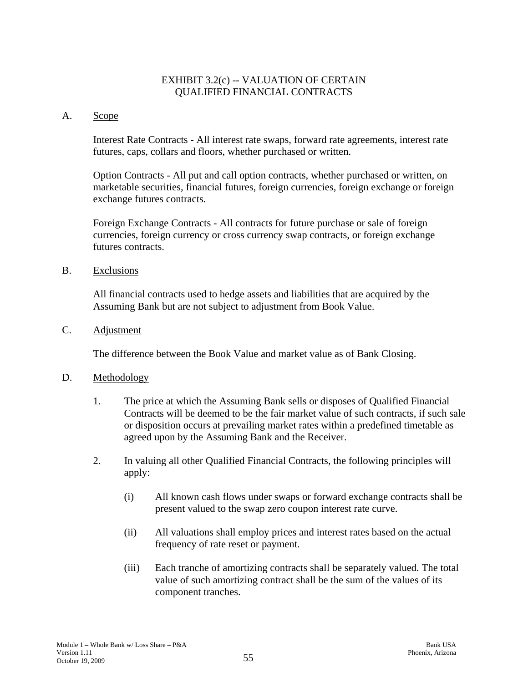# EXHIBIT 3.2(c) -- VALUATION OF CERTAIN QUALIFIED FINANCIAL CONTRACTS

#### A. Scope

Interest Rate Contracts - All interest rate swaps, forward rate agreements, interest rate futures, caps, collars and floors, whether purchased or written.

Option Contracts - All put and call option contracts, whether purchased or written, on marketable securities, financial futures, foreign currencies, foreign exchange or foreign exchange futures contracts.

Foreign Exchange Contracts - All contracts for future purchase or sale of foreign currencies, foreign currency or cross currency swap contracts, or foreign exchange futures contracts.

#### B. Exclusions

All financial contracts used to hedge assets and liabilities that are acquired by the Assuming Bank but are not subject to adjustment from Book Value.

#### C. Adjustment

The difference between the Book Value and market value as of Bank Closing.

# D. Methodology

- 1. The price at which the Assuming Bank sells or disposes of Qualified Financial Contracts will be deemed to be the fair market value of such contracts, if such sale or disposition occurs at prevailing market rates within a predefined timetable as agreed upon by the Assuming Bank and the Receiver.
- 2. In valuing all other Qualified Financial Contracts, the following principles will apply:
	- (i) All known cash flows under swaps or forward exchange contracts shall be present valued to the swap zero coupon interest rate curve.
	- $(ii)$ All valuations shall employ prices and interest rates based on the actual frequency of rate reset or payment.
	- (iii) Each tranche of amortizing contracts shall be separately valued. The total value of such amortizing contract shall be the sum of the values of its component tranches.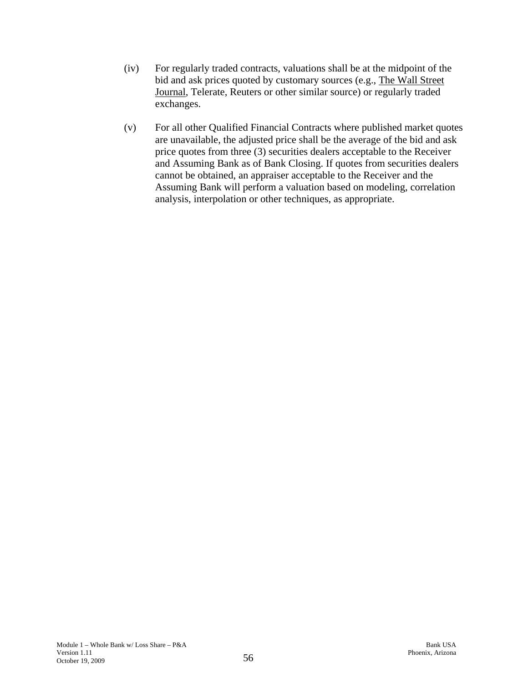- (iv) For regularly traded contracts, valuations shall be at the midpoint of the bid and ask prices quoted by customary sources (e.g., The Wall Street Journal, Telerate, Reuters or other similar source) or regularly traded exchanges.
- $(v)$ For all other Qualified Financial Contracts where published market quotes are unavailable, the adjusted price shall be the average of the bid and ask price quotes from three (3) securities dealers acceptable to the Receiver and Assuming Bank as of Bank Closing. If quotes from securities dealers cannot be obtained, an appraiser acceptable to the Receiver and the Assuming Bank will perform a valuation based on modeling, correlation analysis, interpolation or other techniques, as appropriate.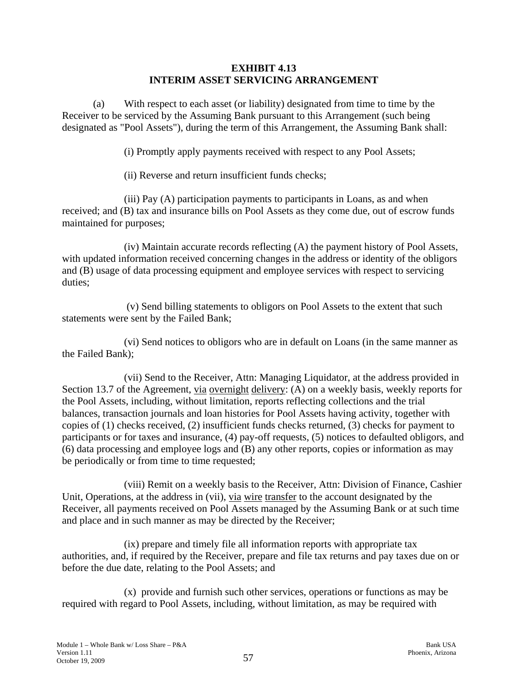# **EXHIBIT 4.13<br>INTERIM ASSET SERVICING ARRANGEMENT**

(a) With respect to each asset (or liability) designated from time to time by the Receiver to be serviced by the Assuming Bank pursuant to this Arrangement (such being designated as "Pool Assets"), during the term of this Arrangement, the Assuming Bank shall:

(i) Promptly apply payments received with respect to any Pool Assets;

(ii) Reverse and return insufficient funds checks;

(iii) Pay (A) participation payments to participants in Loans, as and when received; and (B) tax and insurance bills on Pool Assets as they come due, out of escrow funds maintained for purposes;

(iv) Maintain accurate records reflecting (A) the payment history of Pool Assets, with updated information received concerning changes in the address or identity of the obligors and (B) usage of data processing equipment and employee services with respect to servicing duties;

 (v) Send billing statements to obligors on Pool Assets to the extent that such statements were sent by the Failed Bank;

(vi) Send notices to obligors who are in default on Loans (in the same manner as the Failed Bank);

(vii) Send to the Receiver, Attn: Managing Liquidator, at the address provided in Section 13.7 of the Agreement, via overnight delivery: (A) on a weekly basis, weekly reports for the Pool Assets, including, without limitation, reports reflecting collections and the trial balances, transaction journals and loan histories for Pool Assets having activity, together with copies of (1) checks received, (2) insufficient funds checks returned, (3) checks for payment to participants or for taxes and insurance, (4) pay-off requests, (5) notices to defaulted obligors, and (6) data processing and employee logs and (B) any other reports, copies or information as may be periodically or from time to time requested;

(viii) Remit on a weekly basis to the Receiver, Attn: Division of Finance, Cashier Unit, Operations, at the address in (vii), via wire transfer to the account designated by the Receiver, all payments received on Pool Assets managed by the Assuming Bank or at such time and place and in such manner as may be directed by the Receiver;

(ix) prepare and timely file all information reports with appropriate tax authorities, and, if required by the Receiver, prepare and file tax returns and pay taxes due on or before the due date, relating to the Pool Assets; and

(x) provide and furnish such other services, operations or functions as may be required with regard to Pool Assets, including, without limitation, as may be required with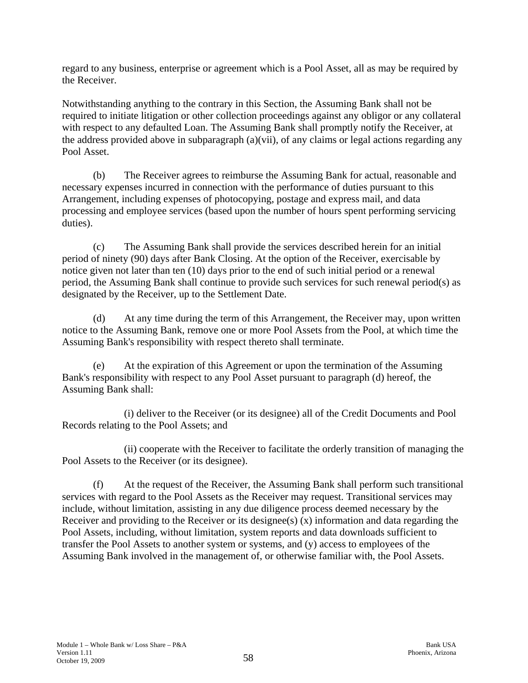regard to any business, enterprise or agreement which is a Pool Asset, all as may be required by the Receiver.

Notwithstanding anything to the contrary in this Section, the Assuming Bank shall not be required to initiate litigation or other collection proceedings against any obligor or any collateral with respect to any defaulted Loan. The Assuming Bank shall promptly notify the Receiver, at the address provided above in subparagraph (a)(vii), of any claims or legal actions regarding any Pool Asset.

(b) The Receiver agrees to reimburse the Assuming Bank for actual, reasonable and necessary expenses incurred in connection with the performance of duties pursuant to this Arrangement, including expenses of photocopying, postage and express mail, and data processing and employee services (based upon the number of hours spent performing servicing duties).

(c) The Assuming Bank shall provide the services described herein for an initial period of ninety (90) days after Bank Closing. At the option of the Receiver, exercisable by notice given not later than ten (10) days prior to the end of such initial period or a renewal period, the Assuming Bank shall continue to provide such services for such renewal period(s) as designated by the Receiver, up to the Settlement Date.

(d) At any time during the term of this Arrangement, the Receiver may, upon written notice to the Assuming Bank, remove one or more Pool Assets from the Pool, at which time the Assuming Bank's responsibility with respect thereto shall terminate.

(e) At the expiration of this Agreement or upon the termination of the Assuming Bank's responsibility with respect to any Pool Asset pursuant to paragraph (d) hereof, the Assuming Bank shall:

(i) deliver to the Receiver (or its designee) all of the Credit Documents and Pool Records relating to the Pool Assets; and

(ii) cooperate with the Receiver to facilitate the orderly transition of managing the Pool Assets to the Receiver (or its designee).

(f) At the request of the Receiver, the Assuming Bank shall perform such transitional services with regard to the Pool Assets as the Receiver may request. Transitional services may include, without limitation, assisting in any due diligence process deemed necessary by the Receiver and providing to the Receiver or its designee(s) (x) information and data regarding the Pool Assets, including, without limitation, system reports and data downloads sufficient to transfer the Pool Assets to another system or systems, and (y) access to employees of the Assuming Bank involved in the management of, or otherwise familiar with, the Pool Assets.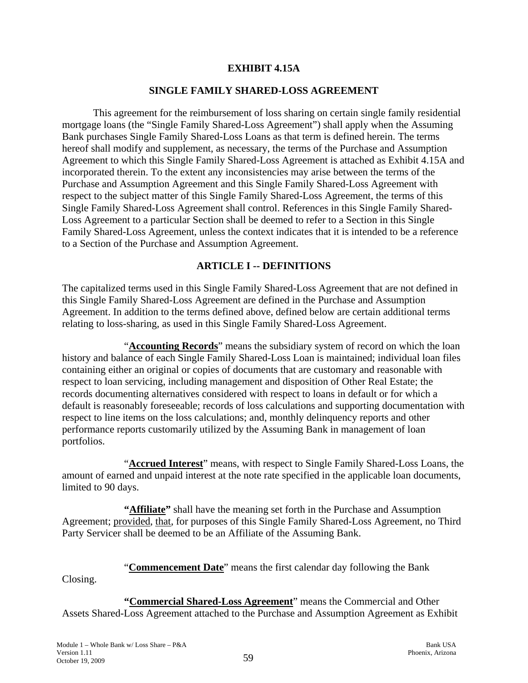#### **EXHIBIT 4.15A**

#### **SINGLE FAMILY SHARED-LOSS AGREEMENT**

This agreement for the reimbursement of loss sharing on certain single family residential mortgage loans (the "Single Family Shared-Loss Agreement") shall apply when the Assuming Bank purchases Single Family Shared-Loss Loans as that term is defined herein. The terms hereof shall modify and supplement, as necessary, the terms of the Purchase and Assumption Agreement to which this Single Family Shared-Loss Agreement is attached as Exhibit 4.15A and incorporated therein. To the extent any inconsistencies may arise between the terms of the Purchase and Assumption Agreement and this Single Family Shared-Loss Agreement with respect to the subject matter of this Single Family Shared-Loss Agreement, the terms of this Single Family Shared-Loss Agreement shall control. References in this Single Family Shared-Loss Agreement to a particular Section shall be deemed to refer to a Section in this Single Family Shared-Loss Agreement, unless the context indicates that it is intended to be a reference to a Section of the Purchase and Assumption Agreement.

#### **ARTICLE I -- DEFINITIONS**

The capitalized terms used in this Single Family Shared-Loss Agreement that are not defined in this Single Family Shared-Loss Agreement are defined in the Purchase and Assumption Agreement. In addition to the terms defined above, defined below are certain additional terms relating to loss-sharing, as used in this Single Family Shared-Loss Agreement.

"**Accounting Records**" means the subsidiary system of record on which the loan history and balance of each Single Family Shared-Loss Loan is maintained; individual loan files containing either an original or copies of documents that are customary and reasonable with respect to loan servicing, including management and disposition of Other Real Estate; the records documenting alternatives considered with respect to loans in default or for which a default is reasonably foreseeable; records of loss calculations and supporting documentation with respect to line items on the loss calculations; and, monthly delinquency reports and other performance reports customarily utilized by the Assuming Bank in management of loan portfolios.

"**Accrued Interest**" means, with respect to Single Family Shared-Loss Loans, the amount of earned and unpaid interest at the note rate specified in the applicable loan documents, limited to 90 days.

**"Affiliate"** shall have the meaning set forth in the Purchase and Assumption Agreement; provided, that, for purposes of this Single Family Shared-Loss Agreement, no Third Party Servicer shall be deemed to be an Affiliate of the Assuming Bank.

"**Commencement Date**" means the first calendar day following the Bank

Closing.

**"Commercial Shared-Loss Agreement**" means the Commercial and Other Assets Shared-Loss Agreement attached to the Purchase and Assumption Agreement as Exhibit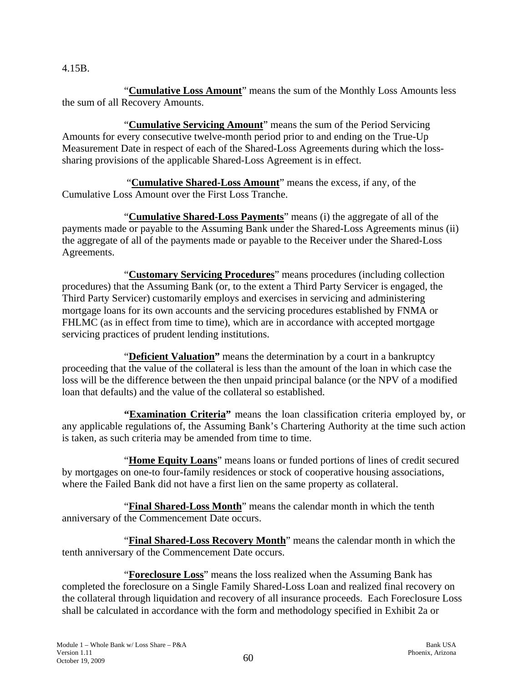4.15B.

"**Cumulative Loss Amount**" means the sum of the Monthly Loss Amounts less the sum of all Recovery Amounts.

"**Cumulative Servicing Amount**" means the sum of the Period Servicing Amounts for every consecutive twelve-month period prior to and ending on the True-Up Measurement Date in respect of each of the Shared-Loss Agreements during which the losssharing provisions of the applicable Shared-Loss Agreement is in effect.

"**Cumulative Shared-Loss Amount**" means the excess, if any, of the Cumulative Loss Amount over the First Loss Tranche.

"**Cumulative Shared-Loss Payments**" means (i) the aggregate of all of the payments made or payable to the Assuming Bank under the Shared-Loss Agreements minus (ii) the aggregate of all of the payments made or payable to the Receiver under the Shared-Loss Agreements.

"**Customary Servicing Procedures**" means procedures (including collection procedures) that the Assuming Bank (or, to the extent a Third Party Servicer is engaged, the Third Party Servicer) customarily employs and exercises in servicing and administering mortgage loans for its own accounts and the servicing procedures established by FNMA or FHLMC (as in effect from time to time), which are in accordance with accepted mortgage servicing practices of prudent lending institutions.

"**Deficient Valuation"** means the determination by a court in a bankruptcy proceeding that the value of the collateral is less than the amount of the loan in which case the loss will be the difference between the then unpaid principal balance (or the NPV of a modified loan that defaults) and the value of the collateral so established.

**"Examination Criteria"** means the loan classification criteria employed by, or any applicable regulations of, the Assuming Bank's Chartering Authority at the time such action is taken, as such criteria may be amended from time to time.

"**Home Equity Loans**" means loans or funded portions of lines of credit secured by mortgages on one-to four-family residences or stock of cooperative housing associations, where the Failed Bank did not have a first lien on the same property as collateral.

"**Final Shared-Loss Month**" means the calendar month in which the tenth anniversary of the Commencement Date occurs.

"**Final Shared-Loss Recovery Month**" means the calendar month in which the tenth anniversary of the Commencement Date occurs.

"**Foreclosure Loss**" means the loss realized when the Assuming Bank has completed the foreclosure on a Single Family Shared-Loss Loan and realized final recovery on the collateral through liquidation and recovery of all insurance proceeds. Each Foreclosure Loss shall be calculated in accordance with the form and methodology specified in Exhibit 2a or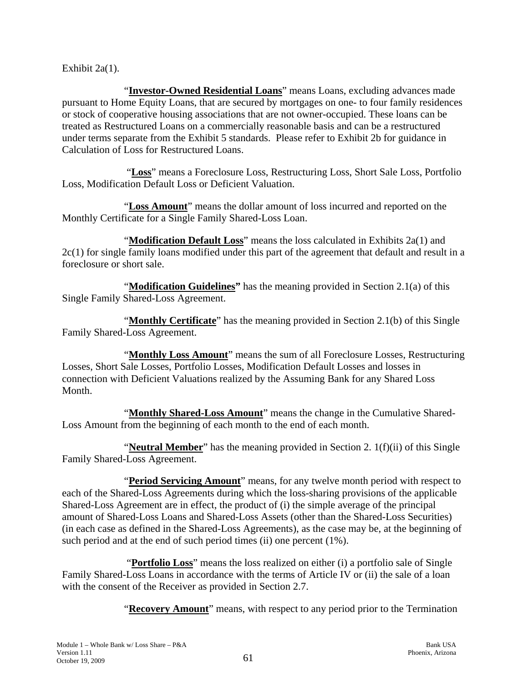Exhibit 2a(1).

"**Investor-Owned Residential Loans**" means Loans, excluding advances made pursuant to Home Equity Loans, that are secured by mortgages on one- to four family residences or stock of cooperative housing associations that are not owner-occupied. These loans can be treated as Restructured Loans on a commercially reasonable basis and can be a restructured under terms separate from the Exhibit 5 standards. Please refer to Exhibit 2b for guidance in Calculation of Loss for Restructured Loans.

"**Loss**" means a Foreclosure Loss, Restructuring Loss, Short Sale Loss, Portfolio Loss, Modification Default Loss or Deficient Valuation.

"**Loss Amount**" means the dollar amount of loss incurred and reported on the Monthly Certificate for a Single Family Shared-Loss Loan.

"**Modification Default Loss**" means the loss calculated in Exhibits 2a(1) and 2c(1) for single family loans modified under this part of the agreement that default and result in a foreclosure or short sale.

"**Modification Guidelines"** has the meaning provided in Section 2.1(a) of this Single Family Shared-Loss Agreement.

"**Monthly Certificate**" has the meaning provided in Section 2.1(b) of this Single Family Shared-Loss Agreement.

"**Monthly Loss Amount**" means the sum of all Foreclosure Losses, Restructuring Losses, Short Sale Losses, Portfolio Losses, Modification Default Losses and losses in connection with Deficient Valuations realized by the Assuming Bank for any Shared Loss Month.

"**Monthly Shared-Loss Amount**" means the change in the Cumulative Shared-Loss Amount from the beginning of each month to the end of each month.

"**Neutral Member**" has the meaning provided in Section 2. 1(f)(ii) of this Single Family Shared-Loss Agreement.

"**Period Servicing Amount**" means, for any twelve month period with respect to each of the Shared-Loss Agreements during which the loss-sharing provisions of the applicable Shared-Loss Agreement are in effect, the product of (i) the simple average of the principal amount of Shared-Loss Loans and Shared-Loss Assets (other than the Shared-Loss Securities) (in each case as defined in the Shared-Loss Agreements), as the case may be, at the beginning of such period and at the end of such period times (ii) one percent (1%).

"**Portfolio Loss**" means the loss realized on either (i) a portfolio sale of Single Family Shared-Loss Loans in accordance with the terms of Article IV or (ii) the sale of a loan with the consent of the Receiver as provided in Section 2.7.

"**Recovery Amount**" means, with respect to any period prior to the Termination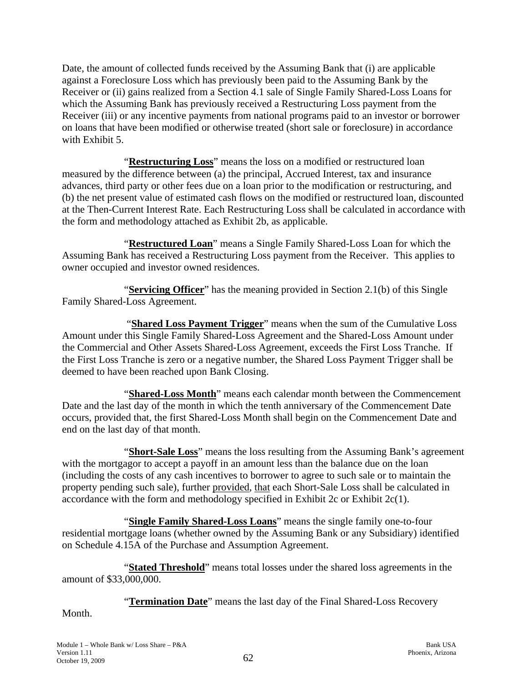Date, the amount of collected funds received by the Assuming Bank that (i) are applicable against a Foreclosure Loss which has previously been paid to the Assuming Bank by the Receiver or (ii) gains realized from a Section 4.1 sale of Single Family Shared-Loss Loans for which the Assuming Bank has previously received a Restructuring Loss payment from the Receiver (iii) or any incentive payments from national programs paid to an investor or borrower on loans that have been modified or otherwise treated (short sale or foreclosure) in accordance with Exhibit 5.

"**Restructuring Loss**" means the loss on a modified or restructured loan measured by the difference between (a) the principal, Accrued Interest, tax and insurance advances, third party or other fees due on a loan prior to the modification or restructuring, and (b) the net present value of estimated cash flows on the modified or restructured loan, discounted at the Then-Current Interest Rate. Each Restructuring Loss shall be calculated in accordance with the form and methodology attached as Exhibit 2b, as applicable.

"**Restructured Loan**" means a Single Family Shared-Loss Loan for which the Assuming Bank has received a Restructuring Loss payment from the Receiver. This applies to owner occupied and investor owned residences.

"**Servicing Officer**" has the meaning provided in Section 2.1(b) of this Single Family Shared-Loss Agreement.

"**Shared Loss Payment Trigger**" means when the sum of the Cumulative Loss Amount under this Single Family Shared-Loss Agreement and the Shared-Loss Amount under the Commercial and Other Assets Shared-Loss Agreement, exceeds the First Loss Tranche. If the First Loss Tranche is zero or a negative number, the Shared Loss Payment Trigger shall be deemed to have been reached upon Bank Closing.

"**Shared-Loss Month**" means each calendar month between the Commencement Date and the last day of the month in which the tenth anniversary of the Commencement Date occurs, provided that, the first Shared-Loss Month shall begin on the Commencement Date and end on the last day of that month.

"**Short-Sale Loss**" means the loss resulting from the Assuming Bank's agreement with the mortgagor to accept a payoff in an amount less than the balance due on the loan (including the costs of any cash incentives to borrower to agree to such sale or to maintain the property pending such sale), further provided, that each Short-Sale Loss shall be calculated in accordance with the form and methodology specified in Exhibit 2c or Exhibit  $2c(1)$ .

"**Single Family Shared-Loss Loans**" means the single family one-to-four residential mortgage loans (whether owned by the Assuming Bank or any Subsidiary) identified on Schedule 4.15A of the Purchase and Assumption Agreement.

"**Stated Threshold**" means total losses under the shared loss agreements in the amount of \$33,000,000.

"**Termination Date**" means the last day of the Final Shared-Loss Recovery Month.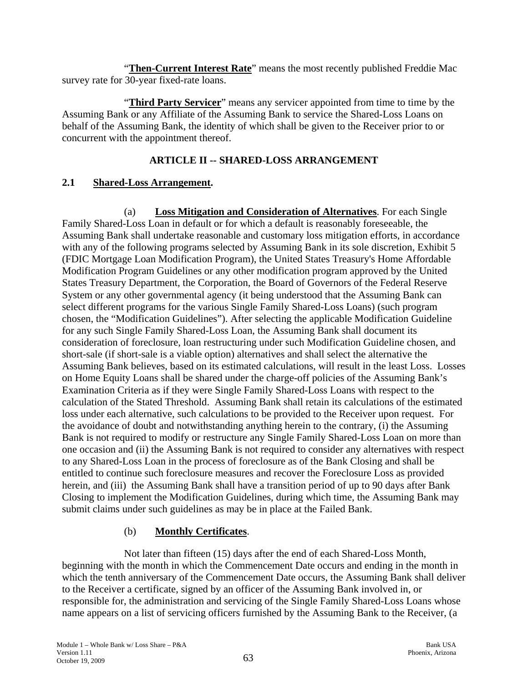"**Then-Current Interest Rate**" means the most recently published Freddie Mac survey rate for 30-year fixed-rate loans.

"**Third Party Servicer**" means any servicer appointed from time to time by the Assuming Bank or any Affiliate of the Assuming Bank to service the Shared-Loss Loans on behalf of the Assuming Bank, the identity of which shall be given to the Receiver prior to or concurrent with the appointment thereof.

# **ARTICLE II -- SHARED-LOSS ARRANGEMENT**

# **2.1 Shared-Loss Arrangement.**

(a) **Loss Mitigation and Consideration of Alternatives**. For each Single Family Shared-Loss Loan in default or for which a default is reasonably foreseeable, the Assuming Bank shall undertake reasonable and customary loss mitigation efforts, in accordance with any of the following programs selected by Assuming Bank in its sole discretion, Exhibit 5 (FDIC Mortgage Loan Modification Program), the United States Treasury's Home Affordable Modification Program Guidelines or any other modification program approved by the United States Treasury Department, the Corporation, the Board of Governors of the Federal Reserve System or any other governmental agency (it being understood that the Assuming Bank can select different programs for the various Single Family Shared-Loss Loans) (such program chosen, the "Modification Guidelines"). After selecting the applicable Modification Guideline for any such Single Family Shared-Loss Loan, the Assuming Bank shall document its consideration of foreclosure, loan restructuring under such Modification Guideline chosen, and short-sale (if short-sale is a viable option) alternatives and shall select the alternative the Assuming Bank believes, based on its estimated calculations, will result in the least Loss. Losses on Home Equity Loans shall be shared under the charge-off policies of the Assuming Bank's Examination Criteria as if they were Single Family Shared-Loss Loans with respect to the calculation of the Stated Threshold. Assuming Bank shall retain its calculations of the estimated loss under each alternative, such calculations to be provided to the Receiver upon request. For the avoidance of doubt and notwithstanding anything herein to the contrary, (i) the Assuming Bank is not required to modify or restructure any Single Family Shared-Loss Loan on more than one occasion and (ii) the Assuming Bank is not required to consider any alternatives with respect to any Shared-Loss Loan in the process of foreclosure as of the Bank Closing and shall be entitled to continue such foreclosure measures and recover the Foreclosure Loss as provided herein, and (iii) the Assuming Bank shall have a transition period of up to 90 days after Bank Closing to implement the Modification Guidelines, during which time, the Assuming Bank may submit claims under such guidelines as may be in place at the Failed Bank.

# (b) **Monthly Certificates**.

Not later than fifteen (15) days after the end of each Shared-Loss Month, beginning with the month in which the Commencement Date occurs and ending in the month in which the tenth anniversary of the Commencement Date occurs, the Assuming Bank shall deliver to the Receiver a certificate, signed by an officer of the Assuming Bank involved in, or responsible for, the administration and servicing of the Single Family Shared-Loss Loans whose name appears on a list of servicing officers furnished by the Assuming Bank to the Receiver, (a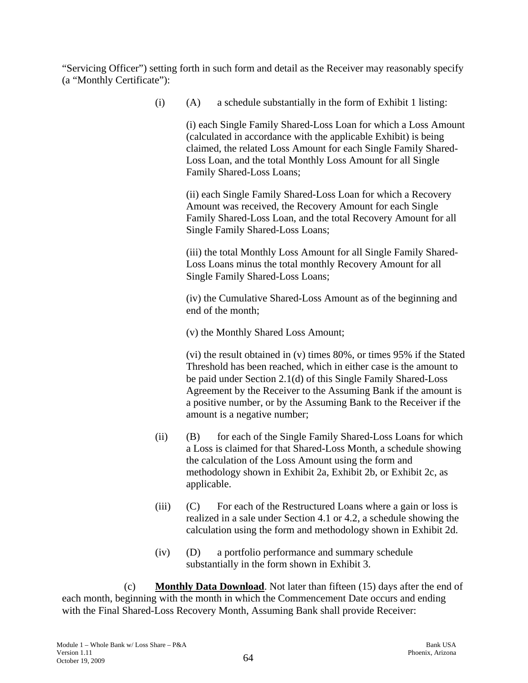"Servicing Officer") setting forth in such form and detail as the Receiver may reasonably specify (a "Monthly Certificate"):

> $(i)$  $(A)$  a schedule substantially in the form of Exhibit 1 listing:

> > (i) each Single Family Shared-Loss Loan for which a Loss Amount (calculated in accordance with the applicable Exhibit) is being claimed, the related Loss Amount for each Single Family Shared-Loss Loan, and the total Monthly Loss Amount for all Single Family Shared-Loss Loans;

(ii) each Single Family Shared-Loss Loan for which a Recovery Amount was received, the Recovery Amount for each Single Family Shared-Loss Loan, and the total Recovery Amount for all Single Family Shared-Loss Loans;

(iii) the total Monthly Loss Amount for all Single Family Shared-Loss Loans minus the total monthly Recovery Amount for all Single Family Shared-Loss Loans;

(iv) the Cumulative Shared-Loss Amount as of the beginning and end of the month;

(v) the Monthly Shared Loss Amount;

(vi) the result obtained in (v) times 80%, or times 95% if the Stated Threshold has been reached, which in either case is the amount to be paid under Section 2.1(d) of this Single Family Shared-Loss Agreement by the Receiver to the Assuming Bank if the amount is a positive number, or by the Assuming Bank to the Receiver if the amount is a negative number;

- $(ii)$  $(B)$  for each of the Single Family Shared-Loss Loans for which a Loss is claimed for that Shared-Loss Month, a schedule showing the calculation of the Loss Amount using the form and methodology shown in Exhibit 2a, Exhibit 2b, or Exhibit 2c, as applicable.
- $(iii)$  $(C)$  For each of the Restructured Loans where a gain or loss is realized in a sale under Section 4.1 or 4.2, a schedule showing the calculation using the form and methodology shown in Exhibit 2d.
- $(iv)$  $(D)$  a portfolio performance and summary schedule substantially in the form shown in Exhibit 3.

(c) **Monthly Data Download**. Not later than fifteen (15) days after the end of each month, beginning with the month in which the Commencement Date occurs and ending with the Final Shared-Loss Recovery Month, Assuming Bank shall provide Receiver: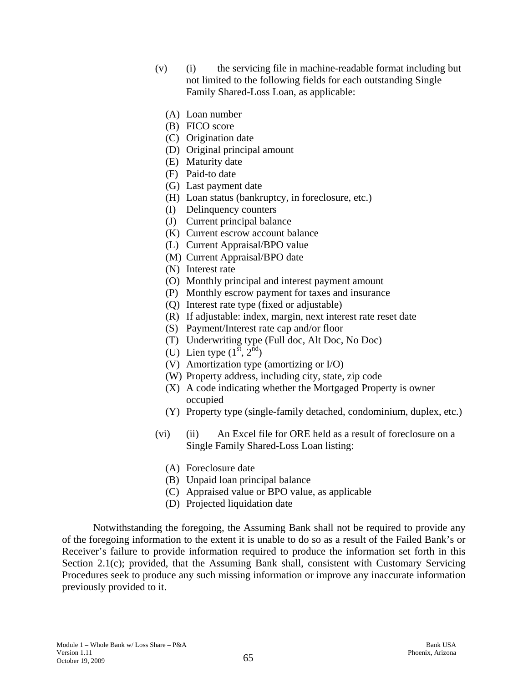- $(v)$  $(i)$  the servicing file in machine-readable format including but not limited to the following fields for each outstanding Single Family Shared-Loss Loan, as applicable:
	- (A) Loan number
	- (B) FICO score
	- (C) Origination date
	- (D) Original principal amount
	- (E) Maturity date
	- (F) Paid-to date
	- (G) Last payment date
	- (H) Loan status (bankruptcy, in foreclosure, etc.)
	- (I) Delinquency counters
	- (J) Current principal balance
	- (K) Current escrow account balance
	- (L) Current Appraisal/BPO value
	- (M) Current Appraisal/BPO date
	- (N) Interest rate
	- (O) Monthly principal and interest payment amount
	- (P) Monthly escrow payment for taxes and insurance
	- (Q) Interest rate type (fixed or adjustable)
	- (R) If adjustable: index, margin, next interest rate reset date
	- (S) Payment/Interest rate cap and/or floor
	- (T) Underwriting type (Full doc, Alt Doc, No Doc)
	- (U) Lien type  $(1<sup>st</sup>, 2<sup>nd</sup>)$
	- (V) Amortization type (amortizing or I/O)
	- (W) Property address, including city, state, zip code
	- (X) A code indicating whether the Mortgaged Property is owner occupied
	- (Y) Property type (single-family detached, condominium, duplex, etc.)
- $(vi)$  $(iii)$  An Excel file for ORE held as a result of foreclosure on a Single Family Shared-Loss Loan listing:
	- (A) Foreclosure date
	- (B) Unpaid loan principal balance
	- (C) Appraised value or BPO value, as applicable
	- (D) Projected liquidation date

Notwithstanding the foregoing, the Assuming Bank shall not be required to provide any of the foregoing information to the extent it is unable to do so as a result of the Failed Bank's or Receiver's failure to provide information required to produce the information set forth in this Section 2.1(c); provided, that the Assuming Bank shall, consistent with Customary Servicing Procedures seek to produce any such missing information or improve any inaccurate information previously provided to it.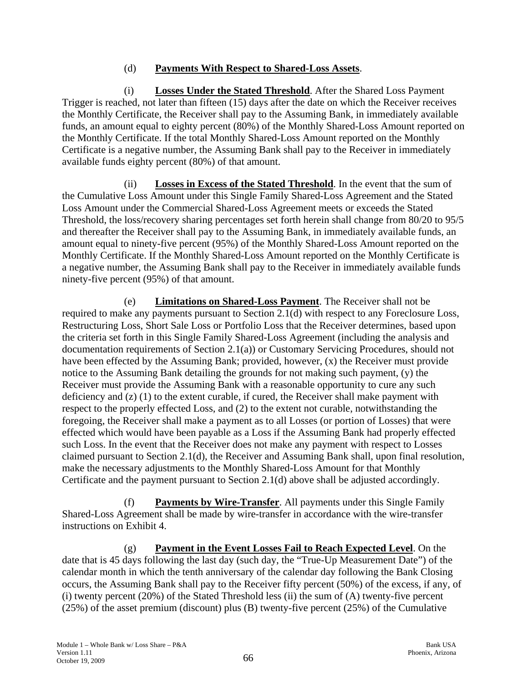# (d) **Payments With Respect to Shared-Loss Assets**.

(i) **Losses Under the Stated Threshold**. After the Shared Loss Payment Trigger is reached, not later than fifteen (15) days after the date on which the Receiver receives the Monthly Certificate, the Receiver shall pay to the Assuming Bank, in immediately available funds, an amount equal to eighty percent (80%) of the Monthly Shared-Loss Amount reported on the Monthly Certificate. If the total Monthly Shared-Loss Amount reported on the Monthly Certificate is a negative number, the Assuming Bank shall pay to the Receiver in immediately available funds eighty percent (80%) of that amount.

(ii) **Losses in Excess of the Stated Threshold**. In the event that the sum of the Cumulative Loss Amount under this Single Family Shared-Loss Agreement and the Stated Loss Amount under the Commercial Shared-Loss Agreement meets or exceeds the Stated Threshold, the loss/recovery sharing percentages set forth herein shall change from 80/20 to 95/5 and thereafter the Receiver shall pay to the Assuming Bank, in immediately available funds, an amount equal to ninety-five percent (95%) of the Monthly Shared-Loss Amount reported on the Monthly Certificate. If the Monthly Shared-Loss Amount reported on the Monthly Certificate is a negative number, the Assuming Bank shall pay to the Receiver in immediately available funds ninety-five percent (95%) of that amount.

(e) **Limitations on Shared-Loss Payment**. The Receiver shall not be required to make any payments pursuant to Section 2.1(d) with respect to any Foreclosure Loss, Restructuring Loss, Short Sale Loss or Portfolio Loss that the Receiver determines, based upon the criteria set forth in this Single Family Shared-Loss Agreement (including the analysis and documentation requirements of Section 2.1(a)) or Customary Servicing Procedures, should not have been effected by the Assuming Bank; provided, however, (x) the Receiver must provide notice to the Assuming Bank detailing the grounds for not making such payment, (y) the Receiver must provide the Assuming Bank with a reasonable opportunity to cure any such deficiency and (z) (1) to the extent curable, if cured, the Receiver shall make payment with respect to the properly effected Loss, and (2) to the extent not curable, notwithstanding the foregoing, the Receiver shall make a payment as to all Losses (or portion of Losses) that were effected which would have been payable as a Loss if the Assuming Bank had properly effected such Loss. In the event that the Receiver does not make any payment with respect to Losses claimed pursuant to Section 2.1(d), the Receiver and Assuming Bank shall, upon final resolution, make the necessary adjustments to the Monthly Shared-Loss Amount for that Monthly Certificate and the payment pursuant to Section 2.1(d) above shall be adjusted accordingly.

(f) **Payments by Wire-Transfer**. All payments under this Single Family Shared-Loss Agreement shall be made by wire-transfer in accordance with the wire-transfer instructions on Exhibit 4.

 (g) **Payment in the Event Losses Fail to Reach Expected Level**. On the date that is 45 days following the last day (such day, the "True-Up Measurement Date") of the calendar month in which the tenth anniversary of the calendar day following the Bank Closing occurs, the Assuming Bank shall pay to the Receiver fifty percent (50%) of the excess, if any, of  $(i)$  twenty percent (20%) of the Stated Threshold less  $(ii)$  the sum of  $(A)$  twenty-five percent (25%) of the asset premium (discount) plus (B) twenty-five percent (25%) of the Cumulative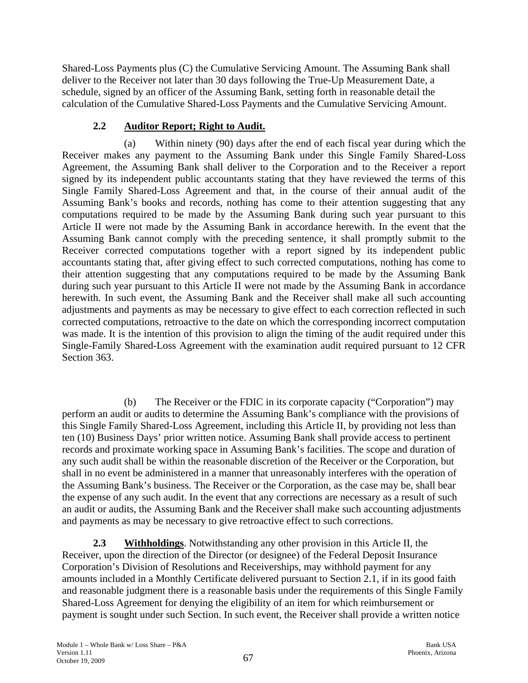Shared-Loss Payments plus (C) the Cumulative Servicing Amount. The Assuming Bank shall deliver to the Receiver not later than 30 days following the True-Up Measurement Date, a schedule, signed by an officer of the Assuming Bank, setting forth in reasonable detail the calculation of the Cumulative Shared-Loss Payments and the Cumulative Servicing Amount.

# **2.2 Auditor Report; Right to Audit.**

(a) Within ninety (90) days after the end of each fiscal year during which the Receiver makes any payment to the Assuming Bank under this Single Family Shared-Loss Agreement, the Assuming Bank shall deliver to the Corporation and to the Receiver a report signed by its independent public accountants stating that they have reviewed the terms of this Single Family Shared-Loss Agreement and that, in the course of their annual audit of the Assuming Bank's books and records, nothing has come to their attention suggesting that any computations required to be made by the Assuming Bank during such year pursuant to this Article II were not made by the Assuming Bank in accordance herewith. In the event that the Assuming Bank cannot comply with the preceding sentence, it shall promptly submit to the Receiver corrected computations together with a report signed by its independent public accountants stating that, after giving effect to such corrected computations, nothing has come to their attention suggesting that any computations required to be made by the Assuming Bank during such year pursuant to this Article II were not made by the Assuming Bank in accordance herewith. In such event, the Assuming Bank and the Receiver shall make all such accounting adjustments and payments as may be necessary to give effect to each correction reflected in such corrected computations, retroactive to the date on which the corresponding incorrect computation was made. It is the intention of this provision to align the timing of the audit required under this Single-Family Shared-Loss Agreement with the examination audit required pursuant to 12 CFR Section 363.

(b) The Receiver or the FDIC in its corporate capacity ("Corporation") may perform an audit or audits to determine the Assuming Bank's compliance with the provisions of this Single Family Shared-Loss Agreement, including this Article II, by providing not less than ten (10) Business Days' prior written notice. Assuming Bank shall provide access to pertinent records and proximate working space in Assuming Bank's facilities. The scope and duration of any such audit shall be within the reasonable discretion of the Receiver or the Corporation, but shall in no event be administered in a manner that unreasonably interferes with the operation of the Assuming Bank's business. The Receiver or the Corporation, as the case may be, shall bear the expense of any such audit. In the event that any corrections are necessary as a result of such an audit or audits, the Assuming Bank and the Receiver shall make such accounting adjustments and payments as may be necessary to give retroactive effect to such corrections.

**2.3 Withholdings**. Notwithstanding any other provision in this Article II, the Receiver, upon the direction of the Director (or designee) of the Federal Deposit Insurance Corporation's Division of Resolutions and Receiverships, may withhold payment for any amounts included in a Monthly Certificate delivered pursuant to Section 2.1, if in its good faith and reasonable judgment there is a reasonable basis under the requirements of this Single Family Shared-Loss Agreement for denying the eligibility of an item for which reimbursement or payment is sought under such Section. In such event, the Receiver shall provide a written notice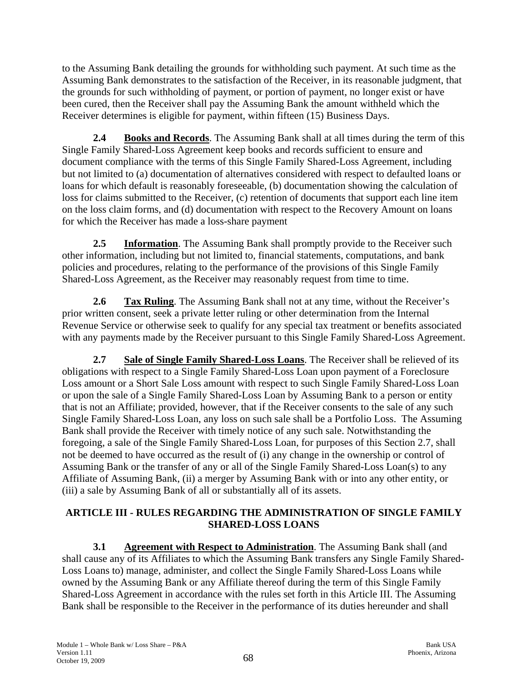to the Assuming Bank detailing the grounds for withholding such payment. At such time as the Assuming Bank demonstrates to the satisfaction of the Receiver, in its reasonable judgment, that the grounds for such withholding of payment, or portion of payment, no longer exist or have been cured, then the Receiver shall pay the Assuming Bank the amount withheld which the Receiver determines is eligible for payment, within fifteen (15) Business Days.

**2.4 Books and Records**. The Assuming Bank shall at all times during the term of this Single Family Shared-Loss Agreement keep books and records sufficient to ensure and document compliance with the terms of this Single Family Shared-Loss Agreement, including but not limited to (a) documentation of alternatives considered with respect to defaulted loans or loans for which default is reasonably foreseeable, (b) documentation showing the calculation of loss for claims submitted to the Receiver, (c) retention of documents that support each line item on the loss claim forms, and (d) documentation with respect to the Recovery Amount on loans for which the Receiver has made a loss-share payment

**2.5 Information**. The Assuming Bank shall promptly provide to the Receiver such other information, including but not limited to, financial statements, computations, and bank policies and procedures, relating to the performance of the provisions of this Single Family Shared-Loss Agreement, as the Receiver may reasonably request from time to time.

**2.6 Tax Ruling**. The Assuming Bank shall not at any time, without the Receiver's prior written consent, seek a private letter ruling or other determination from the Internal Revenue Service or otherwise seek to qualify for any special tax treatment or benefits associated with any payments made by the Receiver pursuant to this Single Family Shared-Loss Agreement.

**2.7 Sale of Single Family Shared-Loss Loans**. The Receiver shall be relieved of its obligations with respect to a Single Family Shared-Loss Loan upon payment of a Foreclosure Loss amount or a Short Sale Loss amount with respect to such Single Family Shared-Loss Loan or upon the sale of a Single Family Shared-Loss Loan by Assuming Bank to a person or entity that is not an Affiliate; provided, however, that if the Receiver consents to the sale of any such Single Family Shared-Loss Loan, any loss on such sale shall be a Portfolio Loss. The Assuming Bank shall provide the Receiver with timely notice of any such sale. Notwithstanding the foregoing, a sale of the Single Family Shared-Loss Loan, for purposes of this Section 2.7, shall not be deemed to have occurred as the result of (i) any change in the ownership or control of Assuming Bank or the transfer of any or all of the Single Family Shared-Loss Loan(s) to any Affiliate of Assuming Bank, (ii) a merger by Assuming Bank with or into any other entity, or (iii) a sale by Assuming Bank of all or substantially all of its assets.

# **ARTICLE III - RULES REGARDING THE ADMINISTRATION OF SINGLE FAMILY SHARED-LOSS LOANS**

**3.1 Agreement with Respect to Administration**. The Assuming Bank shall (and shall cause any of its Affiliates to which the Assuming Bank transfers any Single Family Shared-Loss Loans to) manage, administer, and collect the Single Family Shared-Loss Loans while owned by the Assuming Bank or any Affiliate thereof during the term of this Single Family Shared-Loss Agreement in accordance with the rules set forth in this Article III. The Assuming Bank shall be responsible to the Receiver in the performance of its duties hereunder and shall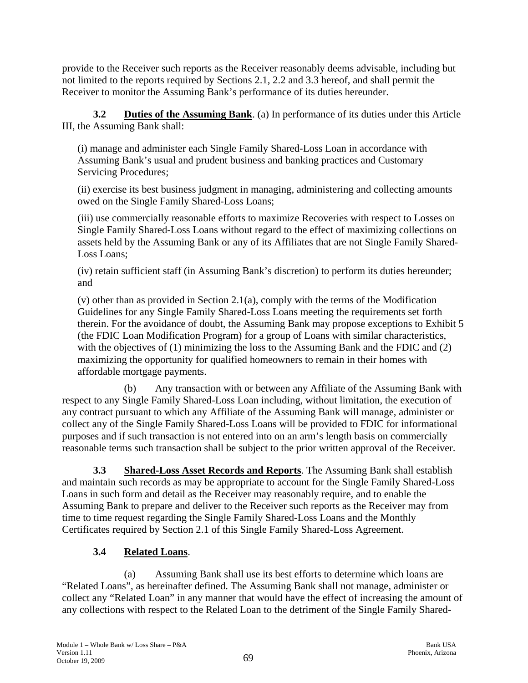provide to the Receiver such reports as the Receiver reasonably deems advisable, including but not limited to the reports required by Sections 2.1, 2.2 and 3.3 hereof, and shall permit the Receiver to monitor the Assuming Bank's performance of its duties hereunder.

**3.2 Duties of the Assuming Bank**. (a) In performance of its duties under this Article III, the Assuming Bank shall:

(i) manage and administer each Single Family Shared-Loss Loan in accordance with Assuming Bank's usual and prudent business and banking practices and Customary Servicing Procedures;

(ii) exercise its best business judgment in managing, administering and collecting amounts owed on the Single Family Shared-Loss Loans;

(iii) use commercially reasonable efforts to maximize Recoveries with respect to Losses on Single Family Shared-Loss Loans without regard to the effect of maximizing collections on assets held by the Assuming Bank or any of its Affiliates that are not Single Family Shared-Loss Loans;

(iv) retain sufficient staff (in Assuming Bank's discretion) to perform its duties hereunder; and

(v) other than as provided in Section 2.1(a), comply with the terms of the Modification Guidelines for any Single Family Shared-Loss Loans meeting the requirements set forth therein. For the avoidance of doubt, the Assuming Bank may propose exceptions to Exhibit 5 (the FDIC Loan Modification Program) for a group of Loans with similar characteristics, with the objectives of (1) minimizing the loss to the Assuming Bank and the FDIC and (2) maximizing the opportunity for qualified homeowners to remain in their homes with affordable mortgage payments.

(b) Any transaction with or between any Affiliate of the Assuming Bank with respect to any Single Family Shared-Loss Loan including, without limitation, the execution of any contract pursuant to which any Affiliate of the Assuming Bank will manage, administer or collect any of the Single Family Shared-Loss Loans will be provided to FDIC for informational purposes and if such transaction is not entered into on an arm's length basis on commercially reasonable terms such transaction shall be subject to the prior written approval of the Receiver.

**3.3 Shared-Loss Asset Records and Reports**. The Assuming Bank shall establish and maintain such records as may be appropriate to account for the Single Family Shared-Loss Loans in such form and detail as the Receiver may reasonably require, and to enable the Assuming Bank to prepare and deliver to the Receiver such reports as the Receiver may from time to time request regarding the Single Family Shared-Loss Loans and the Monthly Certificates required by Section 2.1 of this Single Family Shared-Loss Agreement.

# **3.4 Related Loans**.

(a) Assuming Bank shall use its best efforts to determine which loans are "Related Loans", as hereinafter defined. The Assuming Bank shall not manage, administer or collect any "Related Loan" in any manner that would have the effect of increasing the amount of any collections with respect to the Related Loan to the detriment of the Single Family Shared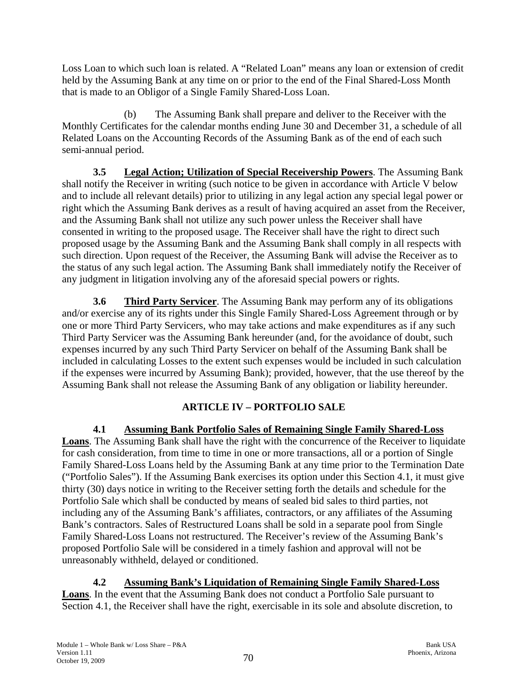Loss Loan to which such loan is related. A "Related Loan" means any loan or extension of credit held by the Assuming Bank at any time on or prior to the end of the Final Shared-Loss Month that is made to an Obligor of a Single Family Shared-Loss Loan.

(b) The Assuming Bank shall prepare and deliver to the Receiver with the Monthly Certificates for the calendar months ending June 30 and December 31, a schedule of all Related Loans on the Accounting Records of the Assuming Bank as of the end of each such semi-annual period.

**3.5 Legal Action; Utilization of Special Receivership Powers**. The Assuming Bank shall notify the Receiver in writing (such notice to be given in accordance with Article V below and to include all relevant details) prior to utilizing in any legal action any special legal power or right which the Assuming Bank derives as a result of having acquired an asset from the Receiver, and the Assuming Bank shall not utilize any such power unless the Receiver shall have consented in writing to the proposed usage. The Receiver shall have the right to direct such proposed usage by the Assuming Bank and the Assuming Bank shall comply in all respects with such direction. Upon request of the Receiver, the Assuming Bank will advise the Receiver as to the status of any such legal action. The Assuming Bank shall immediately notify the Receiver of any judgment in litigation involving any of the aforesaid special powers or rights.

**3.6 Third Party Servicer**. The Assuming Bank may perform any of its obligations and/or exercise any of its rights under this Single Family Shared-Loss Agreement through or by one or more Third Party Servicers, who may take actions and make expenditures as if any such Third Party Servicer was the Assuming Bank hereunder (and, for the avoidance of doubt, such expenses incurred by any such Third Party Servicer on behalf of the Assuming Bank shall be included in calculating Losses to the extent such expenses would be included in such calculation if the expenses were incurred by Assuming Bank); provided, however, that the use thereof by the Assuming Bank shall not release the Assuming Bank of any obligation or liability hereunder.

# **ARTICLE IV – PORTFOLIO SALE**

**4.1 Assuming Bank Portfolio Sales of Remaining Single Family Shared-Loss Loans**. The Assuming Bank shall have the right with the concurrence of the Receiver to liquidate for cash consideration, from time to time in one or more transactions, all or a portion of Single Family Shared-Loss Loans held by the Assuming Bank at any time prior to the Termination Date ("Portfolio Sales"). If the Assuming Bank exercises its option under this Section 4.1, it must give thirty (30) days notice in writing to the Receiver setting forth the details and schedule for the Portfolio Sale which shall be conducted by means of sealed bid sales to third parties, not including any of the Assuming Bank's affiliates, contractors, or any affiliates of the Assuming Bank's contractors. Sales of Restructured Loans shall be sold in a separate pool from Single Family Shared-Loss Loans not restructured. The Receiver's review of the Assuming Bank's proposed Portfolio Sale will be considered in a timely fashion and approval will not be unreasonably withheld, delayed or conditioned.

# **4.2 Assuming Bank's Liquidation of Remaining Single Family Shared-Loss**

**Loans**. In the event that the Assuming Bank does not conduct a Portfolio Sale pursuant to Section 4.1, the Receiver shall have the right, exercisable in its sole and absolute discretion, to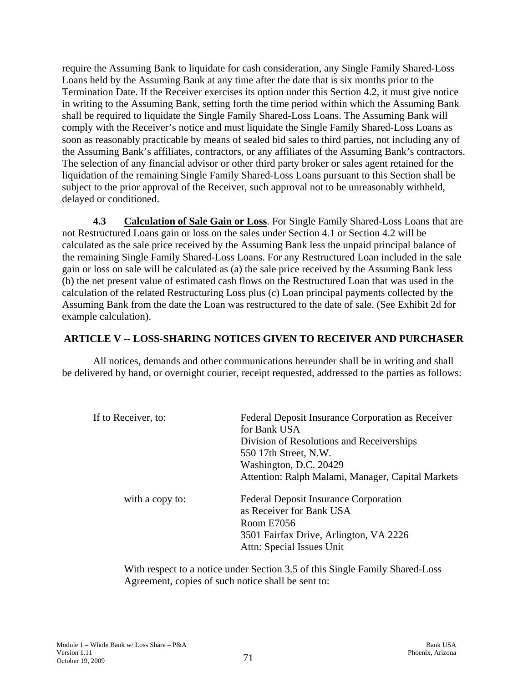require the Assuming Bank to liquidate for cash consideration, any Single Family Shared-Loss Loans held by the Assuming Bank at any time after the date that is six months prior to the Termination Date. If the Receiver exercises its option under this Section 4.2, it must give notice in writing to the Assuming Bank, setting forth the time period within which the Assuming Bank shall be required to liquidate the Single Family Shared-Loss Loans. The Assuming Bank will comply with the Receiver's notice and must liquidate the Single Family Shared-Loss Loans as soon as reasonably practicable by means of sealed bid sales to third parties, not including any of the Assuming Bank's affiliates, contractors, or any affiliates of the Assuming Bank's contractors. The selection of any financial advisor or other third party broker or sales agent retained for the liquidation of the remaining Single Family Shared-Loss Loans pursuant to this Section shall be subject to the prior approval of the Receiver, such approval not to be unreasonably withheld, delayed or conditioned.

**4.3 Calculation of Sale Gain or Loss**. For Single Family Shared-Loss Loans that are not Restructured Loans gain or loss on the sales under Section 4.1 or Section 4.2 will be calculated as the sale price received by the Assuming Bank less the unpaid principal balance of the remaining Single Family Shared-Loss Loans. For any Restructured Loan included in the sale gain or loss on sale will be calculated as (a) the sale price received by the Assuming Bank less (b) the net present value of estimated cash flows on the Restructured Loan that was used in the calculation of the related Restructuring Loss plus (c) Loan principal payments collected by the Assuming Bank from the date the Loan was restructured to the date of sale. (See Exhibit 2d for example calculation).

#### **ARTICLE V -- LOSS-SHARING NOTICES GIVEN TO RECEIVER AND PURCHASER**

All notices, demands and other communications hereunder shall be in writing and shall be delivered by hand, or overnight courier, receipt requested, addressed to the parties as follows:

| If to Receiver, to: | Federal Deposit Insurance Corporation as Receiver<br>for Bank USA<br>Division of Resolutions and Receiverships<br>550 17th Street, N.W.<br>Washington, D.C. 20429<br>Attention: Ralph Malami, Manager, Capital Markets |  |  |
|---------------------|------------------------------------------------------------------------------------------------------------------------------------------------------------------------------------------------------------------------|--|--|
| with a copy to:     | <b>Federal Deposit Insurance Corporation</b><br>as Receiver for Bank USA<br>Room E7056<br>3501 Fairfax Drive, Arlington, VA 2226<br>Attn: Special Issues Unit                                                          |  |  |

With respect to a notice under Section 3.5 of this Single Family Shared-Loss Agreement, copies of such notice shall be sent to: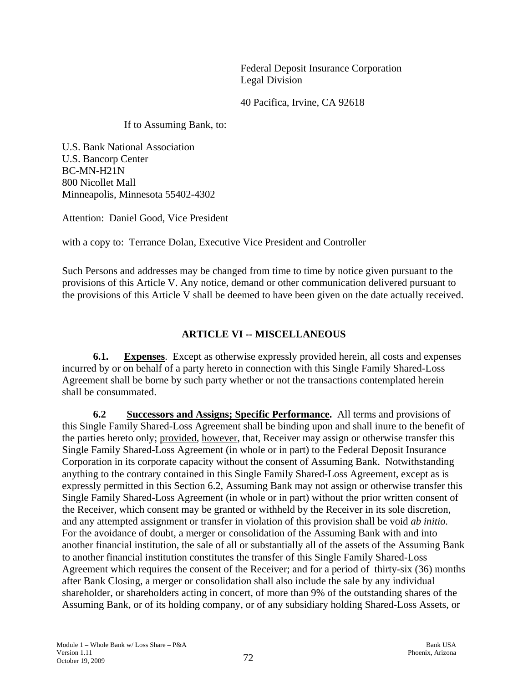Federal Deposit Insurance Corporation Legal Division

40 Pacifica, Irvine, CA 92618

#### If to Assuming Bank, to:

U.S. Bank National Association U.S. Bancorp Center BC-MN-H21N 800 Nicollet Mall Minneapolis, Minnesota 55402-4302

Attention: Daniel Good, Vice President

with a copy to: Terrance Dolan, Executive Vice President and Controller

Such Persons and addresses may be changed from time to time by notice given pursuant to the provisions of this Article V. Any notice, demand or other communication delivered pursuant to the provisions of this Article V shall be deemed to have been given on the date actually received.

## **ARTICLE VI -- MISCELLANEOUS**

**6.1. Expenses**. Except as otherwise expressly provided herein, all costs and expenses incurred by or on behalf of a party hereto in connection with this Single Family Shared-Loss Agreement shall be borne by such party whether or not the transactions contemplated herein shall be consummated.

**6.2 Successors and Assigns; Specific Performance.** All terms and provisions of this Single Family Shared-Loss Agreement shall be binding upon and shall inure to the benefit of the parties hereto only; provided, however, that, Receiver may assign or otherwise transfer this Single Family Shared-Loss Agreement (in whole or in part) to the Federal Deposit Insurance Corporation in its corporate capacity without the consent of Assuming Bank. Notwithstanding anything to the contrary contained in this Single Family Shared-Loss Agreement, except as is expressly permitted in this Section 6.2, Assuming Bank may not assign or otherwise transfer this Single Family Shared-Loss Agreement (in whole or in part) without the prior written consent of the Receiver, which consent may be granted or withheld by the Receiver in its sole discretion, and any attempted assignment or transfer in violation of this provision shall be void *ab initio.*  For the avoidance of doubt, a merger or consolidation of the Assuming Bank with and into another financial institution, the sale of all or substantially all of the assets of the Assuming Bank to another financial institution constitutes the transfer of this Single Family Shared-Loss Agreement which requires the consent of the Receiver; and for a period of thirty-six (36) months after Bank Closing, a merger or consolidation shall also include the sale by any individual shareholder, or shareholders acting in concert, of more than 9% of the outstanding shares of the Assuming Bank, or of its holding company, or of any subsidiary holding Shared-Loss Assets, or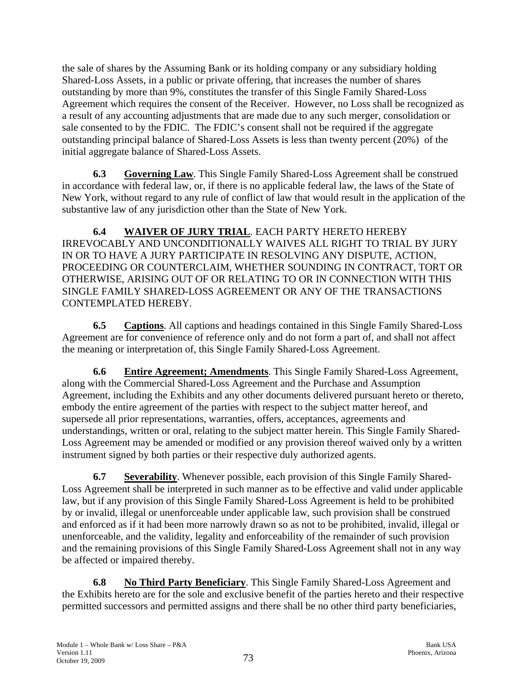the sale of shares by the Assuming Bank or its holding company or any subsidiary holding Shared-Loss Assets, in a public or private offering, that increases the number of shares outstanding by more than 9%, constitutes the transfer of this Single Family Shared-Loss Agreement which requires the consent of the Receiver. However, no Loss shall be recognized as a result of any accounting adjustments that are made due to any such merger, consolidation or sale consented to by the FDIC. The FDIC's consent shall not be required if the aggregate outstanding principal balance of Shared-Loss Assets is less than twenty percent (20%) of the initial aggregate balance of Shared-Loss Assets.

**6.3** Governing Law. This Single Family Shared-Loss Agreement shall be construed in accordance with federal law, or, if there is no applicable federal law, the laws of the State of New York, without regard to any rule of conflict of law that would result in the application of the substantive law of any jurisdiction other than the State of New York.

**6.4 WAIVER OF JURY TRIAL**. EACH PARTY HERETO HEREBY IRREVOCABLY AND UNCONDITIONALLY WAIVES ALL RIGHT TO TRIAL BY JURY IN OR TO HAVE A JURY PARTICIPATE IN RESOLVING ANY DISPUTE, ACTION, PROCEEDING OR COUNTERCLAIM, WHETHER SOUNDING IN CONTRACT, TORT OR OTHERWISE, ARISING OUT OF OR RELATING TO OR IN CONNECTION WITH THIS SINGLE FAMILY SHARED-LOSS AGREEMENT OR ANY OF THE TRANSACTIONS CONTEMPLATED HEREBY.

**6.5 Captions**. All captions and headings contained in this Single Family Shared-Loss Agreement are for convenience of reference only and do not form a part of, and shall not affect the meaning or interpretation of, this Single Family Shared-Loss Agreement.

**6.6 Entire Agreement; Amendments**. This Single Family Shared-Loss Agreement, along with the Commercial Shared-Loss Agreement and the Purchase and Assumption Agreement, including the Exhibits and any other documents delivered pursuant hereto or thereto, embody the entire agreement of the parties with respect to the subject matter hereof, and supersede all prior representations, warranties, offers, acceptances, agreements and understandings, written or oral, relating to the subject matter herein. This Single Family Shared-Loss Agreement may be amended or modified or any provision thereof waived only by a written instrument signed by both parties or their respective duly authorized agents.

**6.7 Severability**. Whenever possible, each provision of this Single Family Shared-Loss Agreement shall be interpreted in such manner as to be effective and valid under applicable law, but if any provision of this Single Family Shared-Loss Agreement is held to be prohibited by or invalid, illegal or unenforceable under applicable law, such provision shall be construed and enforced as if it had been more narrowly drawn so as not to be prohibited, invalid, illegal or unenforceable, and the validity, legality and enforceability of the remainder of such provision and the remaining provisions of this Single Family Shared-Loss Agreement shall not in any way be affected or impaired thereby.

**6.8 No Third Party Beneficiary.** This Single Family Shared-Loss Agreement and the Exhibits hereto are for the sole and exclusive benefit of the parties hereto and their respective permitted successors and permitted assigns and there shall be no other third party beneficiaries,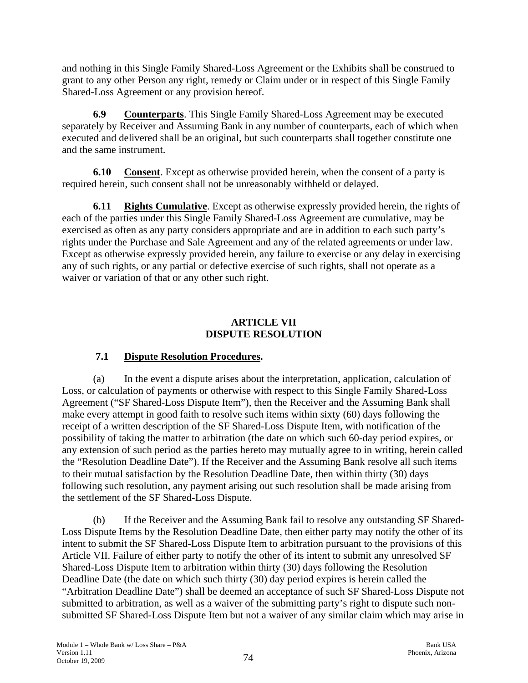and nothing in this Single Family Shared-Loss Agreement or the Exhibits shall be construed to grant to any other Person any right, remedy or Claim under or in respect of this Single Family Shared-Loss Agreement or any provision hereof.

**6.9 Counterparts**. This Single Family Shared-Loss Agreement may be executed separately by Receiver and Assuming Bank in any number of counterparts, each of which when executed and delivered shall be an original, but such counterparts shall together constitute one and the same instrument.

**6.10 Consent**. Except as otherwise provided herein, when the consent of a party is required herein, such consent shall not be unreasonably withheld or delayed.

**6.11 Rights Cumulative**. Except as otherwise expressly provided herein, the rights of each of the parties under this Single Family Shared-Loss Agreement are cumulative, may be exercised as often as any party considers appropriate and are in addition to each such party's rights under the Purchase and Sale Agreement and any of the related agreements or under law. Except as otherwise expressly provided herein, any failure to exercise or any delay in exercising any of such rights, or any partial or defective exercise of such rights, shall not operate as a waiver or variation of that or any other such right.

## **ARTICLE VII DISPUTE RESOLUTION**

# **7.1 Dispute Resolution Procedures.**

(a) In the event a dispute arises about the interpretation, application, calculation of Loss, or calculation of payments or otherwise with respect to this Single Family Shared-Loss Agreement ("SF Shared-Loss Dispute Item"), then the Receiver and the Assuming Bank shall make every attempt in good faith to resolve such items within sixty (60) days following the receipt of a written description of the SF Shared-Loss Dispute Item, with notification of the possibility of taking the matter to arbitration (the date on which such 60-day period expires, or any extension of such period as the parties hereto may mutually agree to in writing, herein called the "Resolution Deadline Date"). If the Receiver and the Assuming Bank resolve all such items to their mutual satisfaction by the Resolution Deadline Date, then within thirty (30) days following such resolution, any payment arising out such resolution shall be made arising from the settlement of the SF Shared-Loss Dispute.

(b) If the Receiver and the Assuming Bank fail to resolve any outstanding SF Shared-Loss Dispute Items by the Resolution Deadline Date, then either party may notify the other of its intent to submit the SF Shared-Loss Dispute Item to arbitration pursuant to the provisions of this Article VII. Failure of either party to notify the other of its intent to submit any unresolved SF Shared-Loss Dispute Item to arbitration within thirty (30) days following the Resolution Deadline Date (the date on which such thirty (30) day period expires is herein called the "Arbitration Deadline Date") shall be deemed an acceptance of such SF Shared-Loss Dispute not submitted to arbitration, as well as a waiver of the submitting party's right to dispute such nonsubmitted SF Shared-Loss Dispute Item but not a waiver of any similar claim which may arise in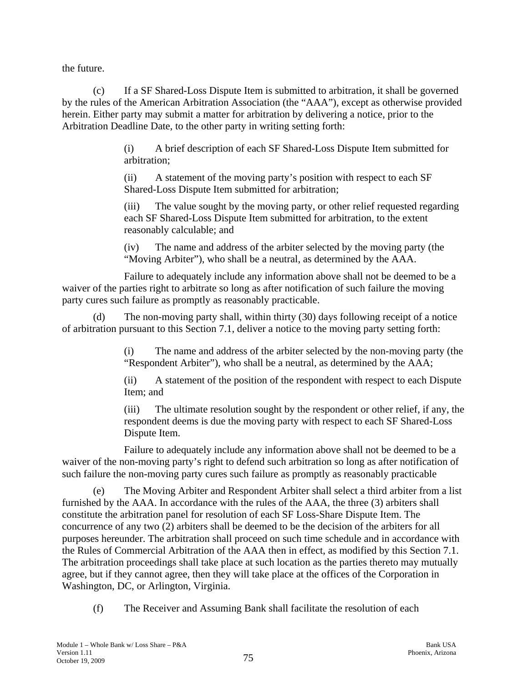the future.

(c) If a SF Shared-Loss Dispute Item is submitted to arbitration, it shall be governed by the rules of the American Arbitration Association (the "AAA"), except as otherwise provided herein. Either party may submit a matter for arbitration by delivering a notice, prior to the Arbitration Deadline Date, to the other party in writing setting forth:

> (i) A brief description of each SF Shared-Loss Dispute Item submitted for arbitration;

(ii) A statement of the moving party's position with respect to each SF Shared-Loss Dispute Item submitted for arbitration;

(iii) The value sought by the moving party, or other relief requested regarding each SF Shared-Loss Dispute Item submitted for arbitration, to the extent reasonably calculable; and

(iv) The name and address of the arbiter selected by the moving party (the "Moving Arbiter"), who shall be a neutral, as determined by the AAA.

Failure to adequately include any information above shall not be deemed to be a waiver of the parties right to arbitrate so long as after notification of such failure the moving party cures such failure as promptly as reasonably practicable.

(d) The non-moving party shall, within thirty (30) days following receipt of a notice of arbitration pursuant to this Section 7.1, deliver a notice to the moving party setting forth:

> (i) The name and address of the arbiter selected by the non-moving party (the "Respondent Arbiter"), who shall be a neutral, as determined by the AAA;

> (ii) A statement of the position of the respondent with respect to each Dispute Item; and

> (iii) The ultimate resolution sought by the respondent or other relief, if any, the respondent deems is due the moving party with respect to each SF Shared-Loss Dispute Item.

Failure to adequately include any information above shall not be deemed to be a waiver of the non-moving party's right to defend such arbitration so long as after notification of such failure the non-moving party cures such failure as promptly as reasonably practicable

(e) The Moving Arbiter and Respondent Arbiter shall select a third arbiter from a list furnished by the AAA. In accordance with the rules of the AAA, the three (3) arbiters shall constitute the arbitration panel for resolution of each SF Loss-Share Dispute Item. The concurrence of any two (2) arbiters shall be deemed to be the decision of the arbiters for all purposes hereunder. The arbitration shall proceed on such time schedule and in accordance with the Rules of Commercial Arbitration of the AAA then in effect, as modified by this Section 7.1. The arbitration proceedings shall take place at such location as the parties thereto may mutually agree, but if they cannot agree, then they will take place at the offices of the Corporation in Washington, DC, or Arlington, Virginia.

(f) The Receiver and Assuming Bank shall facilitate the resolution of each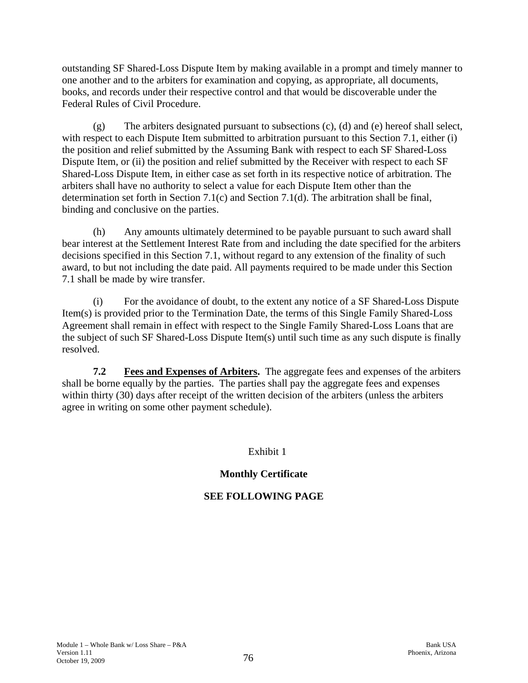outstanding SF Shared-Loss Dispute Item by making available in a prompt and timely manner to one another and to the arbiters for examination and copying, as appropriate, all documents, books, and records under their respective control and that would be discoverable under the Federal Rules of Civil Procedure.

(g) The arbiters designated pursuant to subsections (c), (d) and (e) hereof shall select, with respect to each Dispute Item submitted to arbitration pursuant to this Section 7.1, either (i) the position and relief submitted by the Assuming Bank with respect to each SF Shared-Loss Dispute Item, or (ii) the position and relief submitted by the Receiver with respect to each SF Shared-Loss Dispute Item, in either case as set forth in its respective notice of arbitration. The arbiters shall have no authority to select a value for each Dispute Item other than the determination set forth in Section 7.1(c) and Section 7.1(d). The arbitration shall be final, binding and conclusive on the parties.

(h) Any amounts ultimately determined to be payable pursuant to such award shall bear interest at the Settlement Interest Rate from and including the date specified for the arbiters decisions specified in this Section 7.1, without regard to any extension of the finality of such award, to but not including the date paid. All payments required to be made under this Section 7.1 shall be made by wire transfer.

(i) For the avoidance of doubt, to the extent any notice of a SF Shared-Loss Dispute Item(s) is provided prior to the Termination Date, the terms of this Single Family Shared-Loss Agreement shall remain in effect with respect to the Single Family Shared-Loss Loans that are the subject of such SF Shared-Loss Dispute Item(s) until such time as any such dispute is finally resolved.

**7.2** Fees and Expenses of Arbiters. The aggregate fees and expenses of the arbiters shall be borne equally by the parties. The parties shall pay the aggregate fees and expenses within thirty (30) days after receipt of the written decision of the arbiters (unless the arbiters agree in writing on some other payment schedule).

Exhibit 1

# **Monthly Certificate**

# **SEE FOLLOWING PAGE**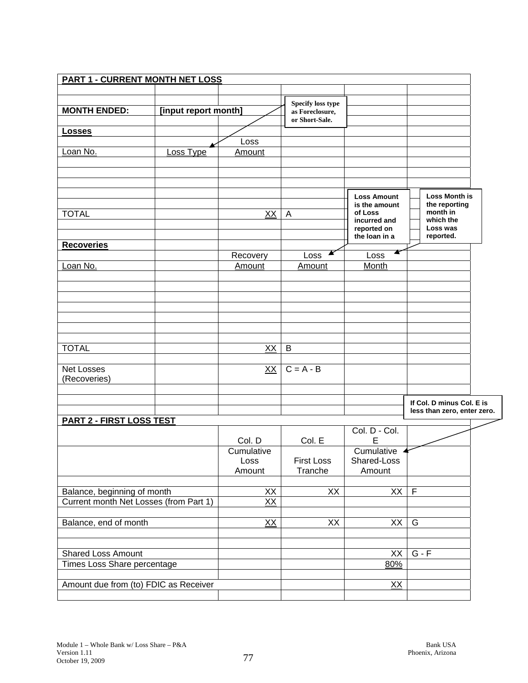| <b>PART 1 - CURRENT MONTH NET LOSS</b> |                      |            |                                   |                          |                             |
|----------------------------------------|----------------------|------------|-----------------------------------|--------------------------|-----------------------------|
|                                        |                      |            |                                   |                          |                             |
|                                        |                      |            | Specify loss type                 |                          |                             |
| <b>MONTH ENDED:</b>                    | [input report month] |            | as Foreclosure,<br>or Short-Sale. |                          |                             |
| <b>Losses</b>                          |                      |            |                                   |                          |                             |
|                                        |                      | Loss       |                                   |                          |                             |
| Loan No.                               | Loss Type            | Amount     |                                   |                          |                             |
|                                        |                      |            |                                   |                          |                             |
|                                        |                      |            |                                   |                          |                             |
|                                        |                      |            |                                   |                          |                             |
|                                        |                      |            |                                   | <b>Loss Amount</b>       | <b>Loss Month is</b>        |
|                                        |                      |            |                                   | is the amount<br>of Loss | the reporting<br>month in   |
| <b>TOTAL</b>                           |                      | XX         | A                                 | incurred and             | which the                   |
|                                        |                      |            |                                   | reported on              | Loss was                    |
| <b>Recoveries</b>                      |                      |            |                                   | the loan in a            | reported.                   |
|                                        |                      | Recovery   | $Loss \nightharpoonup$            | ×<br>Loss                |                             |
| Loan No.                               |                      | Amount     | Amount                            | Month                    |                             |
|                                        |                      |            |                                   |                          |                             |
|                                        |                      |            |                                   |                          |                             |
|                                        |                      |            |                                   |                          |                             |
|                                        |                      |            |                                   |                          |                             |
|                                        |                      |            |                                   |                          |                             |
|                                        |                      |            |                                   |                          |                             |
|                                        |                      |            |                                   |                          |                             |
| <b>TOTAL</b>                           |                      | XX         | $\mathsf B$                       |                          |                             |
| <b>Net Losses</b>                      |                      | XX         | $C = A - B$                       |                          |                             |
| (Recoveries)                           |                      |            |                                   |                          |                             |
|                                        |                      |            |                                   |                          |                             |
|                                        |                      |            |                                   |                          | If Col. D minus Col. E is   |
|                                        |                      |            |                                   |                          | less than zero, enter zero. |
| <b>PART 2 - FIRST LOSS TEST</b>        |                      |            |                                   |                          |                             |
|                                        |                      |            |                                   | Col. D - Col.            |                             |
|                                        |                      | Col. D     | Col. E                            | Е                        |                             |
|                                        |                      | Cumulative |                                   | Cumulative               |                             |
|                                        |                      | Loss       | <b>First Loss</b>                 | Shared-Loss              |                             |
|                                        |                      | Amount     | Tranche                           | Amount                   |                             |
| Balance, beginning of month            |                      | XX         | XX                                | XX                       | $\mathsf F$                 |
| Current month Net Losses (from Part 1) |                      | XX         |                                   |                          |                             |
|                                        |                      |            |                                   |                          |                             |
| Balance, end of month                  |                      | XX         | XX                                | XX                       | G                           |
|                                        |                      |            |                                   |                          |                             |
|                                        |                      |            |                                   |                          |                             |
| Shared Loss Amount                     |                      |            |                                   | XX                       | $G - F$                     |
| Times Loss Share percentage            |                      |            |                                   | 80%                      |                             |
|                                        |                      |            |                                   |                          |                             |
| Amount due from (to) FDIC as Receiver  |                      |            |                                   | XX                       |                             |
|                                        |                      |            |                                   |                          |                             |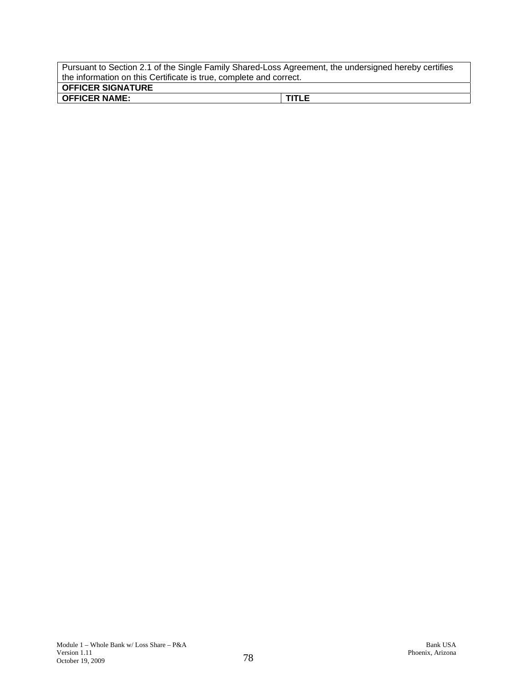| Pursuant to Section 2.1 of the Single Family Shared-Loss Agreement, the undersigned hereby certifies |  |  |  |  |
|------------------------------------------------------------------------------------------------------|--|--|--|--|
| the information on this Certificate is true, complete and correct.                                   |  |  |  |  |
| <b>OFFICER SIGNATURE</b>                                                                             |  |  |  |  |
| <b>TITLE</b><br><b>OFFICER NAME:</b>                                                                 |  |  |  |  |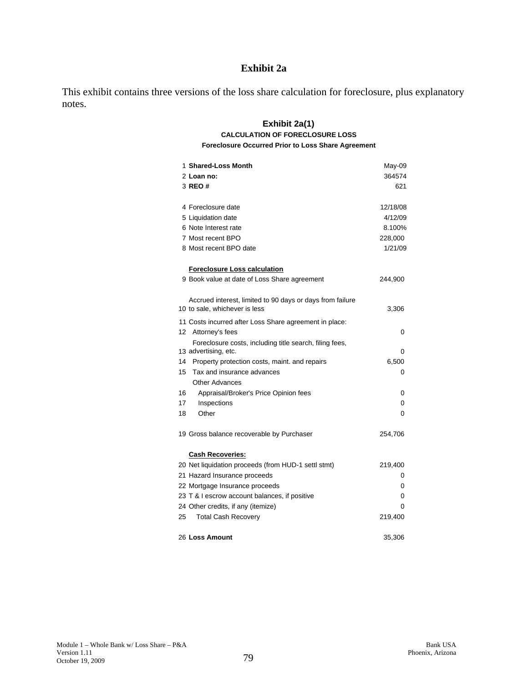#### **Exhibit 2a**

This exhibit contains three versions of the loss share calculation for foreclosure, plus explanatory notes.

#### **Exhibit 2a(1) CALCULATION OF FORECLOSURE LOSS Foreclosure Occurred Prior to Loss Share Agreement**

|    | 1 Shared-Loss Month<br>2 Loan no:<br>3 REO #              | May-09<br>364574<br>621 |
|----|-----------------------------------------------------------|-------------------------|
|    | 4 Foreclosure date                                        | 12/18/08                |
|    | 5 Liquidation date                                        | 4/12/09                 |
|    | 6 Note Interest rate                                      | 8.100%                  |
|    | 7 Most recent BPO                                         | 228,000                 |
|    | 8 Most recent BPO date                                    | 1/21/09                 |
|    | <b>Foreclosure Loss calculation</b>                       |                         |
|    | 9 Book value at date of Loss Share agreement              | 244,900                 |
|    | Accrued interest, limited to 90 days or days from failure |                         |
|    | 10 to sale, whichever is less                             | 3,306                   |
|    | 11 Costs incurred after Loss Share agreement in place:    |                         |
| 12 | Attorney's fees                                           | 0                       |
|    | Foreclosure costs, including title search, filing fees,   |                         |
|    | 13 advertising, etc.                                      | 0                       |
| 14 | Property protection costs, maint. and repairs             | 6,500                   |
| 15 | Tax and insurance advances                                | 0                       |
|    | <b>Other Advances</b>                                     |                         |
| 16 | Appraisal/Broker's Price Opinion fees                     | 0                       |
| 17 | Inspections                                               | 0                       |
| 18 | Other                                                     | 0                       |
|    | 19 Gross balance recoverable by Purchaser                 | 254,706                 |
|    | <b>Cash Recoveries:</b>                                   |                         |
|    | 20 Net liquidation proceeds (from HUD-1 settl stmt)       | 219,400                 |
|    | 21 Hazard Insurance proceeds                              | 0                       |
|    | 22 Mortgage Insurance proceeds                            | 0                       |
|    | 23 T & I escrow account balances, if positive             | 0                       |
|    | 24 Other credits, if any (itemize)                        | 0                       |
| 25 | <b>Total Cash Recovery</b>                                | 219,400                 |
|    | 26 Loss Amount                                            | 35,306                  |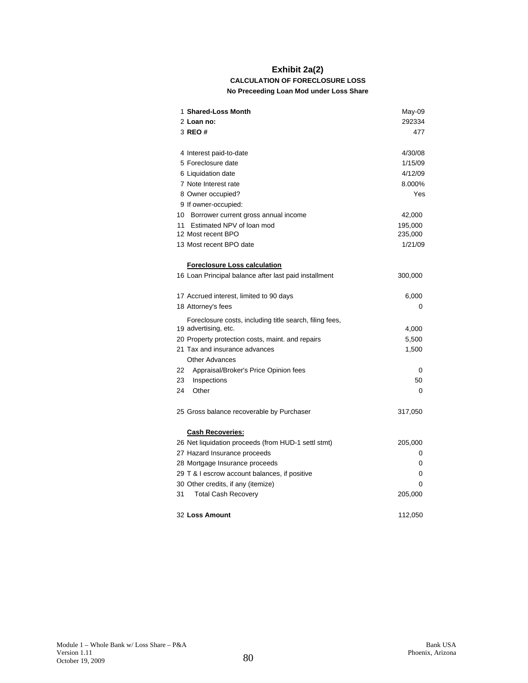#### **Exhibit 2a(2)**

#### **CALCULATION OF FORECLOSURE LOSS**

#### **No Preceeding Loan Mod under Loss Share**

| 1 Shared-Loss Month                                                             | May-09         |
|---------------------------------------------------------------------------------|----------------|
| 2 Loan no:                                                                      | 292334         |
| 3 REO #                                                                         | 477            |
| 4 Interest paid-to-date                                                         | 4/30/08        |
| 5 Foreclosure date                                                              | 1/15/09        |
| 6 Liquidation date                                                              | 4/12/09        |
| 7 Note Interest rate                                                            | 8.000%         |
| 8 Owner occupied?                                                               | Yes            |
| 9 If owner-occupied:                                                            |                |
| 10<br>Borrower current gross annual income                                      | 42,000         |
| Estimated NPV of loan mod<br>11                                                 | 195,000        |
| 12 Most recent BPO                                                              | 235,000        |
| 13 Most recent BPO date                                                         | 1/21/09        |
| <b>Foreclosure Loss calculation</b>                                             |                |
| 16 Loan Principal balance after last paid installment                           | 300,000        |
| 17 Accrued interest, limited to 90 days                                         | 6,000          |
| 18 Attorney's fees                                                              | 0              |
| Foreclosure costs, including title search, filing fees,<br>19 advertising, etc. |                |
| 20 Property protection costs, maint. and repairs                                | 4,000<br>5,500 |
| 21 Tax and insurance advances                                                   | 1,500          |
| <b>Other Advances</b>                                                           |                |
| 22<br>Appraisal/Broker's Price Opinion fees                                     | 0              |
| 23<br>Inspections                                                               | 50             |
| 24<br>Other                                                                     | 0              |
| 25 Gross balance recoverable by Purchaser                                       | 317,050        |
| <b>Cash Recoveries:</b>                                                         |                |
| 26 Net liquidation proceeds (from HUD-1 settl stmt)                             | 205,000        |
| 27 Hazard Insurance proceeds                                                    | 0              |
| 28 Mortgage Insurance proceeds                                                  | 0              |
| 29 T & I escrow account balances, if positive                                   | 0              |
| 30 Other credits, if any (itemize)                                              | 0              |
| 31<br><b>Total Cash Recovery</b>                                                | 205,000        |
| 32 Loss Amount                                                                  | 112,050        |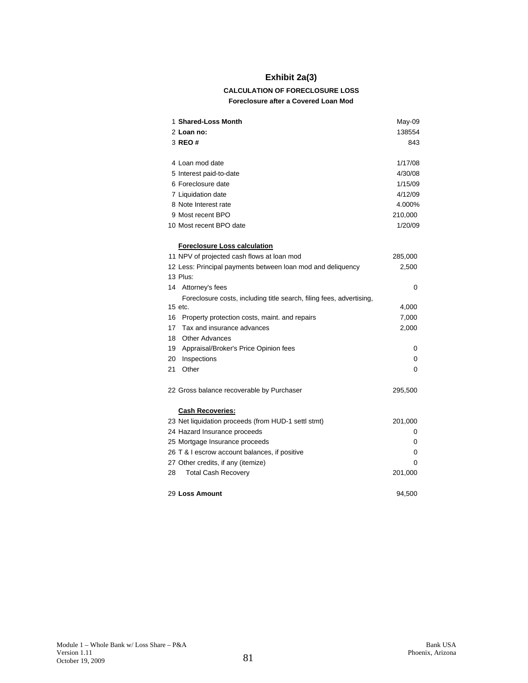## **Exhibit 2a(3)**

#### **CALCULATION OF FORECLOSURE LOSS Foreclosure after a Covered Loan Mod**

| 1 Shared-Loss Month                                                  | May-09  |
|----------------------------------------------------------------------|---------|
| 2 Loan no:                                                           | 138554  |
| 3 REO #                                                              | 843     |
|                                                                      |         |
| 4 Loan mod date                                                      | 1/17/08 |
| 5 Interest paid-to-date                                              | 4/30/08 |
| 6 Foreclosure date                                                   | 1/15/09 |
| 7 Liquidation date                                                   | 4/12/09 |
| 8 Note Interest rate                                                 | 4.000%  |
| 9 Most recent BPO                                                    | 210,000 |
| 10 Most recent BPO date                                              | 1/20/09 |
|                                                                      |         |
| <b>Foreclosure Loss calculation</b>                                  |         |
| 11 NPV of projected cash flows at loan mod                           | 285,000 |
| 12 Less: Principal payments between loan mod and deliquency          | 2,500   |
| 13 Plus:                                                             |         |
| 14<br>Attorney's fees                                                | 0       |
| Foreclosure costs, including title search, filing fees, advertising, |         |
| 15 etc.                                                              | 4,000   |
| 16<br>Property protection costs, maint. and repairs                  | 7,000   |
| 17<br>Tax and insurance advances                                     | 2,000   |
| <b>Other Advances</b><br>18                                          |         |
| 19 Appraisal/Broker's Price Opinion fees                             | 0       |
| 20<br>Inspections                                                    | 0       |
| 21<br>Other                                                          | 0       |
|                                                                      |         |
| 22 Gross balance recoverable by Purchaser                            | 295,500 |
| <b>Cash Recoveries:</b>                                              |         |
| 23 Net liquidation proceeds (from HUD-1 settl stmt)                  | 201,000 |
| 24 Hazard Insurance proceeds                                         | 0       |
| 25 Mortgage Insurance proceeds                                       | 0       |
| 26 T & I escrow account balances, if positive                        | 0       |
| 27 Other credits, if any (itemize)                                   | 0       |
| 28<br><b>Total Cash Recovery</b>                                     | 201,000 |
|                                                                      |         |
| 29 Loss Amount                                                       | 94,500  |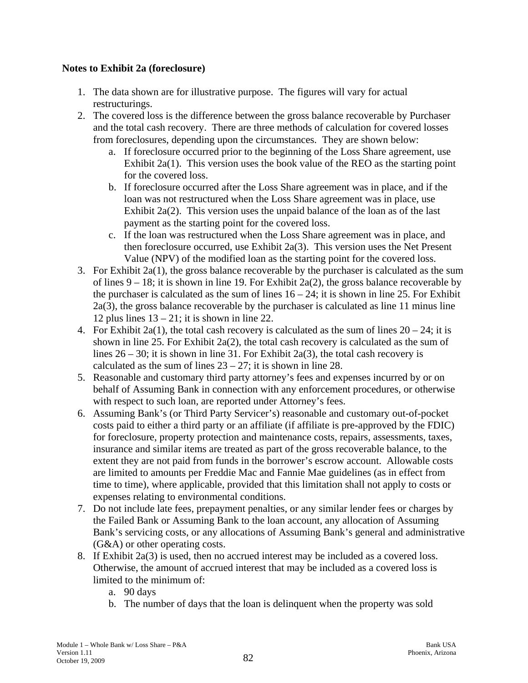## **Notes to Exhibit 2a (foreclosure)**

- 1.The data shown are for illustrative purpose. The figures will vary for actual restructurings.
- 2.The covered loss is the difference between the gross balance recoverable by Purchaser and the total cash recovery. There are three methods of calculation for covered losses from foreclosures, depending upon the circumstances. They are shown below:
	- a. If foreclosure occurred prior to the beginning of the Loss Share agreement, use Exhibit 2a(1). This version uses the book value of the REO as the starting point for the covered loss.
	- b.If foreclosure occurred after the Loss Share agreement was in place, and if the loan was not restructured when the Loss Share agreement was in place, use Exhibit 2a(2). This version uses the unpaid balance of the loan as of the last payment as the starting point for the covered loss.
	- c. If the loan was restructured when the Loss Share agreement was in place, and then foreclosure occurred, use Exhibit 2a(3). This version uses the Net Present Value (NPV) of the modified loan as the starting point for the covered loss.
- 3. For Exhibit  $2a(1)$ , the gross balance recoverable by the purchaser is calculated as the sum of lines  $9 - 18$ ; it is shown in line 19. For Exhibit 2a(2), the gross balance recoverable by the purchaser is calculated as the sum of lines  $16 - 24$ ; it is shown in line 25. For Exhibit 2a(3), the gross balance recoverable by the purchaser is calculated as line 11 minus line 12 plus lines  $13 - 21$ ; it is shown in line 22.
- 4. For Exhibit 2a(1), the total cash recovery is calculated as the sum of lines  $20 24$ ; it is shown in line 25. For Exhibit 2a(2), the total cash recovery is calculated as the sum of lines  $26 - 30$ ; it is shown in line 31. For Exhibit 2a(3), the total cash recovery is calculated as the sum of lines  $23 - 27$ ; it is shown in line 28.
- 5. Reasonable and customary third party attorney's fees and expenses incurred by or on behalf of Assuming Bank in connection with any enforcement procedures, or otherwise with respect to such loan, are reported under Attorney's fees.
- 6.Assuming Bank's (or Third Party Servicer's) reasonable and customary out-of-pocket costs paid to either a third party or an affiliate (if affiliate is pre-approved by the FDIC) for foreclosure, property protection and maintenance costs, repairs, assessments, taxes, insurance and similar items are treated as part of the gross recoverable balance, to the extent they are not paid from funds in the borrower's escrow account. Allowable costs are limited to amounts per Freddie Mac and Fannie Mae guidelines (as in effect from time to time), where applicable, provided that this limitation shall not apply to costs or expenses relating to environmental conditions.
- 7.Do not include late fees, prepayment penalties, or any similar lender fees or charges by the Failed Bank or Assuming Bank to the loan account, any allocation of Assuming Bank's servicing costs, or any allocations of Assuming Bank's general and administrative (G&A) or other operating costs.
- 8. If Exhibit  $2a(3)$  is used, then no accrued interest may be included as a covered loss. Otherwise, the amount of accrued interest that may be included as a covered loss is limited to the minimum of:
	- a.90 days
	- b.The number of days that the loan is delinquent when the property was sold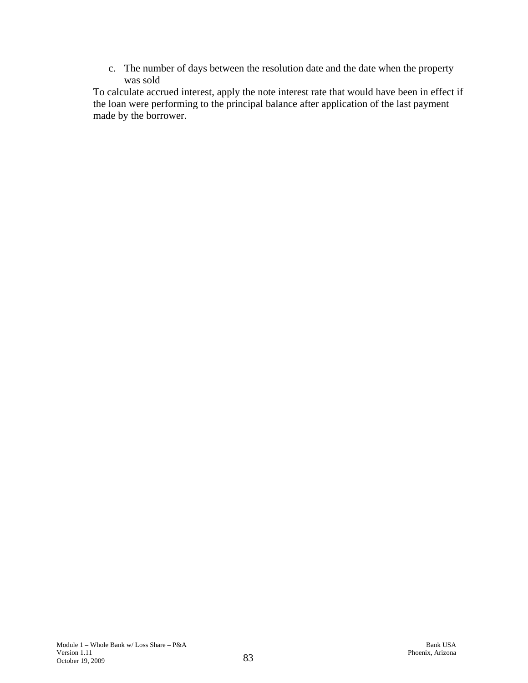c. The number of days between the resolution date and the date when the property was sold

To calculate accrued interest, apply the note interest rate that would have been in effect if the loan were performing to the principal balance after application of the last payment made by the borrower.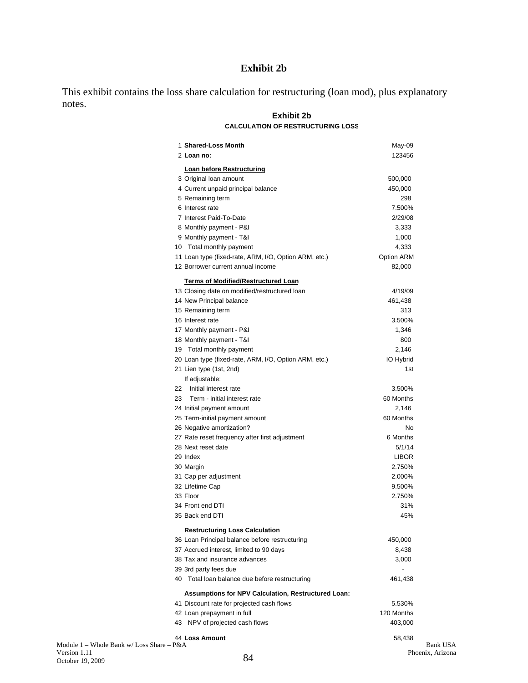## **Exhibit 2b**

This exhibit contains the loss share calculation for restructuring (loan mod), plus explanatory notes.

#### **Exhibit 2b CALCULATION OF RESTRUCTURING LOSS**

|       | 1 Shared-Loss Month                                                  | May-09             |        |
|-------|----------------------------------------------------------------------|--------------------|--------|
|       | 2 Loan no:                                                           | 123456             |        |
|       | <b>Loan before Restructuring</b>                                     |                    |        |
|       | 3 Original loan amount                                               | 500,000            |        |
|       | 4 Current unpaid principal balance                                   | 450,000            |        |
|       | 5 Remaining term                                                     | 298                |        |
|       | 6 Interest rate                                                      | 7.500%             |        |
|       | 7 Interest Paid-To-Date                                              | 2/29/08            |        |
|       |                                                                      |                    |        |
|       | 8 Monthly payment - P&I                                              | 3,333              |        |
|       | 9 Monthly payment - T&I                                              | 1,000              |        |
|       | 10 Total monthly payment                                             | 4,333              |        |
|       | 11 Loan type (fixed-rate, ARM, I/O, Option ARM, etc.)                | Option ARM         |        |
|       | 12 Borrower current annual income                                    | 82,000             |        |
|       | <b>Terms of Modified/Restructured Loan</b>                           |                    |        |
|       | 13 Closing date on modified/restructured loan                        | 4/19/09            |        |
|       | 14 New Principal balance                                             | 461,438            |        |
|       | 15 Remaining term                                                    | 313                |        |
|       | 16 Interest rate                                                     | 3.500%             |        |
|       | 17 Monthly payment - P&I                                             | 1,346              |        |
|       | 18 Monthly payment - T&I                                             | 800                |        |
|       | 19 Total monthly payment                                             | 2,146              |        |
|       | 20 Loan type (fixed-rate, ARM, I/O, Option ARM, etc.)                | IO Hybrid          |        |
|       | 21 Lien type (1st, 2nd)                                              | 1st                |        |
|       | If adjustable:                                                       |                    |        |
| 22    | Initial interest rate                                                | 3.500%             |        |
| 23    | Term - initial interest rate                                         | 60 Months          |        |
|       | 24 Initial payment amount                                            | 2,146              |        |
|       | 25 Term-initial payment amount                                       | 60 Months          |        |
|       | 26 Negative amortization?                                            | N <sub>0</sub>     |        |
|       |                                                                      | 6 Months           |        |
|       | 27 Rate reset frequency after first adjustment<br>28 Next reset date | 5/1/14             |        |
|       |                                                                      |                    |        |
|       | 29 Index                                                             | <b>LIBOR</b>       |        |
|       | 30 Margin                                                            | 2.750%             |        |
|       | 31 Cap per adjustment                                                | 2.000%             |        |
|       | 32 Lifetime Cap                                                      | 9.500%             |        |
|       | 33 Floor                                                             | 2.750%             |        |
|       | 34 Front end DTI                                                     | 31%                |        |
|       | 35 Back end DTI                                                      | 45%                |        |
|       | <b>Restructuring Loss Calculation</b>                                |                    |        |
|       | 36 Loan Principal balance before restructuring                       | 450,000            |        |
|       | 37 Accrued interest, limited to 90 days                              | 8,438              |        |
|       | 38 Tax and insurance advances                                        | 3,000              |        |
|       | 39 3rd party fees due                                                |                    |        |
|       | 40 Total loan balance due before restructuring                       | 461,438            |        |
|       | <b>Assumptions for NPV Calculation, Restructured Loan:</b>           |                    |        |
|       | 41 Discount rate for projected cash flows                            | 5.530%             |        |
|       | 42 Loan prepayment in full                                           | 120 Months         |        |
|       | 43 NPV of projected cash flows                                       | 403,000            |        |
|       | 44 Loss Amount                                                       | 58,438             |        |
| - P&A |                                                                      |                    | Bank U |
|       |                                                                      | $D$ hoaniv $A$ riz |        |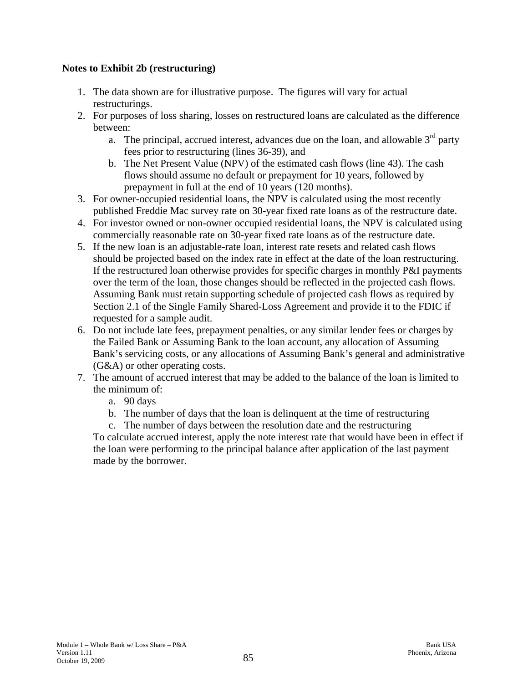## **Notes to Exhibit 2b (restructuring)**

- 1.The data shown are for illustrative purpose. The figures will vary for actual restructurings.
- 2.For purposes of loss sharing, losses on restructured loans are calculated as the difference between:
	- a. The principal, accrued interest, advances due on the loan, and allowable  $3<sup>rd</sup>$  party fees prior to restructuring (lines 36-39), and
	- b.The Net Present Value (NPV) of the estimated cash flows (line 43). The cash flows should assume no default or prepayment for 10 years, followed by prepayment in full at the end of 10 years (120 months).
- 3.For owner-occupied residential loans, the NPV is calculated using the most recently published Freddie Mac survey rate on 30-year fixed rate loans as of the restructure date.
- 4.For investor owned or non-owner occupied residential loans, the NPV is calculated using commercially reasonable rate on 30-year fixed rate loans as of the restructure date.
- 5.If the new loan is an adjustable-rate loan, interest rate resets and related cash flows should be projected based on the index rate in effect at the date of the loan restructuring. If the restructured loan otherwise provides for specific charges in monthly P&I payments over the term of the loan, those changes should be reflected in the projected cash flows. Assuming Bank must retain supporting schedule of projected cash flows as required by Section 2.1 of the Single Family Shared-Loss Agreement and provide it to the FDIC if requested for a sample audit.
- 6.Do not include late fees, prepayment penalties, or any similar lender fees or charges by the Failed Bank or Assuming Bank to the loan account, any allocation of Assuming Bank's servicing costs, or any allocations of Assuming Bank's general and administrative (G&A) or other operating costs.
- 7.The amount of accrued interest that may be added to the balance of the loan is limited to the minimum of:
	- a.90 days
	- b.The number of days that the loan is delinquent at the time of restructuring

c. The number of days between the resolution date and the restructuring To calculate accrued interest, apply the note interest rate that would have been in effect if the loan were performing to the principal balance after application of the last payment made by the borrower.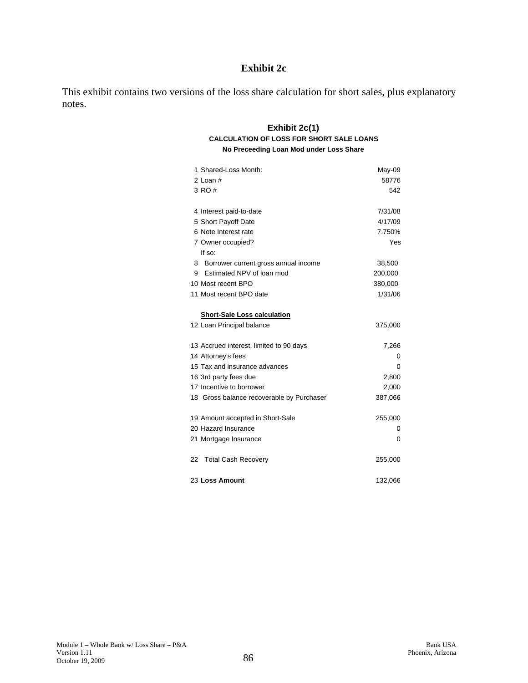#### **Exhibit 2c**

This exhibit contains two versions of the loss share calculation for short sales, plus explanatory notes.

#### **Exhibit 2c(1) CALCULATION OF LOSS FOR SHORT SALE LOANS No Preceeding Loan Mod under Loss Share**

| 1 Shared-Loss Month:<br>2 Loan #<br>3 RO # | May-09<br>58776<br>542 |
|--------------------------------------------|------------------------|
| 4 Interest paid-to-date                    | 7/31/08                |
| 5 Short Payoff Date                        | 4/17/09                |
| 6 Note Interest rate                       | 7.750%                 |
| 7 Owner occupied?                          | Yes                    |
| If so:                                     |                        |
| Borrower current gross annual income<br>8  | 38,500                 |
| Estimated NPV of loan mod<br>9             | 200,000                |
| 10 Most recent BPO                         | 380,000                |
| 11 Most recent BPO date                    | 1/31/06                |
| <b>Short-Sale Loss calculation</b>         |                        |
| 12 Loan Principal balance                  | 375,000                |
| 13 Accrued interest, limited to 90 days    | 7,266                  |
| 14 Attorney's fees                         | 0                      |
| 15 Tax and insurance advances              | 0                      |
| 16 3rd party fees due                      | 2,800                  |
| 17 Incentive to borrower                   | 2,000                  |
| 18 Gross balance recoverable by Purchaser  | 387,066                |
| 19 Amount accepted in Short-Sale           | 255,000                |
| 20 Hazard Insurance                        | 0                      |
| 21 Mortgage Insurance                      | 0                      |
| 22 Total Cash Recovery                     | 255,000                |
| 23 Loss Amount                             | 132,066                |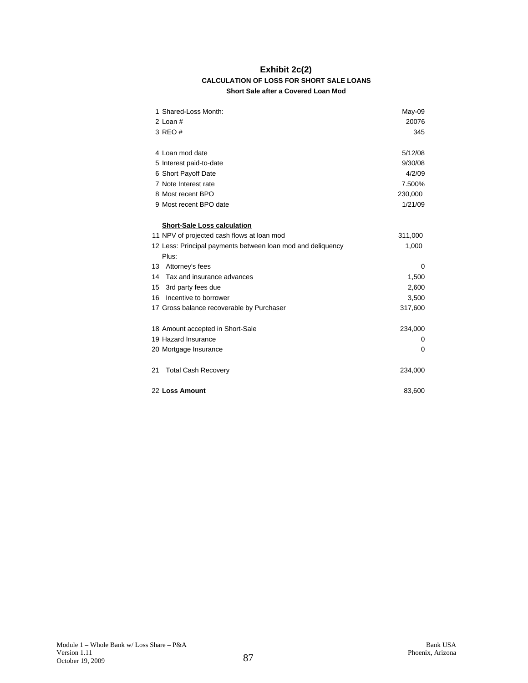#### **Exhibit 2c(2) CALCULATION OF LOSS FOR SHORT SALE LOANS Short Sale after a Covered Loan Mod**

| 1 Shared-Loss Month:                                        | May-09  |
|-------------------------------------------------------------|---------|
| 2 Loan $#$                                                  | 20076   |
| 3 REO #                                                     | 345     |
|                                                             |         |
| 4 Loan mod date                                             | 5/12/08 |
| 5 Interest paid-to-date                                     | 9/30/08 |
| 6 Short Payoff Date                                         | 4/2/09  |
| 7 Note Interest rate                                        | 7.500%  |
| 8 Most recent BPO                                           | 230,000 |
| 9 Most recent BPO date                                      | 1/21/09 |
|                                                             |         |
| <b>Short-Sale Loss calculation</b>                          |         |
| 11 NPV of projected cash flows at loan mod                  | 311,000 |
| 12 Less: Principal payments between loan mod and deliquency | 1,000   |
| Plus:                                                       |         |
| Attorney's fees<br>13                                       | 0       |
| Tax and insurance advances<br>14                            | 1,500   |
| 3rd party fees due<br>15                                    | 2,600   |
| 16<br>Incentive to borrower                                 | 3,500   |
| 17 Gross balance recoverable by Purchaser                   | 317,600 |
|                                                             |         |
| 18 Amount accepted in Short-Sale                            | 234,000 |
| 19 Hazard Insurance                                         | 0       |
| 20 Mortgage Insurance                                       | 0       |
|                                                             |         |
| <b>Total Cash Recovery</b><br>21                            | 234,000 |
|                                                             |         |
| 22 Loss Amount                                              | 83,600  |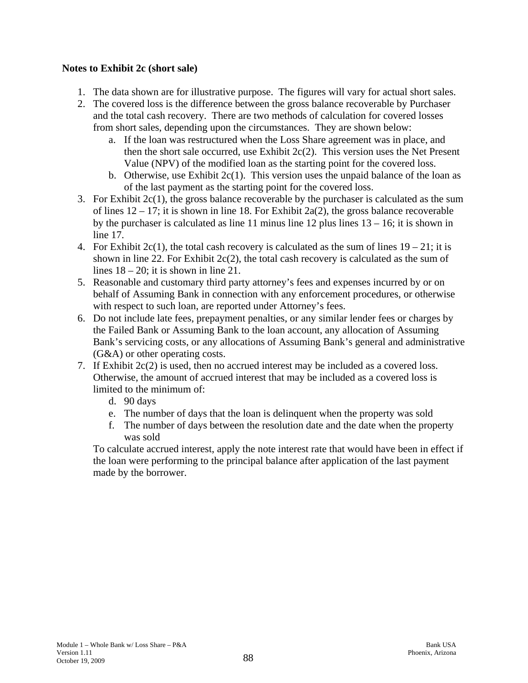## **Notes to Exhibit 2c (short sale)**

- 1.The data shown are for illustrative purpose. The figures will vary for actual short sales.
- 2.The covered loss is the difference between the gross balance recoverable by Purchaser and the total cash recovery. There are two methods of calculation for covered losses from short sales, depending upon the circumstances. They are shown below:
	- a. If the loan was restructured when the Loss Share agreement was in place, and then the short sale occurred, use Exhibit  $2c(2)$ . This version uses the Net Present Value (NPV) of the modified loan as the starting point for the covered loss.
	- b. Otherwise, use Exhibit  $2c(1)$ . This version uses the unpaid balance of the loan as of the last payment as the starting point for the covered loss.
- 3. For Exhibit  $2c(1)$ , the gross balance recoverable by the purchaser is calculated as the sum of lines  $12 - 17$ ; it is shown in line 18. For Exhibit 2a(2), the gross balance recoverable by the purchaser is calculated as line 11 minus line 12 plus lines 13 – 16; it is shown in line 17.
- 4. For Exhibit  $2c(1)$ , the total cash recovery is calculated as the sum of lines  $19 21$ ; it is shown in line 22. For Exhibit  $2c(2)$ , the total cash recovery is calculated as the sum of lines  $18 - 20$ ; it is shown in line 21.
- 5. Reasonable and customary third party attorney's fees and expenses incurred by or on behalf of Assuming Bank in connection with any enforcement procedures, or otherwise with respect to such loan, are reported under Attorney's fees.
- 6.Do not include late fees, prepayment penalties, or any similar lender fees or charges by the Failed Bank or Assuming Bank to the loan account, any allocation of Assuming Bank's servicing costs, or any allocations of Assuming Bank's general and administrative (G&A) or other operating costs.
- 7. If Exhibit  $2c(2)$  is used, then no accrued interest may be included as a covered loss. Otherwise, the amount of accrued interest that may be included as a covered loss is limited to the minimum of:
	- d. 90 days
	- e.The number of days that the loan is delinquent when the property was sold
	- f.The number of days between the resolution date and the date when the property was sold

To calculate accrued interest, apply the note interest rate that would have been in effect if the loan were performing to the principal balance after application of the last payment made by the borrower.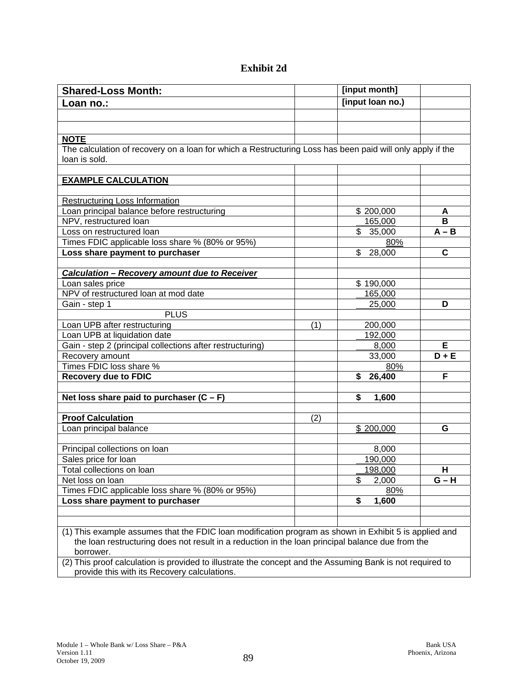## **Exhibit 2d**

| [input month]<br><b>Shared-Loss Month:</b>                                                                                                                |     |                 |         |
|-----------------------------------------------------------------------------------------------------------------------------------------------------------|-----|-----------------|---------|
| Loan no.:                                                                                                                                                 |     |                 |         |
|                                                                                                                                                           |     |                 |         |
|                                                                                                                                                           |     |                 |         |
| <b>NOTE</b>                                                                                                                                               |     |                 |         |
| The calculation of recovery on a loan for which a Restructuring Loss has been paid will only apply if the                                                 |     |                 |         |
| loan is sold.                                                                                                                                             |     |                 |         |
|                                                                                                                                                           |     |                 |         |
| <b>EXAMPLE CALCULATION</b>                                                                                                                                |     |                 |         |
|                                                                                                                                                           |     |                 |         |
| <b>Restructuring Loss Information</b>                                                                                                                     |     |                 |         |
| Loan principal balance before restructuring                                                                                                               |     | \$200,000       | A       |
| NPV, restructured loan                                                                                                                                    |     | 165,000         | B       |
| Loss on restructured loan                                                                                                                                 |     | \$35,000        | $A - B$ |
| Times FDIC applicable loss share % (80% or 95%)                                                                                                           |     | 80%             |         |
| Loss share payment to purchaser                                                                                                                           |     | \$28,000        | C       |
|                                                                                                                                                           |     |                 |         |
| Calculation - Recovery amount due to Receiver                                                                                                             |     |                 |         |
| Loan sales price                                                                                                                                          |     | \$190,000       |         |
| NPV of restructured loan at mod date                                                                                                                      |     | 165,000         |         |
| Gain - step 1                                                                                                                                             |     | 25,000          | D       |
| <b>PLUS</b>                                                                                                                                               |     |                 |         |
| Loan UPB after restructuring                                                                                                                              | (1) | 200,000         |         |
| Loan UPB at liquidation date                                                                                                                              |     | 192,000         | Е       |
| Gain - step 2 (principal collections after restructuring)<br>Recovery amount                                                                              |     | 8,000<br>33,000 | $D + E$ |
| Times FDIC loss share %                                                                                                                                   |     | 80%             |         |
| <b>Recovery due to FDIC</b>                                                                                                                               |     | \$26,400        | F       |
|                                                                                                                                                           |     |                 |         |
| Net loss share paid to purchaser $(C - F)$                                                                                                                |     | \$<br>1,600     |         |
|                                                                                                                                                           |     |                 |         |
| <b>Proof Calculation</b>                                                                                                                                  | (2) |                 |         |
| Loan principal balance                                                                                                                                    |     | \$200,000       | G       |
|                                                                                                                                                           |     |                 |         |
| Principal collections on loan                                                                                                                             |     | 8,000           |         |
| Sales price for loan                                                                                                                                      |     | 190,000         |         |
| Total collections on loan                                                                                                                                 |     | 198,000         | H       |
| Net loss on loan                                                                                                                                          |     | \$<br>2,000     | G – H   |
| Times FDIC applicable loss share % (80% or 95%)                                                                                                           |     | 80%             |         |
| Loss share payment to purchaser                                                                                                                           |     | 1,600<br>\$     |         |
|                                                                                                                                                           |     |                 |         |
|                                                                                                                                                           |     |                 |         |
| (1) This example assumes that the FDIC loan modification program as shown in Exhibit 5 is applied and                                                     |     |                 |         |
| the loan restructuring does not result in a reduction in the loan principal balance due from the                                                          |     |                 |         |
| borrower.                                                                                                                                                 |     |                 |         |
| (2) This proof calculation is provided to illustrate the concept and the Assuming Bank is not required to<br>provide this with its Recovery calculations. |     |                 |         |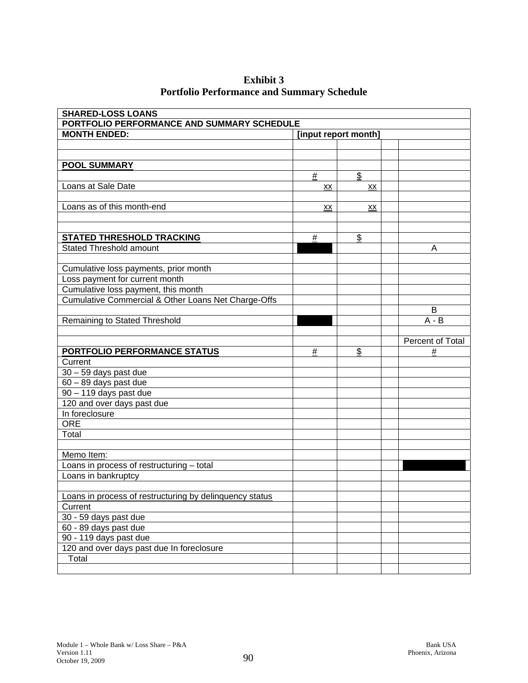| <b>SHARED-LOSS LOANS</b><br>PORTFOLIO PERFORMANCE AND SUMMARY SCHEDULE |                      |               |                  |
|------------------------------------------------------------------------|----------------------|---------------|------------------|
| <b>MONTH ENDED:</b>                                                    | [input report month] |               |                  |
|                                                                        |                      |               |                  |
|                                                                        |                      |               |                  |
| <b>POOL SUMMARY</b>                                                    |                      |               |                  |
|                                                                        | #                    | $\frac{1}{2}$ |                  |
| Loans at Sale Date                                                     | XX                   | XX            |                  |
|                                                                        |                      |               |                  |
| Loans as of this month-end                                             | XX                   | XX            |                  |
| <b>STATED THRESHOLD TRACKING</b>                                       | $\#$                 | $\frac{1}{2}$ |                  |
| <b>Stated Threshold amount</b>                                         |                      |               | A                |
| Cumulative loss payments, prior month                                  |                      |               |                  |
| Loss payment for current month                                         |                      |               |                  |
| Cumulative loss payment, this month                                    |                      |               |                  |
| Cumulative Commercial & Other Loans Net Charge-Offs                    |                      |               |                  |
|                                                                        |                      |               | B                |
| Remaining to Stated Threshold                                          |                      |               | $A - B$          |
|                                                                        |                      |               |                  |
|                                                                        |                      |               | Percent of Total |
| <b>PORTFOLIO PERFORMANCE STATUS</b>                                    | $\#$                 | $\frac{1}{2}$ | #                |
| Current                                                                |                      |               |                  |
| $30 - 59$ days past due                                                |                      |               |                  |
| $60 - 89$ days past due                                                |                      |               |                  |
| $90 - 119$ days past due                                               |                      |               |                  |
| 120 and over days past due                                             |                      |               |                  |
| In foreclosure                                                         |                      |               |                  |
| <b>ORE</b>                                                             |                      |               |                  |
| Total                                                                  |                      |               |                  |
|                                                                        |                      |               |                  |
| Memo Item:                                                             |                      |               |                  |
| Loans in process of restructuring - total                              |                      |               |                  |
| Loans in bankruptcy                                                    |                      |               |                  |
|                                                                        |                      |               |                  |
| Loans in process of restructuring by delinquency status                |                      |               |                  |
| Current                                                                |                      |               |                  |
| 30 - 59 days past due                                                  |                      |               |                  |
| 60 - 89 days past due                                                  |                      |               |                  |
| 90 - 119 days past due                                                 |                      |               |                  |
| 120 and over days past due In foreclosure<br>Total                     |                      |               |                  |
|                                                                        |                      |               |                  |
|                                                                        |                      |               |                  |

## **Exhibit 3 Portfolio Performance and Summary Schedule**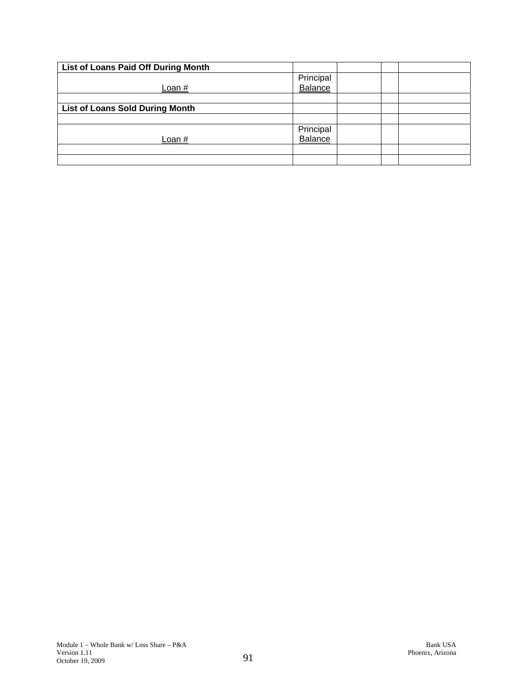| List of Loans Paid Off During Month    |                      |  |  |
|----------------------------------------|----------------------|--|--|
|                                        | Principal            |  |  |
| Loan #                                 | <b>Balance</b>       |  |  |
|                                        |                      |  |  |
| <b>List of Loans Sold During Month</b> |                      |  |  |
|                                        |                      |  |  |
|                                        | Principal<br>Balance |  |  |
| Loan #                                 |                      |  |  |
|                                        |                      |  |  |
|                                        |                      |  |  |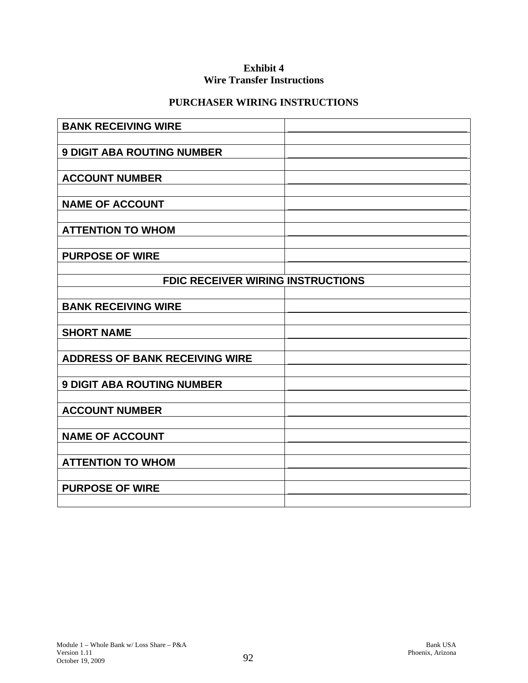## **Exhibit 4 Wire Transfer Instructions**

# **PURCHASER WIRING INSTRUCTIONS**

| <b>BANK RECEIVING WIRE</b>            |  |
|---------------------------------------|--|
|                                       |  |
| <b>9 DIGIT ABA ROUTING NUMBER</b>     |  |
|                                       |  |
| <b>ACCOUNT NUMBER</b>                 |  |
|                                       |  |
| <b>NAME OF ACCOUNT</b>                |  |
|                                       |  |
| <b>ATTENTION TO WHOM</b>              |  |
| <b>PURPOSE OF WIRE</b>                |  |
|                                       |  |
| FDIC RECEIVER WIRING INSTRUCTIONS     |  |
|                                       |  |
| <b>BANK RECEIVING WIRE</b>            |  |
|                                       |  |
| <b>SHORT NAME</b>                     |  |
|                                       |  |
| <b>ADDRESS OF BANK RECEIVING WIRE</b> |  |
|                                       |  |
| <b>9 DIGIT ABA ROUTING NUMBER</b>     |  |
|                                       |  |
| <b>ACCOUNT NUMBER</b>                 |  |
|                                       |  |
| <b>NAME OF ACCOUNT</b>                |  |
| <b>ATTENTION TO WHOM</b>              |  |
|                                       |  |
| <b>PURPOSE OF WIRE</b>                |  |
|                                       |  |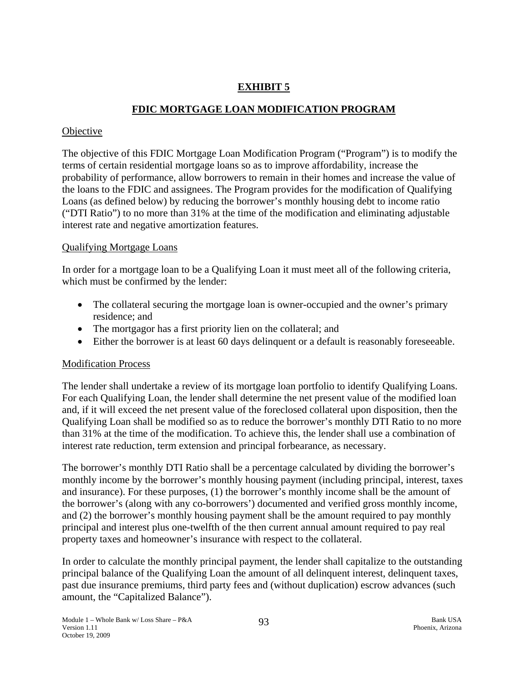# **EXHIBIT 5**

# EXHIBIT 5<br>FDIC MORTGAGE LOAN MODIFICATION PROGRAM

## **Objective**

The objective of this FDIC Mortgage Loan Modification Program ("Program") is to modify the terms of certain residential mortgage loans so as to improve affordability, increase the probability of performance, allow borrowers to remain in their homes and increase the value of the loans to the FDIC and assignees. The Program provides for the modification of Qualifying Loans (as defined below) by reducing the borrower's monthly housing debt to income ratio ("DTI Ratio") to no more than 31% at the time of the modification and eliminating adjustable interest rate and negative amortization features.

## Qualifying Mortgage Loans

In order for a mortgage loan to be a Qualifying Loan it must meet all of the following criteria, which must be confirmed by the lender:

- The collateral securing the mortgage loan is owner-occupied and the owner's primary residence; and
- •The mortgagor has a first priority lien on the collateral; and
- •Either the borrower is at least 60 days delinquent or a default is reasonably foreseeable.

## Modification Process

The lender shall undertake a review of its mortgage loan portfolio to identify Qualifying Loans. For each Qualifying Loan, the lender shall determine the net present value of the modified loan and, if it will exceed the net present value of the foreclosed collateral upon disposition, then the Qualifying Loan shall be modified so as to reduce the borrower's monthly DTI Ratio to no more than 31% at the time of the modification. To achieve this, the lender shall use a combination of interest rate reduction, term extension and principal forbearance, as necessary.

The borrower's monthly DTI Ratio shall be a percentage calculated by dividing the borrower's monthly income by the borrower's monthly housing payment (including principal, interest, taxes and insurance). For these purposes, (1) the borrower's monthly income shall be the amount of the borrower's (along with any co-borrowers') documented and verified gross monthly income, and (2) the borrower's monthly housing payment shall be the amount required to pay monthly principal and interest plus one-twelfth of the then current annual amount required to pay real property taxes and homeowner's insurance with respect to the collateral.

In order to calculate the monthly principal payment, the lender shall capitalize to the outstanding principal balance of the Qualifying Loan the amount of all delinquent interest, delinquent taxes, past due insurance premiums, third party fees and (without duplication) escrow advances (such amount, the "Capitalized Balance").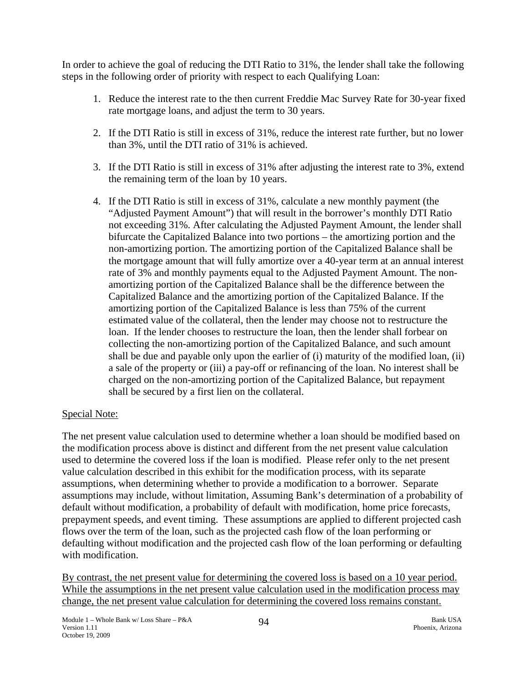In order to achieve the goal of reducing the DTI Ratio to 31%, the lender shall take the following steps in the following order of priority with respect to each Qualifying Loan:

- 1. Reduce the interest rate to the then current Freddie Mac Survey Rate for 30-year fixed rate mortgage loans, and adjust the term to 30 years.
- 2. If the DTI Ratio is still in excess of 31%, reduce the interest rate further, but no lower than 3%, until the DTI ratio of 31% is achieved.
- 3.If the DTI Ratio is still in excess of 31% after adjusting the interest rate to 3%, extend the remaining term of the loan by 10 years.
- 4.If the DTI Ratio is still in excess of 31%, calculate a new monthly payment (the "Adjusted Payment Amount") that will result in the borrower's monthly DTI Ratio not exceeding 31%. After calculating the Adjusted Payment Amount, the lender shall bifurcate the Capitalized Balance into two portions – the amortizing portion and the non-amortizing portion. The amortizing portion of the Capitalized Balance shall be the mortgage amount that will fully amortize over a 40-year term at an annual interest rate of 3% and monthly payments equal to the Adjusted Payment Amount. The nonamortizing portion of the Capitalized Balance shall be the difference between the Capitalized Balance and the amortizing portion of the Capitalized Balance. If the amortizing portion of the Capitalized Balance is less than 75% of the current estimated value of the collateral, then the lender may choose not to restructure the loan. If the lender chooses to restructure the loan, then the lender shall forbear on collecting the non-amortizing portion of the Capitalized Balance, and such amount shall be due and payable only upon the earlier of (i) maturity of the modified loan, (ii) a sale of the property or (iii) a pay-off or refinancing of the loan. No interest shall be charged on the non-amortizing portion of the Capitalized Balance, but repayment shall be secured by a first lien on the collateral.

## Special Note:

The net present value calculation used to determine whether a loan should be modified based on the modification process above is distinct and different from the net present value calculation used to determine the covered loss if the loan is modified. Please refer only to the net present value calculation described in this exhibit for the modification process, with its separate assumptions, when determining whether to provide a modification to a borrower. Separate assumptions may include, without limitation, Assuming Bank's determination of a probability of default without modification, a probability of default with modification, home price forecasts, prepayment speeds, and event timing. These assumptions are applied to different projected cash flows over the term of the loan, such as the projected cash flow of the loan performing or defaulting without modification and the projected cash flow of the loan performing or defaulting with modification.

change, the net present value calculation for determining the covered loss remains constant.<br>
Module 1 – Whole Bank w/ Loss Share – P&A Bank USA Bank USA Phoenix, Arizona<br>
Version 1.11 Phoenix, Arizona By contrast, the net present value for determining the covered loss is based on a 10 year period. While the assumptions in the net present value calculation used in the modification process may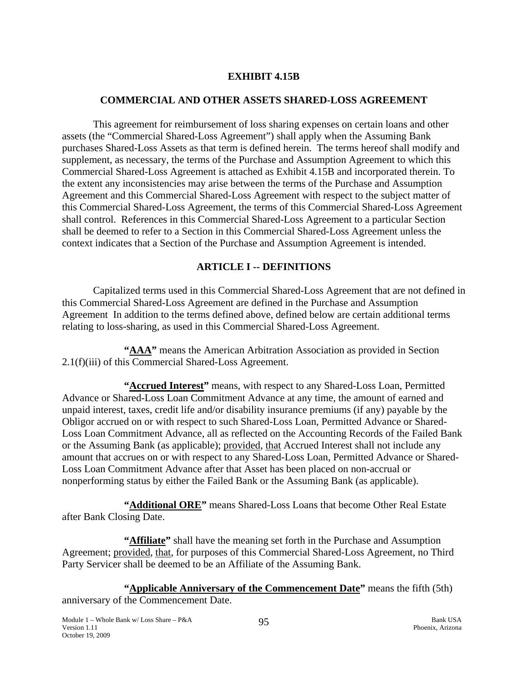#### **EXHIBIT 4.15B**

#### **COMMERCIAL AND OTHER ASSETS SHARED-LOSS AGREEMENT**

This agreement for reimbursement of loss sharing expenses on certain loans and other assets (the "Commercial Shared-Loss Agreement") shall apply when the Assuming Bank purchases Shared-Loss Assets as that term is defined herein. The terms hereof shall modify and supplement, as necessary, the terms of the Purchase and Assumption Agreement to which this Commercial Shared-Loss Agreement is attached as Exhibit 4.15B and incorporated therein. To the extent any inconsistencies may arise between the terms of the Purchase and Assumption Agreement and this Commercial Shared-Loss Agreement with respect to the subject matter of this Commercial Shared-Loss Agreement, the terms of this Commercial Shared-Loss Agreement shall control. References in this Commercial Shared-Loss Agreement to a particular Section shall be deemed to refer to a Section in this Commercial Shared-Loss Agreement unless the context indicates that a Section of the Purchase and Assumption Agreement is intended.

#### **ARTICLE I -- DEFINITIONS**

Capitalized terms used in this Commercial Shared-Loss Agreement that are not defined in this Commercial Shared-Loss Agreement are defined in the Purchase and Assumption Agreement In addition to the terms defined above, defined below are certain additional terms relating to loss-sharing, as used in this Commercial Shared-Loss Agreement.

**"AAA"** means the American Arbitration Association as provided in Section 2.1(f)(iii) of this Commercial Shared-Loss Agreement.

**"Accrued Interest"** means, with respect to any Shared-Loss Loan, Permitted Advance or Shared-Loss Loan Commitment Advance at any time, the amount of earned and unpaid interest, taxes, credit life and/or disability insurance premiums (if any) payable by the Obligor accrued on or with respect to such Shared-Loss Loan, Permitted Advance or Shared-Loss Loan Commitment Advance, all as reflected on the Accounting Records of the Failed Bank or the Assuming Bank (as applicable); provided, that Accrued Interest shall not include any amount that accrues on or with respect to any Shared-Loss Loan, Permitted Advance or Shared-Loss Loan Commitment Advance after that Asset has been placed on non-accrual or nonperforming status by either the Failed Bank or the Assuming Bank (as applicable).

"**Additional ORE**" means Shared-Loss Loans that become Other Real Estate after Bank Closing Date.

"**Affiliate**" shall have the meaning set forth in the Purchase and Assumption Agreement; provided, that, for purposes of this Commercial Shared-Loss Agreement, no Third Party Servicer shall be deemed to be an Affiliate of the Assuming Bank.

**Examplicable Anniversary of the Commencement Date"** means the fifth (5th) anniversary of the Commencement Date.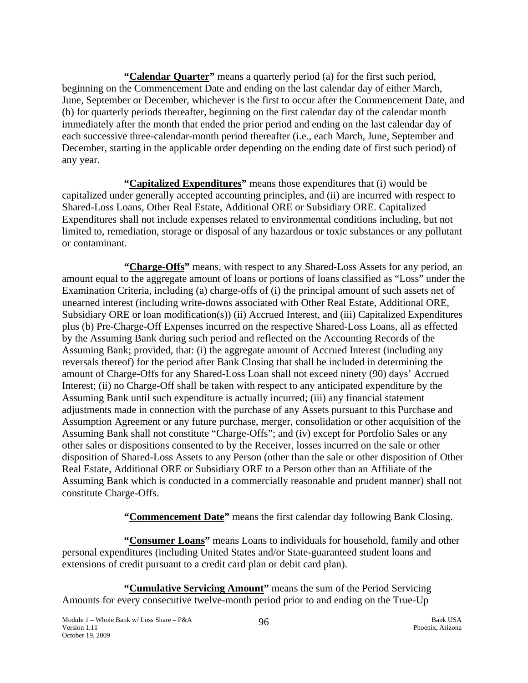**"Calendar Quarter"** means a quarterly period (a) for the first such period, beginning on the Commencement Date and ending on the last calendar day of either March, June, September or December, whichever is the first to occur after the Commencement Date, and (b) for quarterly periods thereafter, beginning on the first calendar day of the calendar month immediately after the month that ended the prior period and ending on the last calendar day of each successive three-calendar-month period thereafter (i.e., each March, June, September and December, starting in the applicable order depending on the ending date of first such period) of any year.

**"Capitalized Expenditures"** means those expenditures that (i) would be capitalized under generally accepted accounting principles, and (ii) are incurred with respect to Shared-Loss Loans, Other Real Estate, Additional ORE or Subsidiary ORE. Capitalized Expenditures shall not include expenses related to environmental conditions including, but not limited to, remediation, storage or disposal of any hazardous or toxic substances or any pollutant or contaminant.

**"Charge-Offs"** means, with respect to any Shared-Loss Assets for any period, an amount equal to the aggregate amount of loans or portions of loans classified as "Loss" under the Examination Criteria, including (a) charge-offs of (i) the principal amount of such assets net of unearned interest (including write-downs associated with Other Real Estate, Additional ORE, Subsidiary ORE or loan modification(s)) (ii) Accrued Interest, and (iii) Capitalized Expenditures plus (b) Pre-Charge-Off Expenses incurred on the respective Shared-Loss Loans, all as effected by the Assuming Bank during such period and reflected on the Accounting Records of the Assuming Bank; provided, that: (i) the aggregate amount of Accrued Interest (including any reversals thereof) for the period after Bank Closing that shall be included in determining the amount of Charge-Offs for any Shared-Loss Loan shall not exceed ninety (90) days' Accrued Interest; (ii) no Charge-Off shall be taken with respect to any anticipated expenditure by the Assuming Bank until such expenditure is actually incurred; (iii) any financial statement adjustments made in connection with the purchase of any Assets pursuant to this Purchase and Assumption Agreement or any future purchase, merger, consolidation or other acquisition of the Assuming Bank shall not constitute "Charge-Offs"; and (iv) except for Portfolio Sales or any other sales or dispositions consented to by the Receiver, losses incurred on the sale or other disposition of Shared-Loss Assets to any Person (other than the sale or other disposition of Other Real Estate, Additional ORE or Subsidiary ORE to a Person other than an Affiliate of the Assuming Bank which is conducted in a commercially reasonable and prudent manner) shall not constitute Charge-Offs.

**"Commencement Date"** means the first calendar day following Bank Closing.

**"Consumer Loans"** means Loans to individuals for household, family and other personal expenditures (including United States and/or State-guaranteed student loans and extensions of credit pursuant to a credit card plan or debit card plan).

**"Cumulative Servicing Amount"** means the sum of the Period Servicing Amounts for every consecutive twelve-month period prior to and ending on the True-Up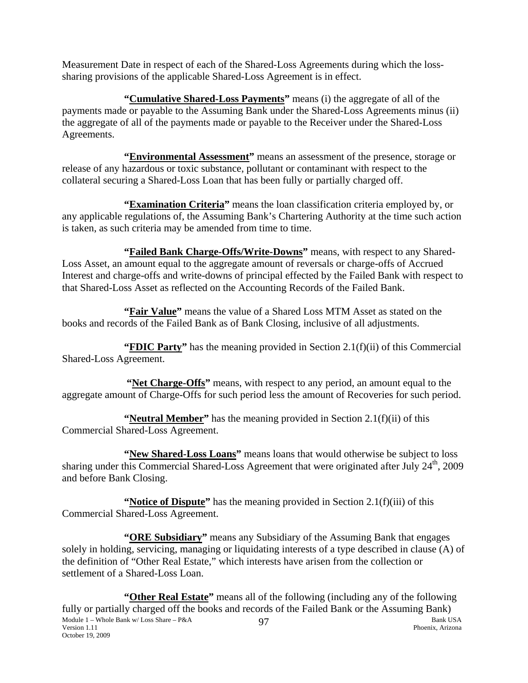Measurement Date in respect of each of the Shared-Loss Agreements during which the losssharing provisions of the applicable Shared-Loss Agreement is in effect.

**"Cumulative Shared-Loss Payments"** means (i) the aggregate of all of the payments made or payable to the Assuming Bank under the Shared-Loss Agreements minus (ii) the aggregate of all of the payments made or payable to the Receiver under the Shared-Loss Agreements.

**"Environmental Assessment"** means an assessment of the presence, storage or release of any hazardous or toxic substance, pollutant or contaminant with respect to the collateral securing a Shared-Loss Loan that has been fully or partially charged off.

**"Examination Criteria"** means the loan classification criteria employed by, or any applicable regulations of, the Assuming Bank's Chartering Authority at the time such action is taken, as such criteria may be amended from time to time.

**"Failed Bank Charge-Offs/Write-Downs"** means, with respect to any Shared-Loss Asset, an amount equal to the aggregate amount of reversals or charge-offs of Accrued Interest and charge-offs and write-downs of principal effected by the Failed Bank with respect to that Shared-Loss Asset as reflected on the Accounting Records of the Failed Bank.

**"Fair Value"** means the value of a Shared Loss MTM Asset as stated on the books and records of the Failed Bank as of Bank Closing, inclusive of all adjustments.

**"FDIC Party"** has the meaning provided in Section 2.1(f)(ii) of this Commercial Shared-Loss Agreement.

**"Net Charge-Offs"** means, with respect to any period, an amount equal to the aggregate amount of Charge-Offs for such period less the amount of Recoveries for such period.

 Commercial Shared-Loss Agreement. **"Neutral Member"** has the meaning provided in Section 2.1(f)(ii) of this

**"New Shared-Loss Loans"** means loans that would otherwise be subject to loss sharing under this Commercial Shared-Loss Agreement that were originated after July 24<sup>th</sup>, 2009 and before Bank Closing.

**"Notice of Dispute"** has the meaning provided in Section 2.1(f)(iii) of this Commercial Shared-Loss Agreement.

**"ORE Subsidiary"** means any Subsidiary of the Assuming Bank that engages solely in holding, servicing, managing or liquidating interests of a type described in clause (A) of the definition of "Other Real Estate," which interests have arisen from the collection or settlement of a Shared-Loss Loan.

**"Other Real Estate"** means all of the following (including any of the following fully or partially charged off the books and records of the Failed Bank or the Assuming Bank) Module 1 – Whole Bank w/ Loss Share – P&A Bank USA Bank USA Bank USA Bank USA Bank USA 97 Version 1.11 October 19, 2009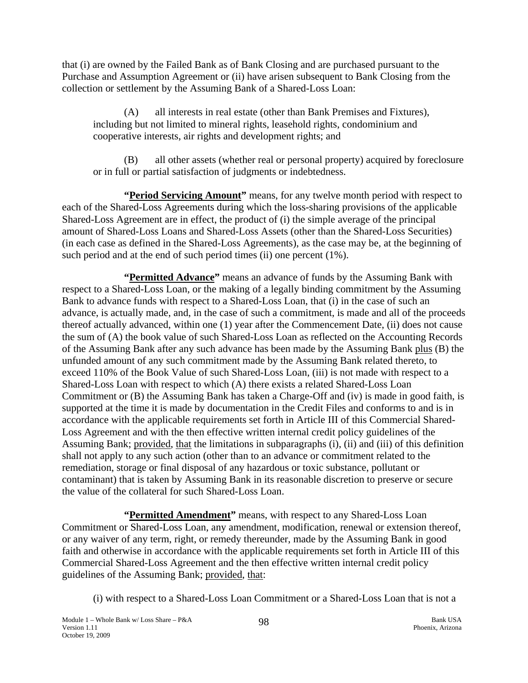that (i) are owned by the Failed Bank as of Bank Closing and are purchased pursuant to the Purchase and Assumption Agreement or (ii) have arisen subsequent to Bank Closing from the collection or settlement by the Assuming Bank of a Shared-Loss Loan:

(A) all interests in real estate (other than Bank Premises and Fixtures), including but not limited to mineral rights, leasehold rights, condominium and cooperative interests, air rights and development rights; and

(B) all other assets (whether real or personal property) acquired by foreclosure or in full or partial satisfaction of judgments or indebtedness.

**"Period Servicing Amount"** means, for any twelve month period with respect to each of the Shared-Loss Agreements during which the loss-sharing provisions of the applicable Shared-Loss Agreement are in effect, the product of (i) the simple average of the principal amount of Shared-Loss Loans and Shared-Loss Assets (other than the Shared-Loss Securities) (in each case as defined in the Shared-Loss Agreements), as the case may be, at the beginning of such period and at the end of such period times (ii) one percent (1%).

**"Permitted Advance"** means an advance of funds by the Assuming Bank with respect to a Shared-Loss Loan, or the making of a legally binding commitment by the Assuming Bank to advance funds with respect to a Shared-Loss Loan, that (i) in the case of such an advance, is actually made, and, in the case of such a commitment, is made and all of the proceeds thereof actually advanced, within one (1) year after the Commencement Date, (ii) does not cause the sum of (A) the book value of such Shared-Loss Loan as reflected on the Accounting Records of the Assuming Bank after any such advance has been made by the Assuming Bank plus (B) the unfunded amount of any such commitment made by the Assuming Bank related thereto, to exceed 110% of the Book Value of such Shared-Loss Loan, (iii) is not made with respect to a Shared-Loss Loan with respect to which (A) there exists a related Shared-Loss Loan Commitment or (B) the Assuming Bank has taken a Charge-Off and (iv) is made in good faith, is supported at the time it is made by documentation in the Credit Files and conforms to and is in accordance with the applicable requirements set forth in Article III of this Commercial Shared-Loss Agreement and with the then effective written internal credit policy guidelines of the Assuming Bank; provided, that the limitations in subparagraphs (i), (ii) and (iii) of this definition shall not apply to any such action (other than to an advance or commitment related to the remediation, storage or final disposal of any hazardous or toxic substance, pollutant or contaminant) that is taken by Assuming Bank in its reasonable discretion to preserve or secure the value of the collateral for such Shared-Loss Loan.

**"Permitted Amendment"** means, with respect to any Shared-Loss Loan Commitment or Shared-Loss Loan, any amendment, modification, renewal or extension thereof, or any waiver of any term, right, or remedy thereunder, made by the Assuming Bank in good faith and otherwise in accordance with the applicable requirements set forth in Article III of this Commercial Shared-Loss Agreement and the then effective written internal credit policy guidelines of the Assuming Bank; provided, that:

(i) with respect to a Shared-Loss Loan Commitment or a Shared-Loss Loan that is not a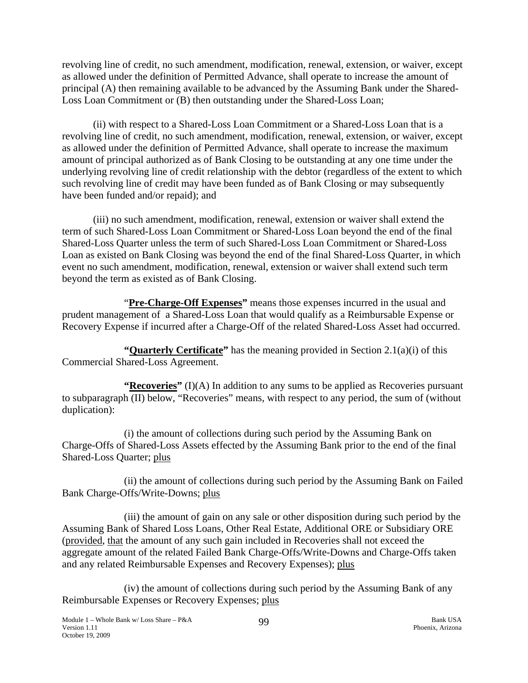revolving line of credit, no such amendment, modification, renewal, extension, or waiver, except as allowed under the definition of Permitted Advance, shall operate to increase the amount of principal (A) then remaining available to be advanced by the Assuming Bank under the Shared-Loss Loan Commitment or (B) then outstanding under the Shared-Loss Loan;

(ii) with respect to a Shared-Loss Loan Commitment or a Shared-Loss Loan that is a revolving line of credit, no such amendment, modification, renewal, extension, or waiver, except as allowed under the definition of Permitted Advance, shall operate to increase the maximum amount of principal authorized as of Bank Closing to be outstanding at any one time under the underlying revolving line of credit relationship with the debtor (regardless of the extent to which such revolving line of credit may have been funded as of Bank Closing or may subsequently have been funded and/or repaid); and

(iii) no such amendment, modification, renewal, extension or waiver shall extend the term of such Shared-Loss Loan Commitment or Shared-Loss Loan beyond the end of the final Shared-Loss Quarter unless the term of such Shared-Loss Loan Commitment or Shared-Loss Loan as existed on Bank Closing was beyond the end of the final Shared-Loss Quarter, in which event no such amendment, modification, renewal, extension or waiver shall extend such term beyond the term as existed as of Bank Closing.

"**Pre-Charge-Off Expenses"** means those expenses incurred in the usual and prudent management of a Shared-Loss Loan that would qualify as a Reimbursable Expense or Recovery Expense if incurred after a Charge-Off of the related Shared-Loss Asset had occurred.

**"Quarterly Certificate"** has the meaning provided in Section 2.1(a)(i) of this Commercial Shared-Loss Agreement.

**"Recoveries"** (I)(A) In addition to any sums to be applied as Recoveries pursuant to subparagraph (II) below, "Recoveries" means, with respect to any period, the sum of (without duplication):

**Shared-Loss Quarter; plus** (i) the amount of collections during such period by the Assuming Bank on Charge-Offs of Shared-Loss Assets effected by the Assuming Bank prior to the end of the final

(ii) the amount of collections during such period by the Assuming Bank on Failed Bank Charge-Offs/Write-Downs; plus

(iii) the amount of gain on any sale or other disposition during such period by the Assuming Bank of Shared Loss Loans, Other Real Estate, Additional ORE or Subsidiary ORE (provided, that the amount of any such gain included in Recoveries shall not exceed the aggregate amount of the related Failed Bank Charge-Offs/Write-Downs and Charge-Offs taken and any related Reimbursable Expenses and Recovery Expenses); plus

(iv) the amount of collections during such period by the Assuming Bank of any Reimbursable Expenses or Recovery Expenses; plus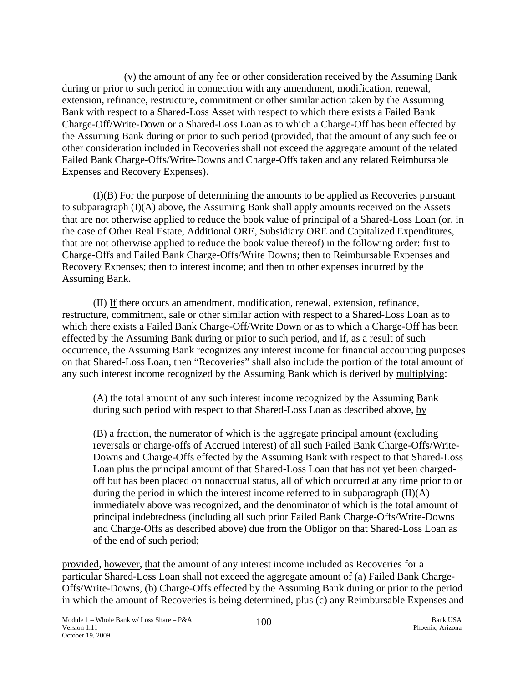(v) the amount of any fee or other consideration received by the Assuming Bank during or prior to such period in connection with any amendment, modification, renewal, extension, refinance, restructure, commitment or other similar action taken by the Assuming Bank with respect to a Shared-Loss Asset with respect to which there exists a Failed Bank Charge-Off/Write-Down or a Shared-Loss Loan as to which a Charge-Off has been effected by the Assuming Bank during or prior to such period (provided, that the amount of any such fee or other consideration included in Recoveries shall not exceed the aggregate amount of the related Failed Bank Charge-Offs/Write-Downs and Charge-Offs taken and any related Reimbursable Expenses and Recovery Expenses).

(I)(B) For the purpose of determining the amounts to be applied as Recoveries pursuant to subparagraph  $(I)(A)$  above, the Assuming Bank shall apply amounts received on the Assets that are not otherwise applied to reduce the book value of principal of a Shared-Loss Loan (or, in the case of Other Real Estate, Additional ORE, Subsidiary ORE and Capitalized Expenditures, that are not otherwise applied to reduce the book value thereof) in the following order: first to Charge-Offs and Failed Bank Charge-Offs/Write Downs; then to Reimbursable Expenses and Recovery Expenses; then to interest income; and then to other expenses incurred by the Assuming Bank.

(II) If there occurs an amendment, modification, renewal, extension, refinance, restructure, commitment, sale or other similar action with respect to a Shared-Loss Loan as to which there exists a Failed Bank Charge-Off/Write Down or as to which a Charge-Off has been effected by the Assuming Bank during or prior to such period, and if, as a result of such occurrence, the Assuming Bank recognizes any interest income for financial accounting purposes on that Shared-Loss Loan, then "Recoveries" shall also include the portion of the total amount of any such interest income recognized by the Assuming Bank which is derived by multiplying:

(A) the total amount of any such interest income recognized by the Assuming Bank during such period with respect to that Shared-Loss Loan as described above, by

(B) a fraction, the numerator of which is the aggregate principal amount (excluding reversals or charge-offs of Accrued Interest) of all such Failed Bank Charge-Offs/Write-Downs and Charge-Offs effected by the Assuming Bank with respect to that Shared-Loss Loan plus the principal amount of that Shared-Loss Loan that has not yet been chargedoff but has been placed on nonaccrual status, all of which occurred at any time prior to or during the period in which the interest income referred to in subparagraph (II)(A) immediately above was recognized, and the denominator of which is the total amount of principal indebtedness (including all such prior Failed Bank Charge-Offs/Write-Downs and Charge-Offs as described above) due from the Obligor on that Shared-Loss Loan as of the end of such period;

provided, however, that the amount of any interest income included as Recoveries for a particular Shared-Loss Loan shall not exceed the aggregate amount of (a) Failed Bank Charge-Offs/Write-Downs, (b) Charge-Offs effected by the Assuming Bank during or prior to the period in which the amount of Recoveries is being determined, plus (c) any Reimbursable Expenses and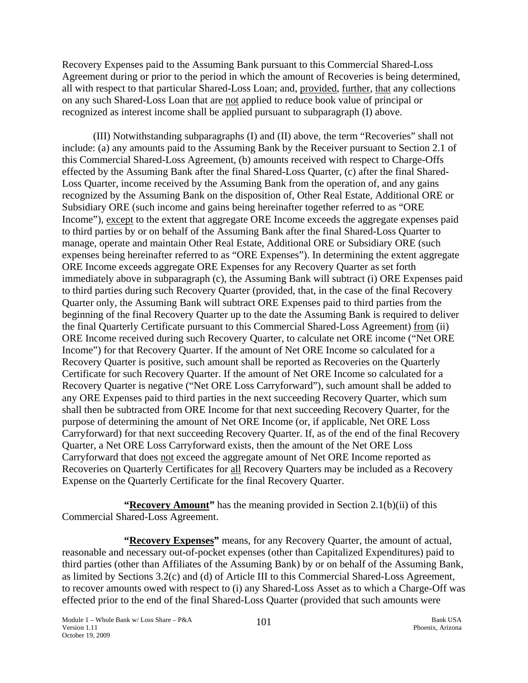Recovery Expenses paid to the Assuming Bank pursuant to this Commercial Shared-Loss Agreement during or prior to the period in which the amount of Recoveries is being determined, all with respect to that particular Shared-Loss Loan; and, provided, further, that any collections on any such Shared-Loss Loan that are not applied to reduce book value of principal or recognized as interest income shall be applied pursuant to subparagraph (I) above.

(III) Notwithstanding subparagraphs (I) and (II) above, the term "Recoveries" shall not include: (a) any amounts paid to the Assuming Bank by the Receiver pursuant to Section 2.1 of this Commercial Shared-Loss Agreement, (b) amounts received with respect to Charge-Offs effected by the Assuming Bank after the final Shared-Loss Quarter, (c) after the final Shared-Loss Quarter, income received by the Assuming Bank from the operation of, and any gains recognized by the Assuming Bank on the disposition of, Other Real Estate, Additional ORE or Subsidiary ORE (such income and gains being hereinafter together referred to as "ORE Income"), except to the extent that aggregate ORE Income exceeds the aggregate expenses paid to third parties by or on behalf of the Assuming Bank after the final Shared-Loss Quarter to manage, operate and maintain Other Real Estate, Additional ORE or Subsidiary ORE (such expenses being hereinafter referred to as "ORE Expenses"). In determining the extent aggregate ORE Income exceeds aggregate ORE Expenses for any Recovery Quarter as set forth immediately above in subparagraph (c), the Assuming Bank will subtract (i) ORE Expenses paid to third parties during such Recovery Quarter (provided, that, in the case of the final Recovery Quarter only, the Assuming Bank will subtract ORE Expenses paid to third parties from the beginning of the final Recovery Quarter up to the date the Assuming Bank is required to deliver the final Quarterly Certificate pursuant to this Commercial Shared-Loss Agreement) from (ii) ORE Income received during such Recovery Quarter, to calculate net ORE income ("Net ORE Income") for that Recovery Quarter. If the amount of Net ORE Income so calculated for a Recovery Quarter is positive, such amount shall be reported as Recoveries on the Quarterly Certificate for such Recovery Quarter. If the amount of Net ORE Income so calculated for a Recovery Quarter is negative ("Net ORE Loss Carryforward"), such amount shall be added to any ORE Expenses paid to third parties in the next succeeding Recovery Quarter, which sum shall then be subtracted from ORE Income for that next succeeding Recovery Quarter, for the purpose of determining the amount of Net ORE Income (or, if applicable, Net ORE Loss Carryforward) for that next succeeding Recovery Quarter. If, as of the end of the final Recovery Quarter, a Net ORE Loss Carryforward exists, then the amount of the Net ORE Loss Carryforward that does not exceed the aggregate amount of Net ORE Income reported as Recoveries on Quarterly Certificates for all Recovery Quarters may be included as a Recovery Expense on the Quarterly Certificate for the final Recovery Quarter.

**"Recovery Amount"** has the meaning provided in Section 2.1(b)(ii) of this Commercial Shared-Loss Agreement.

**"Recovery Expenses"** means, for any Recovery Quarter, the amount of actual, reasonable and necessary out-of-pocket expenses (other than Capitalized Expenditures) paid to third parties (other than Affiliates of the Assuming Bank) by or on behalf of the Assuming Bank, as limited by Sections 3.2(c) and (d) of Article III to this Commercial Shared-Loss Agreement, to recover amounts owed with respect to (i) any Shared-Loss Asset as to which a Charge-Off was effected prior to the end of the final Shared-Loss Quarter (provided that such amounts were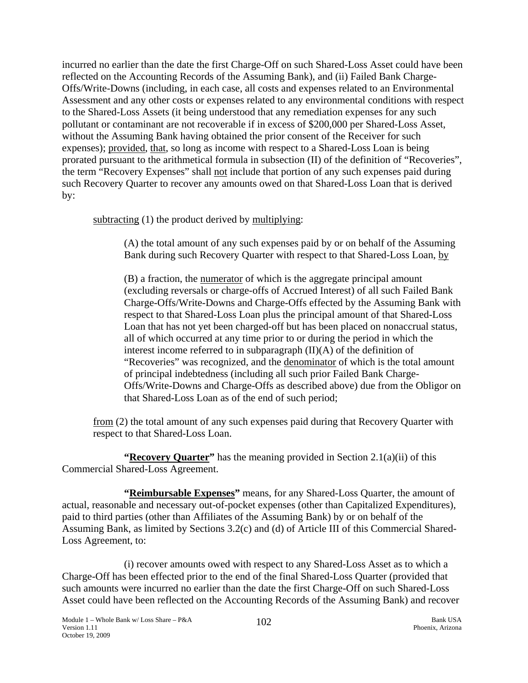incurred no earlier than the date the first Charge-Off on such Shared-Loss Asset could have been reflected on the Accounting Records of the Assuming Bank), and (ii) Failed Bank Charge-Offs/Write-Downs (including, in each case, all costs and expenses related to an Environmental Assessment and any other costs or expenses related to any environmental conditions with respect to the Shared-Loss Assets (it being understood that any remediation expenses for any such pollutant or contaminant are not recoverable if in excess of \$200,000 per Shared-Loss Asset, without the Assuming Bank having obtained the prior consent of the Receiver for such expenses); provided, that, so long as income with respect to a Shared-Loss Loan is being prorated pursuant to the arithmetical formula in subsection (II) of the definition of "Recoveries", the term "Recovery Expenses" shall not include that portion of any such expenses paid during such Recovery Quarter to recover any amounts owed on that Shared-Loss Loan that is derived by:

subtracting (1) the product derived by multiplying:

(A) the total amount of any such expenses paid by or on behalf of the Assuming Bank during such Recovery Quarter with respect to that Shared-Loss Loan, by

(B) a fraction, the numerator of which is the aggregate principal amount (excluding reversals or charge-offs of Accrued Interest) of all such Failed Bank Charge-Offs/Write-Downs and Charge-Offs effected by the Assuming Bank with respect to that Shared-Loss Loan plus the principal amount of that Shared-Loss Loan that has not yet been charged-off but has been placed on nonaccrual status, all of which occurred at any time prior to or during the period in which the interest income referred to in subparagraph  $(II)(A)$  of the definition of "Recoveries" was recognized, and the denominator of which is the total amount of principal indebtedness (including all such prior Failed Bank Charge-Offs/Write-Downs and Charge-Offs as described above) due from the Obligor on that Shared-Loss Loan as of the end of such period;

from (2) the total amount of any such expenses paid during that Recovery Quarter with respect to that Shared-Loss Loan.

**"Recovery Quarter"** has the meaning provided in Section 2.1(a)(ii) of this Commercial Shared-Loss Agreement.

**"Reimbursable Expenses"** means, for any Shared-Loss Quarter, the amount of actual, reasonable and necessary out-of-pocket expenses (other than Capitalized Expenditures), paid to third parties (other than Affiliates of the Assuming Bank) by or on behalf of the Assuming Bank, as limited by Sections 3.2(c) and (d) of Article III of this Commercial Shared-Loss Agreement, to:

(i) recover amounts owed with respect to any Shared-Loss Asset as to which a Charge-Off has been effected prior to the end of the final Shared-Loss Quarter (provided that such amounts were incurred no earlier than the date the first Charge-Off on such Shared-Loss Asset could have been reflected on the Accounting Records of the Assuming Bank) and recover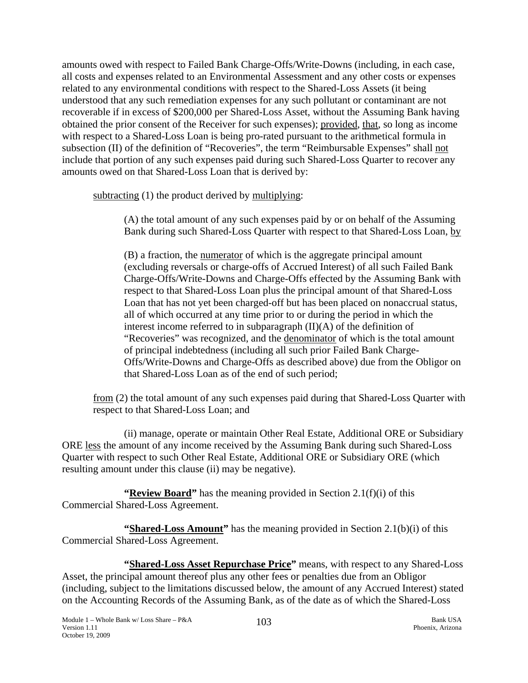amounts owed with respect to Failed Bank Charge-Offs/Write-Downs (including, in each case, all costs and expenses related to an Environmental Assessment and any other costs or expenses related to any environmental conditions with respect to the Shared-Loss Assets (it being understood that any such remediation expenses for any such pollutant or contaminant are not recoverable if in excess of \$200,000 per Shared-Loss Asset, without the Assuming Bank having obtained the prior consent of the Receiver for such expenses); provided, that, so long as income with respect to a Shared-Loss Loan is being pro-rated pursuant to the arithmetical formula in subsection (II) of the definition of "Recoveries", the term "Reimbursable Expenses" shall not include that portion of any such expenses paid during such Shared-Loss Quarter to recover any amounts owed on that Shared-Loss Loan that is derived by:

subtracting (1) the product derived by multiplying:

(A) the total amount of any such expenses paid by or on behalf of the Assuming Bank during such Shared-Loss Quarter with respect to that Shared-Loss Loan, by

(B) a fraction, the numerator of which is the aggregate principal amount (excluding reversals or charge-offs of Accrued Interest) of all such Failed Bank Charge-Offs/Write-Downs and Charge-Offs effected by the Assuming Bank with respect to that Shared-Loss Loan plus the principal amount of that Shared-Loss Loan that has not yet been charged-off but has been placed on nonaccrual status, all of which occurred at any time prior to or during the period in which the interest income referred to in subparagraph (II)(A) of the definition of "Recoveries" was recognized, and the denominator of which is the total amount of principal indebtedness (including all such prior Failed Bank Charge-Offs/Write-Downs and Charge-Offs as described above) due from the Obligor on that Shared-Loss Loan as of the end of such period;

from (2) the total amount of any such expenses paid during that Shared-Loss Quarter with respect to that Shared-Loss Loan; and

(ii) manage, operate or maintain Other Real Estate, Additional ORE or Subsidiary ORE less the amount of any income received by the Assuming Bank during such Shared-Loss Quarter with respect to such Other Real Estate, Additional ORE or Subsidiary ORE (which resulting amount under this clause (ii) may be negative).

**"Review Board"** has the meaning provided in Section 2.1(f)(i) of this Commercial Shared-Loss Agreement.

**"Shared-Loss Amount"** has the meaning provided in Section 2.1(b)(i) of this Commercial Shared-Loss Agreement.

**"Shared-Loss Asset Repurchase Price"** means, with respect to any Shared-Loss Asset, the principal amount thereof plus any other fees or penalties due from an Obligor (including, subject to the limitations discussed below, the amount of any Accrued Interest) stated on the Accounting Records of the Assuming Bank, as of the date as of which the Shared-Loss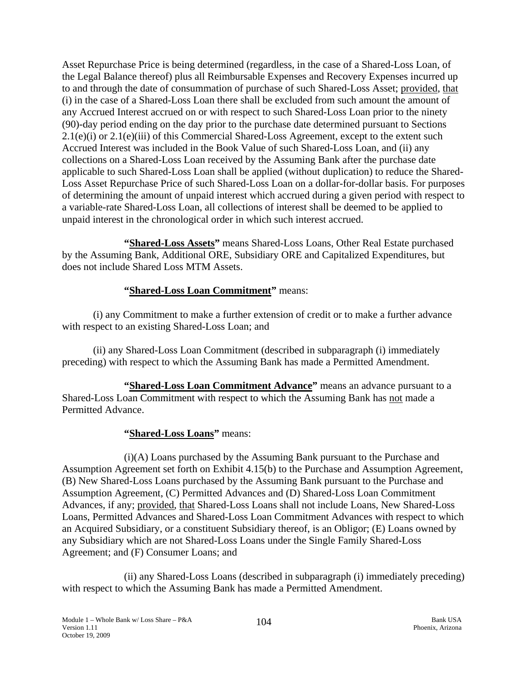Asset Repurchase Price is being determined (regardless, in the case of a Shared-Loss Loan, of the Legal Balance thereof) plus all Reimbursable Expenses and Recovery Expenses incurred up to and through the date of consummation of purchase of such Shared-Loss Asset; provided, that (i) in the case of a Shared-Loss Loan there shall be excluded from such amount the amount of any Accrued Interest accrued on or with respect to such Shared-Loss Loan prior to the ninety (90)-day period ending on the day prior to the purchase date determined pursuant to Sections 2.1(e)(i) or 2.1(e)(iii) of this Commercial Shared-Loss Agreement, except to the extent such Accrued Interest was included in the Book Value of such Shared-Loss Loan, and (ii) any collections on a Shared-Loss Loan received by the Assuming Bank after the purchase date applicable to such Shared-Loss Loan shall be applied (without duplication) to reduce the Shared-Loss Asset Repurchase Price of such Shared-Loss Loan on a dollar-for-dollar basis. For purposes of determining the amount of unpaid interest which accrued during a given period with respect to a variable-rate Shared-Loss Loan, all collections of interest shall be deemed to be applied to unpaid interest in the chronological order in which such interest accrued.

**"Shared-Loss Assets"** means Shared-Loss Loans, Other Real Estate purchased by the Assuming Bank, Additional ORE, Subsidiary ORE and Capitalized Expenditures, but does not include Shared Loss MTM Assets.

## "Shared-Loss Loan Commitment" means:

(i) any Commitment to make a further extension of credit or to make a further advance with respect to an existing Shared-Loss Loan; and

(ii) any Shared-Loss Loan Commitment (described in subparagraph (i) immediately preceding) with respect to which the Assuming Bank has made a Permitted Amendment.

**"Shared-Loss Loan Commitment Advance"** means an advance pursuant to a Shared-Loss Loan Commitment with respect to which the Assuming Bank has not made a Permitted Advance.

## **"Shared-Loss Loans"** means:

(i)(A) Loans purchased by the Assuming Bank pursuant to the Purchase and Assumption Agreement set forth on Exhibit 4.15(b) to the Purchase and Assumption Agreement, (B) New Shared-Loss Loans purchased by the Assuming Bank pursuant to the Purchase and Assumption Agreement, (C) Permitted Advances and (D) Shared-Loss Loan Commitment Advances, if any; provided, that Shared-Loss Loans shall not include Loans, New Shared-Loss Loans, Permitted Advances and Shared-Loss Loan Commitment Advances with respect to which an Acquired Subsidiary, or a constituent Subsidiary thereof, is an Obligor; (E) Loans owned by any Subsidiary which are not Shared-Loss Loans under the Single Family Shared-Loss Agreement; and (F) Consumer Loans; and

(ii) any Shared-Loss Loans (described in subparagraph (i) immediately preceding) with respect to which the Assuming Bank has made a Permitted Amendment.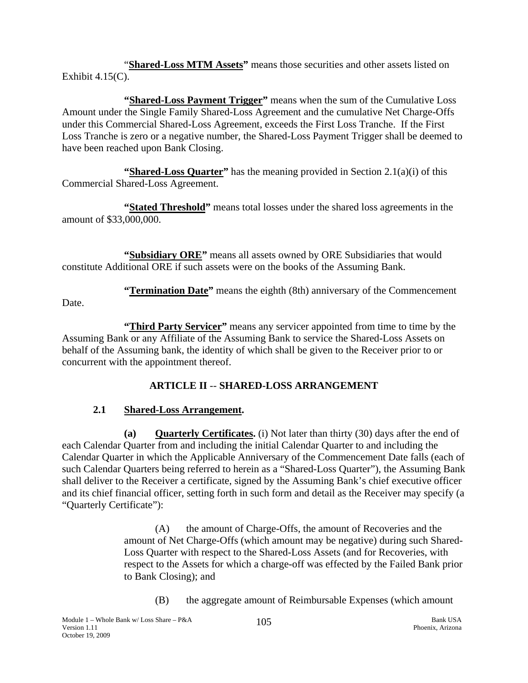"**Shared-Loss MTM Assets"** means those securities and other assets listed on Exhibit  $4.15(C)$ .

**"Shared-Loss Payment Trigger"** means when the sum of the Cumulative Loss Amount under the Single Family Shared-Loss Agreement and the cumulative Net Charge-Offs under this Commercial Shared-Loss Agreement, exceeds the First Loss Tranche. If the First Loss Tranche is zero or a negative number, the Shared-Loss Payment Trigger shall be deemed to have been reached upon Bank Closing.

**"Shared-Loss Quarter"** has the meaning provided in Section 2.1(a)(i) of this Commercial Shared-Loss Agreement.

**"Stated Threshold"** means total losses under the shared loss agreements in the amount of \$33,000,000.

**"Subsidiary ORE"** means all assets owned by ORE Subsidiaries that would constitute Additional ORE if such assets were on the books of the Assuming Bank.

**"Termination Date"** means the eighth (8th) anniversary of the Commencement Date.

**"Third Party Servicer"** means any servicer appointed from time to time by the Assuming Bank or any Affiliate of the Assuming Bank to service the Shared-Loss Assets on behalf of the Assuming bank, the identity of which shall be given to the Receiver prior to or concurrent with the appointment thereof.

## **ARTICLE II** -- **SHARED-LOSS ARRANGEMENT**

#### **2.1 Shared-Loss Arrangement.**

**(a) Quarterly Certificates.** (i) Not later than thirty (30) days after the end of each Calendar Quarter from and including the initial Calendar Quarter to and including the Calendar Quarter in which the Applicable Anniversary of the Commencement Date falls (each of such Calendar Quarters being referred to herein as a "Shared-Loss Quarter"), the Assuming Bank shall deliver to the Receiver a certificate, signed by the Assuming Bank's chief executive officer and its chief financial officer, setting forth in such form and detail as the Receiver may specify (a "Quarterly Certificate"):

> (A) the amount of Charge-Offs, the amount of Recoveries and the amount of Net Charge-Offs (which amount may be negative) during such Shared-Loss Quarter with respect to the Shared-Loss Assets (and for Recoveries, with respect to the Assets for which a charge-off was effected by the Failed Bank prior to Bank Closing); and

(B) the aggregate amount of Reimbursable Expenses (which amount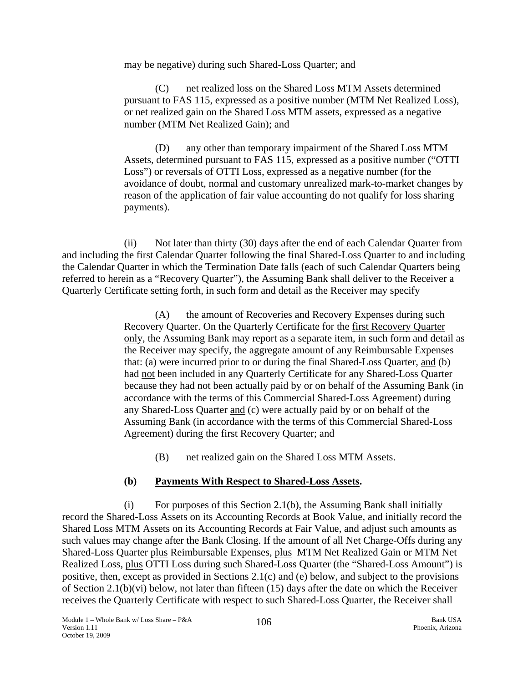may be negative) during such Shared-Loss Quarter; and

(C) net realized loss on the Shared Loss MTM Assets determined pursuant to FAS 115, expressed as a positive number (MTM Net Realized Loss), or net realized gain on the Shared Loss MTM assets, expressed as a negative number (MTM Net Realized Gain); and

(D) any other than temporary impairment of the Shared Loss MTM Assets, determined pursuant to FAS 115, expressed as a positive number ("OTTI Loss") or reversals of OTTI Loss, expressed as a negative number (for the avoidance of doubt, normal and customary unrealized mark-to-market changes by reason of the application of fair value accounting do not qualify for loss sharing payments).

(ii) Not later than thirty (30) days after the end of each Calendar Quarter from and including the first Calendar Quarter following the final Shared-Loss Quarter to and including the Calendar Quarter in which the Termination Date falls (each of such Calendar Quarters being referred to herein as a "Recovery Quarter"), the Assuming Bank shall deliver to the Receiver a Quarterly Certificate setting forth, in such form and detail as the Receiver may specify

> (A) the amount of Recoveries and Recovery Expenses during such Recovery Quarter. On the Quarterly Certificate for the first Recovery Quarter only, the Assuming Bank may report as a separate item, in such form and detail as the Receiver may specify, the aggregate amount of any Reimbursable Expenses that: (a) were incurred prior to or during the final Shared-Loss Quarter, and (b) had not been included in any Quarterly Certificate for any Shared-Loss Quarter because they had not been actually paid by or on behalf of the Assuming Bank (in accordance with the terms of this Commercial Shared-Loss Agreement) during any Shared-Loss Quarter and (c) were actually paid by or on behalf of the Assuming Bank (in accordance with the terms of this Commercial Shared-Loss Agreement) during the first Recovery Quarter; and

(B) net realized gain on the Shared Loss MTM Assets.

## **(b) Payments With Respect to Shared-Loss Assets.**

(i) For purposes of this Section 2.1(b), the Assuming Bank shall initially record the Shared-Loss Assets on its Accounting Records at Book Value, and initially record the Shared Loss MTM Assets on its Accounting Records at Fair Value, and adjust such amounts as such values may change after the Bank Closing. If the amount of all Net Charge-Offs during any Shared-Loss Quarter plus Reimbursable Expenses, plus MTM Net Realized Gain or MTM Net Realized Loss, plus OTTI Loss during such Shared-Loss Quarter (the "Shared-Loss Amount") is positive, then, except as provided in Sections 2.1(c) and (e) below, and subject to the provisions of Section 2.1(b)(vi) below, not later than fifteen (15) days after the date on which the Receiver receives the Quarterly Certificate with respect to such Shared-Loss Quarter, the Receiver shall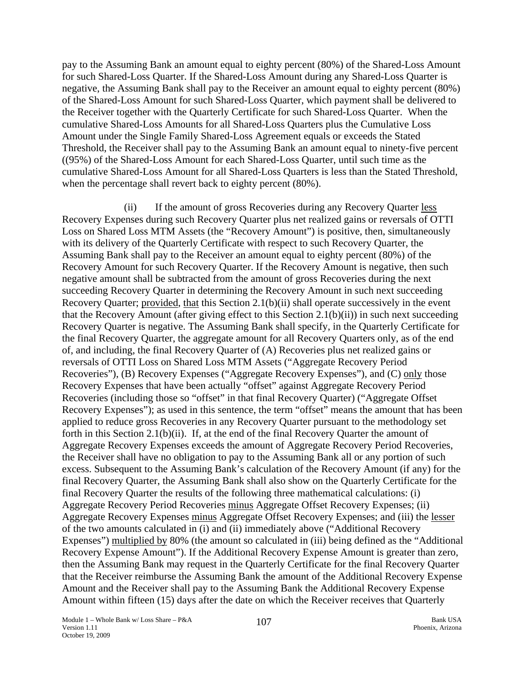pay to the Assuming Bank an amount equal to eighty percent (80%) of the Shared-Loss Amount for such Shared-Loss Quarter. If the Shared-Loss Amount during any Shared-Loss Quarter is negative, the Assuming Bank shall pay to the Receiver an amount equal to eighty percent (80%) of the Shared-Loss Amount for such Shared-Loss Quarter, which payment shall be delivered to the Receiver together with the Quarterly Certificate for such Shared-Loss Quarter. When the cumulative Shared-Loss Amounts for all Shared-Loss Quarters plus the Cumulative Loss Amount under the Single Family Shared-Loss Agreement equals or exceeds the Stated Threshold, the Receiver shall pay to the Assuming Bank an amount equal to ninety-five percent ((95%) of the Shared-Loss Amount for each Shared-Loss Quarter, until such time as the cumulative Shared-Loss Amount for all Shared-Loss Quarters is less than the Stated Threshold, when the percentage shall revert back to eighty percent (80%).

(ii) If the amount of gross Recoveries during any Recovery Quarter less Recovery Expenses during such Recovery Quarter plus net realized gains or reversals of OTTI Loss on Shared Loss MTM Assets (the "Recovery Amount") is positive, then, simultaneously with its delivery of the Quarterly Certificate with respect to such Recovery Quarter, the Assuming Bank shall pay to the Receiver an amount equal to eighty percent (80%) of the Recovery Amount for such Recovery Quarter. If the Recovery Amount is negative, then such negative amount shall be subtracted from the amount of gross Recoveries during the next succeeding Recovery Quarter in determining the Recovery Amount in such next succeeding Recovery Quarter; provided, that this Section 2.1(b)(ii) shall operate successively in the event that the Recovery Amount (after giving effect to this Section 2.1(b)(ii)) in such next succeeding Recovery Quarter is negative. The Assuming Bank shall specify, in the Quarterly Certificate for the final Recovery Quarter, the aggregate amount for all Recovery Quarters only, as of the end of, and including, the final Recovery Quarter of (A) Recoveries plus net realized gains or reversals of OTTI Loss on Shared Loss MTM Assets ("Aggregate Recovery Period Recoveries"), (B) Recovery Expenses ("Aggregate Recovery Expenses"), and (C) only those Recovery Expenses that have been actually "offset" against Aggregate Recovery Period Recoveries (including those so "offset" in that final Recovery Quarter) ("Aggregate Offset Recovery Expenses"); as used in this sentence, the term "offset" means the amount that has been applied to reduce gross Recoveries in any Recovery Quarter pursuant to the methodology set forth in this Section 2.1(b)(ii). If, at the end of the final Recovery Quarter the amount of Aggregate Recovery Expenses exceeds the amount of Aggregate Recovery Period Recoveries, the Receiver shall have no obligation to pay to the Assuming Bank all or any portion of such excess. Subsequent to the Assuming Bank's calculation of the Recovery Amount (if any) for the final Recovery Quarter, the Assuming Bank shall also show on the Quarterly Certificate for the final Recovery Quarter the results of the following three mathematical calculations: (i) Aggregate Recovery Period Recoveries minus Aggregate Offset Recovery Expenses; (ii) Aggregate Recovery Expenses minus Aggregate Offset Recovery Expenses; and (iii) the lesser of the two amounts calculated in (i) and (ii) immediately above ("Additional Recovery Expenses") multiplied by 80% (the amount so calculated in (iii) being defined as the "Additional Recovery Expense Amount"). If the Additional Recovery Expense Amount is greater than zero, then the Assuming Bank may request in the Quarterly Certificate for the final Recovery Quarter that the Receiver reimburse the Assuming Bank the amount of the Additional Recovery Expense Amount and the Receiver shall pay to the Assuming Bank the Additional Recovery Expense Amount within fifteen (15) days after the date on which the Receiver receives that Quarterly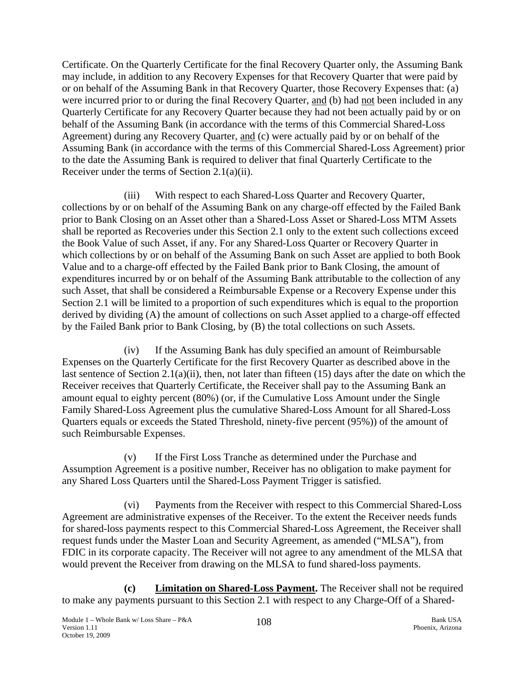Certificate. On the Quarterly Certificate for the final Recovery Quarter only, the Assuming Bank may include, in addition to any Recovery Expenses for that Recovery Quarter that were paid by or on behalf of the Assuming Bank in that Recovery Quarter, those Recovery Expenses that: (a) were incurred prior to or during the final Recovery Quarter, and (b) had not been included in any Quarterly Certificate for any Recovery Quarter because they had not been actually paid by or on behalf of the Assuming Bank (in accordance with the terms of this Commercial Shared-Loss Agreement) during any Recovery Quarter, and (c) were actually paid by or on behalf of the Assuming Bank (in accordance with the terms of this Commercial Shared-Loss Agreement) prior to the date the Assuming Bank is required to deliver that final Quarterly Certificate to the Receiver under the terms of Section 2.1(a)(ii).

(iii) With respect to each Shared-Loss Quarter and Recovery Quarter, collections by or on behalf of the Assuming Bank on any charge-off effected by the Failed Bank prior to Bank Closing on an Asset other than a Shared-Loss Asset or Shared-Loss MTM Assets shall be reported as Recoveries under this Section 2.1 only to the extent such collections exceed the Book Value of such Asset, if any. For any Shared-Loss Quarter or Recovery Quarter in which collections by or on behalf of the Assuming Bank on such Asset are applied to both Book Value and to a charge-off effected by the Failed Bank prior to Bank Closing, the amount of expenditures incurred by or on behalf of the Assuming Bank attributable to the collection of any such Asset, that shall be considered a Reimbursable Expense or a Recovery Expense under this Section 2.1 will be limited to a proportion of such expenditures which is equal to the proportion derived by dividing (A) the amount of collections on such Asset applied to a charge-off effected by the Failed Bank prior to Bank Closing, by (B) the total collections on such Assets.

(iv) If the Assuming Bank has duly specified an amount of Reimbursable Expenses on the Quarterly Certificate for the first Recovery Quarter as described above in the last sentence of Section 2.1(a)(ii), then, not later than fifteen (15) days after the date on which the Receiver receives that Quarterly Certificate, the Receiver shall pay to the Assuming Bank an amount equal to eighty percent (80%) (or, if the Cumulative Loss Amount under the Single Family Shared-Loss Agreement plus the cumulative Shared-Loss Amount for all Shared-Loss Quarters equals or exceeds the Stated Threshold, ninety-five percent (95%)) of the amount of such Reimbursable Expenses.

(v) If the First Loss Tranche as determined under the Purchase and Assumption Agreement is a positive number, Receiver has no obligation to make payment for any Shared Loss Quarters until the Shared-Loss Payment Trigger is satisfied.

(vi) Payments from the Receiver with respect to this Commercial Shared-Loss Agreement are administrative expenses of the Receiver. To the extent the Receiver needs funds for shared-loss payments respect to this Commercial Shared-Loss Agreement, the Receiver shall request funds under the Master Loan and Security Agreement, as amended ("MLSA"), from FDIC in its corporate capacity. The Receiver will not agree to any amendment of the MLSA that would prevent the Receiver from drawing on the MLSA to fund shared-loss payments.

**(c) Limitation on Shared-Loss Payment.** The Receiver shall not be required to make any payments pursuant to this Section 2.1 with respect to any Charge-Off of a Shared-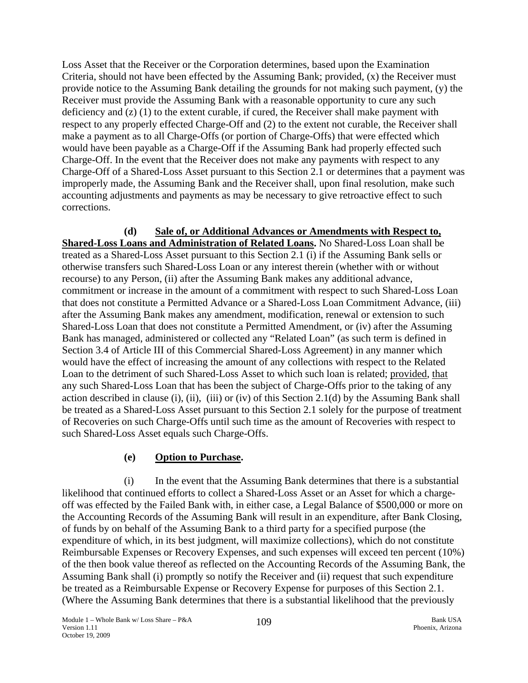Loss Asset that the Receiver or the Corporation determines, based upon the Examination Criteria, should not have been effected by the Assuming Bank; provided, (x) the Receiver must provide notice to the Assuming Bank detailing the grounds for not making such payment, (y) the Receiver must provide the Assuming Bank with a reasonable opportunity to cure any such deficiency and (z) (1) to the extent curable, if cured, the Receiver shall make payment with respect to any properly effected Charge-Off and (2) to the extent not curable, the Receiver shall make a payment as to all Charge-Offs (or portion of Charge-Offs) that were effected which would have been payable as a Charge-Off if the Assuming Bank had properly effected such Charge-Off. In the event that the Receiver does not make any payments with respect to any Charge-Off of a Shared-Loss Asset pursuant to this Section 2.1 or determines that a payment was improperly made, the Assuming Bank and the Receiver shall, upon final resolution, make such accounting adjustments and payments as may be necessary to give retroactive effect to such corrections.

Loan to the detriment of such Shared-Loss Asset to which such loan is related; provided, that **(d) Sale of, or Additional Advances or Amendments with Respect to, Shared-Loss Loans and Administration of Related Loans.** No Shared-Loss Loan shall be treated as a Shared-Loss Asset pursuant to this Section 2.1 (i) if the Assuming Bank sells or otherwise transfers such Shared-Loss Loan or any interest therein (whether with or without recourse) to any Person, (ii) after the Assuming Bank makes any additional advance, commitment or increase in the amount of a commitment with respect to such Shared-Loss Loan that does not constitute a Permitted Advance or a Shared-Loss Loan Commitment Advance, (iii) after the Assuming Bank makes any amendment, modification, renewal or extension to such Shared-Loss Loan that does not constitute a Permitted Amendment, or (iv) after the Assuming Bank has managed, administered or collected any "Related Loan" (as such term is defined in Section 3.4 of Article III of this Commercial Shared-Loss Agreement) in any manner which would have the effect of increasing the amount of any collections with respect to the Related any such Shared-Loss Loan that has been the subject of Charge-Offs prior to the taking of any action described in clause (i), (ii), (iii) or (iv) of this Section 2.1(d) by the Assuming Bank shall be treated as a Shared-Loss Asset pursuant to this Section 2.1 solely for the purpose of treatment of Recoveries on such Charge-Offs until such time as the amount of Recoveries with respect to such Shared-Loss Asset equals such Charge-Offs.

#### **(e) Option to Purchase.**

(i) In the event that the Assuming Bank determines that there is a substantial likelihood that continued efforts to collect a Shared-Loss Asset or an Asset for which a chargeoff was effected by the Failed Bank with, in either case, a Legal Balance of \$500,000 or more on the Accounting Records of the Assuming Bank will result in an expenditure, after Bank Closing, of funds by on behalf of the Assuming Bank to a third party for a specified purpose (the expenditure of which, in its best judgment, will maximize collections), which do not constitute Reimbursable Expenses or Recovery Expenses, and such expenses will exceed ten percent (10%) of the then book value thereof as reflected on the Accounting Records of the Assuming Bank, the Assuming Bank shall (i) promptly so notify the Receiver and (ii) request that such expenditure be treated as a Reimbursable Expense or Recovery Expense for purposes of this Section 2.1. (Where the Assuming Bank determines that there is a substantial likelihood that the previously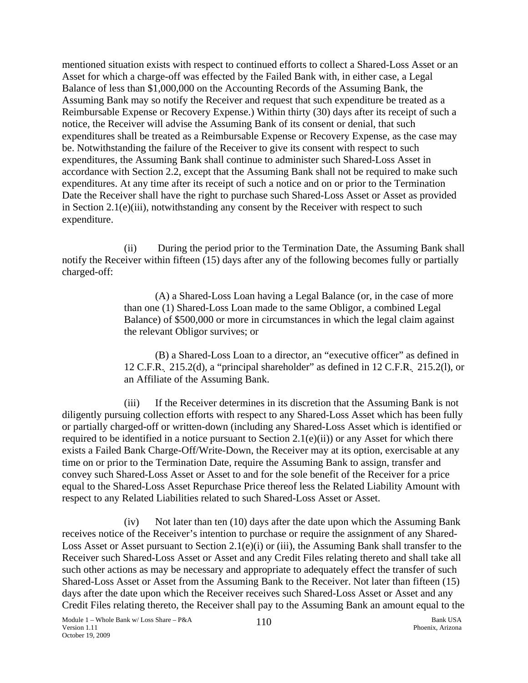mentioned situation exists with respect to continued efforts to collect a Shared-Loss Asset or an Asset for which a charge-off was effected by the Failed Bank with, in either case, a Legal Balance of less than \$1,000,000 on the Accounting Records of the Assuming Bank, the Assuming Bank may so notify the Receiver and request that such expenditure be treated as a Reimbursable Expense or Recovery Expense.) Within thirty (30) days after its receipt of such a notice, the Receiver will advise the Assuming Bank of its consent or denial, that such expenditures shall be treated as a Reimbursable Expense or Recovery Expense, as the case may be. Notwithstanding the failure of the Receiver to give its consent with respect to such expenditures, the Assuming Bank shall continue to administer such Shared-Loss Asset in accordance with Section 2.2, except that the Assuming Bank shall not be required to make such expenditures. At any time after its receipt of such a notice and on or prior to the Termination Date the Receiver shall have the right to purchase such Shared-Loss Asset or Asset as provided in Section 2.1(e)(iii), notwithstanding any consent by the Receiver with respect to such expenditure.

(ii) During the period prior to the Termination Date, the Assuming Bank shall notify the Receiver within fifteen (15) days after any of the following becomes fully or partially charged-off:

> (A) a Shared-Loss Loan having a Legal Balance (or, in the case of more than one (1) Shared-Loss Loan made to the same Obligor, a combined Legal Balance) of \$500,000 or more in circumstances in which the legal claim against the relevant Obligor survives; or

(B) a Shared-Loss Loan to a director, an "executive officer" as defined in 12 C.F.R. 215.2(d), a "principal shareholder" as defined in 12 C.F.R. 215.2(l), or an Affiliate of the Assuming Bank.

(iii) If the Receiver determines in its discretion that the Assuming Bank is not diligently pursuing collection efforts with respect to any Shared-Loss Asset which has been fully or partially charged-off or written-down (including any Shared-Loss Asset which is identified or required to be identified in a notice pursuant to Section  $2.1(e)(ii)$  or any Asset for which there exists a Failed Bank Charge-Off/Write-Down, the Receiver may at its option, exercisable at any time on or prior to the Termination Date, require the Assuming Bank to assign, transfer and convey such Shared-Loss Asset or Asset to and for the sole benefit of the Receiver for a price equal to the Shared-Loss Asset Repurchase Price thereof less the Related Liability Amount with respect to any Related Liabilities related to such Shared-Loss Asset or Asset.

(iv) Not later than ten (10) days after the date upon which the Assuming Bank receives notice of the Receiver's intention to purchase or require the assignment of any Shared-Loss Asset or Asset pursuant to Section 2.1(e)(i) or (iii), the Assuming Bank shall transfer to the Receiver such Shared-Loss Asset or Asset and any Credit Files relating thereto and shall take all such other actions as may be necessary and appropriate to adequately effect the transfer of such Shared-Loss Asset or Asset from the Assuming Bank to the Receiver. Not later than fifteen (15) days after the date upon which the Receiver receives such Shared-Loss Asset or Asset and any Credit Files relating thereto, the Receiver shall pay to the Assuming Bank an amount equal to the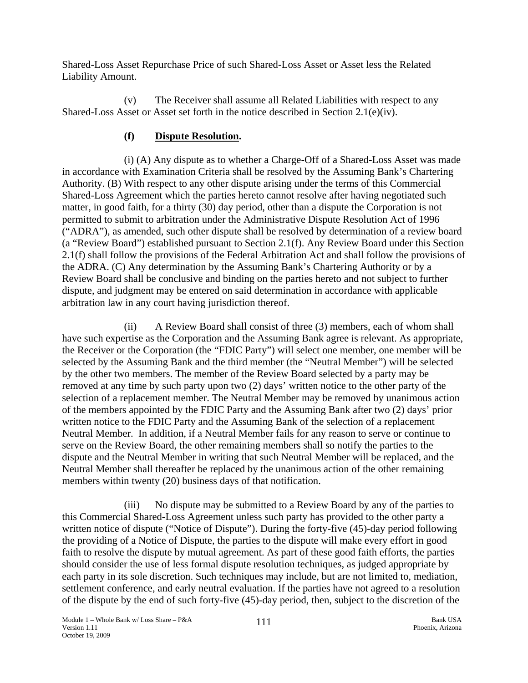Shared-Loss Asset Repurchase Price of such Shared-Loss Asset or Asset less the Related Liability Amount.

(v) The Receiver shall assume all Related Liabilities with respect to any Shared-Loss Asset or Asset set forth in the notice described in Section 2.1(e)(iv).

### **(f) Dispute Resolution.**

(i) (A) Any dispute as to whether a Charge-Off of a Shared-Loss Asset was made in accordance with Examination Criteria shall be resolved by the Assuming Bank's Chartering Authority. (B) With respect to any other dispute arising under the terms of this Commercial Shared-Loss Agreement which the parties hereto cannot resolve after having negotiated such matter, in good faith, for a thirty (30) day period, other than a dispute the Corporation is not permitted to submit to arbitration under the Administrative Dispute Resolution Act of 1996 ("ADRA"), as amended, such other dispute shall be resolved by determination of a review board (a "Review Board") established pursuant to Section 2.1(f). Any Review Board under this Section 2.1(f) shall follow the provisions of the Federal Arbitration Act and shall follow the provisions of the ADRA. (C) Any determination by the Assuming Bank's Chartering Authority or by a Review Board shall be conclusive and binding on the parties hereto and not subject to further dispute, and judgment may be entered on said determination in accordance with applicable arbitration law in any court having jurisdiction thereof.

(ii) A Review Board shall consist of three (3) members, each of whom shall have such expertise as the Corporation and the Assuming Bank agree is relevant. As appropriate, the Receiver or the Corporation (the "FDIC Party") will select one member, one member will be selected by the Assuming Bank and the third member (the "Neutral Member") will be selected by the other two members. The member of the Review Board selected by a party may be removed at any time by such party upon two (2) days' written notice to the other party of the selection of a replacement member. The Neutral Member may be removed by unanimous action of the members appointed by the FDIC Party and the Assuming Bank after two (2) days' prior written notice to the FDIC Party and the Assuming Bank of the selection of a replacement Neutral Member. In addition, if a Neutral Member fails for any reason to serve or continue to serve on the Review Board, the other remaining members shall so notify the parties to the dispute and the Neutral Member in writing that such Neutral Member will be replaced, and the Neutral Member shall thereafter be replaced by the unanimous action of the other remaining members within twenty (20) business days of that notification.

(iii) No dispute may be submitted to a Review Board by any of the parties to this Commercial Shared-Loss Agreement unless such party has provided to the other party a written notice of dispute ("Notice of Dispute"). During the forty-five (45)-day period following the providing of a Notice of Dispute, the parties to the dispute will make every effort in good faith to resolve the dispute by mutual agreement. As part of these good faith efforts, the parties should consider the use of less formal dispute resolution techniques, as judged appropriate by each party in its sole discretion. Such techniques may include, but are not limited to, mediation, settlement conference, and early neutral evaluation. If the parties have not agreed to a resolution of the dispute by the end of such forty-five (45)-day period, then, subject to the discretion of the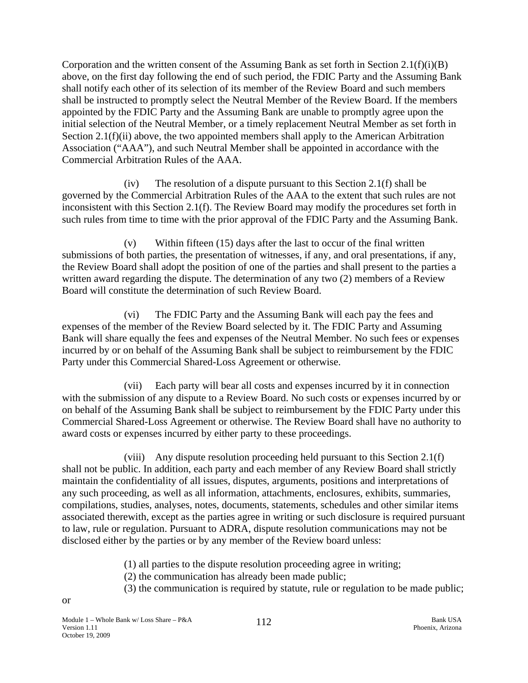Corporation and the written consent of the Assuming Bank as set forth in Section 2.1(f)(i)(B) above, on the first day following the end of such period, the FDIC Party and the Assuming Bank shall notify each other of its selection of its member of the Review Board and such members shall be instructed to promptly select the Neutral Member of the Review Board. If the members appointed by the FDIC Party and the Assuming Bank are unable to promptly agree upon the initial selection of the Neutral Member, or a timely replacement Neutral Member as set forth in Section 2.1(f)(ii) above, the two appointed members shall apply to the American Arbitration Association ("AAA"), and such Neutral Member shall be appointed in accordance with the Commercial Arbitration Rules of the AAA.

(iv) The resolution of a dispute pursuant to this Section 2.1(f) shall be governed by the Commercial Arbitration Rules of the AAA to the extent that such rules are not inconsistent with this Section 2.1(f). The Review Board may modify the procedures set forth in such rules from time to time with the prior approval of the FDIC Party and the Assuming Bank.

(v) Within fifteen (15) days after the last to occur of the final written submissions of both parties, the presentation of witnesses, if any, and oral presentations, if any, the Review Board shall adopt the position of one of the parties and shall present to the parties a written award regarding the dispute. The determination of any two (2) members of a Review Board will constitute the determination of such Review Board.

(vi) The FDIC Party and the Assuming Bank will each pay the fees and expenses of the member of the Review Board selected by it. The FDIC Party and Assuming Bank will share equally the fees and expenses of the Neutral Member. No such fees or expenses incurred by or on behalf of the Assuming Bank shall be subject to reimbursement by the FDIC Party under this Commercial Shared-Loss Agreement or otherwise.

(vii) Each party will bear all costs and expenses incurred by it in connection with the submission of any dispute to a Review Board. No such costs or expenses incurred by or on behalf of the Assuming Bank shall be subject to reimbursement by the FDIC Party under this Commercial Shared-Loss Agreement or otherwise. The Review Board shall have no authority to award costs or expenses incurred by either party to these proceedings.

(viii) Any dispute resolution proceeding held pursuant to this Section 2.1(f) shall not be public. In addition, each party and each member of any Review Board shall strictly maintain the confidentiality of all issues, disputes, arguments, positions and interpretations of any such proceeding, as well as all information, attachments, enclosures, exhibits, summaries, compilations, studies, analyses, notes, documents, statements, schedules and other similar items associated therewith, except as the parties agree in writing or such disclosure is required pursuant to law, rule or regulation. Pursuant to ADRA, dispute resolution communications may not be disclosed either by the parties or by any member of the Review board unless:

(1) all parties to the dispute resolution proceeding agree in writing;

- (2) the communication has already been made public;
- (3) the communication is required by statute, rule or regulation to be made public;

or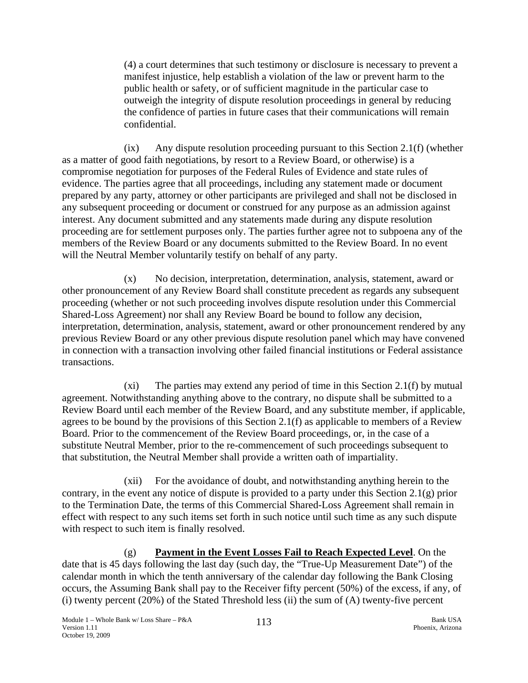(4) a court determines that such testimony or disclosure is necessary to prevent a manifest injustice, help establish a violation of the law or prevent harm to the public health or safety, or of sufficient magnitude in the particular case to outweigh the integrity of dispute resolution proceedings in general by reducing the confidence of parties in future cases that their communications will remain confidential.

 $(ix)$  Any dispute resolution proceeding pursuant to this Section 2.1(f) (whether as a matter of good faith negotiations, by resort to a Review Board, or otherwise) is a compromise negotiation for purposes of the Federal Rules of Evidence and state rules of evidence. The parties agree that all proceedings, including any statement made or document prepared by any party, attorney or other participants are privileged and shall not be disclosed in any subsequent proceeding or document or construed for any purpose as an admission against interest. Any document submitted and any statements made during any dispute resolution proceeding are for settlement purposes only. The parties further agree not to subpoena any of the members of the Review Board or any documents submitted to the Review Board. In no event will the Neutral Member voluntarily testify on behalf of any party.

(x) No decision, interpretation, determination, analysis, statement, award or other pronouncement of any Review Board shall constitute precedent as regards any subsequent proceeding (whether or not such proceeding involves dispute resolution under this Commercial Shared-Loss Agreement) nor shall any Review Board be bound to follow any decision, interpretation, determination, analysis, statement, award or other pronouncement rendered by any previous Review Board or any other previous dispute resolution panel which may have convened in connection with a transaction involving other failed financial institutions or Federal assistance transactions.

(xi) The parties may extend any period of time in this Section 2.1(f) by mutual agreement. Notwithstanding anything above to the contrary, no dispute shall be submitted to a Review Board until each member of the Review Board, and any substitute member, if applicable, agrees to be bound by the provisions of this Section 2.1(f) as applicable to members of a Review Board. Prior to the commencement of the Review Board proceedings, or, in the case of a substitute Neutral Member, prior to the re-commencement of such proceedings subsequent to that substitution, the Neutral Member shall provide a written oath of impartiality.

(xii) For the avoidance of doubt, and notwithstanding anything herein to the contrary, in the event any notice of dispute is provided to a party under this Section 2.1(g) prior to the Termination Date, the terms of this Commercial Shared-Loss Agreement shall remain in effect with respect to any such items set forth in such notice until such time as any such dispute with respect to such item is finally resolved.

 (g) **Payment in the Event Losses Fail to Reach Expected Level**. On the date that is 45 days following the last day (such day, the "True-Up Measurement Date") of the calendar month in which the tenth anniversary of the calendar day following the Bank Closing occurs, the Assuming Bank shall pay to the Receiver fifty percent (50%) of the excess, if any, of (i) twenty percent  $(20%)$  of the Stated Threshold less (ii) the sum of  $(A)$  twenty-five percent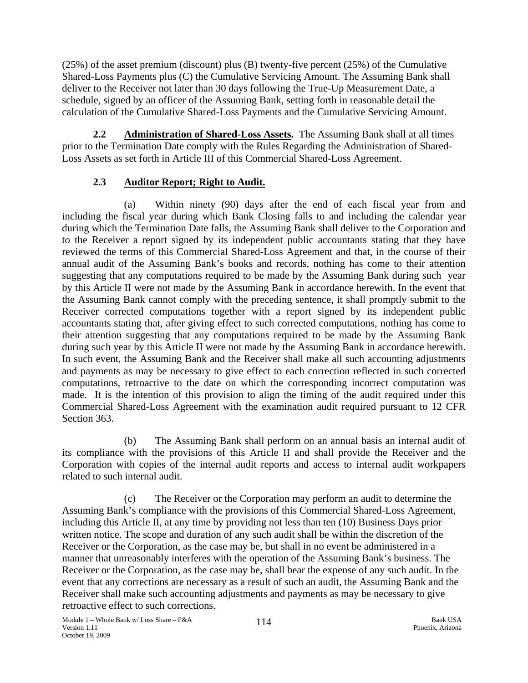(25%) of the asset premium (discount) plus (B) twenty-five percent (25%) of the Cumulative Shared-Loss Payments plus (C) the Cumulative Servicing Amount. The Assuming Bank shall deliver to the Receiver not later than 30 days following the True-Up Measurement Date, a schedule, signed by an officer of the Assuming Bank, setting forth in reasonable detail the calculation of the Cumulative Shared-Loss Payments and the Cumulative Servicing Amount.

**2.2 Administration of Shared-Loss Assets.** The Assuming Bank shall at all times prior to the Termination Date comply with the Rules Regarding the Administration of Shared-Loss Assets as set forth in Article III of this Commercial Shared-Loss Agreement.

## **2.3 Auditor Report; Right to Audit.**

(a) Within ninety (90) days after the end of each fiscal year from and including the fiscal year during which Bank Closing falls to and including the calendar year during which the Termination Date falls, the Assuming Bank shall deliver to the Corporation and to the Receiver a report signed by its independent public accountants stating that they have reviewed the terms of this Commercial Shared-Loss Agreement and that, in the course of their annual audit of the Assuming Bank's books and records, nothing has come to their attention suggesting that any computations required to be made by the Assuming Bank during such year by this Article II were not made by the Assuming Bank in accordance herewith. In the event that the Assuming Bank cannot comply with the preceding sentence, it shall promptly submit to the Receiver corrected computations together with a report signed by its independent public accountants stating that, after giving effect to such corrected computations, nothing has come to their attention suggesting that any computations required to be made by the Assuming Bank during such year by this Article II were not made by the Assuming Bank in accordance herewith. In such event, the Assuming Bank and the Receiver shall make all such accounting adjustments and payments as may be necessary to give effect to each correction reflected in such corrected computations, retroactive to the date on which the corresponding incorrect computation was made. It is the intention of this provision to align the timing of the audit required under this Commercial Shared-Loss Agreement with the examination audit required pursuant to 12 CFR Section 363.

(b) The Assuming Bank shall perform on an annual basis an internal audit of its compliance with the provisions of this Article II and shall provide the Receiver and the Corporation with copies of the internal audit reports and access to internal audit workpapers related to such internal audit.

(c) The Receiver or the Corporation may perform an audit to determine the Assuming Bank's compliance with the provisions of this Commercial Shared-Loss Agreement, including this Article II, at any time by providing not less than ten (10) Business Days prior written notice. The scope and duration of any such audit shall be within the discretion of the Receiver or the Corporation, as the case may be, but shall in no event be administered in a manner that unreasonably interferes with the operation of the Assuming Bank's business. The Receiver or the Corporation, as the case may be, shall bear the expense of any such audit. In the event that any corrections are necessary as a result of such an audit, the Assuming Bank and the Receiver shall make such accounting adjustments and payments as may be necessary to give retroactive effect to such corrections.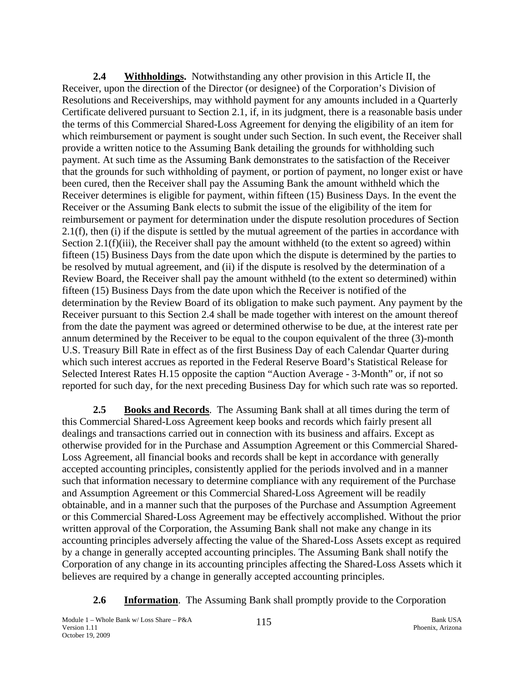**2.4 Withholdings.** Notwithstanding any other provision in this Article II, the Receiver, upon the direction of the Director (or designee) of the Corporation's Division of Resolutions and Receiverships, may withhold payment for any amounts included in a Quarterly Certificate delivered pursuant to Section 2.1, if, in its judgment, there is a reasonable basis under the terms of this Commercial Shared-Loss Agreement for denying the eligibility of an item for which reimbursement or payment is sought under such Section. In such event, the Receiver shall provide a written notice to the Assuming Bank detailing the grounds for withholding such payment. At such time as the Assuming Bank demonstrates to the satisfaction of the Receiver that the grounds for such withholding of payment, or portion of payment, no longer exist or have been cured, then the Receiver shall pay the Assuming Bank the amount withheld which the Receiver determines is eligible for payment, within fifteen (15) Business Days. In the event the Receiver or the Assuming Bank elects to submit the issue of the eligibility of the item for reimbursement or payment for determination under the dispute resolution procedures of Section 2.1(f), then (i) if the dispute is settled by the mutual agreement of the parties in accordance with Section 2.1(f)(iii), the Receiver shall pay the amount withheld (to the extent so agreed) within fifteen (15) Business Days from the date upon which the dispute is determined by the parties to be resolved by mutual agreement, and (ii) if the dispute is resolved by the determination of a Review Board, the Receiver shall pay the amount withheld (to the extent so determined) within fifteen (15) Business Days from the date upon which the Receiver is notified of the determination by the Review Board of its obligation to make such payment. Any payment by the Receiver pursuant to this Section 2.4 shall be made together with interest on the amount thereof from the date the payment was agreed or determined otherwise to be due, at the interest rate per annum determined by the Receiver to be equal to the coupon equivalent of the three (3)-month U.S. Treasury Bill Rate in effect as of the first Business Day of each Calendar Quarter during which such interest accrues as reported in the Federal Reserve Board's Statistical Release for Selected Interest Rates H.15 opposite the caption "Auction Average - 3-Month" or, if not so reported for such day, for the next preceding Business Day for which such rate was so reported.

**2.5 Books and Records**. The Assuming Bank shall at all times during the term of this Commercial Shared-Loss Agreement keep books and records which fairly present all dealings and transactions carried out in connection with its business and affairs. Except as otherwise provided for in the Purchase and Assumption Agreement or this Commercial Shared-Loss Agreement, all financial books and records shall be kept in accordance with generally accepted accounting principles, consistently applied for the periods involved and in a manner such that information necessary to determine compliance with any requirement of the Purchase and Assumption Agreement or this Commercial Shared-Loss Agreement will be readily obtainable, and in a manner such that the purposes of the Purchase and Assumption Agreement or this Commercial Shared-Loss Agreement may be effectively accomplished. Without the prior written approval of the Corporation, the Assuming Bank shall not make any change in its accounting principles adversely affecting the value of the Shared-Loss Assets except as required by a change in generally accepted accounting principles. The Assuming Bank shall notify the Corporation of any change in its accounting principles affecting the Shared-Loss Assets which it believes are required by a change in generally accepted accounting principles.

**2.6 Information**. The Assuming Bank shall promptly provide to the Corporation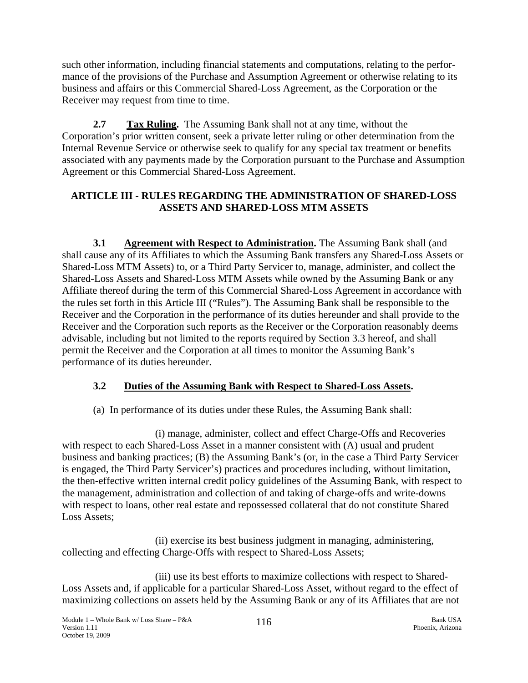such other information, including financial statements and computations, relating to the performance of the provisions of the Purchase and Assumption Agreement or otherwise relating to its business and affairs or this Commercial Shared-Loss Agreement, as the Corporation or the Receiver may request from time to time.

**2.7 Tax Ruling.** The Assuming Bank shall not at any time, without the Corporation's prior written consent, seek a private letter ruling or other determination from the Internal Revenue Service or otherwise seek to qualify for any special tax treatment or benefits associated with any payments made by the Corporation pursuant to the Purchase and Assumption Agreement or this Commercial Shared-Loss Agreement.

## **ASSETS AND SHARED-LOSS MTM ASSETS ARTICLE III - RULES REGARDING THE ADMINISTRATION OF SHARED-LOSS**

**3.1** Agreement with Respect to Administration. The Assuming Bank shall (and shall cause any of its Affiliates to which the Assuming Bank transfers any Shared-Loss Assets or Shared-Loss MTM Assets) to, or a Third Party Servicer to, manage, administer, and collect the Shared-Loss Assets and Shared-Loss MTM Assets while owned by the Assuming Bank or any Affiliate thereof during the term of this Commercial Shared-Loss Agreement in accordance with the rules set forth in this Article III ("Rules"). The Assuming Bank shall be responsible to the Receiver and the Corporation in the performance of its duties hereunder and shall provide to the Receiver and the Corporation such reports as the Receiver or the Corporation reasonably deems advisable, including but not limited to the reports required by Section 3.3 hereof, and shall permit the Receiver and the Corporation at all times to monitor the Assuming Bank's performance of its duties hereunder.

# **3.2 Duties of the Assuming Bank with Respect to Shared-Loss Assets.**

(a) In performance of its duties under these Rules, the Assuming Bank shall:

(i) manage, administer, collect and effect Charge-Offs and Recoveries with respect to each Shared-Loss Asset in a manner consistent with (A) usual and prudent business and banking practices; (B) the Assuming Bank's (or, in the case a Third Party Servicer is engaged, the Third Party Servicer's) practices and procedures including, without limitation, the then-effective written internal credit policy guidelines of the Assuming Bank, with respect to the management, administration and collection of and taking of charge-offs and write-downs with respect to loans, other real estate and repossessed collateral that do not constitute Shared Loss Assets;

(ii) exercise its best business judgment in managing, administering, collecting and effecting Charge-Offs with respect to Shared-Loss Assets;

(iii) use its best efforts to maximize collections with respect to Shared-Loss Assets and, if applicable for a particular Shared-Loss Asset, without regard to the effect of maximizing collections on assets held by the Assuming Bank or any of its Affiliates that are not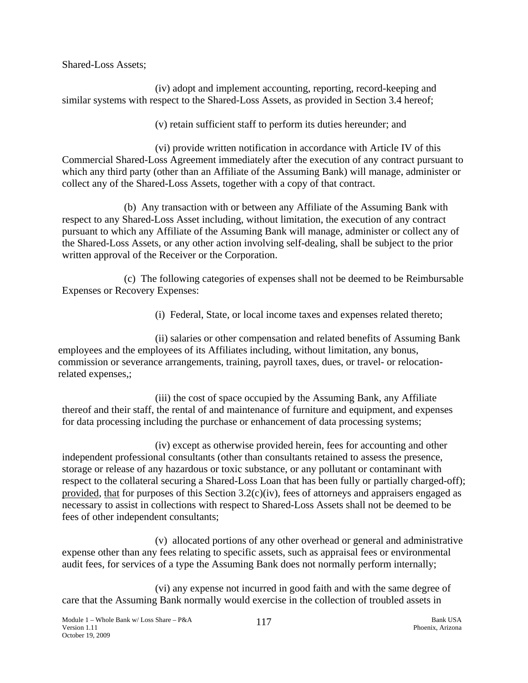Shared-Loss Assets;

(iv) adopt and implement accounting, reporting, record-keeping and similar systems with respect to the Shared-Loss Assets, as provided in Section 3.4 hereof;

(v) retain sufficient staff to perform its duties hereunder; and

(vi) provide written notification in accordance with Article IV of this Commercial Shared-Loss Agreement immediately after the execution of any contract pursuant to which any third party (other than an Affiliate of the Assuming Bank) will manage, administer or collect any of the Shared-Loss Assets, together with a copy of that contract.

(b) Any transaction with or between any Affiliate of the Assuming Bank with respect to any Shared-Loss Asset including, without limitation, the execution of any contract pursuant to which any Affiliate of the Assuming Bank will manage, administer or collect any of the Shared-Loss Assets, or any other action involving self-dealing, shall be subject to the prior written approval of the Receiver or the Corporation.

(c) The following categories of expenses shall not be deemed to be Reimbursable Expenses or Recovery Expenses:

(i) Federal, State, or local income taxes and expenses related thereto;

(ii) salaries or other compensation and related benefits of Assuming Bank employees and the employees of its Affiliates including, without limitation, any bonus, commission or severance arrangements, training, payroll taxes, dues, or travel- or relocationrelated expenses,;

(iii) the cost of space occupied by the Assuming Bank, any Affiliate thereof and their staff, the rental of and maintenance of furniture and equipment, and expenses

for data processing including the purchase or enhancement of data processing systems;<br>(iv) except as otherwise provided herein, fees for accounting and other independent professional consultants (other than consultants retained to assess the presence, storage or release of any hazardous or toxic substance, or any pollutant or contaminant with respect to the collateral securing a Shared-Loss Loan that has been fully or partially charged-off); provided, that for purposes of this Section 3.2(c)(iv), fees of attorneys and appraisers engaged as necessary to assist in collections with respect to Shared-Loss Assets shall not be deemed to be fees of other independent consultants;

(v) allocated portions of any other overhead or general and administrative expense other than any fees relating to specific assets, such as appraisal fees or environmental audit fees, for services of a type the Assuming Bank does not normally perform internally;

(vi) any expense not incurred in good faith and with the same degree of care that the Assuming Bank normally would exercise in the collection of troubled assets in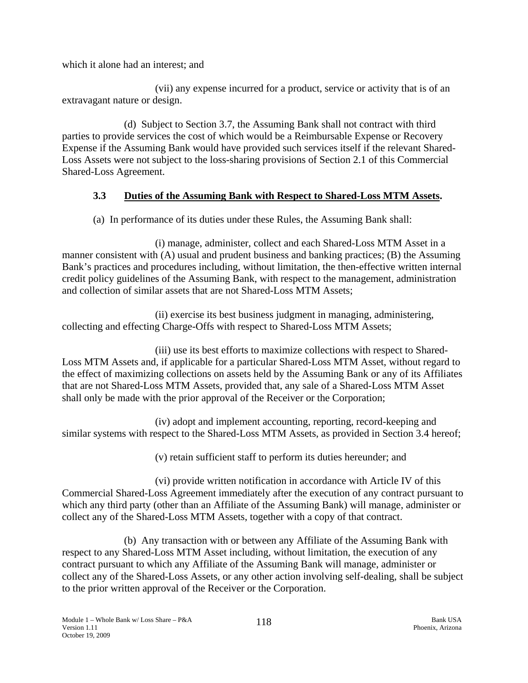which it alone had an interest; and

(vii) any expense incurred for a product, service or activity that is of an extravagant nature or design.

(d) Subject to Section 3.7, the Assuming Bank shall not contract with third parties to provide services the cost of which would be a Reimbursable Expense or Recovery Expense if the Assuming Bank would have provided such services itself if the relevant Shared-Loss Assets were not subject to the loss-sharing provisions of Section 2.1 of this Commercial Shared-Loss Agreement.

## **3.3 Duties of the Assuming Bank with Respect to Shared-Loss MTM Assets.**

(a) In performance of its duties under these Rules, the Assuming Bank shall:

(i) manage, administer, collect and each Shared-Loss MTM Asset in a manner consistent with  $(A)$  usual and prudent business and banking practices;  $(B)$  the Assuming Bank's practices and procedures including, without limitation, the then-effective written internal credit policy guidelines of the Assuming Bank, with respect to the management, administration and collection of similar assets that are not Shared-Loss MTM Assets;

(ii) exercise its best business judgment in managing, administering, collecting and effecting Charge-Offs with respect to Shared-Loss MTM Assets;

(iii) use its best efforts to maximize collections with respect to Shared-Loss MTM Assets and, if applicable for a particular Shared-Loss MTM Asset, without regard to the effect of maximizing collections on assets held by the Assuming Bank or any of its Affiliates that are not Shared-Loss MTM Assets, provided that, any sale of a Shared-Loss MTM Asset shall only be made with the prior approval of the Receiver or the Corporation;

(iv) adopt and implement accounting, reporting, record-keeping and similar systems with respect to the Shared-Loss MTM Assets, as provided in Section 3.4 hereof;

(v) retain sufficient staff to perform its duties hereunder; and

(vi) provide written notification in accordance with Article IV of this Commercial Shared-Loss Agreement immediately after the execution of any contract pursuant to which any third party (other than an Affiliate of the Assuming Bank) will manage, administer or collect any of the Shared-Loss MTM Assets, together with a copy of that contract.

(b) Any transaction with or between any Affiliate of the Assuming Bank with respect to any Shared-Loss MTM Asset including, without limitation, the execution of any contract pursuant to which any Affiliate of the Assuming Bank will manage, administer or collect any of the Shared-Loss Assets, or any other action involving self-dealing, shall be subject to the prior written approval of the Receiver or the Corporation.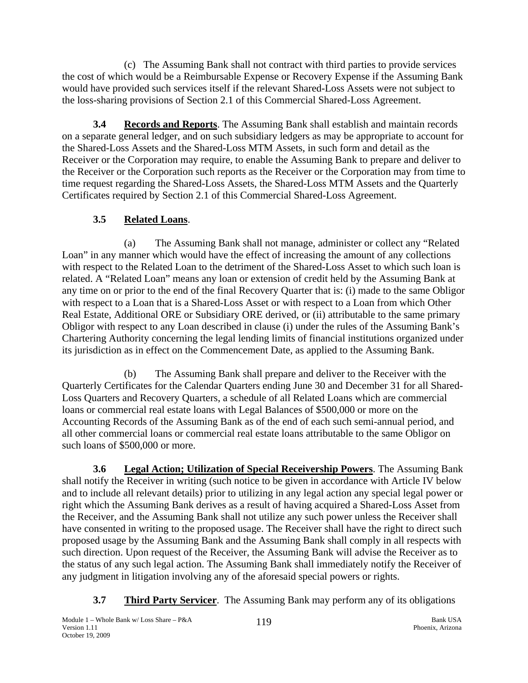(c) The Assuming Bank shall not contract with third parties to provide services the cost of which would be a Reimbursable Expense or Recovery Expense if the Assuming Bank would have provided such services itself if the relevant Shared-Loss Assets were not subject to the loss-sharing provisions of Section 2.1 of this Commercial Shared-Loss Agreement.

**3.4 Records and Reports**. The Assuming Bank shall establish and maintain records on a separate general ledger, and on such subsidiary ledgers as may be appropriate to account for the Shared-Loss Assets and the Shared-Loss MTM Assets, in such form and detail as the Receiver or the Corporation may require, to enable the Assuming Bank to prepare and deliver to the Receiver or the Corporation such reports as the Receiver or the Corporation may from time to time request regarding the Shared-Loss Assets, the Shared-Loss MTM Assets and the Quarterly Certificates required by Section 2.1 of this Commercial Shared-Loss Agreement.

# **3.5 Related Loans**.

(a) The Assuming Bank shall not manage, administer or collect any "Related Loan" in any manner which would have the effect of increasing the amount of any collections with respect to the Related Loan to the detriment of the Shared-Loss Asset to which such loan is related. A "Related Loan" means any loan or extension of credit held by the Assuming Bank at any time on or prior to the end of the final Recovery Quarter that is: (i) made to the same Obligor with respect to a Loan that is a Shared-Loss Asset or with respect to a Loan from which Other Real Estate, Additional ORE or Subsidiary ORE derived, or (ii) attributable to the same primary Obligor with respect to any Loan described in clause (i) under the rules of the Assuming Bank's Chartering Authority concerning the legal lending limits of financial institutions organized under its jurisdiction as in effect on the Commencement Date, as applied to the Assuming Bank.

(b) The Assuming Bank shall prepare and deliver to the Receiver with the Quarterly Certificates for the Calendar Quarters ending June 30 and December 31 for all Shared-Loss Quarters and Recovery Quarters, a schedule of all Related Loans which are commercial loans or commercial real estate loans with Legal Balances of \$500,000 or more on the Accounting Records of the Assuming Bank as of the end of each such semi-annual period, and all other commercial loans or commercial real estate loans attributable to the same Obligor on such loans of \$500,000 or more.

**3.6 Legal Action; Utilization of Special Receivership Powers**. The Assuming Bank shall notify the Receiver in writing (such notice to be given in accordance with Article IV below and to include all relevant details) prior to utilizing in any legal action any special legal power or right which the Assuming Bank derives as a result of having acquired a Shared-Loss Asset from the Receiver, and the Assuming Bank shall not utilize any such power unless the Receiver shall have consented in writing to the proposed usage. The Receiver shall have the right to direct such proposed usage by the Assuming Bank and the Assuming Bank shall comply in all respects with such direction. Upon request of the Receiver, the Assuming Bank will advise the Receiver as to the status of any such legal action. The Assuming Bank shall immediately notify the Receiver of any judgment in litigation involving any of the aforesaid special powers or rights.

**3.7 Third Party Servicer**. The Assuming Bank may perform any of its obligations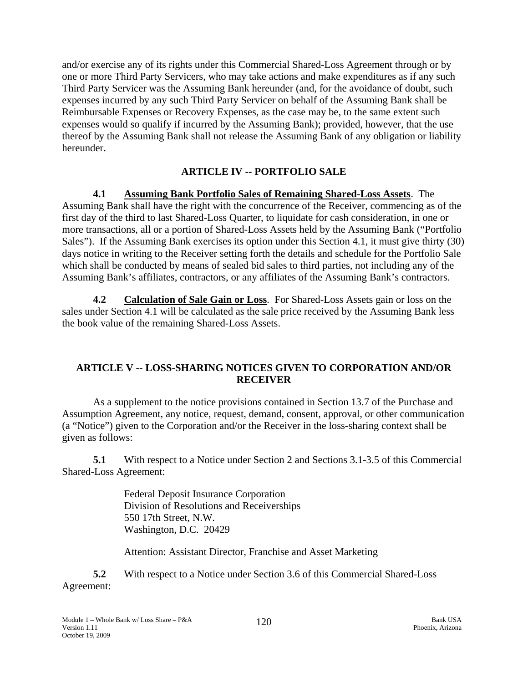and/or exercise any of its rights under this Commercial Shared-Loss Agreement through or by one or more Third Party Servicers, who may take actions and make expenditures as if any such Third Party Servicer was the Assuming Bank hereunder (and, for the avoidance of doubt, such expenses incurred by any such Third Party Servicer on behalf of the Assuming Bank shall be Reimbursable Expenses or Recovery Expenses, as the case may be, to the same extent such expenses would so qualify if incurred by the Assuming Bank); provided, however, that the use thereof by the Assuming Bank shall not release the Assuming Bank of any obligation or liability hereunder.

### **ARTICLE IV -- PORTFOLIO SALE**

**4.1 Assuming Bank Portfolio Sales of Remaining Shared-Loss Assets**. The Assuming Bank shall have the right with the concurrence of the Receiver, commencing as of the first day of the third to last Shared-Loss Quarter, to liquidate for cash consideration, in one or more transactions, all or a portion of Shared-Loss Assets held by the Assuming Bank ("Portfolio Sales"). If the Assuming Bank exercises its option under this Section 4.1, it must give thirty (30) days notice in writing to the Receiver setting forth the details and schedule for the Portfolio Sale which shall be conducted by means of sealed bid sales to third parties, not including any of the Assuming Bank's affiliates, contractors, or any affiliates of the Assuming Bank's contractors.

**4.2 Calculation of Sale Gain or Loss**. For Shared-Loss Assets gain or loss on the sales under Section 4.1 will be calculated as the sale price received by the Assuming Bank less the book value of the remaining Shared-Loss Assets.

### **RECEIVERARTICLE V -- LOSS-SHARING NOTICES GIVEN TO CORPORATION AND/OR**

As a supplement to the notice provisions contained in Section 13.7 of the Purchase and Assumption Agreement, any notice, request, demand, consent, approval, or other communication (a "Notice") given to the Corporation and/or the Receiver in the loss-sharing context shall be given as follows:

**5.1** With respect to a Notice under Section 2 and Sections 3.1-3.5 of this Commercial Shared-Loss Agreement:

> 550 17th Street, N.W. Federal Deposit Insurance Corporation Division of Resolutions and Receiverships Washington, D.C. 20429

Attention: Assistant Director, Franchise and Asset Marketing

**5.2** With respect to a Notice under Section 3.6 of this Commercial Shared-Loss Agreement: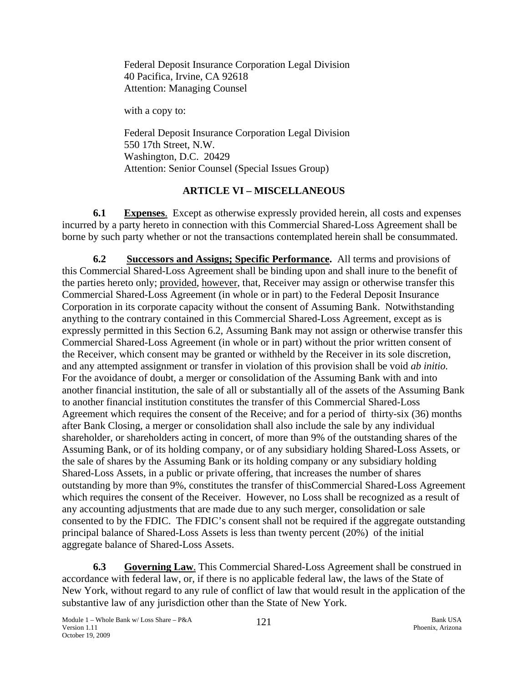Federal Deposit Insurance Corporation Legal Division 40 Pacifica, Irvine, CA 92618 Attention: Managing Counsel

with a copy to:

550 17th Street, N.W. Federal Deposit Insurance Corporation Legal Division Washington, D.C. 20429 Attention: Senior Counsel (Special Issues Group)

### **ARTICLE VI – MISCELLANEOUS**

**6.1** Expenses. Except as otherwise expressly provided herein, all costs and expenses incurred by a party hereto in connection with this Commercial Shared-Loss Agreement shall be borne by such party whether or not the transactions contemplated herein shall be consummated.

**6.2 Successors and Assigns; Specific Performance.** All terms and provisions of this Commercial Shared-Loss Agreement shall be binding upon and shall inure to the benefit of the parties hereto only; provided, however, that, Receiver may assign or otherwise transfer this Commercial Shared-Loss Agreement (in whole or in part) to the Federal Deposit Insurance Corporation in its corporate capacity without the consent of Assuming Bank. Notwithstanding anything to the contrary contained in this Commercial Shared-Loss Agreement, except as is expressly permitted in this Section 6.2, Assuming Bank may not assign or otherwise transfer this Commercial Shared-Loss Agreement (in whole or in part) without the prior written consent of the Receiver, which consent may be granted or withheld by the Receiver in its sole discretion, and any attempted assignment or transfer in violation of this provision shall be void *ab initio.*  For the avoidance of doubt, a merger or consolidation of the Assuming Bank with and into another financial institution, the sale of all or substantially all of the assets of the Assuming Bank to another financial institution constitutes the transfer of this Commercial Shared-Loss Agreement which requires the consent of the Receive; and for a period of thirty-six (36) months after Bank Closing, a merger or consolidation shall also include the sale by any individual shareholder, or shareholders acting in concert, of more than 9% of the outstanding shares of the Assuming Bank, or of its holding company, or of any subsidiary holding Shared-Loss Assets, or the sale of shares by the Assuming Bank or its holding company or any subsidiary holding Shared-Loss Assets, in a public or private offering, that increases the number of shares outstanding by more than 9%, constitutes the transfer of thisCommercial Shared-Loss Agreement which requires the consent of the Receiver. However, no Loss shall be recognized as a result of any accounting adjustments that are made due to any such merger, consolidation or sale consented to by the FDIC. The FDIC's consent shall not be required if the aggregate outstanding principal balance of Shared-Loss Assets is less than twenty percent (20%) of the initial aggregate balance of Shared-Loss Assets.

**6.3 Governing Law**. This Commercial Shared-Loss Agreement shall be construed in accordance with federal law, or, if there is no applicable federal law, the laws of the State of New York, without regard to any rule of conflict of law that would result in the application of the substantive law of any jurisdiction other than the State of New York.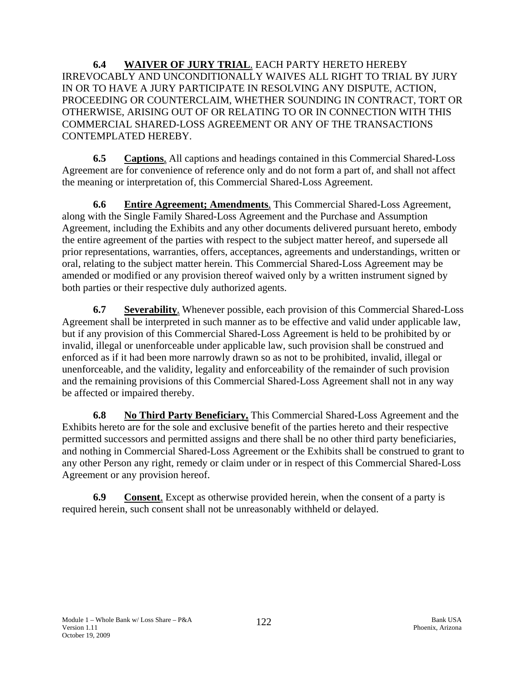**6.4 WAIVER OF JURY TRIAL**. EACH PARTY HERETO HEREBY IRREVOCABLY AND UNCONDITIONALLY WAIVES ALL RIGHT TO TRIAL BY JURY IN OR TO HAVE A JURY PARTICIPATE IN RESOLVING ANY DISPUTE, ACTION, PROCEEDING OR COUNTERCLAIM, WHETHER SOUNDING IN CONTRACT, TORT OR OTHERWISE, ARISING OUT OF OR RELATING TO OR IN CONNECTION WITH THIS COMMERCIAL SHARED-LOSS AGREEMENT OR ANY OF THE TRANSACTIONS CONTEMPLATED HEREBY.

**6.5 Captions**. All captions and headings contained in this Commercial Shared-Loss Agreement are for convenience of reference only and do not form a part of, and shall not affect the meaning or interpretation of, this Commercial Shared-Loss Agreement.

**6.6 Entire Agreement; Amendments**. This Commercial Shared-Loss Agreement, along with the Single Family Shared-Loss Agreement and the Purchase and Assumption Agreement, including the Exhibits and any other documents delivered pursuant hereto, embody the entire agreement of the parties with respect to the subject matter hereof, and supersede all prior representations, warranties, offers, acceptances, agreements and understandings, written or oral, relating to the subject matter herein. This Commercial Shared-Loss Agreement may be amended or modified or any provision thereof waived only by a written instrument signed by both parties or their respective duly authorized agents.

**6.7 Severability**. Whenever possible, each provision of this Commercial Shared-Loss Agreement shall be interpreted in such manner as to be effective and valid under applicable law, but if any provision of this Commercial Shared-Loss Agreement is held to be prohibited by or invalid, illegal or unenforceable under applicable law, such provision shall be construed and enforced as if it had been more narrowly drawn so as not to be prohibited, invalid, illegal or unenforceable, and the validity, legality and enforceability of the remainder of such provision and the remaining provisions of this Commercial Shared-Loss Agreement shall not in any way be affected or impaired thereby.

**6.8 No Third Party Beneficiary.** This Commercial Shared-Loss Agreement and the Exhibits hereto are for the sole and exclusive benefit of the parties hereto and their respective permitted successors and permitted assigns and there shall be no other third party beneficiaries, and nothing in Commercial Shared-Loss Agreement or the Exhibits shall be construed to grant to any other Person any right, remedy or claim under or in respect of this Commercial Shared-Loss Agreement or any provision hereof.

**6.9** Consent. Except as otherwise provided herein, when the consent of a party is required herein, such consent shall not be unreasonably withheld or delayed.